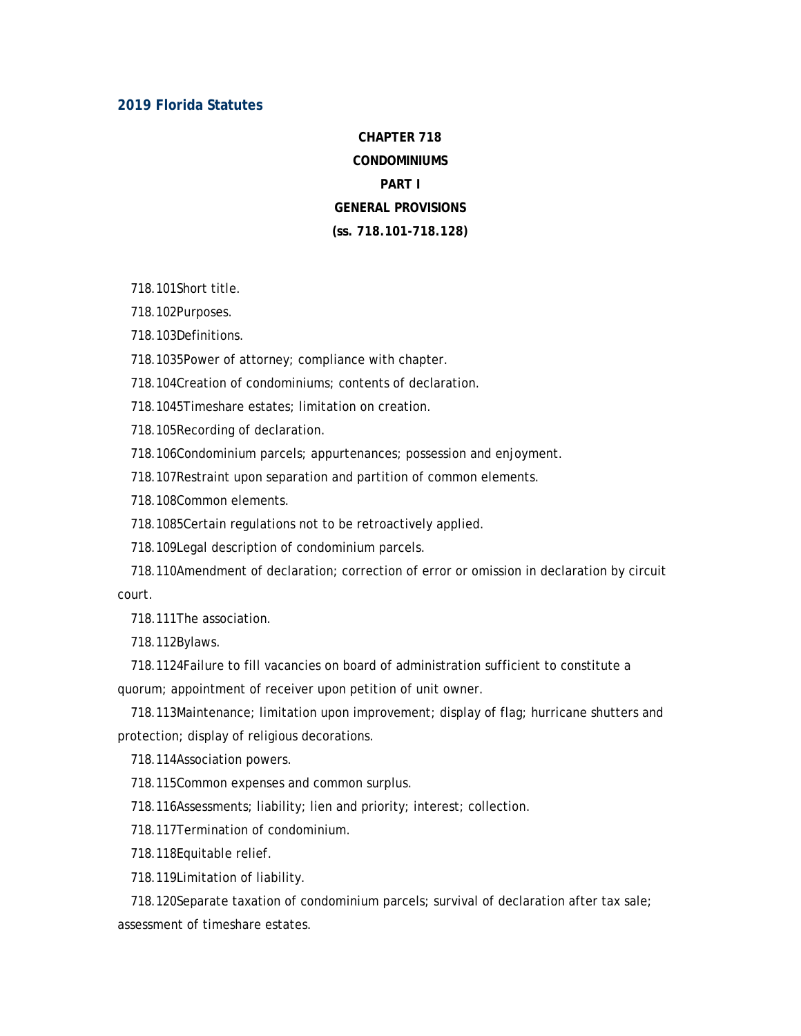# **2019 Florida Statutes**

# **CHAPTER 718 CONDOMINIUMS PART I GENERAL PROVISIONS (ss. 718.101-718.128)**

718.101Short title.

718.102Purposes.

718.103Definitions.

718.1035Power of attorney; compliance with chapter.

718.104Creation of condominiums; contents of declaration.

718.1045Timeshare estates; limitation on creation.

718.105Recording of declaration.

718.106Condominium parcels; appurtenances; possession and enjoyment.

718.107Restraint upon separation and partition of common elements.

718.108Common elements.

718.1085Certain regulations not to be retroactively applied.

718.109Legal description of condominium parcels.

718.110Amendment of declaration; correction of error or omission in declaration by circuit court.

718.111The association.

718.112Bylaws.

718.1124Failure to fill vacancies on board of administration sufficient to constitute a

quorum; appointment of receiver upon petition of unit owner.

718.113Maintenance; limitation upon improvement; display of flag; hurricane shutters and protection; display of religious decorations.

718.114Association powers.

718.115Common expenses and common surplus.

718.116Assessments; liability; lien and priority; interest; collection.

718.117Termination of condominium.

718.118Equitable relief.

718.119Limitation of liability.

718.120Separate taxation of condominium parcels; survival of declaration after tax sale; assessment of timeshare estates.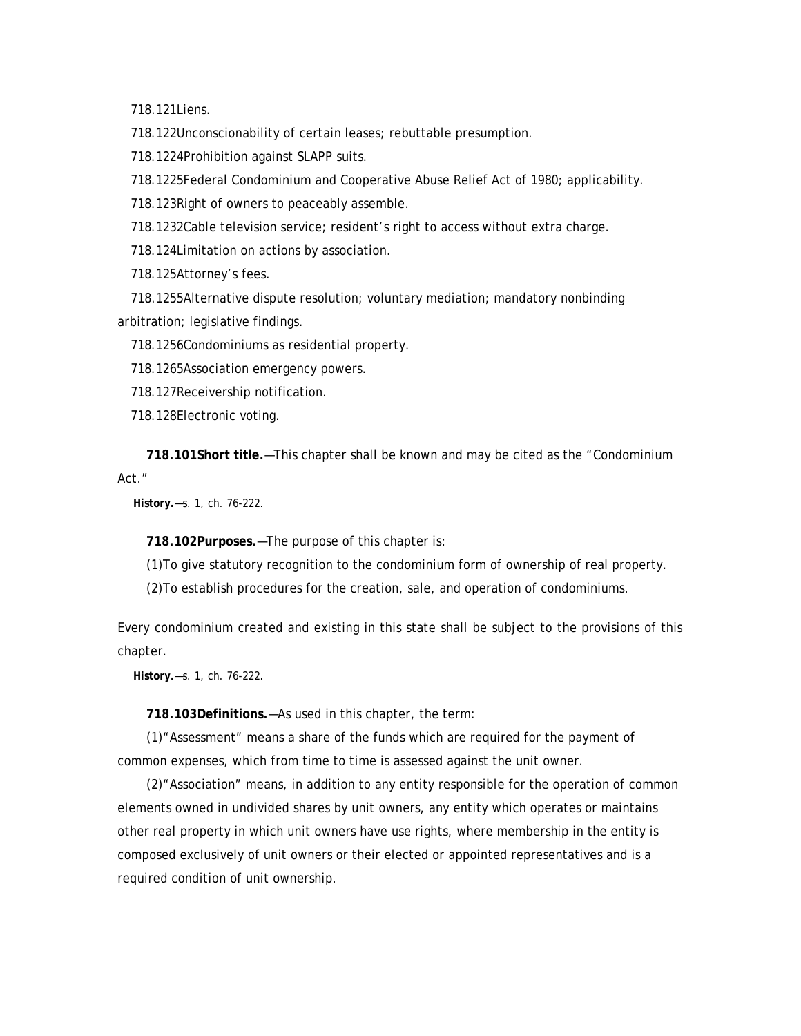718.121Liens.

718.122Unconscionability of certain leases; rebuttable presumption.

718.1224Prohibition against SLAPP suits.

718.1225Federal Condominium and Cooperative Abuse Relief Act of 1980; applicability.

718.123Right of owners to peaceably assemble.

718.1232Cable television service; resident's right to access without extra charge.

718.124Limitation on actions by association.

718.125Attorney's fees.

718.1255Alternative dispute resolution; voluntary mediation; mandatory nonbinding arbitration; legislative findings.

718.1256Condominiums as residential property.

718.1265Association emergency powers.

718.127Receivership notification.

718.128Electronic voting.

**718.101Short title.**—This chapter shall be known and may be cited as the "Condominium Act<sup>"</sup>

**History.**—s. 1, ch. 76-222.

**718.102Purposes.**—The purpose of this chapter is:

(1)To give statutory recognition to the condominium form of ownership of real property.

(2)To establish procedures for the creation, sale, and operation of condominiums.

Every condominium created and existing in this state shall be subject to the provisions of this chapter.

**History.**—s. 1, ch. 76-222.

**718.103Definitions.**—As used in this chapter, the term:

(1)"Assessment" means a share of the funds which are required for the payment of common expenses, which from time to time is assessed against the unit owner.

(2)"Association" means, in addition to any entity responsible for the operation of common elements owned in undivided shares by unit owners, any entity which operates or maintains other real property in which unit owners have use rights, where membership in the entity is composed exclusively of unit owners or their elected or appointed representatives and is a required condition of unit ownership.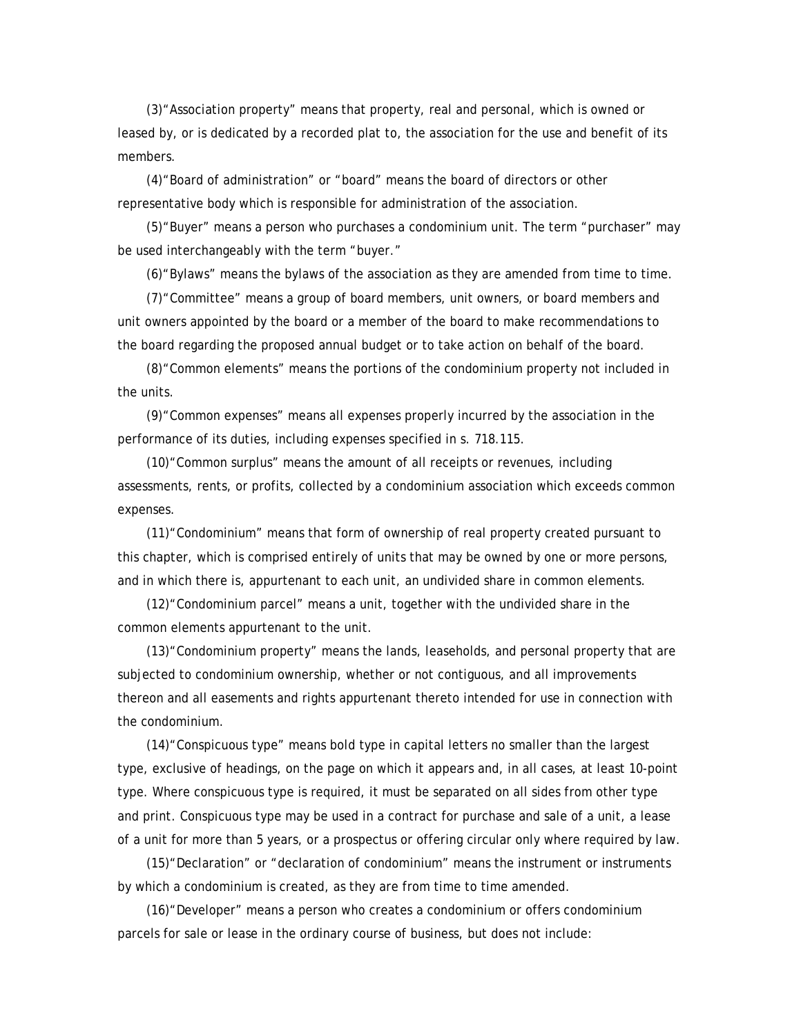(3)"Association property" means that property, real and personal, which is owned or leased by, or is dedicated by a recorded plat to, the association for the use and benefit of its members.

(4)"Board of administration" or "board" means the board of directors or other representative body which is responsible for administration of the association.

(5)"Buyer" means a person who purchases a condominium unit. The term "purchaser" may be used interchangeably with the term "buyer."

(6)"Bylaws" means the bylaws of the association as they are amended from time to time.

(7)"Committee" means a group of board members, unit owners, or board members and unit owners appointed by the board or a member of the board to make recommendations to the board regarding the proposed annual budget or to take action on behalf of the board.

(8)"Common elements" means the portions of the condominium property not included in the units.

(9)"Common expenses" means all expenses properly incurred by the association in the performance of its duties, including expenses specified in s. 718.115.

(10)"Common surplus" means the amount of all receipts or revenues, including assessments, rents, or profits, collected by a condominium association which exceeds common expenses.

(11)"Condominium" means that form of ownership of real property created pursuant to this chapter, which is comprised entirely of units that may be owned by one or more persons, and in which there is, appurtenant to each unit, an undivided share in common elements.

(12)"Condominium parcel" means a unit, together with the undivided share in the common elements appurtenant to the unit.

(13)"Condominium property" means the lands, leaseholds, and personal property that are subjected to condominium ownership, whether or not contiguous, and all improvements thereon and all easements and rights appurtenant thereto intended for use in connection with the condominium.

(14)"Conspicuous type" means bold type in capital letters no smaller than the largest type, exclusive of headings, on the page on which it appears and, in all cases, at least 10-point type. Where conspicuous type is required, it must be separated on all sides from other type and print. Conspicuous type may be used in a contract for purchase and sale of a unit, a lease of a unit for more than 5 years, or a prospectus or offering circular only where required by law.

(15)"Declaration" or "declaration of condominium" means the instrument or instruments by which a condominium is created, as they are from time to time amended.

(16)"Developer" means a person who creates a condominium or offers condominium parcels for sale or lease in the ordinary course of business, but does not include: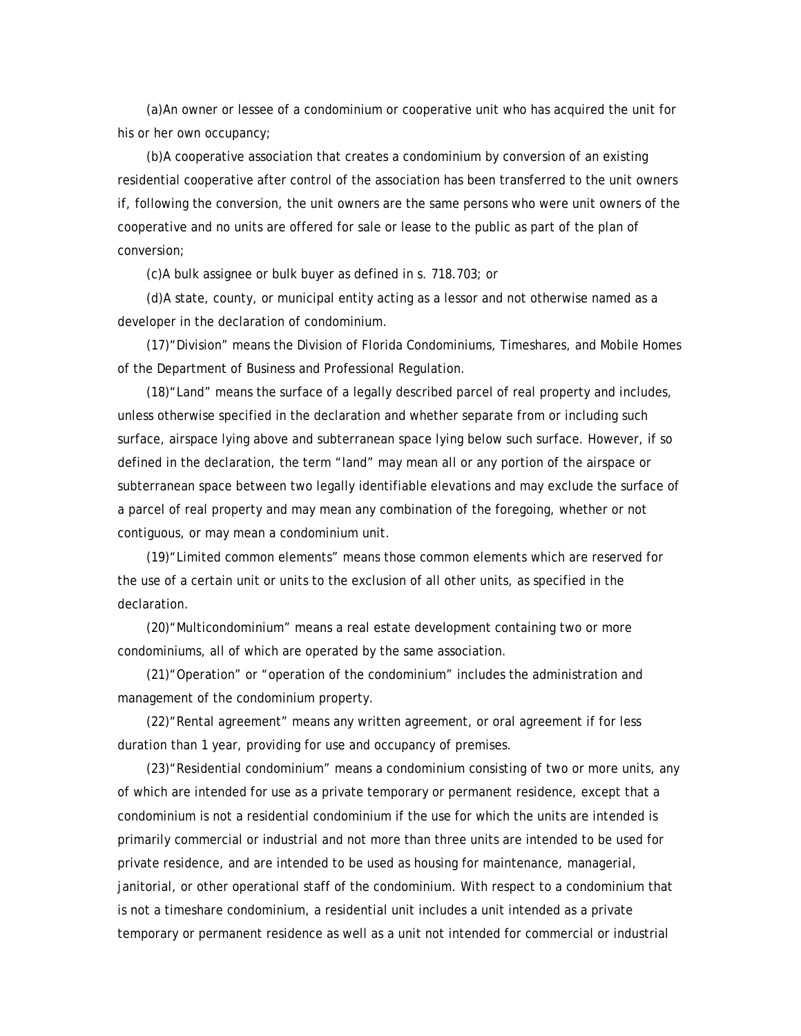(a)An owner or lessee of a condominium or cooperative unit who has acquired the unit for his or her own occupancy;

(b)A cooperative association that creates a condominium by conversion of an existing residential cooperative after control of the association has been transferred to the unit owners if, following the conversion, the unit owners are the same persons who were unit owners of the cooperative and no units are offered for sale or lease to the public as part of the plan of conversion;

(c)A bulk assignee or bulk buyer as defined in s. 718.703; or

(d)A state, county, or municipal entity acting as a lessor and not otherwise named as a developer in the declaration of condominium.

(17)"Division" means the Division of Florida Condominiums, Timeshares, and Mobile Homes of the Department of Business and Professional Regulation.

(18)"Land" means the surface of a legally described parcel of real property and includes, unless otherwise specified in the declaration and whether separate from or including such surface, airspace lying above and subterranean space lying below such surface. However, if so defined in the declaration, the term "land" may mean all or any portion of the airspace or subterranean space between two legally identifiable elevations and may exclude the surface of a parcel of real property and may mean any combination of the foregoing, whether or not contiguous, or may mean a condominium unit.

(19)"Limited common elements" means those common elements which are reserved for the use of a certain unit or units to the exclusion of all other units, as specified in the declaration.

(20)"Multicondominium" means a real estate development containing two or more condominiums, all of which are operated by the same association.

(21)"Operation" or "operation of the condominium" includes the administration and management of the condominium property.

(22)"Rental agreement" means any written agreement, or oral agreement if for less duration than 1 year, providing for use and occupancy of premises.

(23)"Residential condominium" means a condominium consisting of two or more units, any of which are intended for use as a private temporary or permanent residence, except that a condominium is not a residential condominium if the use for which the units are intended is primarily commercial or industrial and not more than three units are intended to be used for private residence, and are intended to be used as housing for maintenance, managerial, janitorial, or other operational staff of the condominium. With respect to a condominium that is not a timeshare condominium, a residential unit includes a unit intended as a private temporary or permanent residence as well as a unit not intended for commercial or industrial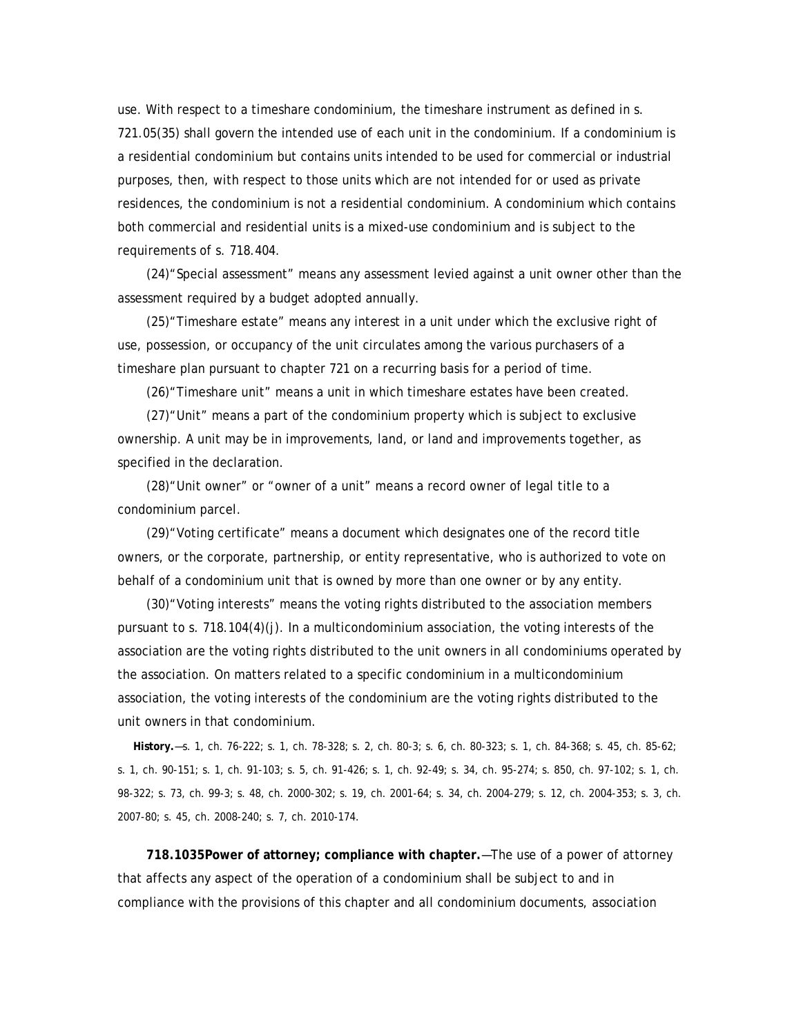use. With respect to a timeshare condominium, the timeshare instrument as defined in s. 721.05(35) shall govern the intended use of each unit in the condominium. If a condominium is a residential condominium but contains units intended to be used for commercial or industrial purposes, then, with respect to those units which are not intended for or used as private residences, the condominium is not a residential condominium. A condominium which contains both commercial and residential units is a mixed-use condominium and is subject to the requirements of s. 718.404.

(24)"Special assessment" means any assessment levied against a unit owner other than the assessment required by a budget adopted annually.

(25)"Timeshare estate" means any interest in a unit under which the exclusive right of use, possession, or occupancy of the unit circulates among the various purchasers of a timeshare plan pursuant to chapter 721 on a recurring basis for a period of time.

(26)"Timeshare unit" means a unit in which timeshare estates have been created.

(27)"Unit" means a part of the condominium property which is subject to exclusive ownership. A unit may be in improvements, land, or land and improvements together, as specified in the declaration.

(28)"Unit owner" or "owner of a unit" means a record owner of legal title to a condominium parcel.

(29)"Voting certificate" means a document which designates one of the record title owners, or the corporate, partnership, or entity representative, who is authorized to vote on behalf of a condominium unit that is owned by more than one owner or by any entity.

(30)"Voting interests" means the voting rights distributed to the association members pursuant to s. 718.104(4)(j). In a multicondominium association, the voting interests of the association are the voting rights distributed to the unit owners in all condominiums operated by the association. On matters related to a specific condominium in a multicondominium association, the voting interests of the condominium are the voting rights distributed to the unit owners in that condominium.

**History.**—s. 1, ch. 76-222; s. 1, ch. 78-328; s. 2, ch. 80-3; s. 6, ch. 80-323; s. 1, ch. 84-368; s. 45, ch. 85-62; s. 1, ch. 90-151; s. 1, ch. 91-103; s. 5, ch. 91-426; s. 1, ch. 92-49; s. 34, ch. 95-274; s. 850, ch. 97-102; s. 1, ch. 98-322; s. 73, ch. 99-3; s. 48, ch. 2000-302; s. 19, ch. 2001-64; s. 34, ch. 2004-279; s. 12, ch. 2004-353; s. 3, ch. 2007-80; s. 45, ch. 2008-240; s. 7, ch. 2010-174.

**718.1035Power of attorney; compliance with chapter.**—The use of a power of attorney that affects any aspect of the operation of a condominium shall be subject to and in compliance with the provisions of this chapter and all condominium documents, association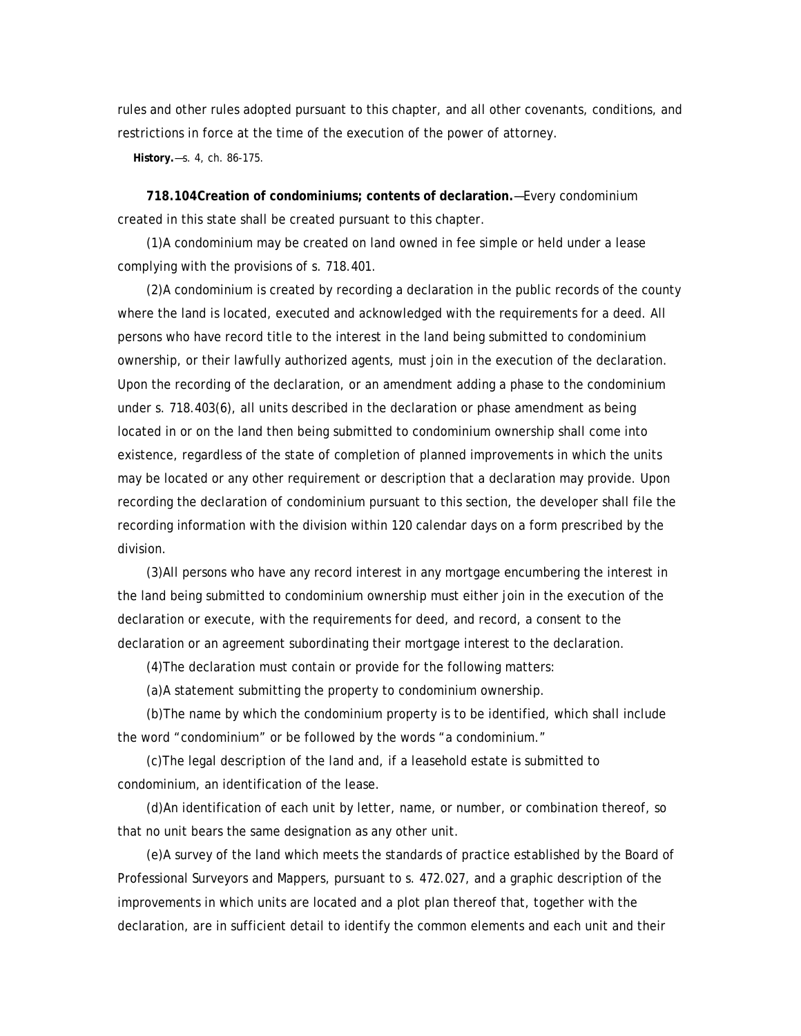rules and other rules adopted pursuant to this chapter, and all other covenants, conditions, and restrictions in force at the time of the execution of the power of attorney.

**History.**—s. 4, ch. 86-175.

**718.104Creation of condominiums; contents of declaration.**—Every condominium created in this state shall be created pursuant to this chapter.

(1)A condominium may be created on land owned in fee simple or held under a lease complying with the provisions of s. 718.401.

(2)A condominium is created by recording a declaration in the public records of the county where the land is located, executed and acknowledged with the requirements for a deed. All persons who have record title to the interest in the land being submitted to condominium ownership, or their lawfully authorized agents, must join in the execution of the declaration. Upon the recording of the declaration, or an amendment adding a phase to the condominium under s. 718.403(6), all units described in the declaration or phase amendment as being located in or on the land then being submitted to condominium ownership shall come into existence, regardless of the state of completion of planned improvements in which the units may be located or any other requirement or description that a declaration may provide. Upon recording the declaration of condominium pursuant to this section, the developer shall file the recording information with the division within 120 calendar days on a form prescribed by the division.

(3)All persons who have any record interest in any mortgage encumbering the interest in the land being submitted to condominium ownership must either join in the execution of the declaration or execute, with the requirements for deed, and record, a consent to the declaration or an agreement subordinating their mortgage interest to the declaration.

(4)The declaration must contain or provide for the following matters:

(a)A statement submitting the property to condominium ownership.

(b)The name by which the condominium property is to be identified, which shall include the word "condominium" or be followed by the words "a condominium."

(c)The legal description of the land and, if a leasehold estate is submitted to condominium, an identification of the lease.

(d)An identification of each unit by letter, name, or number, or combination thereof, so that no unit bears the same designation as any other unit.

(e)A survey of the land which meets the standards of practice established by the Board of Professional Surveyors and Mappers, pursuant to s. 472.027, and a graphic description of the improvements in which units are located and a plot plan thereof that, together with the declaration, are in sufficient detail to identify the common elements and each unit and their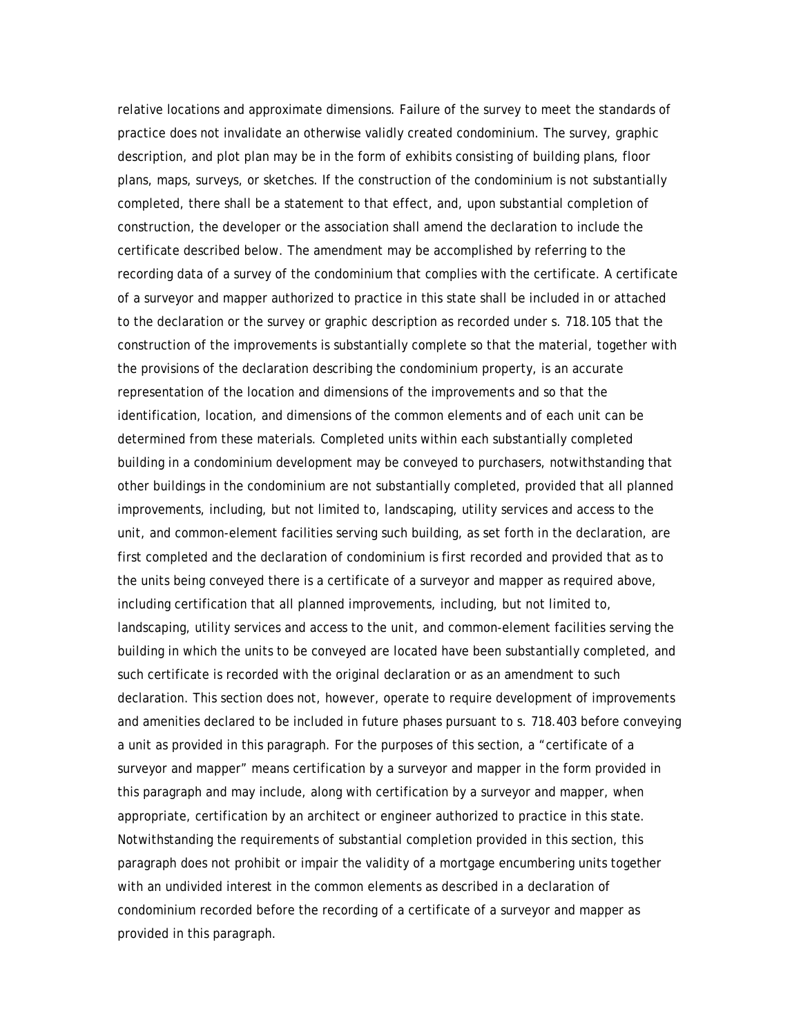relative locations and approximate dimensions. Failure of the survey to meet the standards of practice does not invalidate an otherwise validly created condominium. The survey, graphic description, and plot plan may be in the form of exhibits consisting of building plans, floor plans, maps, surveys, or sketches. If the construction of the condominium is not substantially completed, there shall be a statement to that effect, and, upon substantial completion of construction, the developer or the association shall amend the declaration to include the certificate described below. The amendment may be accomplished by referring to the recording data of a survey of the condominium that complies with the certificate. A certificate of a surveyor and mapper authorized to practice in this state shall be included in or attached to the declaration or the survey or graphic description as recorded under s. 718.105 that the construction of the improvements is substantially complete so that the material, together with the provisions of the declaration describing the condominium property, is an accurate representation of the location and dimensions of the improvements and so that the identification, location, and dimensions of the common elements and of each unit can be determined from these materials. Completed units within each substantially completed building in a condominium development may be conveyed to purchasers, notwithstanding that other buildings in the condominium are not substantially completed, provided that all planned improvements, including, but not limited to, landscaping, utility services and access to the unit, and common-element facilities serving such building, as set forth in the declaration, are first completed and the declaration of condominium is first recorded and provided that as to the units being conveyed there is a certificate of a surveyor and mapper as required above, including certification that all planned improvements, including, but not limited to, landscaping, utility services and access to the unit, and common-element facilities serving the building in which the units to be conveyed are located have been substantially completed, and such certificate is recorded with the original declaration or as an amendment to such declaration. This section does not, however, operate to require development of improvements and amenities declared to be included in future phases pursuant to s. 718.403 before conveying a unit as provided in this paragraph. For the purposes of this section, a "certificate of a surveyor and mapper" means certification by a surveyor and mapper in the form provided in this paragraph and may include, along with certification by a surveyor and mapper, when appropriate, certification by an architect or engineer authorized to practice in this state. Notwithstanding the requirements of substantial completion provided in this section, this paragraph does not prohibit or impair the validity of a mortgage encumbering units together with an undivided interest in the common elements as described in a declaration of condominium recorded before the recording of a certificate of a surveyor and mapper as provided in this paragraph.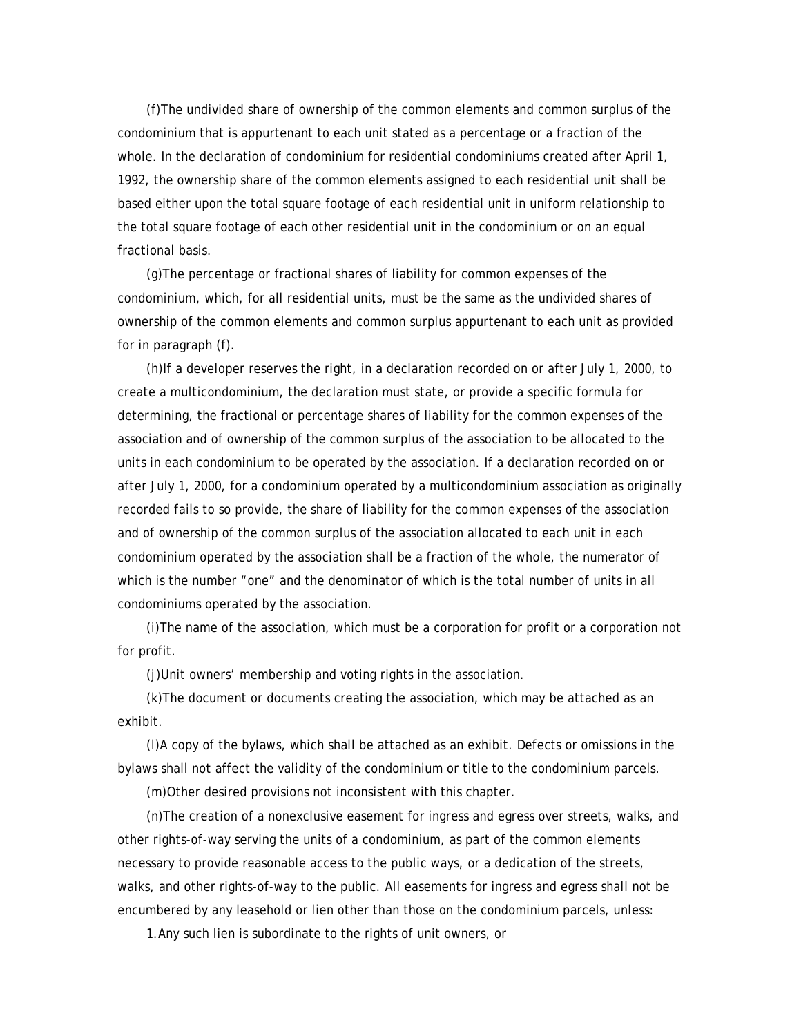(f)The undivided share of ownership of the common elements and common surplus of the condominium that is appurtenant to each unit stated as a percentage or a fraction of the whole. In the declaration of condominium for residential condominiums created after April 1, 1992, the ownership share of the common elements assigned to each residential unit shall be based either upon the total square footage of each residential unit in uniform relationship to the total square footage of each other residential unit in the condominium or on an equal fractional basis.

(g)The percentage or fractional shares of liability for common expenses of the condominium, which, for all residential units, must be the same as the undivided shares of ownership of the common elements and common surplus appurtenant to each unit as provided for in paragraph (f).

(h)If a developer reserves the right, in a declaration recorded on or after July 1, 2000, to create a multicondominium, the declaration must state, or provide a specific formula for determining, the fractional or percentage shares of liability for the common expenses of the association and of ownership of the common surplus of the association to be allocated to the units in each condominium to be operated by the association. If a declaration recorded on or after July 1, 2000, for a condominium operated by a multicondominium association as originally recorded fails to so provide, the share of liability for the common expenses of the association and of ownership of the common surplus of the association allocated to each unit in each condominium operated by the association shall be a fraction of the whole, the numerator of which is the number "one" and the denominator of which is the total number of units in all condominiums operated by the association.

(i)The name of the association, which must be a corporation for profit or a corporation not for profit.

(j)Unit owners' membership and voting rights in the association.

(k)The document or documents creating the association, which may be attached as an exhibit.

(l)A copy of the bylaws, which shall be attached as an exhibit. Defects or omissions in the bylaws shall not affect the validity of the condominium or title to the condominium parcels.

(m)Other desired provisions not inconsistent with this chapter.

(n)The creation of a nonexclusive easement for ingress and egress over streets, walks, and other rights-of-way serving the units of a condominium, as part of the common elements necessary to provide reasonable access to the public ways, or a dedication of the streets, walks, and other rights-of-way to the public. All easements for ingress and egress shall not be encumbered by any leasehold or lien other than those on the condominium parcels, unless:

1.Any such lien is subordinate to the rights of unit owners, or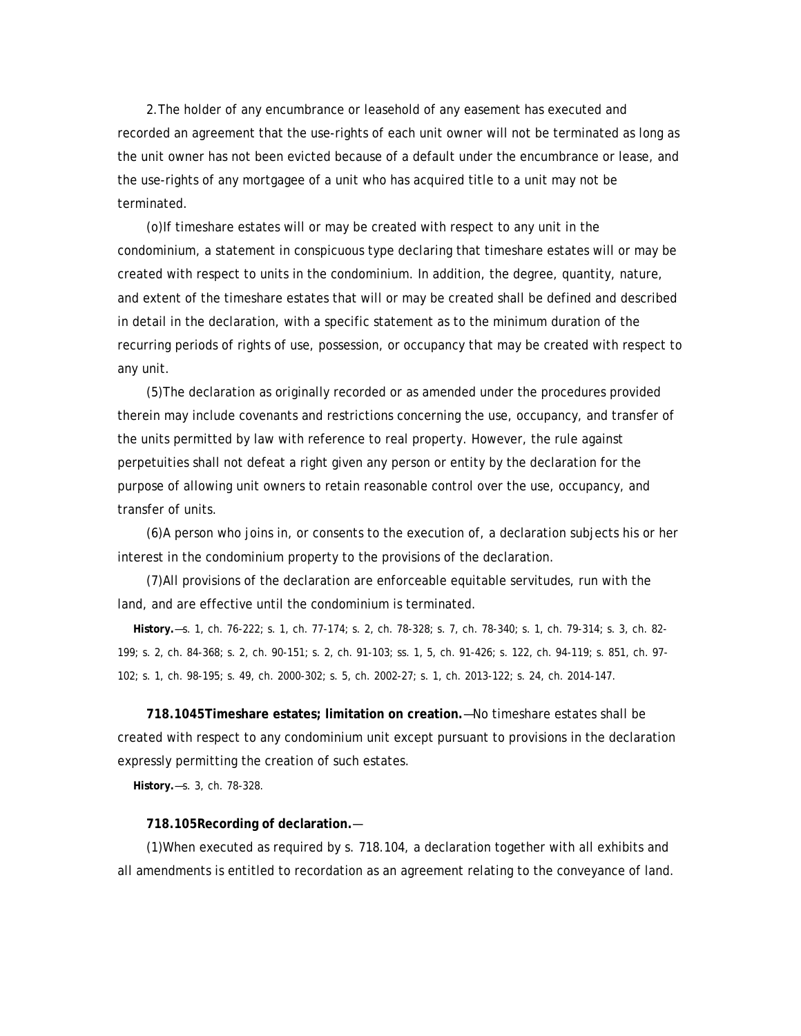2.The holder of any encumbrance or leasehold of any easement has executed and recorded an agreement that the use-rights of each unit owner will not be terminated as long as the unit owner has not been evicted because of a default under the encumbrance or lease, and the use-rights of any mortgagee of a unit who has acquired title to a unit may not be terminated.

(o)If timeshare estates will or may be created with respect to any unit in the condominium, a statement in conspicuous type declaring that timeshare estates will or may be created with respect to units in the condominium. In addition, the degree, quantity, nature, and extent of the timeshare estates that will or may be created shall be defined and described in detail in the declaration, with a specific statement as to the minimum duration of the recurring periods of rights of use, possession, or occupancy that may be created with respect to any unit.

(5)The declaration as originally recorded or as amended under the procedures provided therein may include covenants and restrictions concerning the use, occupancy, and transfer of the units permitted by law with reference to real property. However, the rule against perpetuities shall not defeat a right given any person or entity by the declaration for the purpose of allowing unit owners to retain reasonable control over the use, occupancy, and transfer of units.

(6)A person who joins in, or consents to the execution of, a declaration subjects his or her interest in the condominium property to the provisions of the declaration.

(7)All provisions of the declaration are enforceable equitable servitudes, run with the land, and are effective until the condominium is terminated.

**History.**—s. 1, ch. 76-222; s. 1, ch. 77-174; s. 2, ch. 78-328; s. 7, ch. 78-340; s. 1, ch. 79-314; s. 3, ch. 82- 199; s. 2, ch. 84-368; s. 2, ch. 90-151; s. 2, ch. 91-103; ss. 1, 5, ch. 91-426; s. 122, ch. 94-119; s. 851, ch. 97- 102; s. 1, ch. 98-195; s. 49, ch. 2000-302; s. 5, ch. 2002-27; s. 1, ch. 2013-122; s. 24, ch. 2014-147.

**718.1045Timeshare estates; limitation on creation.**—No timeshare estates shall be created with respect to any condominium unit except pursuant to provisions in the declaration expressly permitting the creation of such estates.

**History.**—s. 3, ch. 78-328.

## **718.105Recording of declaration.**—

(1)When executed as required by s. 718.104, a declaration together with all exhibits and all amendments is entitled to recordation as an agreement relating to the conveyance of land.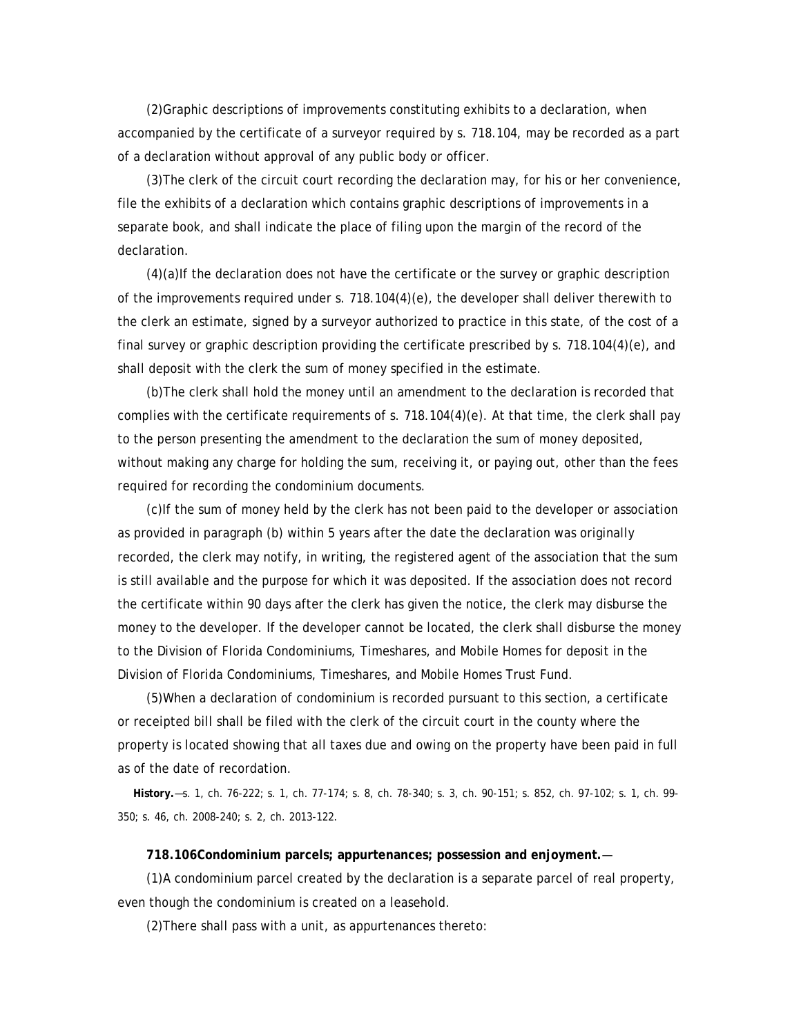(2)Graphic descriptions of improvements constituting exhibits to a declaration, when accompanied by the certificate of a surveyor required by s. 718.104, may be recorded as a part of a declaration without approval of any public body or officer.

(3)The clerk of the circuit court recording the declaration may, for his or her convenience, file the exhibits of a declaration which contains graphic descriptions of improvements in a separate book, and shall indicate the place of filing upon the margin of the record of the declaration.

(4)(a)If the declaration does not have the certificate or the survey or graphic description of the improvements required under s. 718.104(4)(e), the developer shall deliver therewith to the clerk an estimate, signed by a surveyor authorized to practice in this state, of the cost of a final survey or graphic description providing the certificate prescribed by s. 718.104(4)(e), and shall deposit with the clerk the sum of money specified in the estimate.

(b)The clerk shall hold the money until an amendment to the declaration is recorded that complies with the certificate requirements of s. 718.104(4)(e). At that time, the clerk shall pay to the person presenting the amendment to the declaration the sum of money deposited, without making any charge for holding the sum, receiving it, or paying out, other than the fees required for recording the condominium documents.

(c)If the sum of money held by the clerk has not been paid to the developer or association as provided in paragraph (b) within 5 years after the date the declaration was originally recorded, the clerk may notify, in writing, the registered agent of the association that the sum is still available and the purpose for which it was deposited. If the association does not record the certificate within 90 days after the clerk has given the notice, the clerk may disburse the money to the developer. If the developer cannot be located, the clerk shall disburse the money to the Division of Florida Condominiums, Timeshares, and Mobile Homes for deposit in the Division of Florida Condominiums, Timeshares, and Mobile Homes Trust Fund.

(5)When a declaration of condominium is recorded pursuant to this section, a certificate or receipted bill shall be filed with the clerk of the circuit court in the county where the property is located showing that all taxes due and owing on the property have been paid in full as of the date of recordation.

**History.**—s. 1, ch. 76-222; s. 1, ch. 77-174; s. 8, ch. 78-340; s. 3, ch. 90-151; s. 852, ch. 97-102; s. 1, ch. 99- 350; s. 46, ch. 2008-240; s. 2, ch. 2013-122.

#### **718.106Condominium parcels; appurtenances; possession and enjoyment.**—

(1)A condominium parcel created by the declaration is a separate parcel of real property, even though the condominium is created on a leasehold.

(2)There shall pass with a unit, as appurtenances thereto: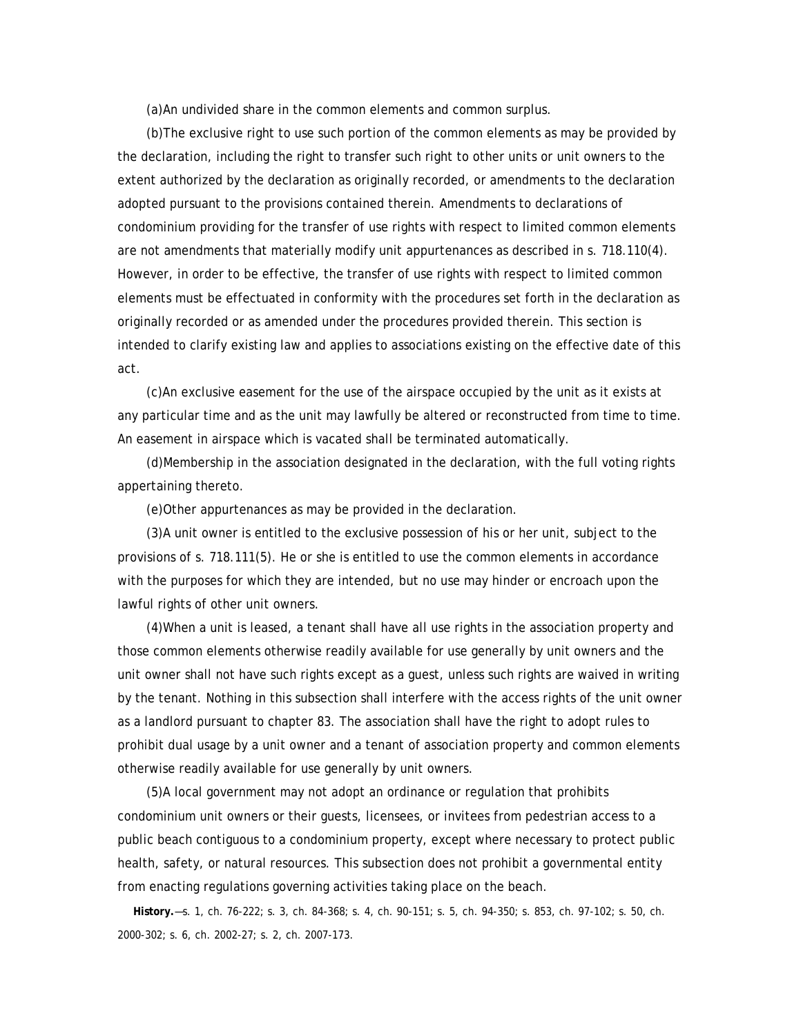(a)An undivided share in the common elements and common surplus.

(b)The exclusive right to use such portion of the common elements as may be provided by the declaration, including the right to transfer such right to other units or unit owners to the extent authorized by the declaration as originally recorded, or amendments to the declaration adopted pursuant to the provisions contained therein. Amendments to declarations of condominium providing for the transfer of use rights with respect to limited common elements are not amendments that materially modify unit appurtenances as described in s. 718.110(4). However, in order to be effective, the transfer of use rights with respect to limited common elements must be effectuated in conformity with the procedures set forth in the declaration as originally recorded or as amended under the procedures provided therein. This section is intended to clarify existing law and applies to associations existing on the effective date of this act.

(c)An exclusive easement for the use of the airspace occupied by the unit as it exists at any particular time and as the unit may lawfully be altered or reconstructed from time to time. An easement in airspace which is vacated shall be terminated automatically.

(d)Membership in the association designated in the declaration, with the full voting rights appertaining thereto.

(e)Other appurtenances as may be provided in the declaration.

(3)A unit owner is entitled to the exclusive possession of his or her unit, subject to the provisions of s. 718.111(5). He or she is entitled to use the common elements in accordance with the purposes for which they are intended, but no use may hinder or encroach upon the lawful rights of other unit owners.

(4)When a unit is leased, a tenant shall have all use rights in the association property and those common elements otherwise readily available for use generally by unit owners and the unit owner shall not have such rights except as a guest, unless such rights are waived in writing by the tenant. Nothing in this subsection shall interfere with the access rights of the unit owner as a landlord pursuant to chapter 83. The association shall have the right to adopt rules to prohibit dual usage by a unit owner and a tenant of association property and common elements otherwise readily available for use generally by unit owners.

(5)A local government may not adopt an ordinance or regulation that prohibits condominium unit owners or their guests, licensees, or invitees from pedestrian access to a public beach contiguous to a condominium property, except where necessary to protect public health, safety, or natural resources. This subsection does not prohibit a governmental entity from enacting regulations governing activities taking place on the beach.

**History.**—s. 1, ch. 76-222; s. 3, ch. 84-368; s. 4, ch. 90-151; s. 5, ch. 94-350; s. 853, ch. 97-102; s. 50, ch. 2000-302; s. 6, ch. 2002-27; s. 2, ch. 2007-173.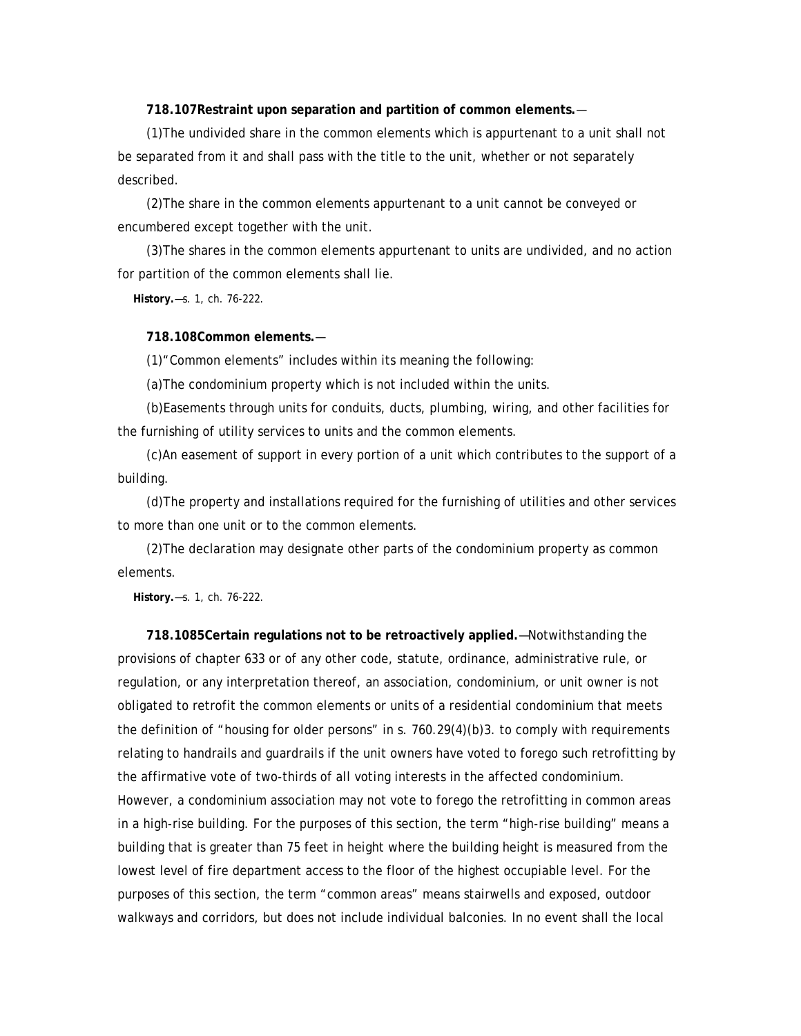# **718.107Restraint upon separation and partition of common elements.**—

(1)The undivided share in the common elements which is appurtenant to a unit shall not be separated from it and shall pass with the title to the unit, whether or not separately described.

(2)The share in the common elements appurtenant to a unit cannot be conveyed or encumbered except together with the unit.

(3)The shares in the common elements appurtenant to units are undivided, and no action for partition of the common elements shall lie.

**History.**—s. 1, ch. 76-222.

## **718.108Common elements.**—

(1)"Common elements" includes within its meaning the following:

(a)The condominium property which is not included within the units.

(b)Easements through units for conduits, ducts, plumbing, wiring, and other facilities for the furnishing of utility services to units and the common elements.

(c)An easement of support in every portion of a unit which contributes to the support of a building.

(d)The property and installations required for the furnishing of utilities and other services to more than one unit or to the common elements.

(2)The declaration may designate other parts of the condominium property as common elements.

**History.**—s. 1, ch. 76-222.

**718.1085Certain regulations not to be retroactively applied.**—Notwithstanding the provisions of chapter 633 or of any other code, statute, ordinance, administrative rule, or regulation, or any interpretation thereof, an association, condominium, or unit owner is not obligated to retrofit the common elements or units of a residential condominium that meets the definition of "housing for older persons" in s. 760.29(4)(b)3. to comply with requirements relating to handrails and guardrails if the unit owners have voted to forego such retrofitting by the affirmative vote of two-thirds of all voting interests in the affected condominium. However, a condominium association may not vote to forego the retrofitting in common areas in a high-rise building. For the purposes of this section, the term "high-rise building" means a building that is greater than 75 feet in height where the building height is measured from the lowest level of fire department access to the floor of the highest occupiable level. For the purposes of this section, the term "common areas" means stairwells and exposed, outdoor walkways and corridors, but does not include individual balconies. In no event shall the local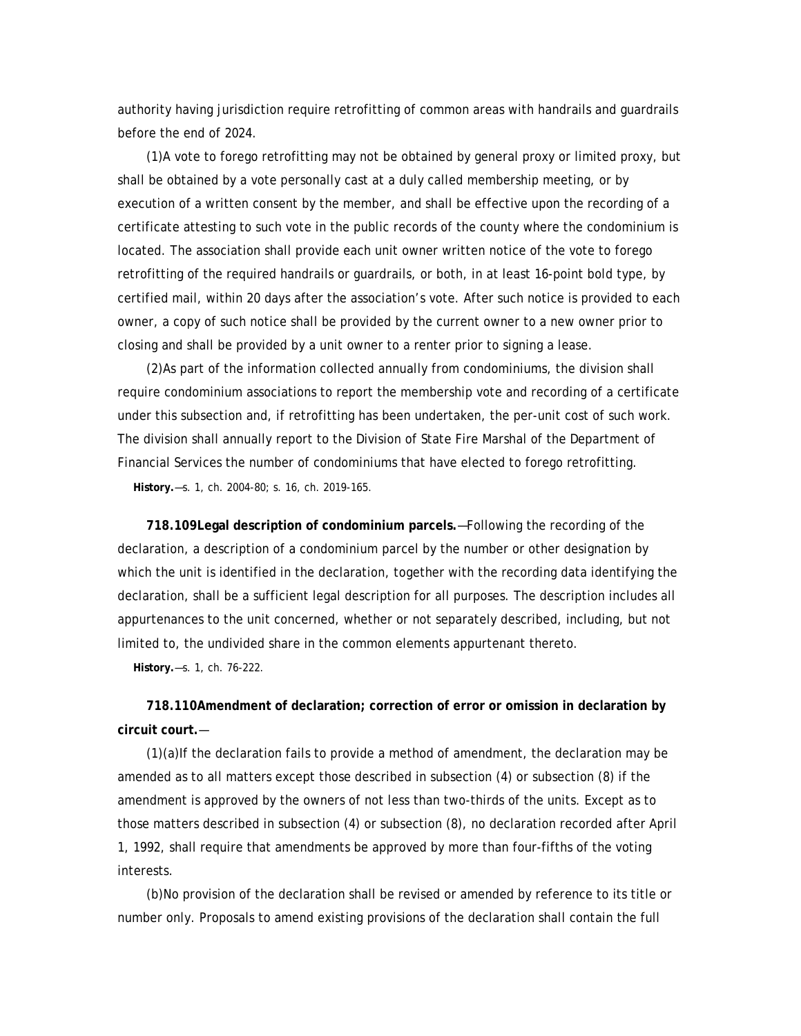authority having jurisdiction require retrofitting of common areas with handrails and guardrails before the end of 2024.

(1)A vote to forego retrofitting may not be obtained by general proxy or limited proxy, but shall be obtained by a vote personally cast at a duly called membership meeting, or by execution of a written consent by the member, and shall be effective upon the recording of a certificate attesting to such vote in the public records of the county where the condominium is located. The association shall provide each unit owner written notice of the vote to forego retrofitting of the required handrails or guardrails, or both, in at least 16-point bold type, by certified mail, within 20 days after the association's vote. After such notice is provided to each owner, a copy of such notice shall be provided by the current owner to a new owner prior to closing and shall be provided by a unit owner to a renter prior to signing a lease.

(2)As part of the information collected annually from condominiums, the division shall require condominium associations to report the membership vote and recording of a certificate under this subsection and, if retrofitting has been undertaken, the per-unit cost of such work. The division shall annually report to the Division of State Fire Marshal of the Department of Financial Services the number of condominiums that have elected to forego retrofitting.

**History.**—s. 1, ch. 2004-80; s. 16, ch. 2019-165.

**718.109Legal description of condominium parcels.**—Following the recording of the declaration, a description of a condominium parcel by the number or other designation by which the unit is identified in the declaration, together with the recording data identifying the declaration, shall be a sufficient legal description for all purposes. The description includes all appurtenances to the unit concerned, whether or not separately described, including, but not limited to, the undivided share in the common elements appurtenant thereto.

**History.**—s. 1, ch. 76-222.

**718.110Amendment of declaration; correction of error or omission in declaration by circuit court.**—

(1)(a)If the declaration fails to provide a method of amendment, the declaration may be amended as to all matters except those described in subsection (4) or subsection (8) if the amendment is approved by the owners of not less than two-thirds of the units. Except as to those matters described in subsection (4) or subsection (8), no declaration recorded after April 1, 1992, shall require that amendments be approved by more than four-fifths of the voting interests.

(b)No provision of the declaration shall be revised or amended by reference to its title or number only. Proposals to amend existing provisions of the declaration shall contain the full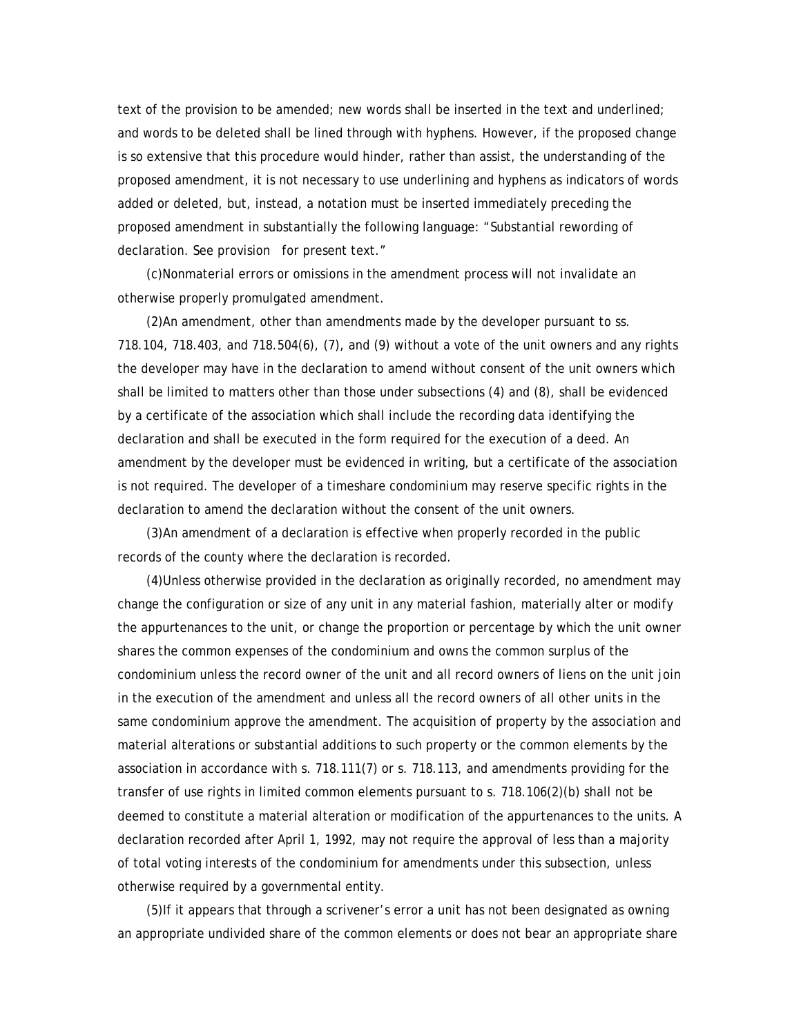text of the provision to be amended; new words shall be inserted in the text and underlined; and words to be deleted shall be lined through with hyphens. However, if the proposed change is so extensive that this procedure would hinder, rather than assist, the understanding of the proposed amendment, it is not necessary to use underlining and hyphens as indicators of words added or deleted, but, instead, a notation must be inserted immediately preceding the proposed amendment in substantially the following language: "Substantial rewording of declaration. See provision for present text."

(c)Nonmaterial errors or omissions in the amendment process will not invalidate an otherwise properly promulgated amendment.

(2)An amendment, other than amendments made by the developer pursuant to ss. 718.104, 718.403, and 718.504(6), (7), and (9) without a vote of the unit owners and any rights the developer may have in the declaration to amend without consent of the unit owners which shall be limited to matters other than those under subsections (4) and (8), shall be evidenced by a certificate of the association which shall include the recording data identifying the declaration and shall be executed in the form required for the execution of a deed. An amendment by the developer must be evidenced in writing, but a certificate of the association is not required. The developer of a timeshare condominium may reserve specific rights in the declaration to amend the declaration without the consent of the unit owners.

(3)An amendment of a declaration is effective when properly recorded in the public records of the county where the declaration is recorded.

(4)Unless otherwise provided in the declaration as originally recorded, no amendment may change the configuration or size of any unit in any material fashion, materially alter or modify the appurtenances to the unit, or change the proportion or percentage by which the unit owner shares the common expenses of the condominium and owns the common surplus of the condominium unless the record owner of the unit and all record owners of liens on the unit join in the execution of the amendment and unless all the record owners of all other units in the same condominium approve the amendment. The acquisition of property by the association and material alterations or substantial additions to such property or the common elements by the association in accordance with s. 718.111(7) or s. 718.113, and amendments providing for the transfer of use rights in limited common elements pursuant to s. 718.106(2)(b) shall not be deemed to constitute a material alteration or modification of the appurtenances to the units. A declaration recorded after April 1, 1992, may not require the approval of less than a majority of total voting interests of the condominium for amendments under this subsection, unless otherwise required by a governmental entity.

(5)If it appears that through a scrivener's error a unit has not been designated as owning an appropriate undivided share of the common elements or does not bear an appropriate share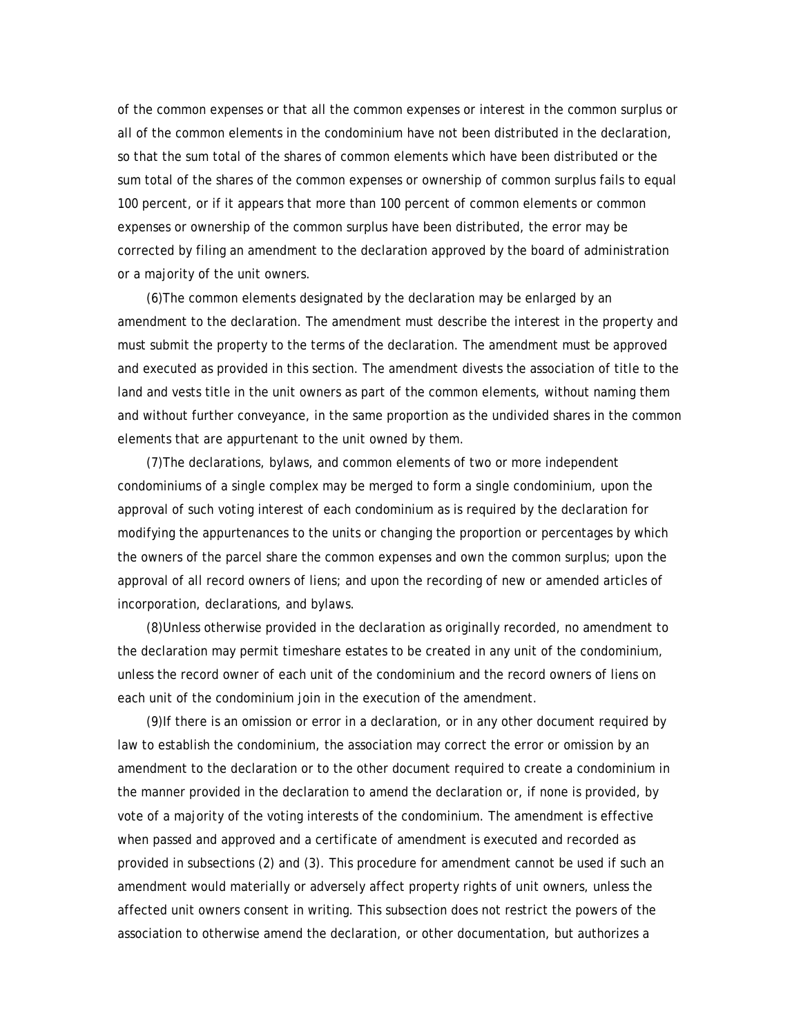of the common expenses or that all the common expenses or interest in the common surplus or all of the common elements in the condominium have not been distributed in the declaration, so that the sum total of the shares of common elements which have been distributed or the sum total of the shares of the common expenses or ownership of common surplus fails to equal 100 percent, or if it appears that more than 100 percent of common elements or common expenses or ownership of the common surplus have been distributed, the error may be corrected by filing an amendment to the declaration approved by the board of administration or a majority of the unit owners.

(6)The common elements designated by the declaration may be enlarged by an amendment to the declaration. The amendment must describe the interest in the property and must submit the property to the terms of the declaration. The amendment must be approved and executed as provided in this section. The amendment divests the association of title to the land and vests title in the unit owners as part of the common elements, without naming them and without further conveyance, in the same proportion as the undivided shares in the common elements that are appurtenant to the unit owned by them.

(7)The declarations, bylaws, and common elements of two or more independent condominiums of a single complex may be merged to form a single condominium, upon the approval of such voting interest of each condominium as is required by the declaration for modifying the appurtenances to the units or changing the proportion or percentages by which the owners of the parcel share the common expenses and own the common surplus; upon the approval of all record owners of liens; and upon the recording of new or amended articles of incorporation, declarations, and bylaws.

(8)Unless otherwise provided in the declaration as originally recorded, no amendment to the declaration may permit timeshare estates to be created in any unit of the condominium, unless the record owner of each unit of the condominium and the record owners of liens on each unit of the condominium join in the execution of the amendment.

(9)If there is an omission or error in a declaration, or in any other document required by law to establish the condominium, the association may correct the error or omission by an amendment to the declaration or to the other document required to create a condominium in the manner provided in the declaration to amend the declaration or, if none is provided, by vote of a majority of the voting interests of the condominium. The amendment is effective when passed and approved and a certificate of amendment is executed and recorded as provided in subsections (2) and (3). This procedure for amendment cannot be used if such an amendment would materially or adversely affect property rights of unit owners, unless the affected unit owners consent in writing. This subsection does not restrict the powers of the association to otherwise amend the declaration, or other documentation, but authorizes a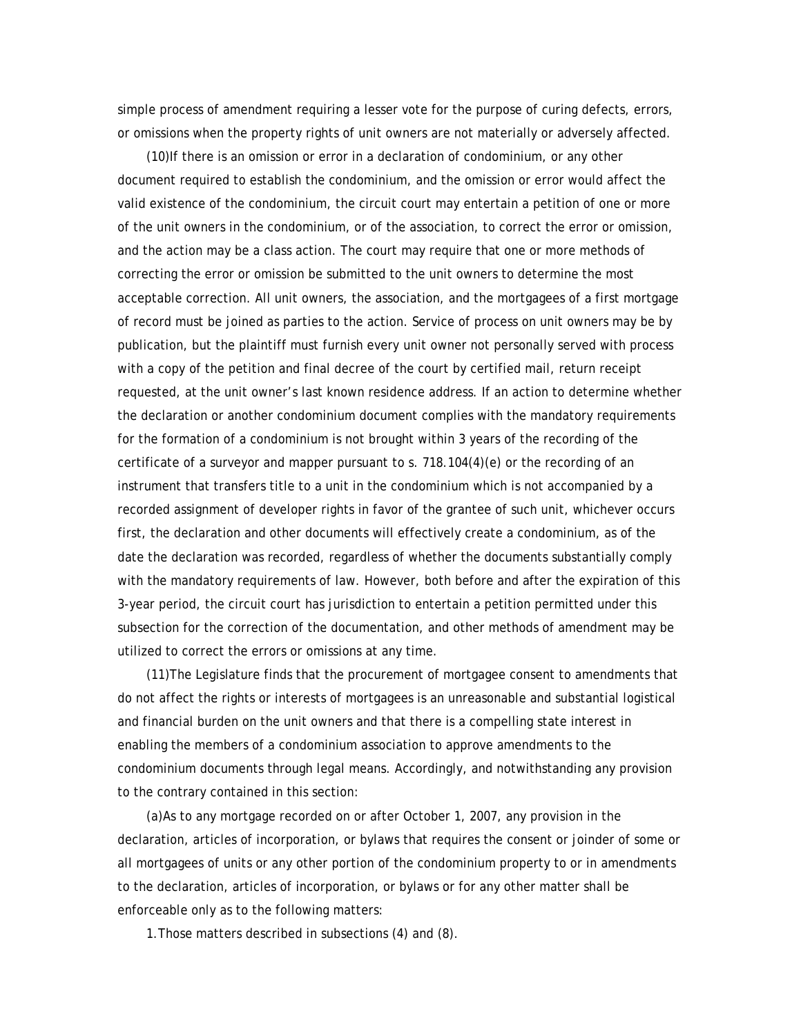simple process of amendment requiring a lesser vote for the purpose of curing defects, errors, or omissions when the property rights of unit owners are not materially or adversely affected.

(10)If there is an omission or error in a declaration of condominium, or any other document required to establish the condominium, and the omission or error would affect the valid existence of the condominium, the circuit court may entertain a petition of one or more of the unit owners in the condominium, or of the association, to correct the error or omission, and the action may be a class action. The court may require that one or more methods of correcting the error or omission be submitted to the unit owners to determine the most acceptable correction. All unit owners, the association, and the mortgagees of a first mortgage of record must be joined as parties to the action. Service of process on unit owners may be by publication, but the plaintiff must furnish every unit owner not personally served with process with a copy of the petition and final decree of the court by certified mail, return receipt requested, at the unit owner's last known residence address. If an action to determine whether the declaration or another condominium document complies with the mandatory requirements for the formation of a condominium is not brought within 3 years of the recording of the certificate of a surveyor and mapper pursuant to s. 718.104(4)(e) or the recording of an instrument that transfers title to a unit in the condominium which is not accompanied by a recorded assignment of developer rights in favor of the grantee of such unit, whichever occurs first, the declaration and other documents will effectively create a condominium, as of the date the declaration was recorded, regardless of whether the documents substantially comply with the mandatory requirements of law. However, both before and after the expiration of this 3-year period, the circuit court has jurisdiction to entertain a petition permitted under this subsection for the correction of the documentation, and other methods of amendment may be utilized to correct the errors or omissions at any time.

(11)The Legislature finds that the procurement of mortgagee consent to amendments that do not affect the rights or interests of mortgagees is an unreasonable and substantial logistical and financial burden on the unit owners and that there is a compelling state interest in enabling the members of a condominium association to approve amendments to the condominium documents through legal means. Accordingly, and notwithstanding any provision to the contrary contained in this section:

(a)As to any mortgage recorded on or after October 1, 2007, any provision in the declaration, articles of incorporation, or bylaws that requires the consent or joinder of some or all mortgagees of units or any other portion of the condominium property to or in amendments to the declaration, articles of incorporation, or bylaws or for any other matter shall be enforceable only as to the following matters:

1.Those matters described in subsections (4) and (8).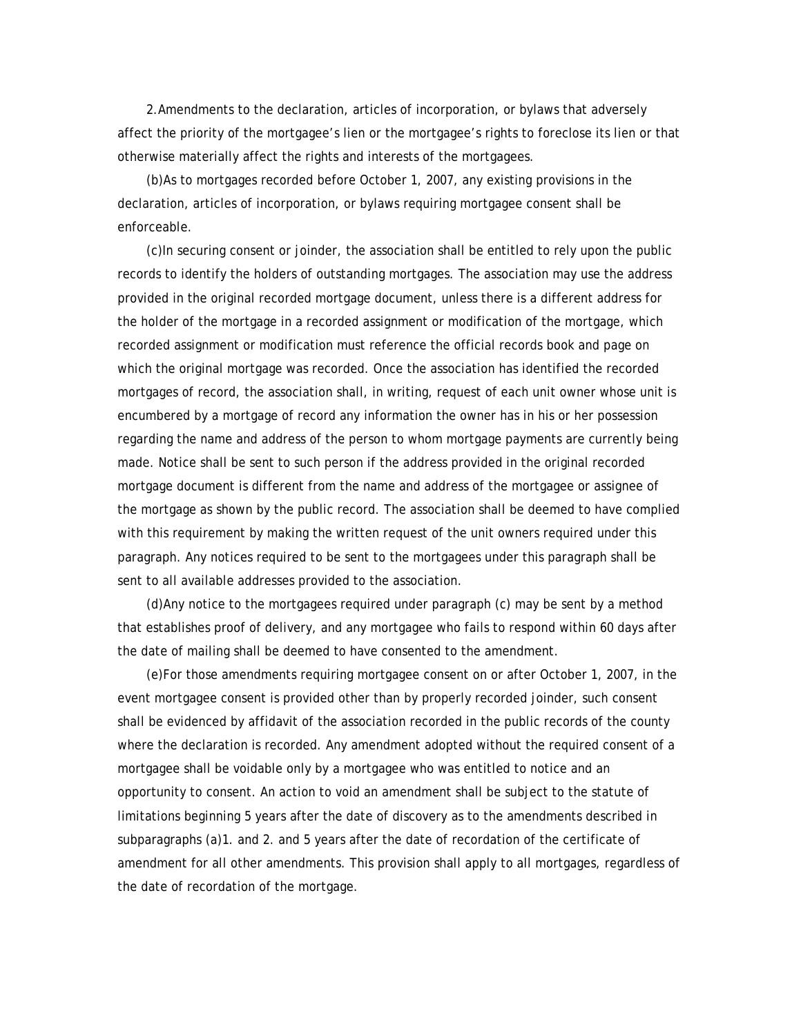2.Amendments to the declaration, articles of incorporation, or bylaws that adversely affect the priority of the mortgagee's lien or the mortgagee's rights to foreclose its lien or that otherwise materially affect the rights and interests of the mortgagees.

(b)As to mortgages recorded before October 1, 2007, any existing provisions in the declaration, articles of incorporation, or bylaws requiring mortgagee consent shall be enforceable.

(c)In securing consent or joinder, the association shall be entitled to rely upon the public records to identify the holders of outstanding mortgages. The association may use the address provided in the original recorded mortgage document, unless there is a different address for the holder of the mortgage in a recorded assignment or modification of the mortgage, which recorded assignment or modification must reference the official records book and page on which the original mortgage was recorded. Once the association has identified the recorded mortgages of record, the association shall, in writing, request of each unit owner whose unit is encumbered by a mortgage of record any information the owner has in his or her possession regarding the name and address of the person to whom mortgage payments are currently being made. Notice shall be sent to such person if the address provided in the original recorded mortgage document is different from the name and address of the mortgagee or assignee of the mortgage as shown by the public record. The association shall be deemed to have complied with this requirement by making the written request of the unit owners required under this paragraph. Any notices required to be sent to the mortgagees under this paragraph shall be sent to all available addresses provided to the association.

(d)Any notice to the mortgagees required under paragraph (c) may be sent by a method that establishes proof of delivery, and any mortgagee who fails to respond within 60 days after the date of mailing shall be deemed to have consented to the amendment.

(e)For those amendments requiring mortgagee consent on or after October 1, 2007, in the event mortgagee consent is provided other than by properly recorded joinder, such consent shall be evidenced by affidavit of the association recorded in the public records of the county where the declaration is recorded. Any amendment adopted without the required consent of a mortgagee shall be voidable only by a mortgagee who was entitled to notice and an opportunity to consent. An action to void an amendment shall be subject to the statute of limitations beginning 5 years after the date of discovery as to the amendments described in subparagraphs (a)1. and 2. and 5 years after the date of recordation of the certificate of amendment for all other amendments. This provision shall apply to all mortgages, regardless of the date of recordation of the mortgage.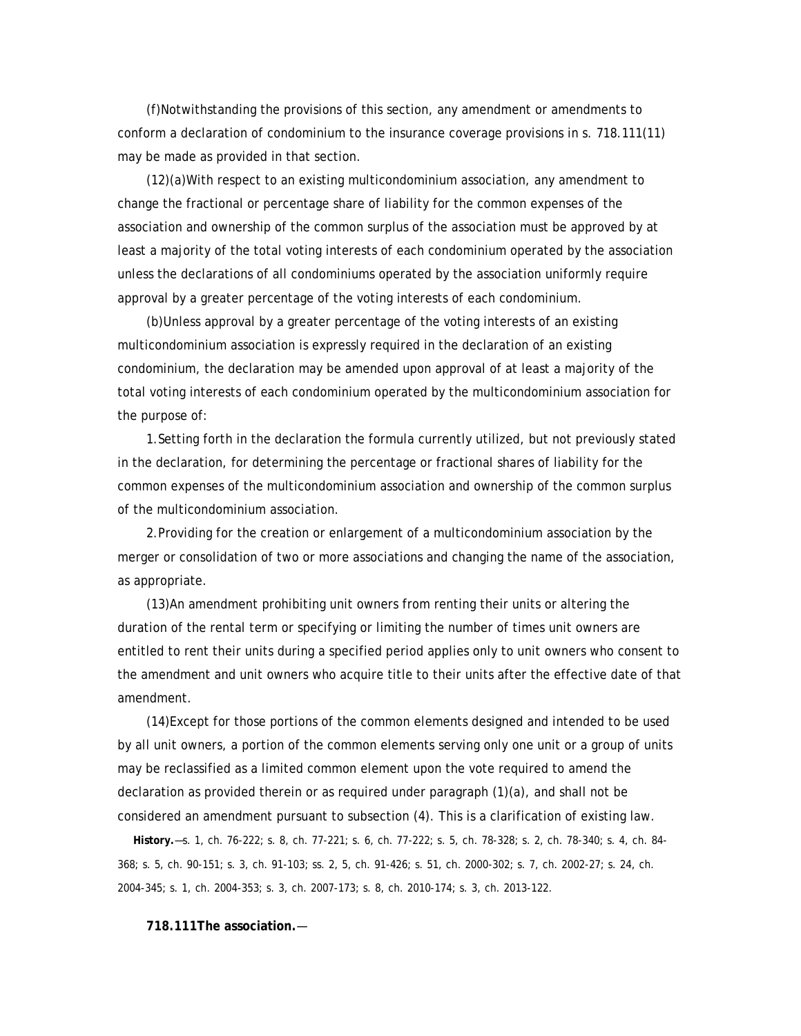(f)Notwithstanding the provisions of this section, any amendment or amendments to conform a declaration of condominium to the insurance coverage provisions in s. 718.111(11) may be made as provided in that section.

(12)(a)With respect to an existing multicondominium association, any amendment to change the fractional or percentage share of liability for the common expenses of the association and ownership of the common surplus of the association must be approved by at least a majority of the total voting interests of each condominium operated by the association unless the declarations of all condominiums operated by the association uniformly require approval by a greater percentage of the voting interests of each condominium.

(b)Unless approval by a greater percentage of the voting interests of an existing multicondominium association is expressly required in the declaration of an existing condominium, the declaration may be amended upon approval of at least a majority of the total voting interests of each condominium operated by the multicondominium association for the purpose of:

1.Setting forth in the declaration the formula currently utilized, but not previously stated in the declaration, for determining the percentage or fractional shares of liability for the common expenses of the multicondominium association and ownership of the common surplus of the multicondominium association.

2.Providing for the creation or enlargement of a multicondominium association by the merger or consolidation of two or more associations and changing the name of the association, as appropriate.

(13)An amendment prohibiting unit owners from renting their units or altering the duration of the rental term or specifying or limiting the number of times unit owners are entitled to rent their units during a specified period applies only to unit owners who consent to the amendment and unit owners who acquire title to their units after the effective date of that amendment.

(14)Except for those portions of the common elements designed and intended to be used by all unit owners, a portion of the common elements serving only one unit or a group of units may be reclassified as a limited common element upon the vote required to amend the declaration as provided therein or as required under paragraph (1)(a), and shall not be considered an amendment pursuant to subsection (4). This is a clarification of existing law.

**History.**—s. 1, ch. 76-222; s. 8, ch. 77-221; s. 6, ch. 77-222; s. 5, ch. 78-328; s. 2, ch. 78-340; s. 4, ch. 84- 368; s. 5, ch. 90-151; s. 3, ch. 91-103; ss. 2, 5, ch. 91-426; s. 51, ch. 2000-302; s. 7, ch. 2002-27; s. 24, ch. 2004-345; s. 1, ch. 2004-353; s. 3, ch. 2007-173; s. 8, ch. 2010-174; s. 3, ch. 2013-122.

#### **718.111The association.**—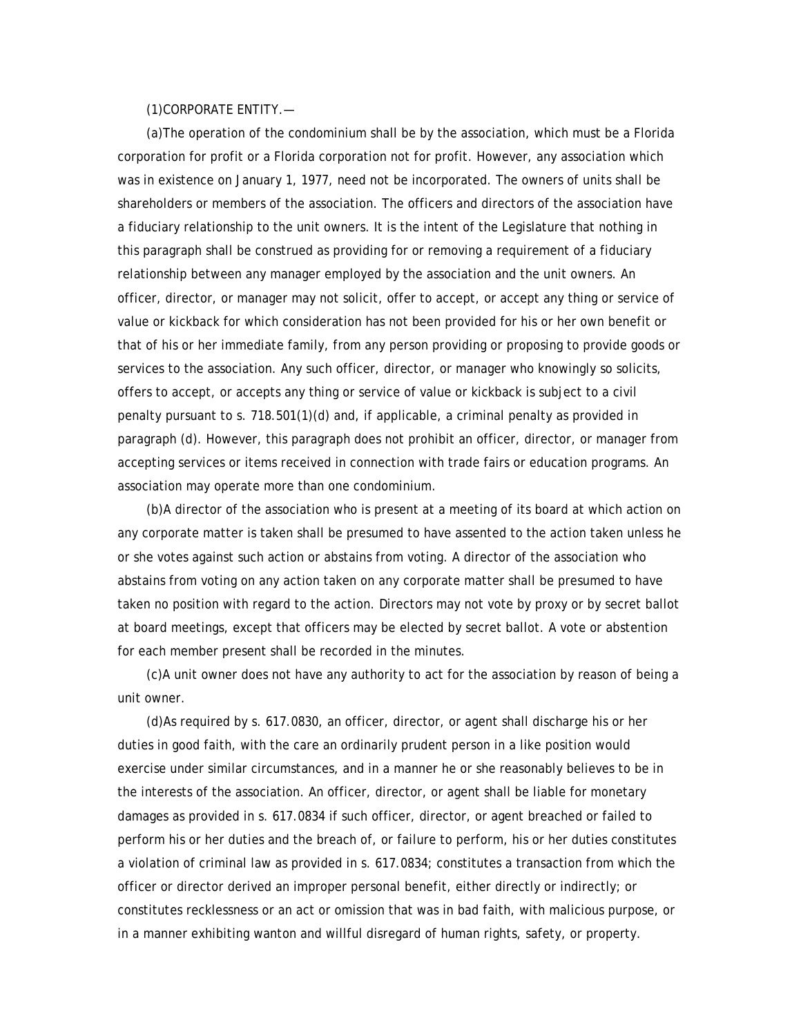# (1)CORPORATE ENTITY.—

(a)The operation of the condominium shall be by the association, which must be a Florida corporation for profit or a Florida corporation not for profit. However, any association which was in existence on January 1, 1977, need not be incorporated. The owners of units shall be shareholders or members of the association. The officers and directors of the association have a fiduciary relationship to the unit owners. It is the intent of the Legislature that nothing in this paragraph shall be construed as providing for or removing a requirement of a fiduciary relationship between any manager employed by the association and the unit owners. An officer, director, or manager may not solicit, offer to accept, or accept any thing or service of value or kickback for which consideration has not been provided for his or her own benefit or that of his or her immediate family, from any person providing or proposing to provide goods or services to the association. Any such officer, director, or manager who knowingly so solicits, offers to accept, or accepts any thing or service of value or kickback is subject to a civil penalty pursuant to s. 718.501(1)(d) and, if applicable, a criminal penalty as provided in paragraph (d). However, this paragraph does not prohibit an officer, director, or manager from accepting services or items received in connection with trade fairs or education programs. An association may operate more than one condominium.

(b)A director of the association who is present at a meeting of its board at which action on any corporate matter is taken shall be presumed to have assented to the action taken unless he or she votes against such action or abstains from voting. A director of the association who abstains from voting on any action taken on any corporate matter shall be presumed to have taken no position with regard to the action. Directors may not vote by proxy or by secret ballot at board meetings, except that officers may be elected by secret ballot. A vote or abstention for each member present shall be recorded in the minutes.

(c)A unit owner does not have any authority to act for the association by reason of being a unit owner.

(d)As required by s. 617.0830, an officer, director, or agent shall discharge his or her duties in good faith, with the care an ordinarily prudent person in a like position would exercise under similar circumstances, and in a manner he or she reasonably believes to be in the interests of the association. An officer, director, or agent shall be liable for monetary damages as provided in s. 617.0834 if such officer, director, or agent breached or failed to perform his or her duties and the breach of, or failure to perform, his or her duties constitutes a violation of criminal law as provided in s. 617.0834; constitutes a transaction from which the officer or director derived an improper personal benefit, either directly or indirectly; or constitutes recklessness or an act or omission that was in bad faith, with malicious purpose, or in a manner exhibiting wanton and willful disregard of human rights, safety, or property.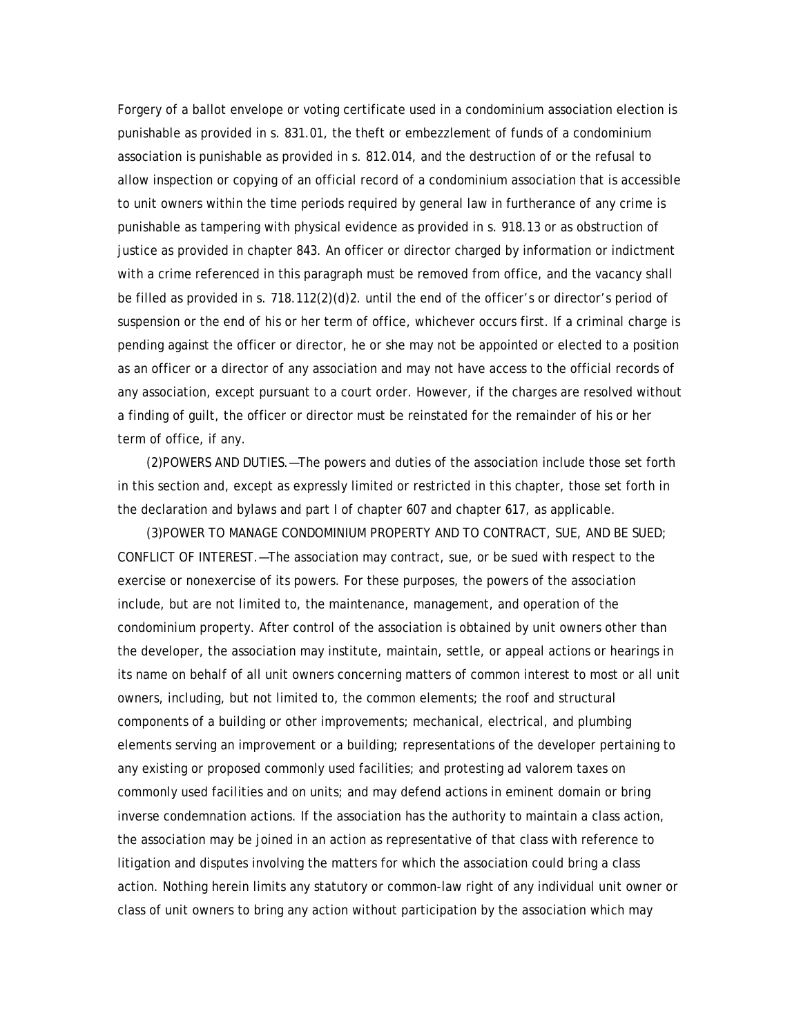Forgery of a ballot envelope or voting certificate used in a condominium association election is punishable as provided in s. 831.01, the theft or embezzlement of funds of a condominium association is punishable as provided in s. 812.014, and the destruction of or the refusal to allow inspection or copying of an official record of a condominium association that is accessible to unit owners within the time periods required by general law in furtherance of any crime is punishable as tampering with physical evidence as provided in s. 918.13 or as obstruction of justice as provided in chapter 843. An officer or director charged by information or indictment with a crime referenced in this paragraph must be removed from office, and the vacancy shall be filled as provided in s. 718.112(2)(d)2. until the end of the officer's or director's period of suspension or the end of his or her term of office, whichever occurs first. If a criminal charge is pending against the officer or director, he or she may not be appointed or elected to a position as an officer or a director of any association and may not have access to the official records of any association, except pursuant to a court order. However, if the charges are resolved without a finding of guilt, the officer or director must be reinstated for the remainder of his or her term of office, if any.

(2)POWERS AND DUTIES.—The powers and duties of the association include those set forth in this section and, except as expressly limited or restricted in this chapter, those set forth in the declaration and bylaws and part I of chapter 607 and chapter 617, as applicable.

(3)POWER TO MANAGE CONDOMINIUM PROPERTY AND TO CONTRACT, SUE, AND BE SUED; CONFLICT OF INTEREST.—The association may contract, sue, or be sued with respect to the exercise or nonexercise of its powers. For these purposes, the powers of the association include, but are not limited to, the maintenance, management, and operation of the condominium property. After control of the association is obtained by unit owners other than the developer, the association may institute, maintain, settle, or appeal actions or hearings in its name on behalf of all unit owners concerning matters of common interest to most or all unit owners, including, but not limited to, the common elements; the roof and structural components of a building or other improvements; mechanical, electrical, and plumbing elements serving an improvement or a building; representations of the developer pertaining to any existing or proposed commonly used facilities; and protesting ad valorem taxes on commonly used facilities and on units; and may defend actions in eminent domain or bring inverse condemnation actions. If the association has the authority to maintain a class action, the association may be joined in an action as representative of that class with reference to litigation and disputes involving the matters for which the association could bring a class action. Nothing herein limits any statutory or common-law right of any individual unit owner or class of unit owners to bring any action without participation by the association which may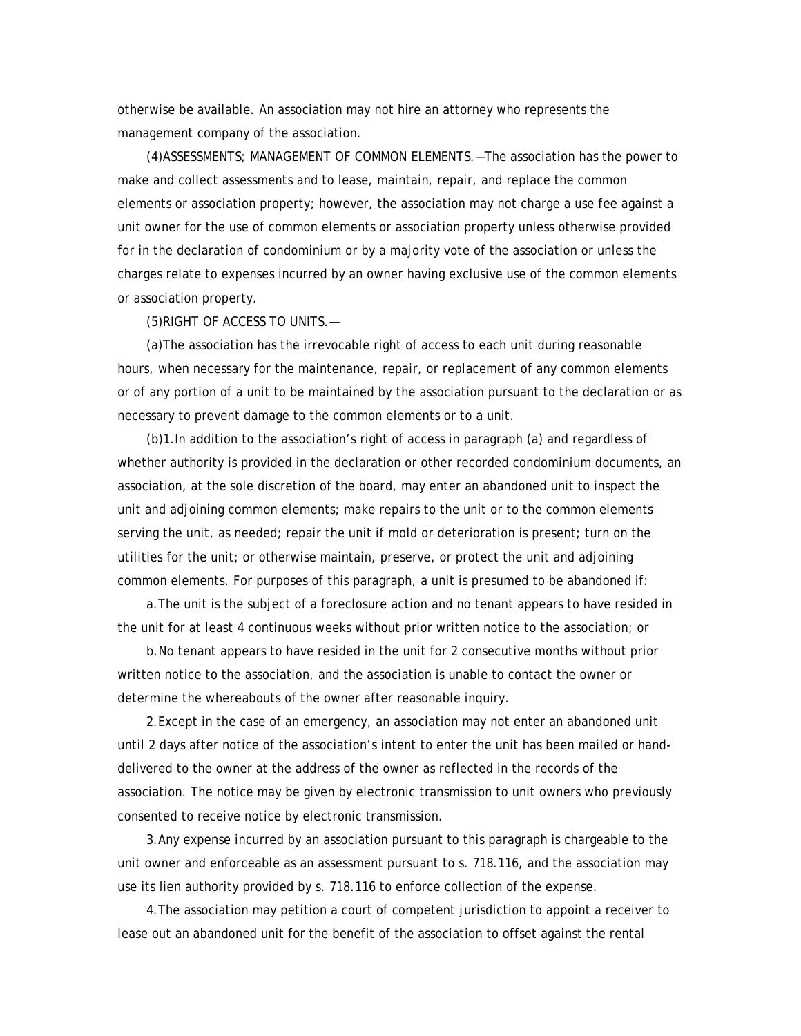otherwise be available. An association may not hire an attorney who represents the management company of the association.

(4)ASSESSMENTS; MANAGEMENT OF COMMON ELEMENTS.—The association has the power to make and collect assessments and to lease, maintain, repair, and replace the common elements or association property; however, the association may not charge a use fee against a unit owner for the use of common elements or association property unless otherwise provided for in the declaration of condominium or by a majority vote of the association or unless the charges relate to expenses incurred by an owner having exclusive use of the common elements or association property.

(5)RIGHT OF ACCESS TO UNITS.—

(a)The association has the irrevocable right of access to each unit during reasonable hours, when necessary for the maintenance, repair, or replacement of any common elements or of any portion of a unit to be maintained by the association pursuant to the declaration or as necessary to prevent damage to the common elements or to a unit.

(b)1.In addition to the association's right of access in paragraph (a) and regardless of whether authority is provided in the declaration or other recorded condominium documents, an association, at the sole discretion of the board, may enter an abandoned unit to inspect the unit and adjoining common elements; make repairs to the unit or to the common elements serving the unit, as needed; repair the unit if mold or deterioration is present; turn on the utilities for the unit; or otherwise maintain, preserve, or protect the unit and adjoining common elements. For purposes of this paragraph, a unit is presumed to be abandoned if:

a.The unit is the subject of a foreclosure action and no tenant appears to have resided in the unit for at least 4 continuous weeks without prior written notice to the association; or

b.No tenant appears to have resided in the unit for 2 consecutive months without prior written notice to the association, and the association is unable to contact the owner or determine the whereabouts of the owner after reasonable inquiry.

2.Except in the case of an emergency, an association may not enter an abandoned unit until 2 days after notice of the association's intent to enter the unit has been mailed or handdelivered to the owner at the address of the owner as reflected in the records of the association. The notice may be given by electronic transmission to unit owners who previously consented to receive notice by electronic transmission.

3.Any expense incurred by an association pursuant to this paragraph is chargeable to the unit owner and enforceable as an assessment pursuant to s. 718.116, and the association may use its lien authority provided by s. 718.116 to enforce collection of the expense.

4.The association may petition a court of competent jurisdiction to appoint a receiver to lease out an abandoned unit for the benefit of the association to offset against the rental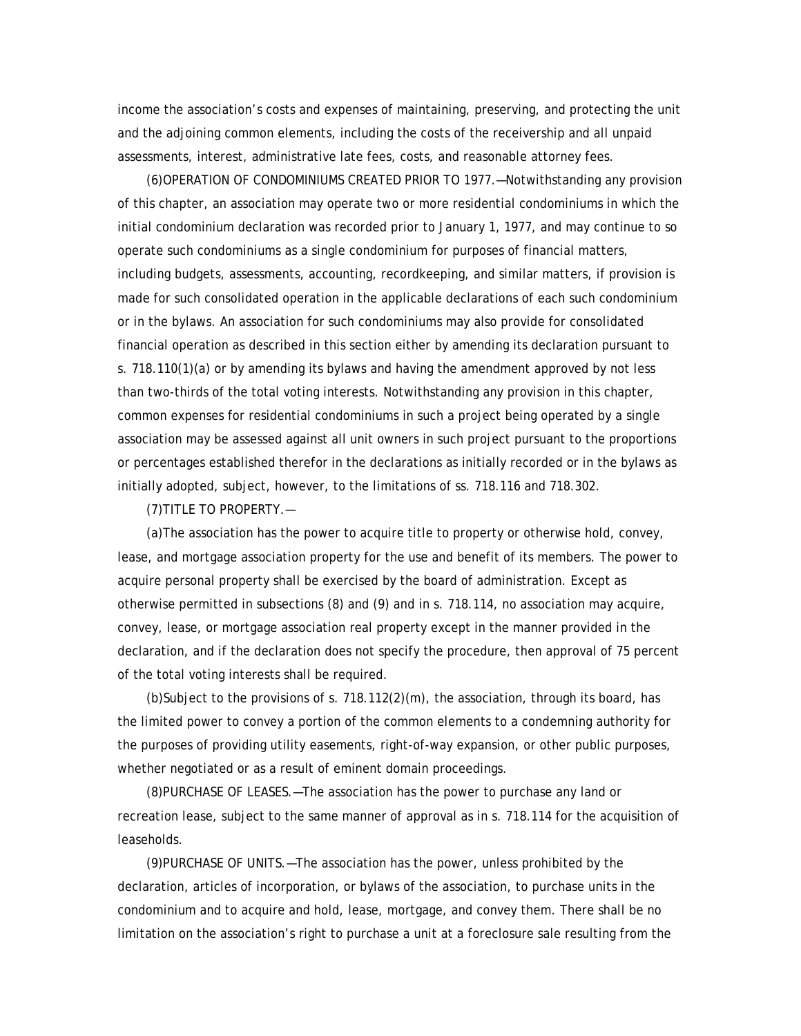income the association's costs and expenses of maintaining, preserving, and protecting the unit and the adjoining common elements, including the costs of the receivership and all unpaid assessments, interest, administrative late fees, costs, and reasonable attorney fees.

(6)OPERATION OF CONDOMINIUMS CREATED PRIOR TO 1977.—Notwithstanding any provision of this chapter, an association may operate two or more residential condominiums in which the initial condominium declaration was recorded prior to January 1, 1977, and may continue to so operate such condominiums as a single condominium for purposes of financial matters, including budgets, assessments, accounting, recordkeeping, and similar matters, if provision is made for such consolidated operation in the applicable declarations of each such condominium or in the bylaws. An association for such condominiums may also provide for consolidated financial operation as described in this section either by amending its declaration pursuant to s. 718.110(1)(a) or by amending its bylaws and having the amendment approved by not less than two-thirds of the total voting interests. Notwithstanding any provision in this chapter, common expenses for residential condominiums in such a project being operated by a single association may be assessed against all unit owners in such project pursuant to the proportions or percentages established therefor in the declarations as initially recorded or in the bylaws as initially adopted, subject, however, to the limitations of ss. 718.116 and 718.302.

(7)TITLE TO PROPERTY.—

(a)The association has the power to acquire title to property or otherwise hold, convey, lease, and mortgage association property for the use and benefit of its members. The power to acquire personal property shall be exercised by the board of administration. Except as otherwise permitted in subsections (8) and (9) and in s. 718.114, no association may acquire, convey, lease, or mortgage association real property except in the manner provided in the declaration, and if the declaration does not specify the procedure, then approval of 75 percent of the total voting interests shall be required.

(b)Subject to the provisions of s.  $718.112(2)(m)$ , the association, through its board, has the limited power to convey a portion of the common elements to a condemning authority for the purposes of providing utility easements, right-of-way expansion, or other public purposes, whether negotiated or as a result of eminent domain proceedings.

(8)PURCHASE OF LEASES.—The association has the power to purchase any land or recreation lease, subject to the same manner of approval as in s. 718.114 for the acquisition of leaseholds.

(9)PURCHASE OF UNITS.—The association has the power, unless prohibited by the declaration, articles of incorporation, or bylaws of the association, to purchase units in the condominium and to acquire and hold, lease, mortgage, and convey them. There shall be no limitation on the association's right to purchase a unit at a foreclosure sale resulting from the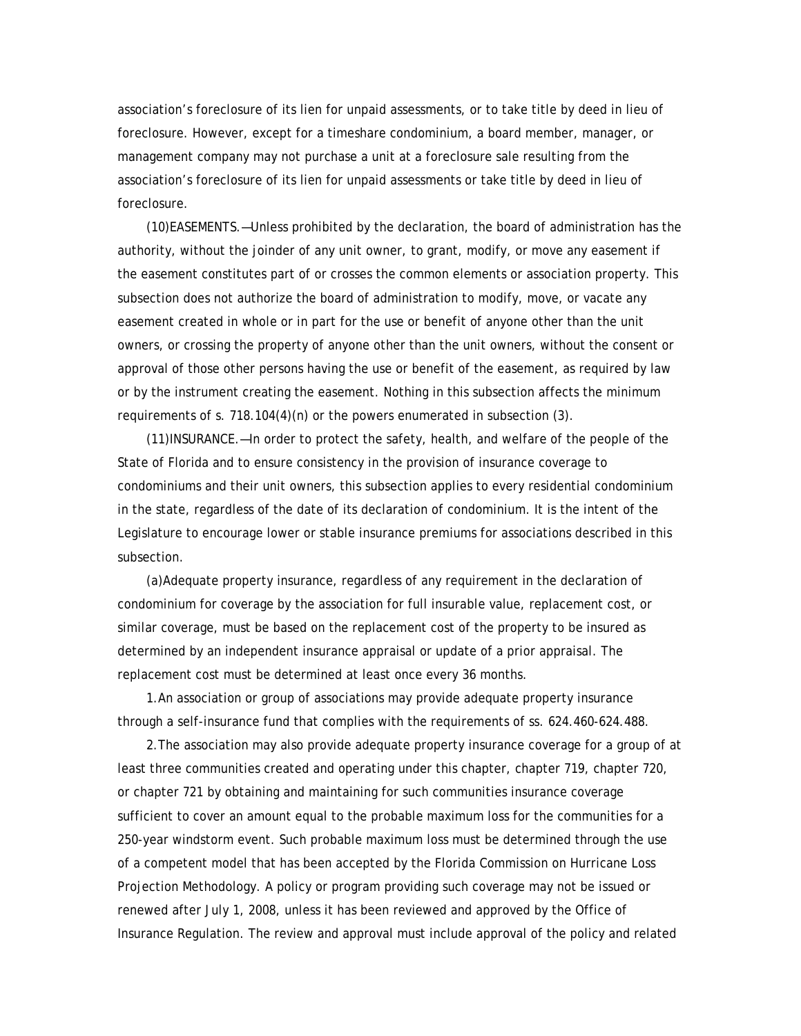association's foreclosure of its lien for unpaid assessments, or to take title by deed in lieu of foreclosure. However, except for a timeshare condominium, a board member, manager, or management company may not purchase a unit at a foreclosure sale resulting from the association's foreclosure of its lien for unpaid assessments or take title by deed in lieu of foreclosure.

(10)EASEMENTS.—Unless prohibited by the declaration, the board of administration has the authority, without the joinder of any unit owner, to grant, modify, or move any easement if the easement constitutes part of or crosses the common elements or association property. This subsection does not authorize the board of administration to modify, move, or vacate any easement created in whole or in part for the use or benefit of anyone other than the unit owners, or crossing the property of anyone other than the unit owners, without the consent or approval of those other persons having the use or benefit of the easement, as required by law or by the instrument creating the easement. Nothing in this subsection affects the minimum requirements of s. 718.104(4)(n) or the powers enumerated in subsection (3).

(11)INSURANCE.—In order to protect the safety, health, and welfare of the people of the State of Florida and to ensure consistency in the provision of insurance coverage to condominiums and their unit owners, this subsection applies to every residential condominium in the state, regardless of the date of its declaration of condominium. It is the intent of the Legislature to encourage lower or stable insurance premiums for associations described in this subsection.

(a)Adequate property insurance, regardless of any requirement in the declaration of condominium for coverage by the association for full insurable value, replacement cost, or similar coverage, must be based on the replacement cost of the property to be insured as determined by an independent insurance appraisal or update of a prior appraisal. The replacement cost must be determined at least once every 36 months.

1.An association or group of associations may provide adequate property insurance through a self-insurance fund that complies with the requirements of ss. 624.460-624.488.

2.The association may also provide adequate property insurance coverage for a group of at least three communities created and operating under this chapter, chapter 719, chapter 720, or chapter 721 by obtaining and maintaining for such communities insurance coverage sufficient to cover an amount equal to the probable maximum loss for the communities for a 250-year windstorm event. Such probable maximum loss must be determined through the use of a competent model that has been accepted by the Florida Commission on Hurricane Loss Projection Methodology. A policy or program providing such coverage may not be issued or renewed after July 1, 2008, unless it has been reviewed and approved by the Office of Insurance Regulation. The review and approval must include approval of the policy and related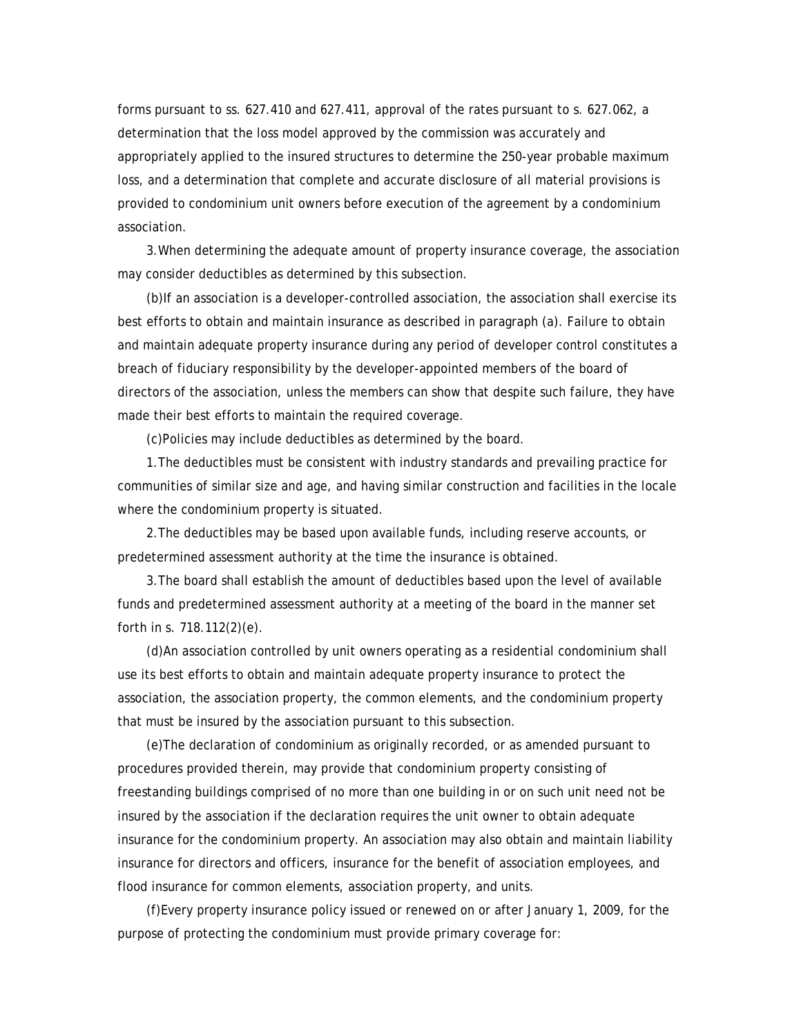forms pursuant to ss. 627.410 and 627.411, approval of the rates pursuant to s. 627.062, a determination that the loss model approved by the commission was accurately and appropriately applied to the insured structures to determine the 250-year probable maximum loss, and a determination that complete and accurate disclosure of all material provisions is provided to condominium unit owners before execution of the agreement by a condominium association.

3.When determining the adequate amount of property insurance coverage, the association may consider deductibles as determined by this subsection.

(b)If an association is a developer-controlled association, the association shall exercise its best efforts to obtain and maintain insurance as described in paragraph (a). Failure to obtain and maintain adequate property insurance during any period of developer control constitutes a breach of fiduciary responsibility by the developer-appointed members of the board of directors of the association, unless the members can show that despite such failure, they have made their best efforts to maintain the required coverage.

(c)Policies may include deductibles as determined by the board.

1.The deductibles must be consistent with industry standards and prevailing practice for communities of similar size and age, and having similar construction and facilities in the locale where the condominium property is situated.

2.The deductibles may be based upon available funds, including reserve accounts, or predetermined assessment authority at the time the insurance is obtained.

3.The board shall establish the amount of deductibles based upon the level of available funds and predetermined assessment authority at a meeting of the board in the manner set forth in s. 718.112(2)(e).

(d)An association controlled by unit owners operating as a residential condominium shall use its best efforts to obtain and maintain adequate property insurance to protect the association, the association property, the common elements, and the condominium property that must be insured by the association pursuant to this subsection.

(e)The declaration of condominium as originally recorded, or as amended pursuant to procedures provided therein, may provide that condominium property consisting of freestanding buildings comprised of no more than one building in or on such unit need not be insured by the association if the declaration requires the unit owner to obtain adequate insurance for the condominium property. An association may also obtain and maintain liability insurance for directors and officers, insurance for the benefit of association employees, and flood insurance for common elements, association property, and units.

(f)Every property insurance policy issued or renewed on or after January 1, 2009, for the purpose of protecting the condominium must provide primary coverage for: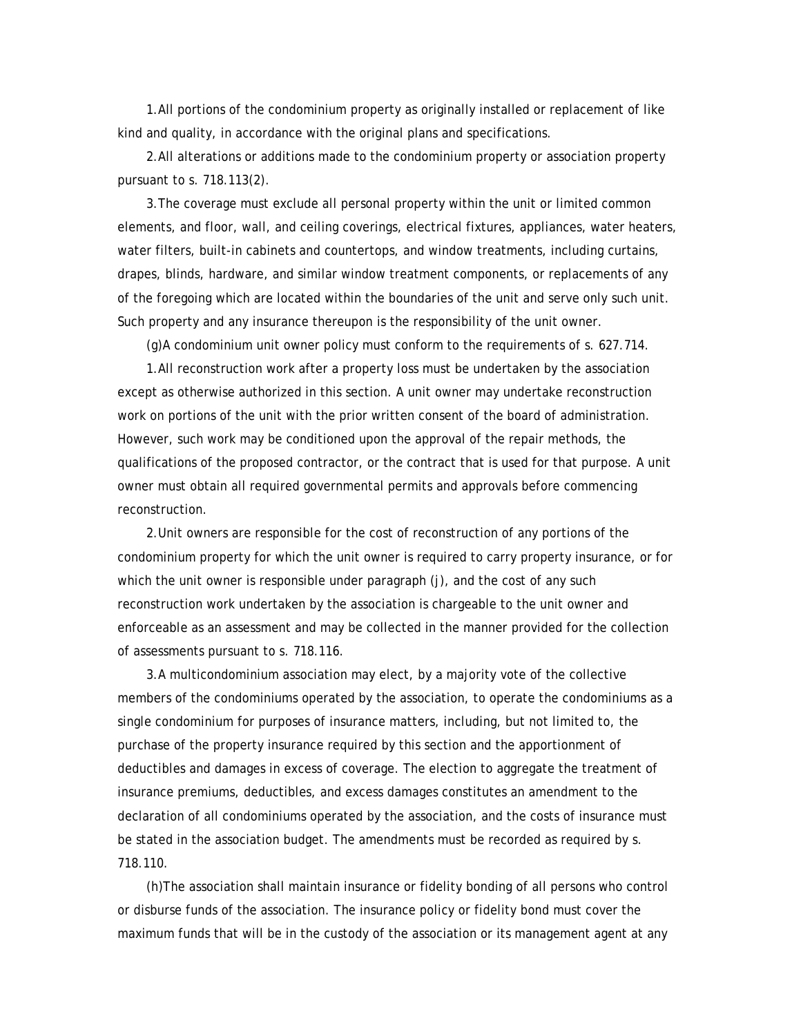1.All portions of the condominium property as originally installed or replacement of like kind and quality, in accordance with the original plans and specifications.

2.All alterations or additions made to the condominium property or association property pursuant to s. 718.113(2).

3.The coverage must exclude all personal property within the unit or limited common elements, and floor, wall, and ceiling coverings, electrical fixtures, appliances, water heaters, water filters, built-in cabinets and countertops, and window treatments, including curtains, drapes, blinds, hardware, and similar window treatment components, or replacements of any of the foregoing which are located within the boundaries of the unit and serve only such unit. Such property and any insurance thereupon is the responsibility of the unit owner.

(g)A condominium unit owner policy must conform to the requirements of s. 627.714.

1.All reconstruction work after a property loss must be undertaken by the association except as otherwise authorized in this section. A unit owner may undertake reconstruction work on portions of the unit with the prior written consent of the board of administration. However, such work may be conditioned upon the approval of the repair methods, the qualifications of the proposed contractor, or the contract that is used for that purpose. A unit owner must obtain all required governmental permits and approvals before commencing reconstruction.

2.Unit owners are responsible for the cost of reconstruction of any portions of the condominium property for which the unit owner is required to carry property insurance, or for which the unit owner is responsible under paragraph (j), and the cost of any such reconstruction work undertaken by the association is chargeable to the unit owner and enforceable as an assessment and may be collected in the manner provided for the collection of assessments pursuant to s. 718.116.

3.A multicondominium association may elect, by a majority vote of the collective members of the condominiums operated by the association, to operate the condominiums as a single condominium for purposes of insurance matters, including, but not limited to, the purchase of the property insurance required by this section and the apportionment of deductibles and damages in excess of coverage. The election to aggregate the treatment of insurance premiums, deductibles, and excess damages constitutes an amendment to the declaration of all condominiums operated by the association, and the costs of insurance must be stated in the association budget. The amendments must be recorded as required by s. 718.110.

(h)The association shall maintain insurance or fidelity bonding of all persons who control or disburse funds of the association. The insurance policy or fidelity bond must cover the maximum funds that will be in the custody of the association or its management agent at any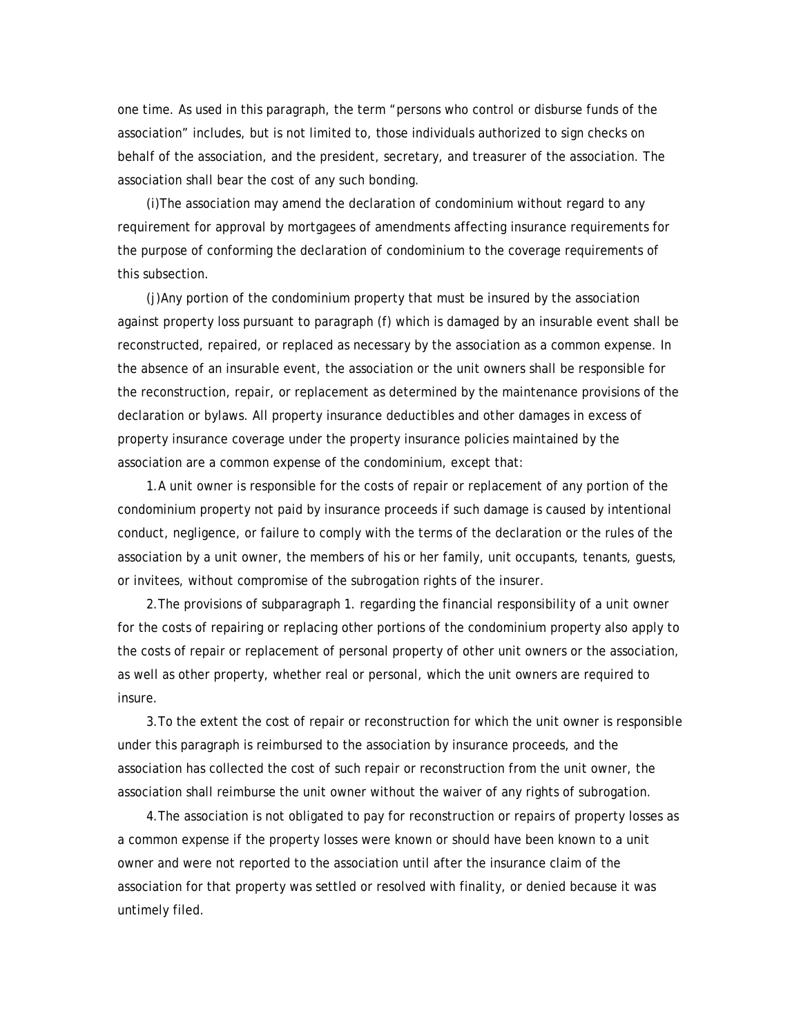one time. As used in this paragraph, the term "persons who control or disburse funds of the association" includes, but is not limited to, those individuals authorized to sign checks on behalf of the association, and the president, secretary, and treasurer of the association. The association shall bear the cost of any such bonding.

(i)The association may amend the declaration of condominium without regard to any requirement for approval by mortgagees of amendments affecting insurance requirements for the purpose of conforming the declaration of condominium to the coverage requirements of this subsection.

(j)Any portion of the condominium property that must be insured by the association against property loss pursuant to paragraph (f) which is damaged by an insurable event shall be reconstructed, repaired, or replaced as necessary by the association as a common expense. In the absence of an insurable event, the association or the unit owners shall be responsible for the reconstruction, repair, or replacement as determined by the maintenance provisions of the declaration or bylaws. All property insurance deductibles and other damages in excess of property insurance coverage under the property insurance policies maintained by the association are a common expense of the condominium, except that:

1.A unit owner is responsible for the costs of repair or replacement of any portion of the condominium property not paid by insurance proceeds if such damage is caused by intentional conduct, negligence, or failure to comply with the terms of the declaration or the rules of the association by a unit owner, the members of his or her family, unit occupants, tenants, guests, or invitees, without compromise of the subrogation rights of the insurer.

2.The provisions of subparagraph 1. regarding the financial responsibility of a unit owner for the costs of repairing or replacing other portions of the condominium property also apply to the costs of repair or replacement of personal property of other unit owners or the association, as well as other property, whether real or personal, which the unit owners are required to insure.

3.To the extent the cost of repair or reconstruction for which the unit owner is responsible under this paragraph is reimbursed to the association by insurance proceeds, and the association has collected the cost of such repair or reconstruction from the unit owner, the association shall reimburse the unit owner without the waiver of any rights of subrogation.

4.The association is not obligated to pay for reconstruction or repairs of property losses as a common expense if the property losses were known or should have been known to a unit owner and were not reported to the association until after the insurance claim of the association for that property was settled or resolved with finality, or denied because it was untimely filed.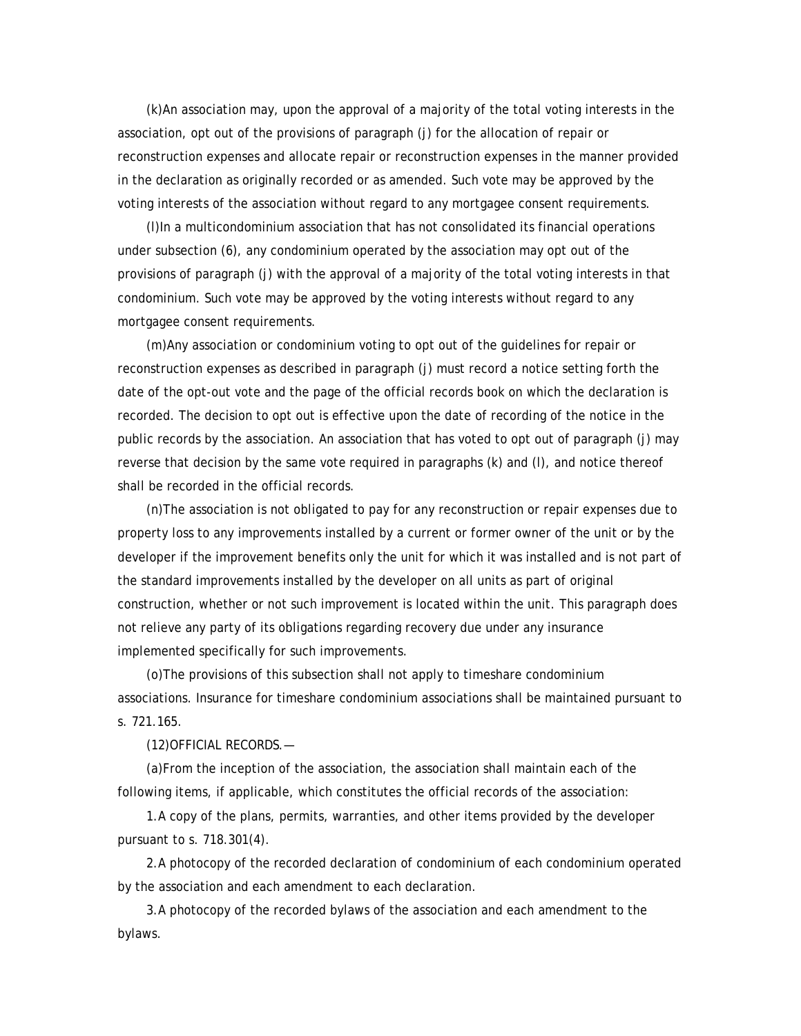(k)An association may, upon the approval of a majority of the total voting interests in the association, opt out of the provisions of paragraph (j) for the allocation of repair or reconstruction expenses and allocate repair or reconstruction expenses in the manner provided in the declaration as originally recorded or as amended. Such vote may be approved by the voting interests of the association without regard to any mortgagee consent requirements.

(l)In a multicondominium association that has not consolidated its financial operations under subsection (6), any condominium operated by the association may opt out of the provisions of paragraph (j) with the approval of a majority of the total voting interests in that condominium. Such vote may be approved by the voting interests without regard to any mortgagee consent requirements.

(m)Any association or condominium voting to opt out of the guidelines for repair or reconstruction expenses as described in paragraph (j) must record a notice setting forth the date of the opt-out vote and the page of the official records book on which the declaration is recorded. The decision to opt out is effective upon the date of recording of the notice in the public records by the association. An association that has voted to opt out of paragraph (j) may reverse that decision by the same vote required in paragraphs (k) and (I), and notice thereof shall be recorded in the official records.

(n)The association is not obligated to pay for any reconstruction or repair expenses due to property loss to any improvements installed by a current or former owner of the unit or by the developer if the improvement benefits only the unit for which it was installed and is not part of the standard improvements installed by the developer on all units as part of original construction, whether or not such improvement is located within the unit. This paragraph does not relieve any party of its obligations regarding recovery due under any insurance implemented specifically for such improvements.

(o)The provisions of this subsection shall not apply to timeshare condominium associations. Insurance for timeshare condominium associations shall be maintained pursuant to s. 721.165.

(12)OFFICIAL RECORDS.—

(a)From the inception of the association, the association shall maintain each of the following items, if applicable, which constitutes the official records of the association:

1.A copy of the plans, permits, warranties, and other items provided by the developer pursuant to s. 718.301(4).

2.A photocopy of the recorded declaration of condominium of each condominium operated by the association and each amendment to each declaration.

3.A photocopy of the recorded bylaws of the association and each amendment to the bylaws.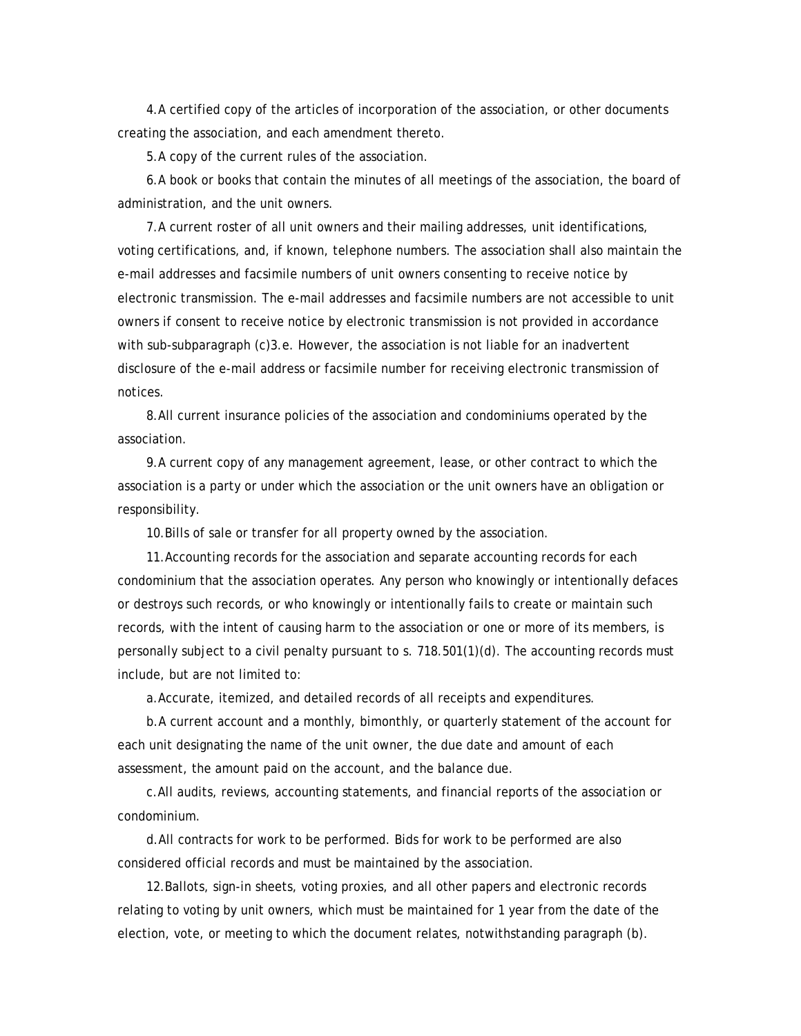4.A certified copy of the articles of incorporation of the association, or other documents creating the association, and each amendment thereto.

5.A copy of the current rules of the association.

6.A book or books that contain the minutes of all meetings of the association, the board of administration, and the unit owners.

7.A current roster of all unit owners and their mailing addresses, unit identifications, voting certifications, and, if known, telephone numbers. The association shall also maintain the e-mail addresses and facsimile numbers of unit owners consenting to receive notice by electronic transmission. The e-mail addresses and facsimile numbers are not accessible to unit owners if consent to receive notice by electronic transmission is not provided in accordance with sub-subparagraph (c)3.e. However, the association is not liable for an inadvertent disclosure of the e-mail address or facsimile number for receiving electronic transmission of notices.

8.All current insurance policies of the association and condominiums operated by the association.

9.A current copy of any management agreement, lease, or other contract to which the association is a party or under which the association or the unit owners have an obligation or responsibility.

10.Bills of sale or transfer for all property owned by the association.

11.Accounting records for the association and separate accounting records for each condominium that the association operates. Any person who knowingly or intentionally defaces or destroys such records, or who knowingly or intentionally fails to create or maintain such records, with the intent of causing harm to the association or one or more of its members, is personally subject to a civil penalty pursuant to s. 718.501(1)(d). The accounting records must include, but are not limited to:

a.Accurate, itemized, and detailed records of all receipts and expenditures.

b.A current account and a monthly, bimonthly, or quarterly statement of the account for each unit designating the name of the unit owner, the due date and amount of each assessment, the amount paid on the account, and the balance due.

c.All audits, reviews, accounting statements, and financial reports of the association or condominium.

d.All contracts for work to be performed. Bids for work to be performed are also considered official records and must be maintained by the association.

12.Ballots, sign-in sheets, voting proxies, and all other papers and electronic records relating to voting by unit owners, which must be maintained for 1 year from the date of the election, vote, or meeting to which the document relates, notwithstanding paragraph (b).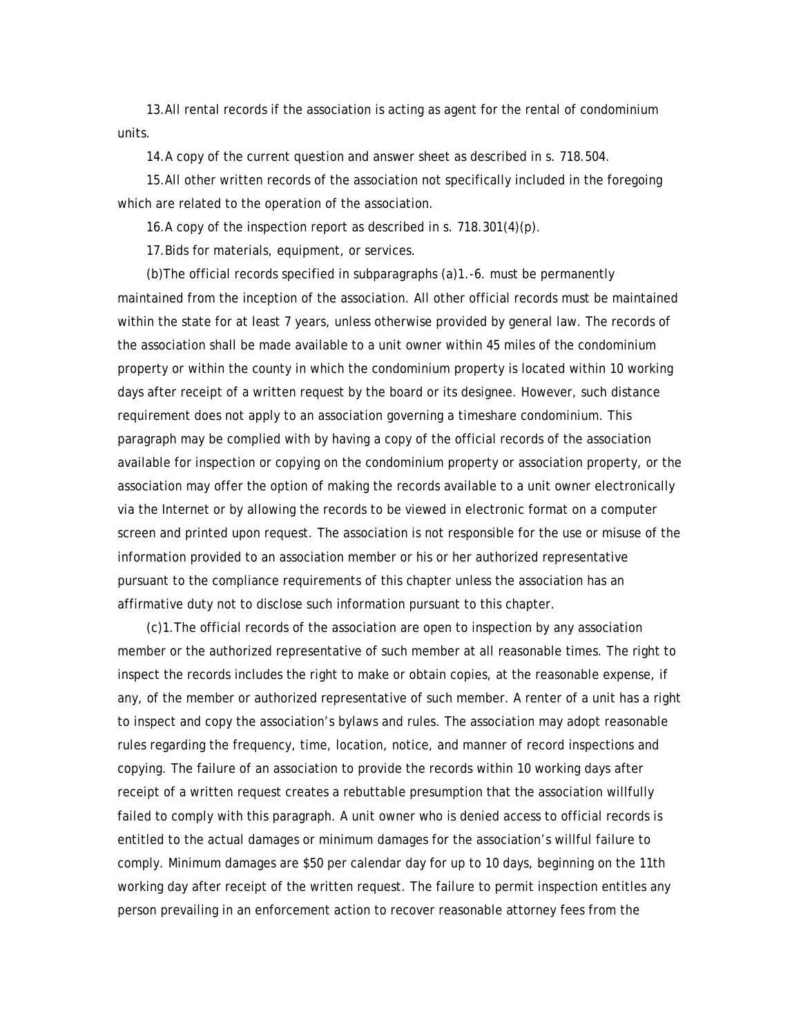13.All rental records if the association is acting as agent for the rental of condominium units.

14.A copy of the current question and answer sheet as described in s. 718.504.

15.All other written records of the association not specifically included in the foregoing which are related to the operation of the association.

16.A copy of the inspection report as described in s. 718.301(4)(p).

17.Bids for materials, equipment, or services.

(b)The official records specified in subparagraphs (a)1.-6. must be permanently maintained from the inception of the association. All other official records must be maintained within the state for at least 7 years, unless otherwise provided by general law. The records of the association shall be made available to a unit owner within 45 miles of the condominium property or within the county in which the condominium property is located within 10 working days after receipt of a written request by the board or its designee. However, such distance requirement does not apply to an association governing a timeshare condominium. This paragraph may be complied with by having a copy of the official records of the association available for inspection or copying on the condominium property or association property, or the association may offer the option of making the records available to a unit owner electronically via the Internet or by allowing the records to be viewed in electronic format on a computer screen and printed upon request. The association is not responsible for the use or misuse of the information provided to an association member or his or her authorized representative pursuant to the compliance requirements of this chapter unless the association has an affirmative duty not to disclose such information pursuant to this chapter.

(c)1.The official records of the association are open to inspection by any association member or the authorized representative of such member at all reasonable times. The right to inspect the records includes the right to make or obtain copies, at the reasonable expense, if any, of the member or authorized representative of such member. A renter of a unit has a right to inspect and copy the association's bylaws and rules. The association may adopt reasonable rules regarding the frequency, time, location, notice, and manner of record inspections and copying. The failure of an association to provide the records within 10 working days after receipt of a written request creates a rebuttable presumption that the association willfully failed to comply with this paragraph. A unit owner who is denied access to official records is entitled to the actual damages or minimum damages for the association's willful failure to comply. Minimum damages are \$50 per calendar day for up to 10 days, beginning on the 11th working day after receipt of the written request. The failure to permit inspection entitles any person prevailing in an enforcement action to recover reasonable attorney fees from the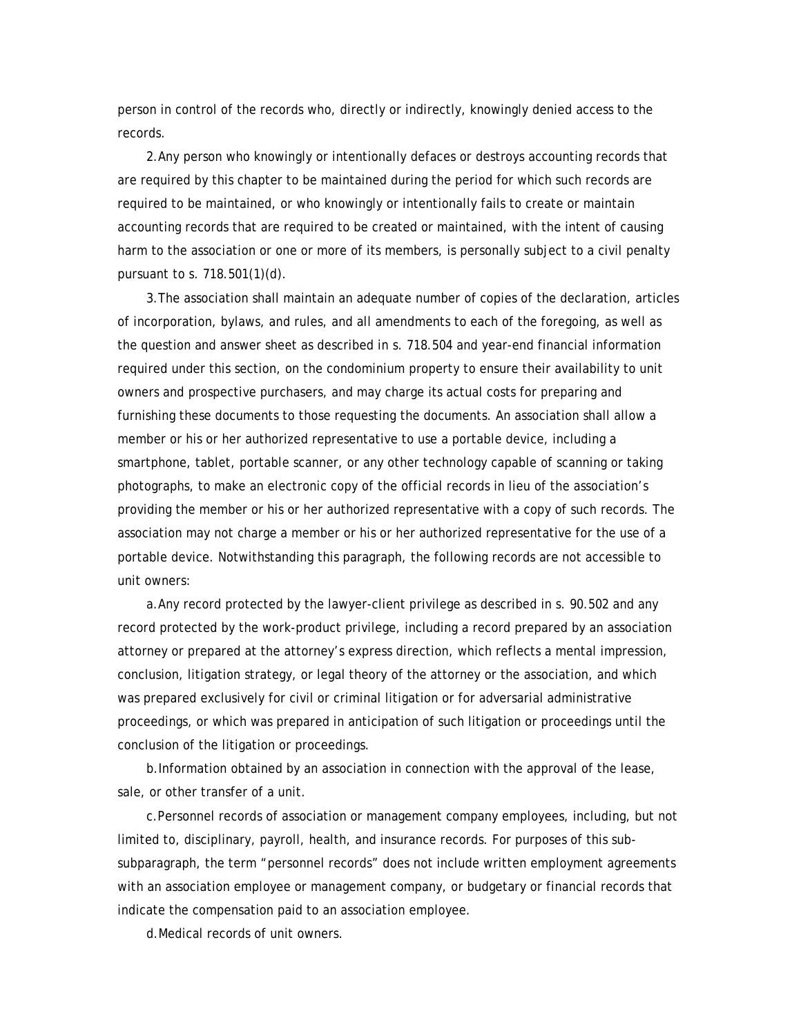person in control of the records who, directly or indirectly, knowingly denied access to the records.

2.Any person who knowingly or intentionally defaces or destroys accounting records that are required by this chapter to be maintained during the period for which such records are required to be maintained, or who knowingly or intentionally fails to create or maintain accounting records that are required to be created or maintained, with the intent of causing harm to the association or one or more of its members, is personally subject to a civil penalty pursuant to s. 718.501(1)(d).

3.The association shall maintain an adequate number of copies of the declaration, articles of incorporation, bylaws, and rules, and all amendments to each of the foregoing, as well as the question and answer sheet as described in s. 718.504 and year-end financial information required under this section, on the condominium property to ensure their availability to unit owners and prospective purchasers, and may charge its actual costs for preparing and furnishing these documents to those requesting the documents. An association shall allow a member or his or her authorized representative to use a portable device, including a smartphone, tablet, portable scanner, or any other technology capable of scanning or taking photographs, to make an electronic copy of the official records in lieu of the association's providing the member or his or her authorized representative with a copy of such records. The association may not charge a member or his or her authorized representative for the use of a portable device. Notwithstanding this paragraph, the following records are not accessible to unit owners:

a.Any record protected by the lawyer-client privilege as described in s. 90.502 and any record protected by the work-product privilege, including a record prepared by an association attorney or prepared at the attorney's express direction, which reflects a mental impression, conclusion, litigation strategy, or legal theory of the attorney or the association, and which was prepared exclusively for civil or criminal litigation or for adversarial administrative proceedings, or which was prepared in anticipation of such litigation or proceedings until the conclusion of the litigation or proceedings.

b.Information obtained by an association in connection with the approval of the lease, sale, or other transfer of a unit.

c.Personnel records of association or management company employees, including, but not limited to, disciplinary, payroll, health, and insurance records. For purposes of this subsubparagraph, the term "personnel records" does not include written employment agreements with an association employee or management company, or budgetary or financial records that indicate the compensation paid to an association employee.

d.Medical records of unit owners.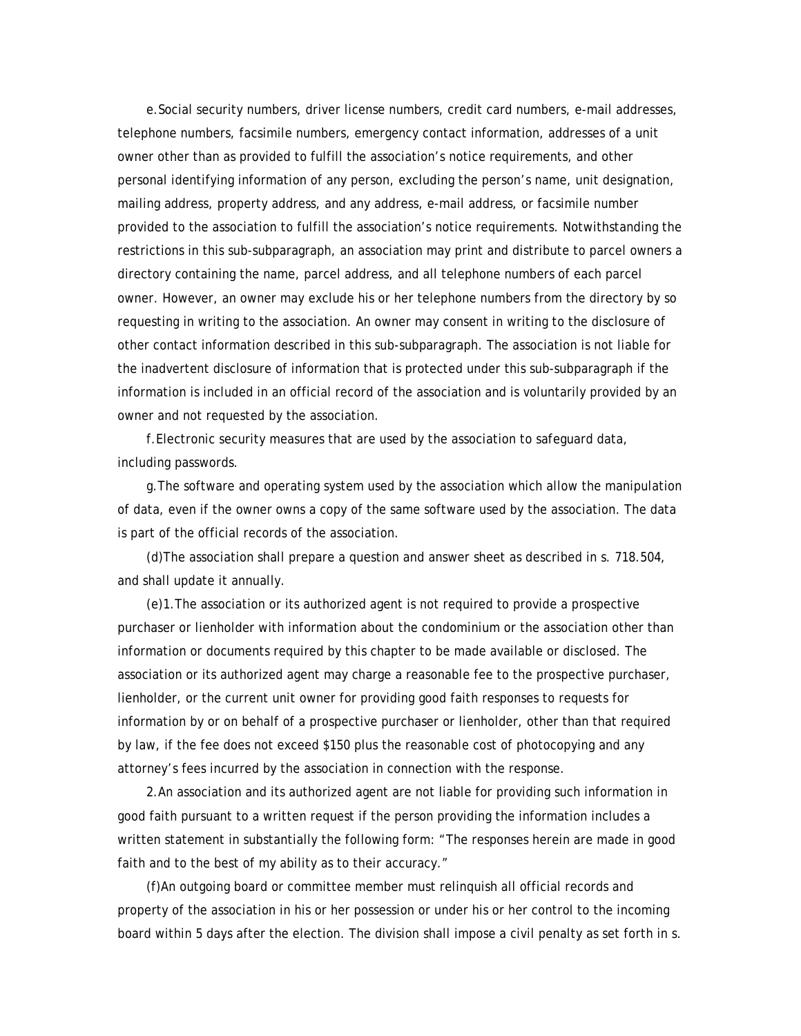e.Social security numbers, driver license numbers, credit card numbers, e-mail addresses, telephone numbers, facsimile numbers, emergency contact information, addresses of a unit owner other than as provided to fulfill the association's notice requirements, and other personal identifying information of any person, excluding the person's name, unit designation, mailing address, property address, and any address, e-mail address, or facsimile number provided to the association to fulfill the association's notice requirements. Notwithstanding the restrictions in this sub-subparagraph, an association may print and distribute to parcel owners a directory containing the name, parcel address, and all telephone numbers of each parcel owner. However, an owner may exclude his or her telephone numbers from the directory by so requesting in writing to the association. An owner may consent in writing to the disclosure of other contact information described in this sub-subparagraph. The association is not liable for the inadvertent disclosure of information that is protected under this sub-subparagraph if the information is included in an official record of the association and is voluntarily provided by an owner and not requested by the association.

f.Electronic security measures that are used by the association to safeguard data, including passwords.

g.The software and operating system used by the association which allow the manipulation of data, even if the owner owns a copy of the same software used by the association. The data is part of the official records of the association.

(d)The association shall prepare a question and answer sheet as described in s. 718.504, and shall update it annually.

(e)1.The association or its authorized agent is not required to provide a prospective purchaser or lienholder with information about the condominium or the association other than information or documents required by this chapter to be made available or disclosed. The association or its authorized agent may charge a reasonable fee to the prospective purchaser, lienholder, or the current unit owner for providing good faith responses to requests for information by or on behalf of a prospective purchaser or lienholder, other than that required by law, if the fee does not exceed \$150 plus the reasonable cost of photocopying and any attorney's fees incurred by the association in connection with the response.

2.An association and its authorized agent are not liable for providing such information in good faith pursuant to a written request if the person providing the information includes a written statement in substantially the following form: "The responses herein are made in good faith and to the best of my ability as to their accuracy."

(f)An outgoing board or committee member must relinquish all official records and property of the association in his or her possession or under his or her control to the incoming board within 5 days after the election. The division shall impose a civil penalty as set forth in s.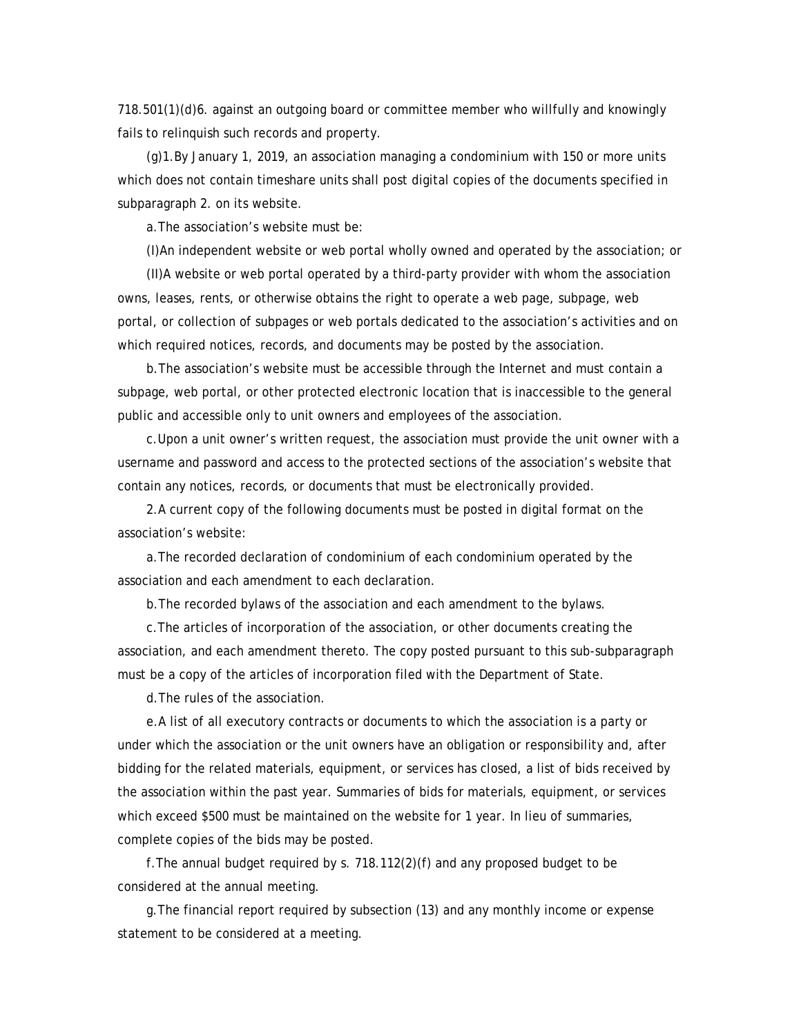718.501(1)(d)6. against an outgoing board or committee member who willfully and knowingly fails to relinquish such records and property.

(g)1.By January 1, 2019, an association managing a condominium with 150 or more units which does not contain timeshare units shall post digital copies of the documents specified in subparagraph 2. on its website.

a.The association's website must be:

(I)An independent website or web portal wholly owned and operated by the association; or

(II)A website or web portal operated by a third-party provider with whom the association owns, leases, rents, or otherwise obtains the right to operate a web page, subpage, web portal, or collection of subpages or web portals dedicated to the association's activities and on which required notices, records, and documents may be posted by the association.

b.The association's website must be accessible through the Internet and must contain a subpage, web portal, or other protected electronic location that is inaccessible to the general public and accessible only to unit owners and employees of the association.

c.Upon a unit owner's written request, the association must provide the unit owner with a username and password and access to the protected sections of the association's website that contain any notices, records, or documents that must be electronically provided.

2.A current copy of the following documents must be posted in digital format on the association's website:

a.The recorded declaration of condominium of each condominium operated by the association and each amendment to each declaration.

b.The recorded bylaws of the association and each amendment to the bylaws.

c.The articles of incorporation of the association, or other documents creating the association, and each amendment thereto. The copy posted pursuant to this sub-subparagraph must be a copy of the articles of incorporation filed with the Department of State.

d.The rules of the association.

e.A list of all executory contracts or documents to which the association is a party or under which the association or the unit owners have an obligation or responsibility and, after bidding for the related materials, equipment, or services has closed, a list of bids received by the association within the past year. Summaries of bids for materials, equipment, or services which exceed \$500 must be maintained on the website for 1 year. In lieu of summaries, complete copies of the bids may be posted.

f.The annual budget required by s. 718.112(2)(f) and any proposed budget to be considered at the annual meeting.

g.The financial report required by subsection (13) and any monthly income or expense statement to be considered at a meeting.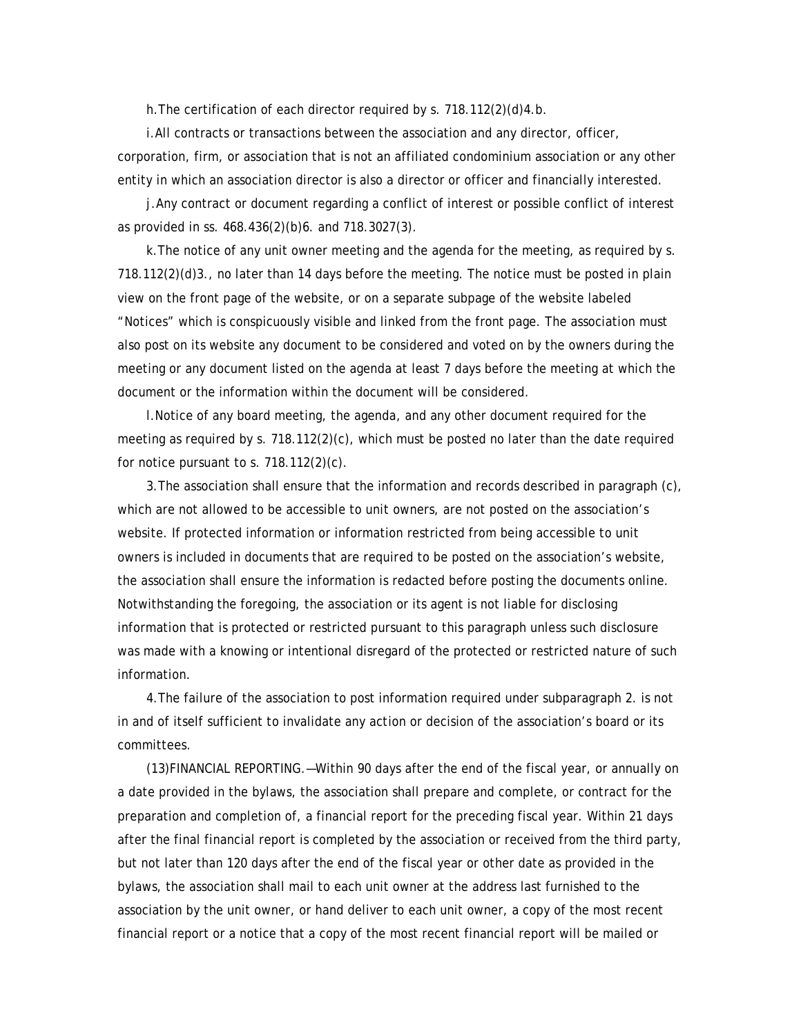h.The certification of each director required by s. 718.112(2)(d)4.b.

i.All contracts or transactions between the association and any director, officer, corporation, firm, or association that is not an affiliated condominium association or any other entity in which an association director is also a director or officer and financially interested.

j.Any contract or document regarding a conflict of interest or possible conflict of interest as provided in ss. 468.436(2)(b)6. and 718.3027(3).

k.The notice of any unit owner meeting and the agenda for the meeting, as required by s. 718.112(2)(d)3., no later than 14 days before the meeting. The notice must be posted in plain view on the front page of the website, or on a separate subpage of the website labeled "Notices" which is conspicuously visible and linked from the front page. The association must also post on its website any document to be considered and voted on by the owners during the meeting or any document listed on the agenda at least 7 days before the meeting at which the document or the information within the document will be considered.

l.Notice of any board meeting, the agenda, and any other document required for the meeting as required by s.  $718.112(2)(c)$ , which must be posted no later than the date required for notice pursuant to s.  $718.112(2)(c)$ .

3.The association shall ensure that the information and records described in paragraph (c), which are not allowed to be accessible to unit owners, are not posted on the association's website. If protected information or information restricted from being accessible to unit owners is included in documents that are required to be posted on the association's website, the association shall ensure the information is redacted before posting the documents online. Notwithstanding the foregoing, the association or its agent is not liable for disclosing information that is protected or restricted pursuant to this paragraph unless such disclosure was made with a knowing or intentional disregard of the protected or restricted nature of such information.

4.The failure of the association to post information required under subparagraph 2. is not in and of itself sufficient to invalidate any action or decision of the association's board or its committees.

(13)FINANCIAL REPORTING.—Within 90 days after the end of the fiscal year, or annually on a date provided in the bylaws, the association shall prepare and complete, or contract for the preparation and completion of, a financial report for the preceding fiscal year. Within 21 days after the final financial report is completed by the association or received from the third party, but not later than 120 days after the end of the fiscal year or other date as provided in the bylaws, the association shall mail to each unit owner at the address last furnished to the association by the unit owner, or hand deliver to each unit owner, a copy of the most recent financial report or a notice that a copy of the most recent financial report will be mailed or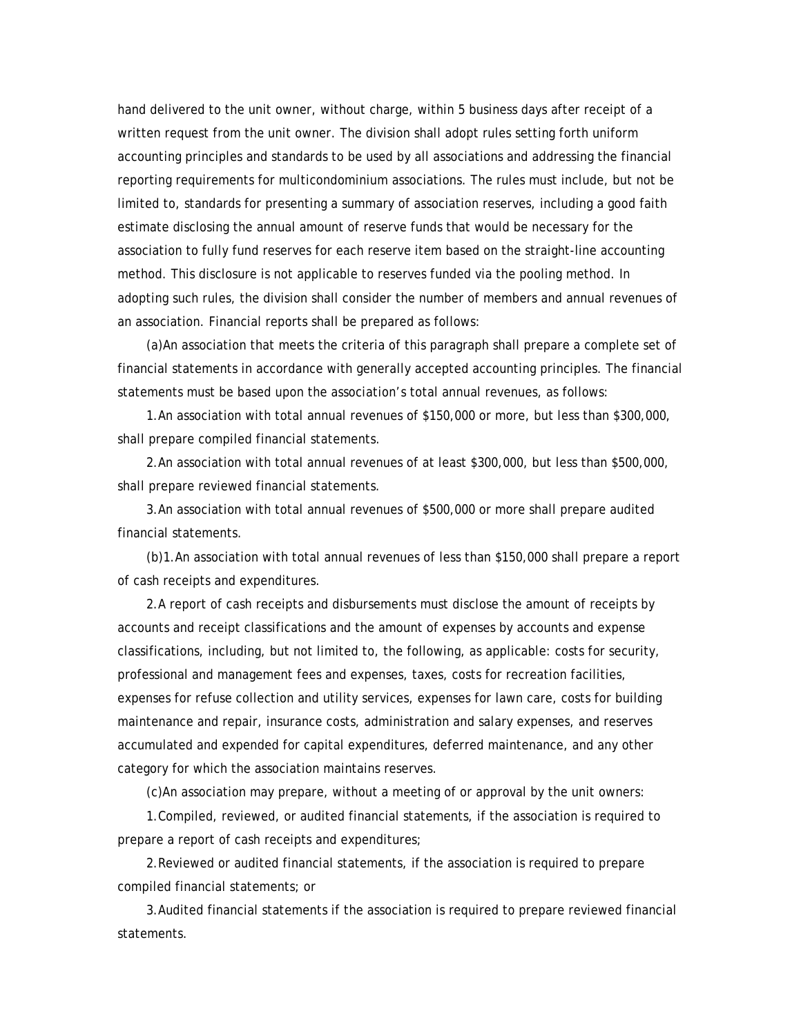hand delivered to the unit owner, without charge, within 5 business days after receipt of a written request from the unit owner. The division shall adopt rules setting forth uniform accounting principles and standards to be used by all associations and addressing the financial reporting requirements for multicondominium associations. The rules must include, but not be limited to, standards for presenting a summary of association reserves, including a good faith estimate disclosing the annual amount of reserve funds that would be necessary for the association to fully fund reserves for each reserve item based on the straight-line accounting method. This disclosure is not applicable to reserves funded via the pooling method. In adopting such rules, the division shall consider the number of members and annual revenues of an association. Financial reports shall be prepared as follows:

(a)An association that meets the criteria of this paragraph shall prepare a complete set of financial statements in accordance with generally accepted accounting principles. The financial statements must be based upon the association's total annual revenues, as follows:

1.An association with total annual revenues of \$150,000 or more, but less than \$300,000, shall prepare compiled financial statements.

2.An association with total annual revenues of at least \$300,000, but less than \$500,000, shall prepare reviewed financial statements.

3.An association with total annual revenues of \$500,000 or more shall prepare audited financial statements.

(b)1.An association with total annual revenues of less than \$150,000 shall prepare a report of cash receipts and expenditures.

2.A report of cash receipts and disbursements must disclose the amount of receipts by accounts and receipt classifications and the amount of expenses by accounts and expense classifications, including, but not limited to, the following, as applicable: costs for security, professional and management fees and expenses, taxes, costs for recreation facilities, expenses for refuse collection and utility services, expenses for lawn care, costs for building maintenance and repair, insurance costs, administration and salary expenses, and reserves accumulated and expended for capital expenditures, deferred maintenance, and any other category for which the association maintains reserves.

(c)An association may prepare, without a meeting of or approval by the unit owners:

1.Compiled, reviewed, or audited financial statements, if the association is required to prepare a report of cash receipts and expenditures;

2.Reviewed or audited financial statements, if the association is required to prepare compiled financial statements; or

3.Audited financial statements if the association is required to prepare reviewed financial statements.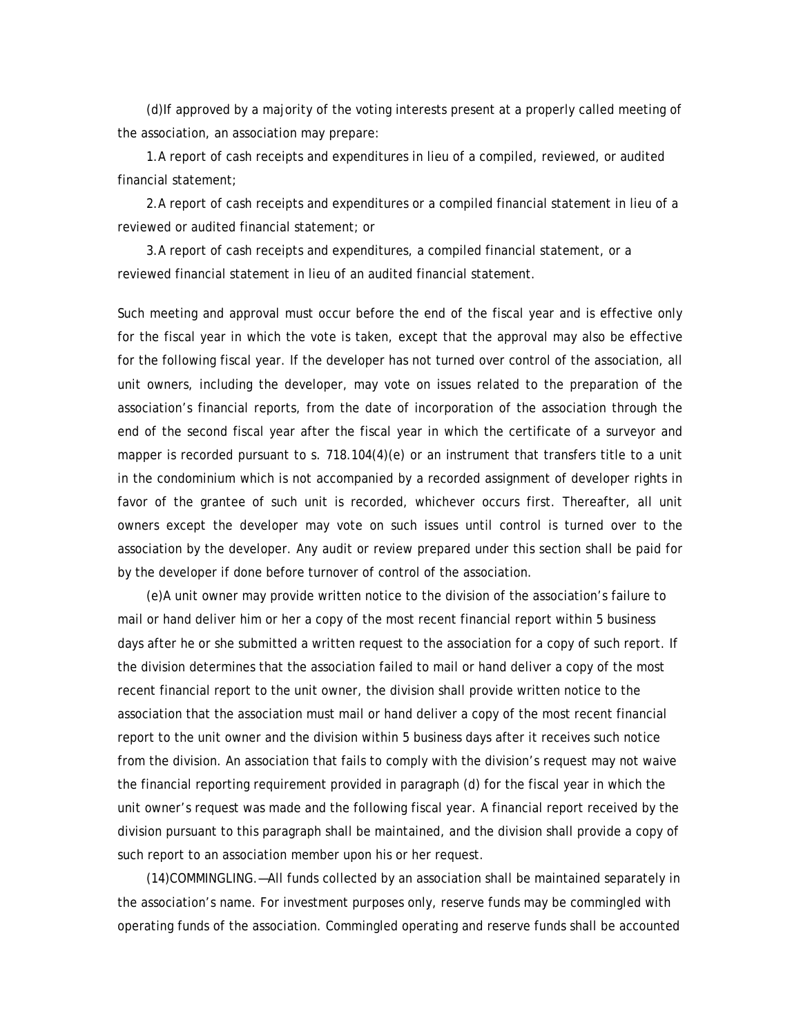(d)If approved by a majority of the voting interests present at a properly called meeting of the association, an association may prepare:

1.A report of cash receipts and expenditures in lieu of a compiled, reviewed, or audited financial statement;

2.A report of cash receipts and expenditures or a compiled financial statement in lieu of a reviewed or audited financial statement; or

3.A report of cash receipts and expenditures, a compiled financial statement, or a reviewed financial statement in lieu of an audited financial statement.

Such meeting and approval must occur before the end of the fiscal year and is effective only for the fiscal year in which the vote is taken, except that the approval may also be effective for the following fiscal year. If the developer has not turned over control of the association, all unit owners, including the developer, may vote on issues related to the preparation of the association's financial reports, from the date of incorporation of the association through the end of the second fiscal year after the fiscal year in which the certificate of a surveyor and mapper is recorded pursuant to s. 718.104(4)(e) or an instrument that transfers title to a unit in the condominium which is not accompanied by a recorded assignment of developer rights in favor of the grantee of such unit is recorded, whichever occurs first. Thereafter, all unit owners except the developer may vote on such issues until control is turned over to the association by the developer. Any audit or review prepared under this section shall be paid for by the developer if done before turnover of control of the association.

(e)A unit owner may provide written notice to the division of the association's failure to mail or hand deliver him or her a copy of the most recent financial report within 5 business days after he or she submitted a written request to the association for a copy of such report. If the division determines that the association failed to mail or hand deliver a copy of the most recent financial report to the unit owner, the division shall provide written notice to the association that the association must mail or hand deliver a copy of the most recent financial report to the unit owner and the division within 5 business days after it receives such notice from the division. An association that fails to comply with the division's request may not waive the financial reporting requirement provided in paragraph (d) for the fiscal year in which the unit owner's request was made and the following fiscal year. A financial report received by the division pursuant to this paragraph shall be maintained, and the division shall provide a copy of such report to an association member upon his or her request.

(14)COMMINGLING.—All funds collected by an association shall be maintained separately in the association's name. For investment purposes only, reserve funds may be commingled with operating funds of the association. Commingled operating and reserve funds shall be accounted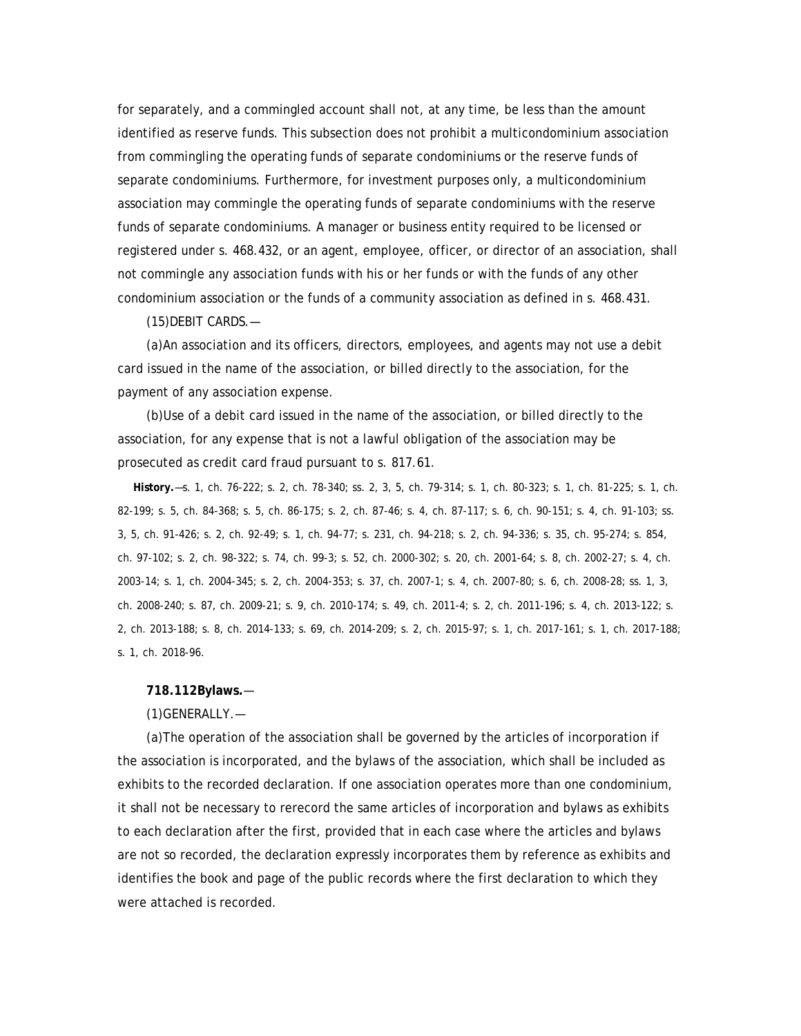for separately, and a commingled account shall not, at any time, be less than the amount identified as reserve funds. This subsection does not prohibit a multicondominium association from commingling the operating funds of separate condominiums or the reserve funds of separate condominiums. Furthermore, for investment purposes only, a multicondominium association may commingle the operating funds of separate condominiums with the reserve funds of separate condominiums. A manager or business entity required to be licensed or registered under s. 468.432, or an agent, employee, officer, or director of an association, shall not commingle any association funds with his or her funds or with the funds of any other condominium association or the funds of a community association as defined in s. 468.431.

(15)DEBIT CARDS.—

(a)An association and its officers, directors, employees, and agents may not use a debit card issued in the name of the association, or billed directly to the association, for the payment of any association expense.

(b)Use of a debit card issued in the name of the association, or billed directly to the association, for any expense that is not a lawful obligation of the association may be prosecuted as credit card fraud pursuant to s. 817.61.

**History.**—s. 1, ch. 76-222; s. 2, ch. 78-340; ss. 2, 3, 5, ch. 79-314; s. 1, ch. 80-323; s. 1, ch. 81-225; s. 1, ch. 82-199; s. 5, ch. 84-368; s. 5, ch. 86-175; s. 2, ch. 87-46; s. 4, ch. 87-117; s. 6, ch. 90-151; s. 4, ch. 91-103; ss. 3, 5, ch. 91-426; s. 2, ch. 92-49; s. 1, ch. 94-77; s. 231, ch. 94-218; s. 2, ch. 94-336; s. 35, ch. 95-274; s. 854, ch. 97-102; s. 2, ch. 98-322; s. 74, ch. 99-3; s. 52, ch. 2000-302; s. 20, ch. 2001-64; s. 8, ch. 2002-27; s. 4, ch. 2003-14; s. 1, ch. 2004-345; s. 2, ch. 2004-353; s. 37, ch. 2007-1; s. 4, ch. 2007-80; s. 6, ch. 2008-28; ss. 1, 3, ch. 2008-240; s. 87, ch. 2009-21; s. 9, ch. 2010-174; s. 49, ch. 2011-4; s. 2, ch. 2011-196; s. 4, ch. 2013-122; s. 2, ch. 2013-188; s. 8, ch. 2014-133; s. 69, ch. 2014-209; s. 2, ch. 2015-97; s. 1, ch. 2017-161; s. 1, ch. 2017-188; s. 1, ch. 2018-96.

# **718.112Bylaws.**—

# (1)GENERALLY.—

(a)The operation of the association shall be governed by the articles of incorporation if the association is incorporated, and the bylaws of the association, which shall be included as exhibits to the recorded declaration. If one association operates more than one condominium, it shall not be necessary to rerecord the same articles of incorporation and bylaws as exhibits to each declaration after the first, provided that in each case where the articles and bylaws are not so recorded, the declaration expressly incorporates them by reference as exhibits and identifies the book and page of the public records where the first declaration to which they were attached is recorded.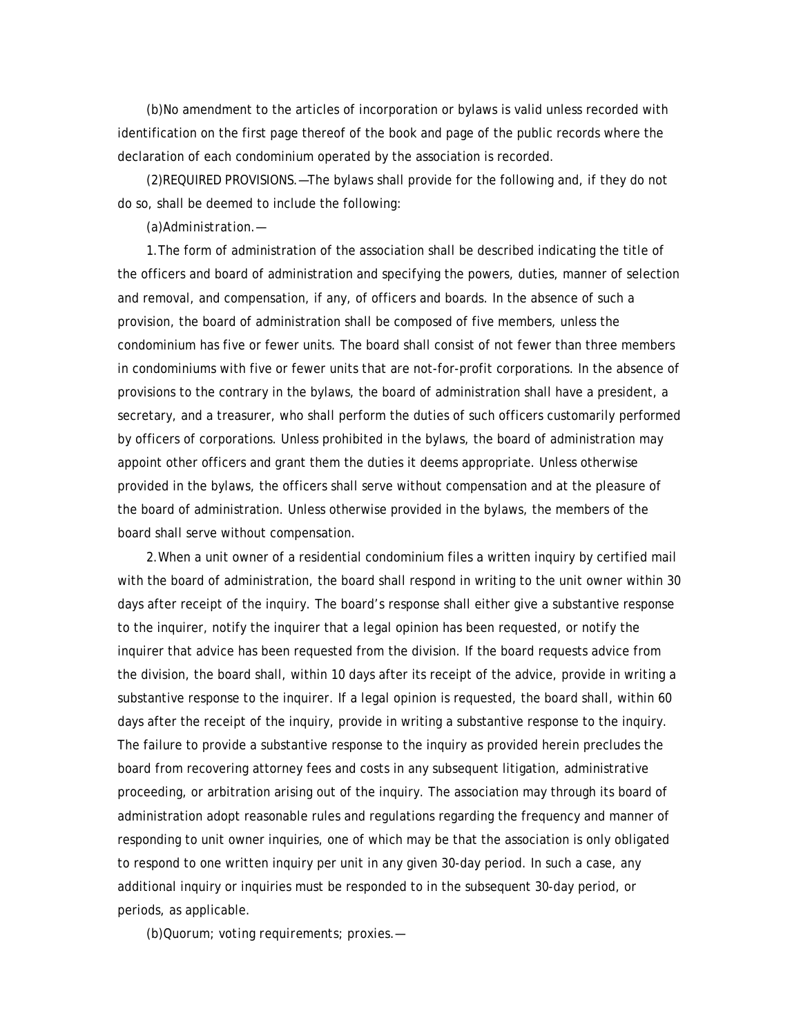(b)No amendment to the articles of incorporation or bylaws is valid unless recorded with identification on the first page thereof of the book and page of the public records where the declaration of each condominium operated by the association is recorded.

(2)REQUIRED PROVISIONS.—The bylaws shall provide for the following and, if they do not do so, shall be deemed to include the following:

#### (a)*Administration.*—

1.The form of administration of the association shall be described indicating the title of the officers and board of administration and specifying the powers, duties, manner of selection and removal, and compensation, if any, of officers and boards. In the absence of such a provision, the board of administration shall be composed of five members, unless the condominium has five or fewer units. The board shall consist of not fewer than three members in condominiums with five or fewer units that are not-for-profit corporations. In the absence of provisions to the contrary in the bylaws, the board of administration shall have a president, a secretary, and a treasurer, who shall perform the duties of such officers customarily performed by officers of corporations. Unless prohibited in the bylaws, the board of administration may appoint other officers and grant them the duties it deems appropriate. Unless otherwise provided in the bylaws, the officers shall serve without compensation and at the pleasure of the board of administration. Unless otherwise provided in the bylaws, the members of the board shall serve without compensation.

2.When a unit owner of a residential condominium files a written inquiry by certified mail with the board of administration, the board shall respond in writing to the unit owner within 30 days after receipt of the inquiry. The board's response shall either give a substantive response to the inquirer, notify the inquirer that a legal opinion has been requested, or notify the inquirer that advice has been requested from the division. If the board requests advice from the division, the board shall, within 10 days after its receipt of the advice, provide in writing a substantive response to the inquirer. If a legal opinion is requested, the board shall, within 60 days after the receipt of the inquiry, provide in writing a substantive response to the inquiry. The failure to provide a substantive response to the inquiry as provided herein precludes the board from recovering attorney fees and costs in any subsequent litigation, administrative proceeding, or arbitration arising out of the inquiry. The association may through its board of administration adopt reasonable rules and regulations regarding the frequency and manner of responding to unit owner inquiries, one of which may be that the association is only obligated to respond to one written inquiry per unit in any given 30-day period. In such a case, any additional inquiry or inquiries must be responded to in the subsequent 30-day period, or periods, as applicable.

(b)*Quorum; voting requirements; proxies.*—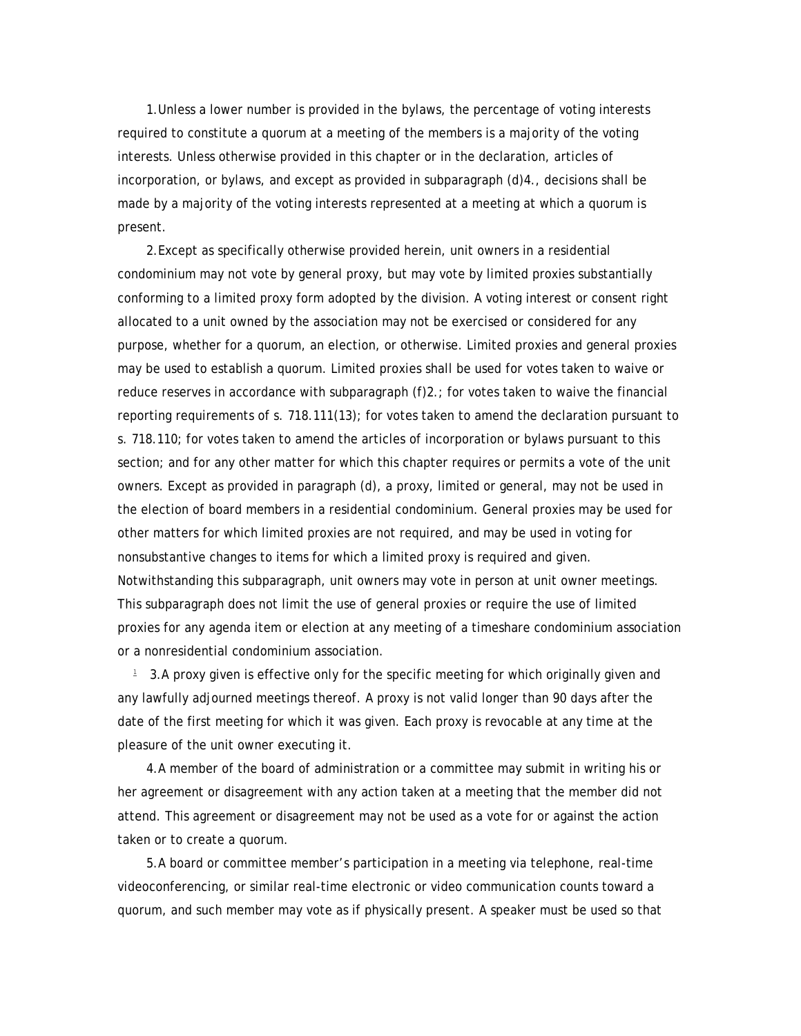1.Unless a lower number is provided in the bylaws, the percentage of voting interests required to constitute a quorum at a meeting of the members is a majority of the voting interests. Unless otherwise provided in this chapter or in the declaration, articles of incorporation, or bylaws, and except as provided in subparagraph (d)4., decisions shall be made by a majority of the voting interests represented at a meeting at which a quorum is present.

2.Except as specifically otherwise provided herein, unit owners in a residential condominium may not vote by general proxy, but may vote by limited proxies substantially conforming to a limited proxy form adopted by the division. A voting interest or consent right allocated to a unit owned by the association may not be exercised or considered for any purpose, whether for a quorum, an election, or otherwise. Limited proxies and general proxies may be used to establish a quorum. Limited proxies shall be used for votes taken to waive or reduce reserves in accordance with subparagraph  $(f)2$ .; for votes taken to waive the financial reporting requirements of s. 718.111(13); for votes taken to amend the declaration pursuant to s. 718.110; for votes taken to amend the articles of incorporation or bylaws pursuant to this section; and for any other matter for which this chapter requires or permits a vote of the unit owners. Except as provided in paragraph (d), a proxy, limited or general, may not be used in the election of board members in a residential condominium. General proxies may be used for other matters for which limited proxies are not required, and may be used in voting for nonsubstantive changes to items for which a limited proxy is required and given. Notwithstanding this subparagraph, unit owners may vote in person at unit owner meetings. This subparagraph does not limit the use of general proxies or require the use of limited proxies for any agenda item or election at any meeting of a timeshare condominium association or a nonresidential condominium association.

 $1\quad$  3.A proxy given is effective only for the specific meeting for which originally given and any lawfully adjourned meetings thereof. A proxy is not valid longer than 90 days after the date of the first meeting for which it was given. Each proxy is revocable at any time at the pleasure of the unit owner executing it.

4.A member of the board of administration or a committee may submit in writing his or her agreement or disagreement with any action taken at a meeting that the member did not attend. This agreement or disagreement may not be used as a vote for or against the action taken or to create a quorum.

5.A board or committee member's participation in a meeting via telephone, real-time videoconferencing, or similar real-time electronic or video communication counts toward a quorum, and such member may vote as if physically present. A speaker must be used so that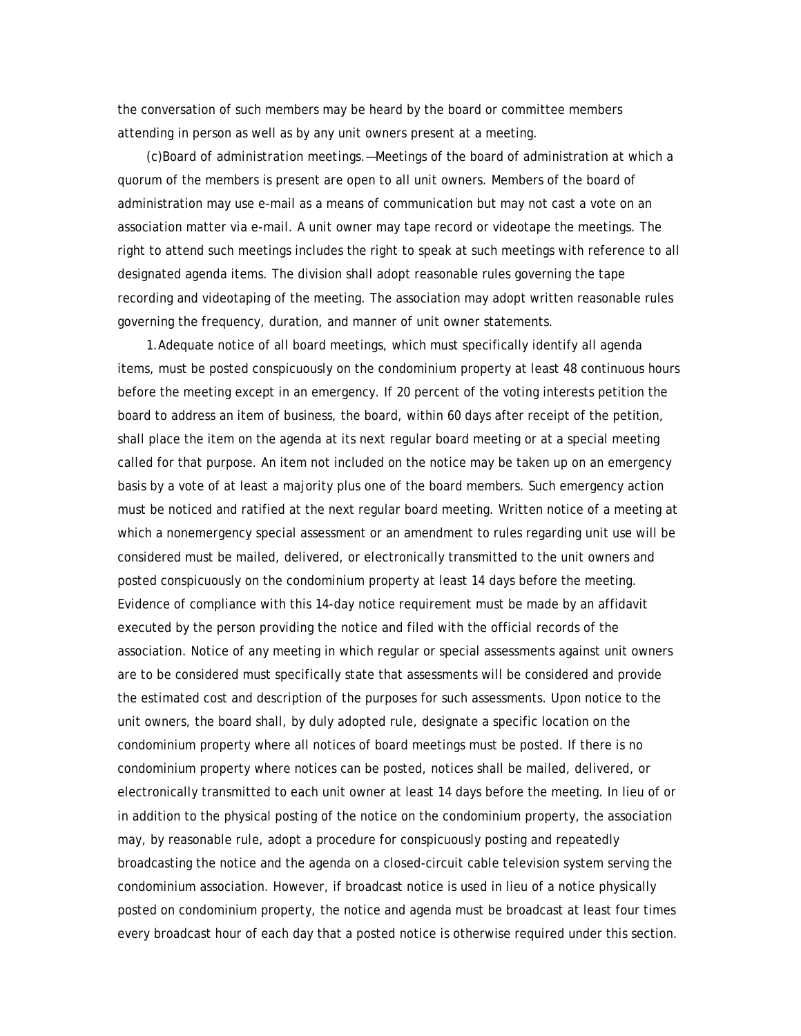the conversation of such members may be heard by the board or committee members attending in person as well as by any unit owners present at a meeting.

(c)*Board of administration meetings.*—Meetings of the board of administration at which a quorum of the members is present are open to all unit owners. Members of the board of administration may use e-mail as a means of communication but may not cast a vote on an association matter via e-mail. A unit owner may tape record or videotape the meetings. The right to attend such meetings includes the right to speak at such meetings with reference to all designated agenda items. The division shall adopt reasonable rules governing the tape recording and videotaping of the meeting. The association may adopt written reasonable rules governing the frequency, duration, and manner of unit owner statements.

1.Adequate notice of all board meetings, which must specifically identify all agenda items, must be posted conspicuously on the condominium property at least 48 continuous hours before the meeting except in an emergency. If 20 percent of the voting interests petition the board to address an item of business, the board, within 60 days after receipt of the petition, shall place the item on the agenda at its next regular board meeting or at a special meeting called for that purpose. An item not included on the notice may be taken up on an emergency basis by a vote of at least a majority plus one of the board members. Such emergency action must be noticed and ratified at the next regular board meeting. Written notice of a meeting at which a nonemergency special assessment or an amendment to rules regarding unit use will be considered must be mailed, delivered, or electronically transmitted to the unit owners and posted conspicuously on the condominium property at least 14 days before the meeting. Evidence of compliance with this 14-day notice requirement must be made by an affidavit executed by the person providing the notice and filed with the official records of the association. Notice of any meeting in which regular or special assessments against unit owners are to be considered must specifically state that assessments will be considered and provide the estimated cost and description of the purposes for such assessments. Upon notice to the unit owners, the board shall, by duly adopted rule, designate a specific location on the condominium property where all notices of board meetings must be posted. If there is no condominium property where notices can be posted, notices shall be mailed, delivered, or electronically transmitted to each unit owner at least 14 days before the meeting. In lieu of or in addition to the physical posting of the notice on the condominium property, the association may, by reasonable rule, adopt a procedure for conspicuously posting and repeatedly broadcasting the notice and the agenda on a closed-circuit cable television system serving the condominium association. However, if broadcast notice is used in lieu of a notice physically posted on condominium property, the notice and agenda must be broadcast at least four times every broadcast hour of each day that a posted notice is otherwise required under this section.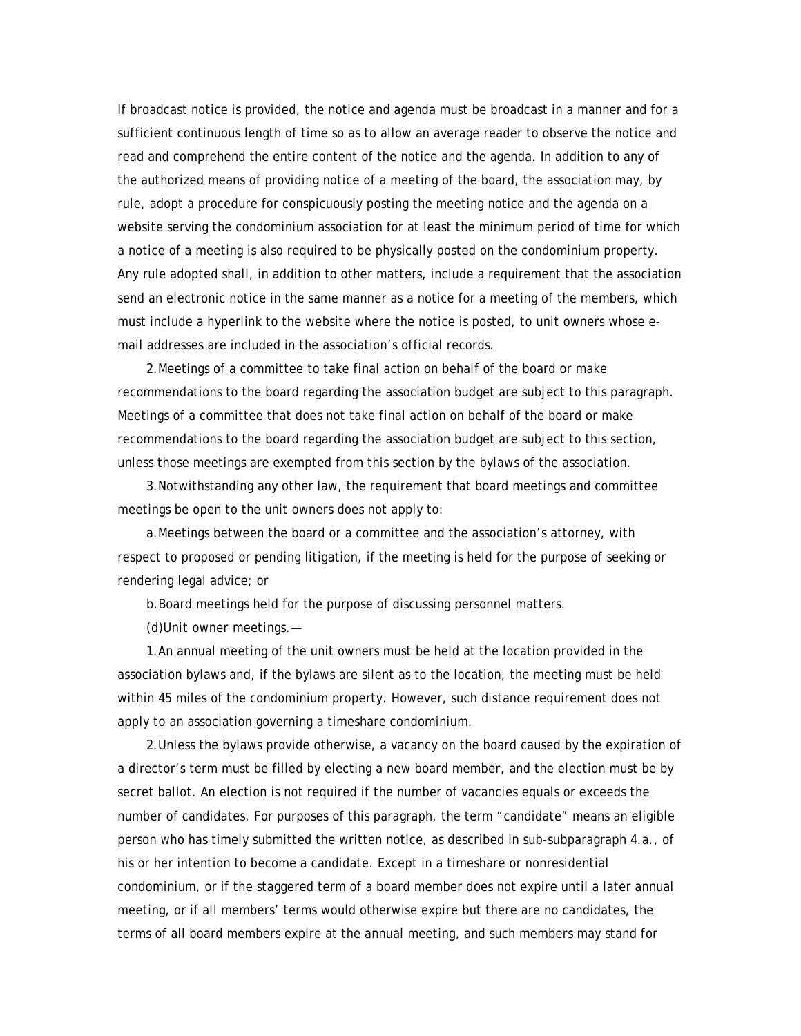If broadcast notice is provided, the notice and agenda must be broadcast in a manner and for a sufficient continuous length of time so as to allow an average reader to observe the notice and read and comprehend the entire content of the notice and the agenda. In addition to any of the authorized means of providing notice of a meeting of the board, the association may, by rule, adopt a procedure for conspicuously posting the meeting notice and the agenda on a website serving the condominium association for at least the minimum period of time for which a notice of a meeting is also required to be physically posted on the condominium property. Any rule adopted shall, in addition to other matters, include a requirement that the association send an electronic notice in the same manner as a notice for a meeting of the members, which must include a hyperlink to the website where the notice is posted, to unit owners whose email addresses are included in the association's official records.

2.Meetings of a committee to take final action on behalf of the board or make recommendations to the board regarding the association budget are subject to this paragraph. Meetings of a committee that does not take final action on behalf of the board or make recommendations to the board regarding the association budget are subject to this section, unless those meetings are exempted from this section by the bylaws of the association.

3.Notwithstanding any other law, the requirement that board meetings and committee meetings be open to the unit owners does not apply to:

a.Meetings between the board or a committee and the association's attorney, with respect to proposed or pending litigation, if the meeting is held for the purpose of seeking or rendering legal advice; or

b.Board meetings held for the purpose of discussing personnel matters.

(d)*Unit owner meetings.*—

1.An annual meeting of the unit owners must be held at the location provided in the association bylaws and, if the bylaws are silent as to the location, the meeting must be held within 45 miles of the condominium property. However, such distance requirement does not apply to an association governing a timeshare condominium.

2.Unless the bylaws provide otherwise, a vacancy on the board caused by the expiration of a director's term must be filled by electing a new board member, and the election must be by secret ballot. An election is not required if the number of vacancies equals or exceeds the number of candidates. For purposes of this paragraph, the term "candidate" means an eligible person who has timely submitted the written notice, as described in sub-subparagraph 4.a., of his or her intention to become a candidate. Except in a timeshare or nonresidential condominium, or if the staggered term of a board member does not expire until a later annual meeting, or if all members' terms would otherwise expire but there are no candidates, the terms of all board members expire at the annual meeting, and such members may stand for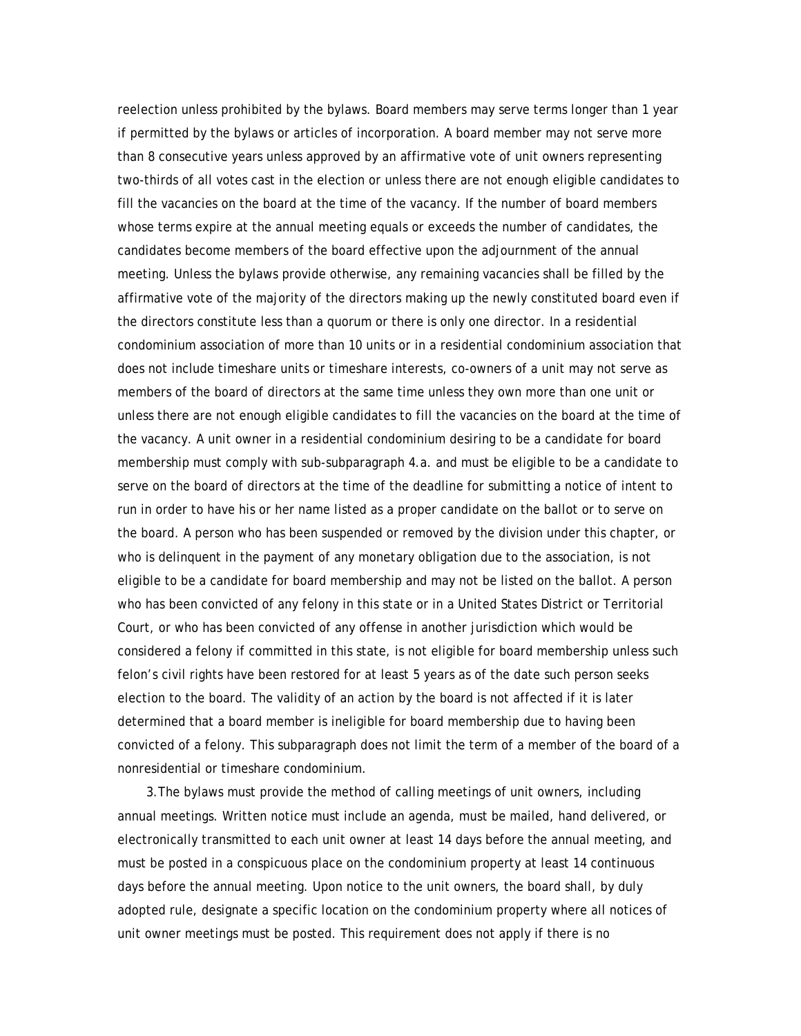reelection unless prohibited by the bylaws. Board members may serve terms longer than 1 year if permitted by the bylaws or articles of incorporation. A board member may not serve more than 8 consecutive years unless approved by an affirmative vote of unit owners representing two-thirds of all votes cast in the election or unless there are not enough eligible candidates to fill the vacancies on the board at the time of the vacancy. If the number of board members whose terms expire at the annual meeting equals or exceeds the number of candidates, the candidates become members of the board effective upon the adjournment of the annual meeting. Unless the bylaws provide otherwise, any remaining vacancies shall be filled by the affirmative vote of the majority of the directors making up the newly constituted board even if the directors constitute less than a quorum or there is only one director. In a residential condominium association of more than 10 units or in a residential condominium association that does not include timeshare units or timeshare interests, co-owners of a unit may not serve as members of the board of directors at the same time unless they own more than one unit or unless there are not enough eligible candidates to fill the vacancies on the board at the time of the vacancy. A unit owner in a residential condominium desiring to be a candidate for board membership must comply with sub-subparagraph 4.a. and must be eligible to be a candidate to serve on the board of directors at the time of the deadline for submitting a notice of intent to run in order to have his or her name listed as a proper candidate on the ballot or to serve on the board. A person who has been suspended or removed by the division under this chapter, or who is delinquent in the payment of any monetary obligation due to the association, is not eligible to be a candidate for board membership and may not be listed on the ballot. A person who has been convicted of any felony in this state or in a United States District or Territorial Court, or who has been convicted of any offense in another jurisdiction which would be considered a felony if committed in this state, is not eligible for board membership unless such felon's civil rights have been restored for at least 5 years as of the date such person seeks election to the board. The validity of an action by the board is not affected if it is later determined that a board member is ineligible for board membership due to having been convicted of a felony. This subparagraph does not limit the term of a member of the board of a nonresidential or timeshare condominium.

3.The bylaws must provide the method of calling meetings of unit owners, including annual meetings. Written notice must include an agenda, must be mailed, hand delivered, or electronically transmitted to each unit owner at least 14 days before the annual meeting, and must be posted in a conspicuous place on the condominium property at least 14 continuous days before the annual meeting. Upon notice to the unit owners, the board shall, by duly adopted rule, designate a specific location on the condominium property where all notices of unit owner meetings must be posted. This requirement does not apply if there is no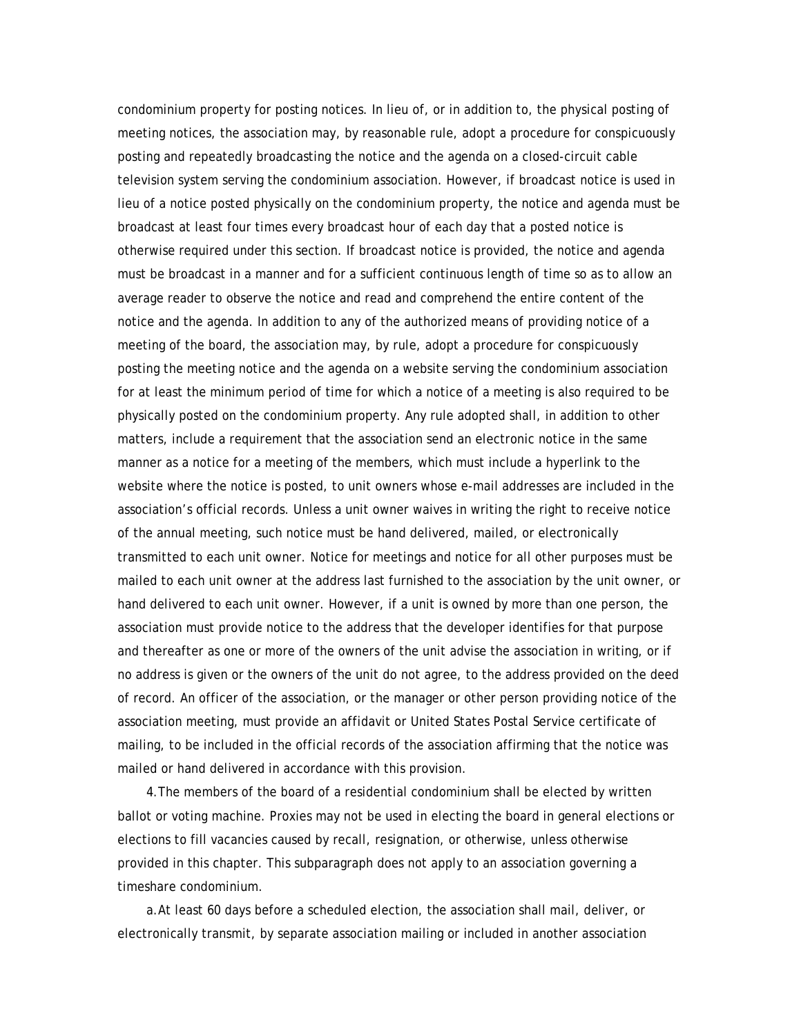condominium property for posting notices. In lieu of, or in addition to, the physical posting of meeting notices, the association may, by reasonable rule, adopt a procedure for conspicuously posting and repeatedly broadcasting the notice and the agenda on a closed-circuit cable television system serving the condominium association. However, if broadcast notice is used in lieu of a notice posted physically on the condominium property, the notice and agenda must be broadcast at least four times every broadcast hour of each day that a posted notice is otherwise required under this section. If broadcast notice is provided, the notice and agenda must be broadcast in a manner and for a sufficient continuous length of time so as to allow an average reader to observe the notice and read and comprehend the entire content of the notice and the agenda. In addition to any of the authorized means of providing notice of a meeting of the board, the association may, by rule, adopt a procedure for conspicuously posting the meeting notice and the agenda on a website serving the condominium association for at least the minimum period of time for which a notice of a meeting is also required to be physically posted on the condominium property. Any rule adopted shall, in addition to other matters, include a requirement that the association send an electronic notice in the same manner as a notice for a meeting of the members, which must include a hyperlink to the website where the notice is posted, to unit owners whose e-mail addresses are included in the association's official records. Unless a unit owner waives in writing the right to receive notice of the annual meeting, such notice must be hand delivered, mailed, or electronically transmitted to each unit owner. Notice for meetings and notice for all other purposes must be mailed to each unit owner at the address last furnished to the association by the unit owner, or hand delivered to each unit owner. However, if a unit is owned by more than one person, the association must provide notice to the address that the developer identifies for that purpose and thereafter as one or more of the owners of the unit advise the association in writing, or if no address is given or the owners of the unit do not agree, to the address provided on the deed of record. An officer of the association, or the manager or other person providing notice of the association meeting, must provide an affidavit or United States Postal Service certificate of mailing, to be included in the official records of the association affirming that the notice was mailed or hand delivered in accordance with this provision.

4.The members of the board of a residential condominium shall be elected by written ballot or voting machine. Proxies may not be used in electing the board in general elections or elections to fill vacancies caused by recall, resignation, or otherwise, unless otherwise provided in this chapter. This subparagraph does not apply to an association governing a timeshare condominium.

a.At least 60 days before a scheduled election, the association shall mail, deliver, or electronically transmit, by separate association mailing or included in another association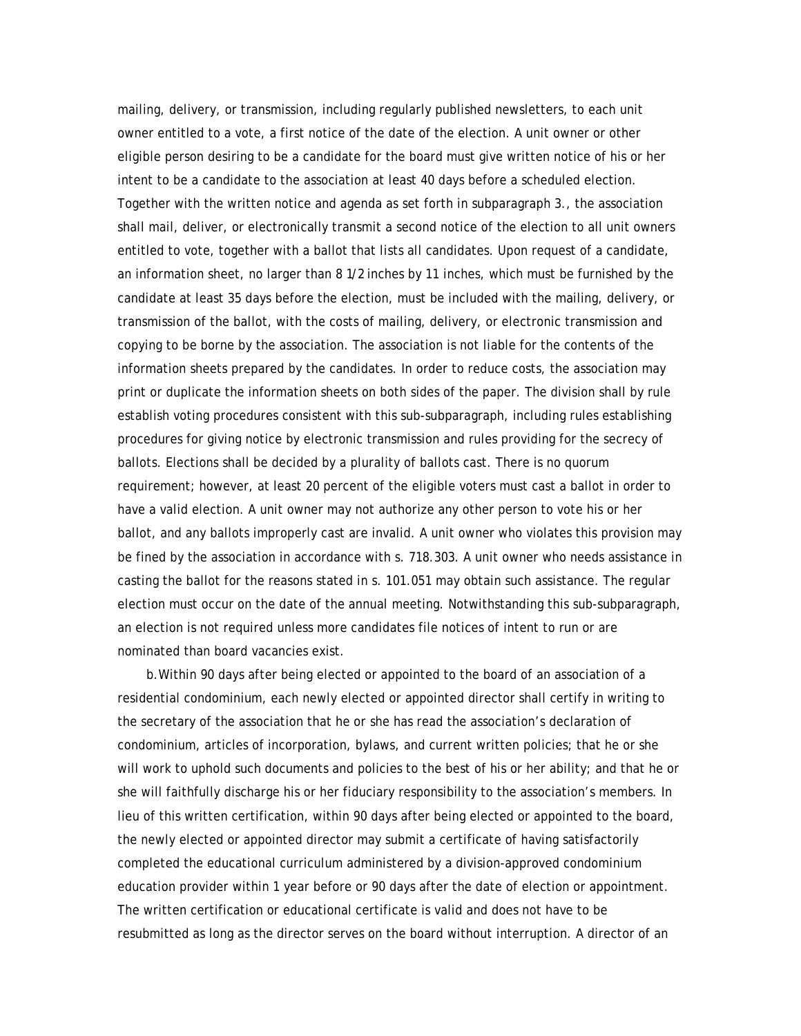mailing, delivery, or transmission, including regularly published newsletters, to each unit owner entitled to a vote, a first notice of the date of the election. A unit owner or other eligible person desiring to be a candidate for the board must give written notice of his or her intent to be a candidate to the association at least 40 days before a scheduled election. Together with the written notice and agenda as set forth in subparagraph 3., the association shall mail, deliver, or electronically transmit a second notice of the election to all unit owners entitled to vote, together with a ballot that lists all candidates. Upon request of a candidate, an information sheet, no larger than 8 1/2 inches by 11 inches, which must be furnished by the candidate at least 35 days before the election, must be included with the mailing, delivery, or transmission of the ballot, with the costs of mailing, delivery, or electronic transmission and copying to be borne by the association. The association is not liable for the contents of the information sheets prepared by the candidates. In order to reduce costs, the association may print or duplicate the information sheets on both sides of the paper. The division shall by rule establish voting procedures consistent with this sub-subparagraph, including rules establishing procedures for giving notice by electronic transmission and rules providing for the secrecy of ballots. Elections shall be decided by a plurality of ballots cast. There is no quorum requirement; however, at least 20 percent of the eligible voters must cast a ballot in order to have a valid election. A unit owner may not authorize any other person to vote his or her ballot, and any ballots improperly cast are invalid. A unit owner who violates this provision may be fined by the association in accordance with s. 718.303. A unit owner who needs assistance in casting the ballot for the reasons stated in s. 101.051 may obtain such assistance. The regular election must occur on the date of the annual meeting. Notwithstanding this sub-subparagraph, an election is not required unless more candidates file notices of intent to run or are nominated than board vacancies exist.

b.Within 90 days after being elected or appointed to the board of an association of a residential condominium, each newly elected or appointed director shall certify in writing to the secretary of the association that he or she has read the association's declaration of condominium, articles of incorporation, bylaws, and current written policies; that he or she will work to uphold such documents and policies to the best of his or her ability; and that he or she will faithfully discharge his or her fiduciary responsibility to the association's members. In lieu of this written certification, within 90 days after being elected or appointed to the board, the newly elected or appointed director may submit a certificate of having satisfactorily completed the educational curriculum administered by a division-approved condominium education provider within 1 year before or 90 days after the date of election or appointment. The written certification or educational certificate is valid and does not have to be resubmitted as long as the director serves on the board without interruption. A director of an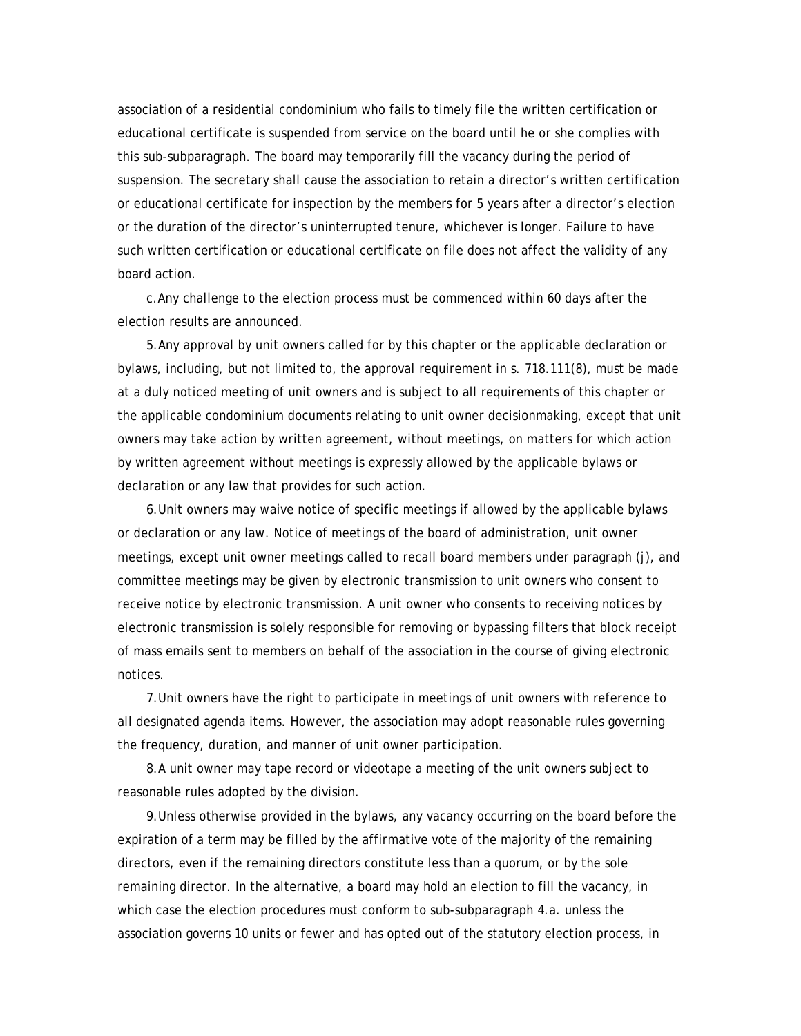association of a residential condominium who fails to timely file the written certification or educational certificate is suspended from service on the board until he or she complies with this sub-subparagraph. The board may temporarily fill the vacancy during the period of suspension. The secretary shall cause the association to retain a director's written certification or educational certificate for inspection by the members for 5 years after a director's election or the duration of the director's uninterrupted tenure, whichever is longer. Failure to have such written certification or educational certificate on file does not affect the validity of any board action.

c.Any challenge to the election process must be commenced within 60 days after the election results are announced.

5.Any approval by unit owners called for by this chapter or the applicable declaration or bylaws, including, but not limited to, the approval requirement in s. 718.111(8), must be made at a duly noticed meeting of unit owners and is subject to all requirements of this chapter or the applicable condominium documents relating to unit owner decisionmaking, except that unit owners may take action by written agreement, without meetings, on matters for which action by written agreement without meetings is expressly allowed by the applicable bylaws or declaration or any law that provides for such action.

6.Unit owners may waive notice of specific meetings if allowed by the applicable bylaws or declaration or any law. Notice of meetings of the board of administration, unit owner meetings, except unit owner meetings called to recall board members under paragraph (j), and committee meetings may be given by electronic transmission to unit owners who consent to receive notice by electronic transmission. A unit owner who consents to receiving notices by electronic transmission is solely responsible for removing or bypassing filters that block receipt of mass emails sent to members on behalf of the association in the course of giving electronic notices.

7.Unit owners have the right to participate in meetings of unit owners with reference to all designated agenda items. However, the association may adopt reasonable rules governing the frequency, duration, and manner of unit owner participation.

8.A unit owner may tape record or videotape a meeting of the unit owners subject to reasonable rules adopted by the division.

9.Unless otherwise provided in the bylaws, any vacancy occurring on the board before the expiration of a term may be filled by the affirmative vote of the majority of the remaining directors, even if the remaining directors constitute less than a quorum, or by the sole remaining director. In the alternative, a board may hold an election to fill the vacancy, in which case the election procedures must conform to sub-subparagraph 4.a. unless the association governs 10 units or fewer and has opted out of the statutory election process, in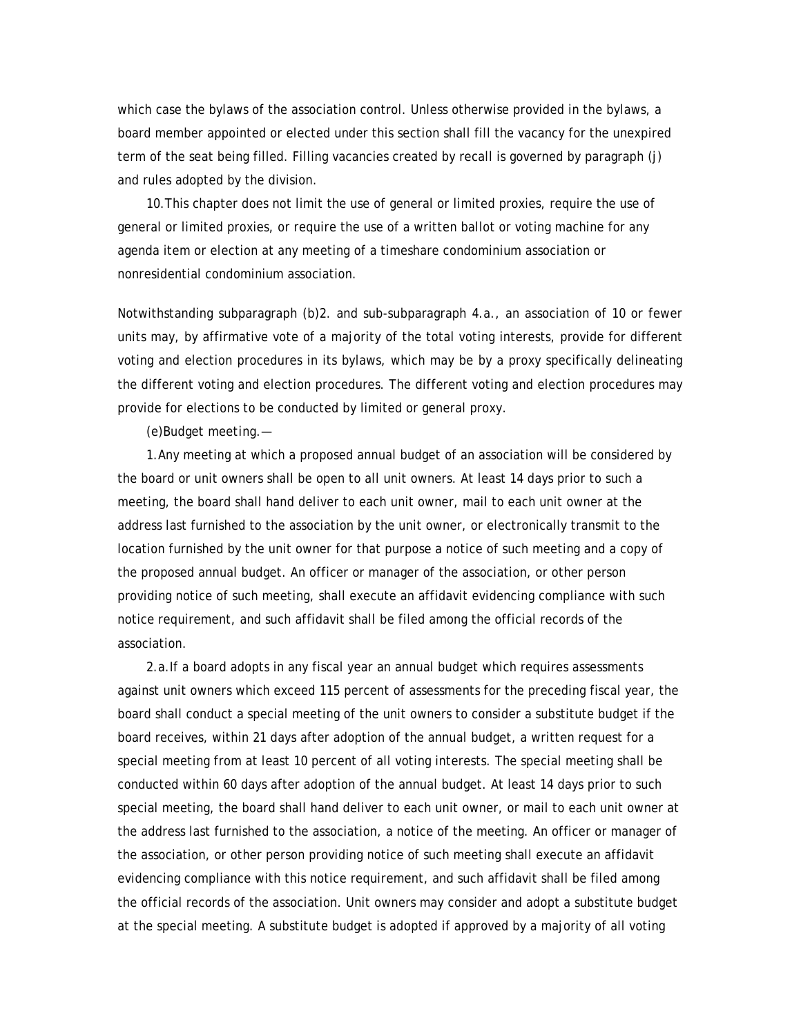which case the bylaws of the association control. Unless otherwise provided in the bylaws, a board member appointed or elected under this section shall fill the vacancy for the unexpired term of the seat being filled. Filling vacancies created by recall is governed by paragraph (j) and rules adopted by the division.

10.This chapter does not limit the use of general or limited proxies, require the use of general or limited proxies, or require the use of a written ballot or voting machine for any agenda item or election at any meeting of a timeshare condominium association or nonresidential condominium association.

Notwithstanding subparagraph (b)2. and sub-subparagraph 4.a., an association of 10 or fewer units may, by affirmative vote of a majority of the total voting interests, provide for different voting and election procedures in its bylaws, which may be by a proxy specifically delineating the different voting and election procedures. The different voting and election procedures may provide for elections to be conducted by limited or general proxy.

### (e)*Budget meeting.*—

1.Any meeting at which a proposed annual budget of an association will be considered by the board or unit owners shall be open to all unit owners. At least 14 days prior to such a meeting, the board shall hand deliver to each unit owner, mail to each unit owner at the address last furnished to the association by the unit owner, or electronically transmit to the location furnished by the unit owner for that purpose a notice of such meeting and a copy of the proposed annual budget. An officer or manager of the association, or other person providing notice of such meeting, shall execute an affidavit evidencing compliance with such notice requirement, and such affidavit shall be filed among the official records of the association.

2.a.If a board adopts in any fiscal year an annual budget which requires assessments against unit owners which exceed 115 percent of assessments for the preceding fiscal year, the board shall conduct a special meeting of the unit owners to consider a substitute budget if the board receives, within 21 days after adoption of the annual budget, a written request for a special meeting from at least 10 percent of all voting interests. The special meeting shall be conducted within 60 days after adoption of the annual budget. At least 14 days prior to such special meeting, the board shall hand deliver to each unit owner, or mail to each unit owner at the address last furnished to the association, a notice of the meeting. An officer or manager of the association, or other person providing notice of such meeting shall execute an affidavit evidencing compliance with this notice requirement, and such affidavit shall be filed among the official records of the association. Unit owners may consider and adopt a substitute budget at the special meeting. A substitute budget is adopted if approved by a majority of all voting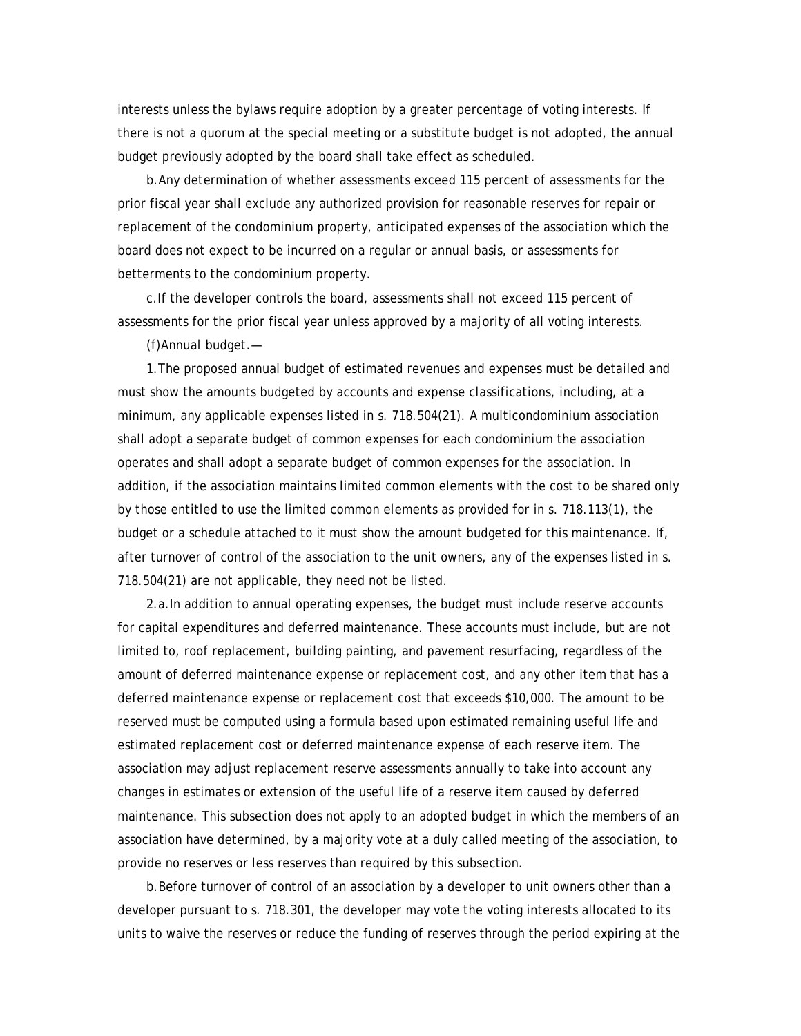interests unless the bylaws require adoption by a greater percentage of voting interests. If there is not a quorum at the special meeting or a substitute budget is not adopted, the annual budget previously adopted by the board shall take effect as scheduled.

b.Any determination of whether assessments exceed 115 percent of assessments for the prior fiscal year shall exclude any authorized provision for reasonable reserves for repair or replacement of the condominium property, anticipated expenses of the association which the board does not expect to be incurred on a regular or annual basis, or assessments for betterments to the condominium property.

c.If the developer controls the board, assessments shall not exceed 115 percent of assessments for the prior fiscal year unless approved by a majority of all voting interests.

## (f)*Annual budget.*—

1.The proposed annual budget of estimated revenues and expenses must be detailed and must show the amounts budgeted by accounts and expense classifications, including, at a minimum, any applicable expenses listed in s. 718.504(21). A multicondominium association shall adopt a separate budget of common expenses for each condominium the association operates and shall adopt a separate budget of common expenses for the association. In addition, if the association maintains limited common elements with the cost to be shared only by those entitled to use the limited common elements as provided for in s. 718.113(1), the budget or a schedule attached to it must show the amount budgeted for this maintenance. If, after turnover of control of the association to the unit owners, any of the expenses listed in s. 718.504(21) are not applicable, they need not be listed.

2.a.In addition to annual operating expenses, the budget must include reserve accounts for capital expenditures and deferred maintenance. These accounts must include, but are not limited to, roof replacement, building painting, and pavement resurfacing, regardless of the amount of deferred maintenance expense or replacement cost, and any other item that has a deferred maintenance expense or replacement cost that exceeds \$10,000. The amount to be reserved must be computed using a formula based upon estimated remaining useful life and estimated replacement cost or deferred maintenance expense of each reserve item. The association may adjust replacement reserve assessments annually to take into account any changes in estimates or extension of the useful life of a reserve item caused by deferred maintenance. This subsection does not apply to an adopted budget in which the members of an association have determined, by a majority vote at a duly called meeting of the association, to provide no reserves or less reserves than required by this subsection.

b.Before turnover of control of an association by a developer to unit owners other than a developer pursuant to s. 718.301, the developer may vote the voting interests allocated to its units to waive the reserves or reduce the funding of reserves through the period expiring at the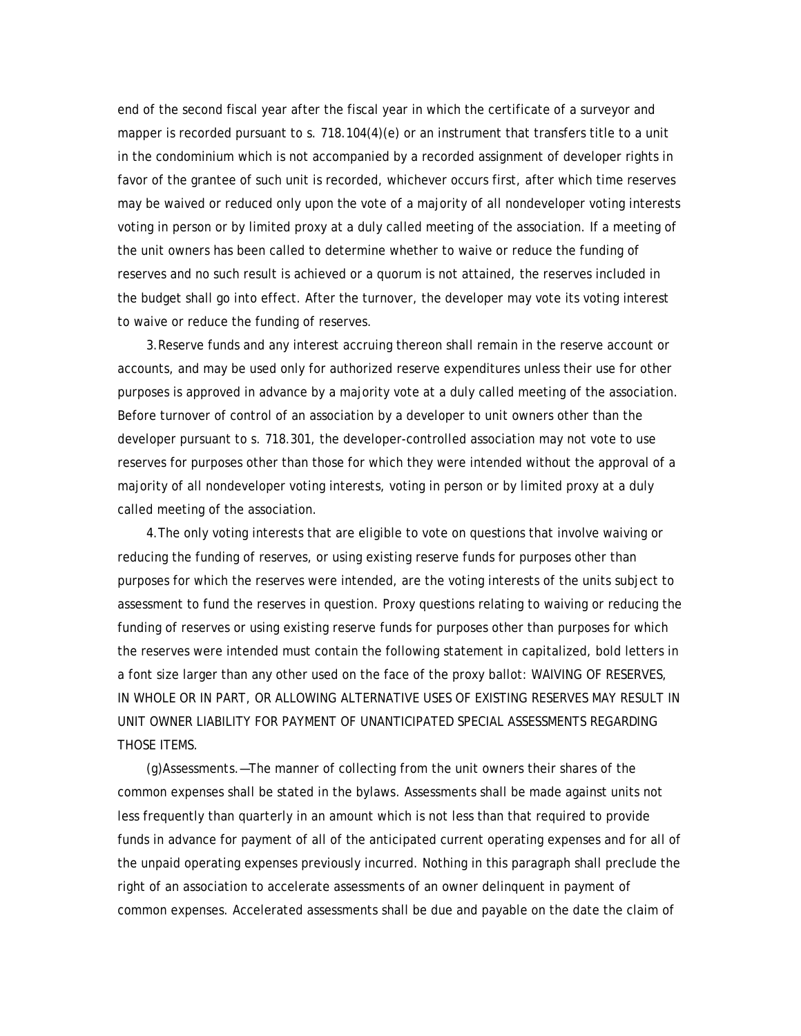end of the second fiscal year after the fiscal year in which the certificate of a surveyor and mapper is recorded pursuant to s. 718.104(4)(e) or an instrument that transfers title to a unit in the condominium which is not accompanied by a recorded assignment of developer rights in favor of the grantee of such unit is recorded, whichever occurs first, after which time reserves may be waived or reduced only upon the vote of a majority of all nondeveloper voting interests voting in person or by limited proxy at a duly called meeting of the association. If a meeting of the unit owners has been called to determine whether to waive or reduce the funding of reserves and no such result is achieved or a quorum is not attained, the reserves included in the budget shall go into effect. After the turnover, the developer may vote its voting interest to waive or reduce the funding of reserves.

3.Reserve funds and any interest accruing thereon shall remain in the reserve account or accounts, and may be used only for authorized reserve expenditures unless their use for other purposes is approved in advance by a majority vote at a duly called meeting of the association. Before turnover of control of an association by a developer to unit owners other than the developer pursuant to s. 718.301, the developer-controlled association may not vote to use reserves for purposes other than those for which they were intended without the approval of a majority of all nondeveloper voting interests, voting in person or by limited proxy at a duly called meeting of the association.

4.The only voting interests that are eligible to vote on questions that involve waiving or reducing the funding of reserves, or using existing reserve funds for purposes other than purposes for which the reserves were intended, are the voting interests of the units subject to assessment to fund the reserves in question. Proxy questions relating to waiving or reducing the funding of reserves or using existing reserve funds for purposes other than purposes for which the reserves were intended must contain the following statement in capitalized, bold letters in a font size larger than any other used on the face of the proxy ballot: WAIVING OF RESERVES, IN WHOLE OR IN PART, OR ALLOWING ALTERNATIVE USES OF EXISTING RESERVES MAY RESULT IN UNIT OWNER LIABILITY FOR PAYMENT OF UNANTICIPATED SPECIAL ASSESSMENTS REGARDING THOSE ITEMS.

(g)*Assessments.*—The manner of collecting from the unit owners their shares of the common expenses shall be stated in the bylaws. Assessments shall be made against units not less frequently than quarterly in an amount which is not less than that required to provide funds in advance for payment of all of the anticipated current operating expenses and for all of the unpaid operating expenses previously incurred. Nothing in this paragraph shall preclude the right of an association to accelerate assessments of an owner delinquent in payment of common expenses. Accelerated assessments shall be due and payable on the date the claim of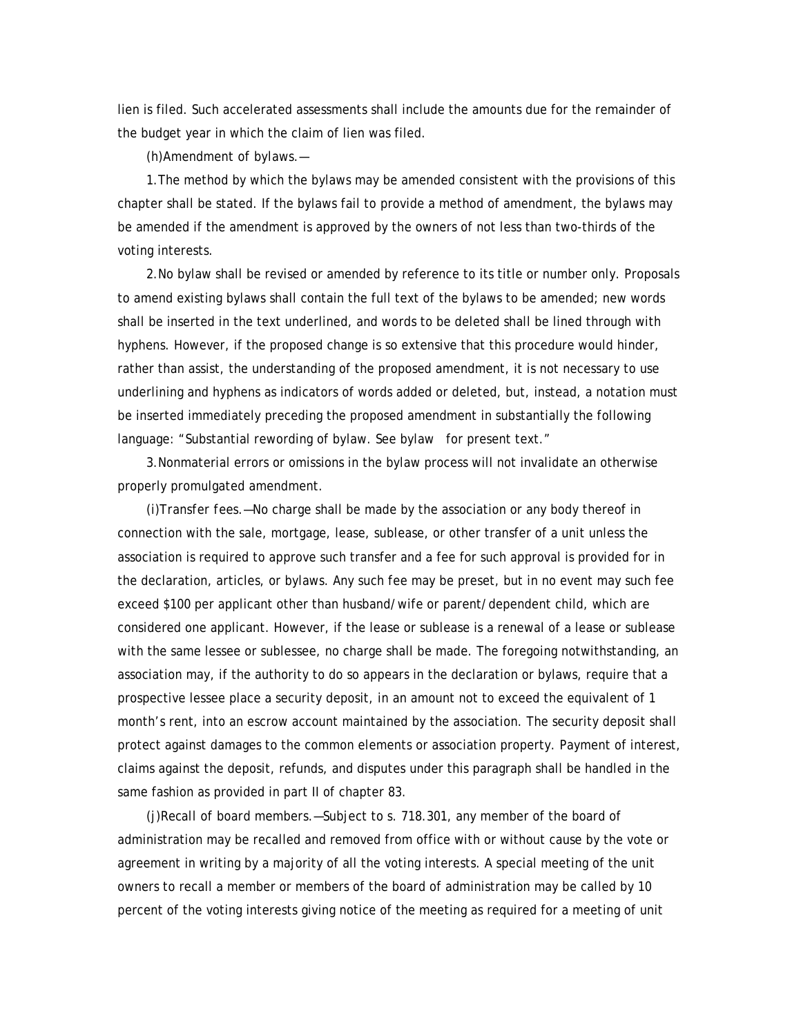lien is filed. Such accelerated assessments shall include the amounts due for the remainder of the budget year in which the claim of lien was filed.

### (h)*Amendment of bylaws.*—

1.The method by which the bylaws may be amended consistent with the provisions of this chapter shall be stated. If the bylaws fail to provide a method of amendment, the bylaws may be amended if the amendment is approved by the owners of not less than two-thirds of the voting interests.

2.No bylaw shall be revised or amended by reference to its title or number only. Proposals to amend existing bylaws shall contain the full text of the bylaws to be amended; new words shall be inserted in the text underlined, and words to be deleted shall be lined through with hyphens. However, if the proposed change is so extensive that this procedure would hinder, rather than assist, the understanding of the proposed amendment, it is not necessary to use underlining and hyphens as indicators of words added or deleted, but, instead, a notation must be inserted immediately preceding the proposed amendment in substantially the following language: "Substantial rewording of bylaw. See bylaw for present text."

3.Nonmaterial errors or omissions in the bylaw process will not invalidate an otherwise properly promulgated amendment.

(i)*Transfer fees.*—No charge shall be made by the association or any body thereof in connection with the sale, mortgage, lease, sublease, or other transfer of a unit unless the association is required to approve such transfer and a fee for such approval is provided for in the declaration, articles, or bylaws. Any such fee may be preset, but in no event may such fee exceed \$100 per applicant other than husband/wife or parent/dependent child, which are considered one applicant. However, if the lease or sublease is a renewal of a lease or sublease with the same lessee or sublessee, no charge shall be made. The foregoing notwithstanding, an association may, if the authority to do so appears in the declaration or bylaws, require that a prospective lessee place a security deposit, in an amount not to exceed the equivalent of 1 month's rent, into an escrow account maintained by the association. The security deposit shall protect against damages to the common elements or association property. Payment of interest, claims against the deposit, refunds, and disputes under this paragraph shall be handled in the same fashion as provided in part II of chapter 83.

(j)*Recall of board members.*—Subject to s. 718.301, any member of the board of administration may be recalled and removed from office with or without cause by the vote or agreement in writing by a majority of all the voting interests. A special meeting of the unit owners to recall a member or members of the board of administration may be called by 10 percent of the voting interests giving notice of the meeting as required for a meeting of unit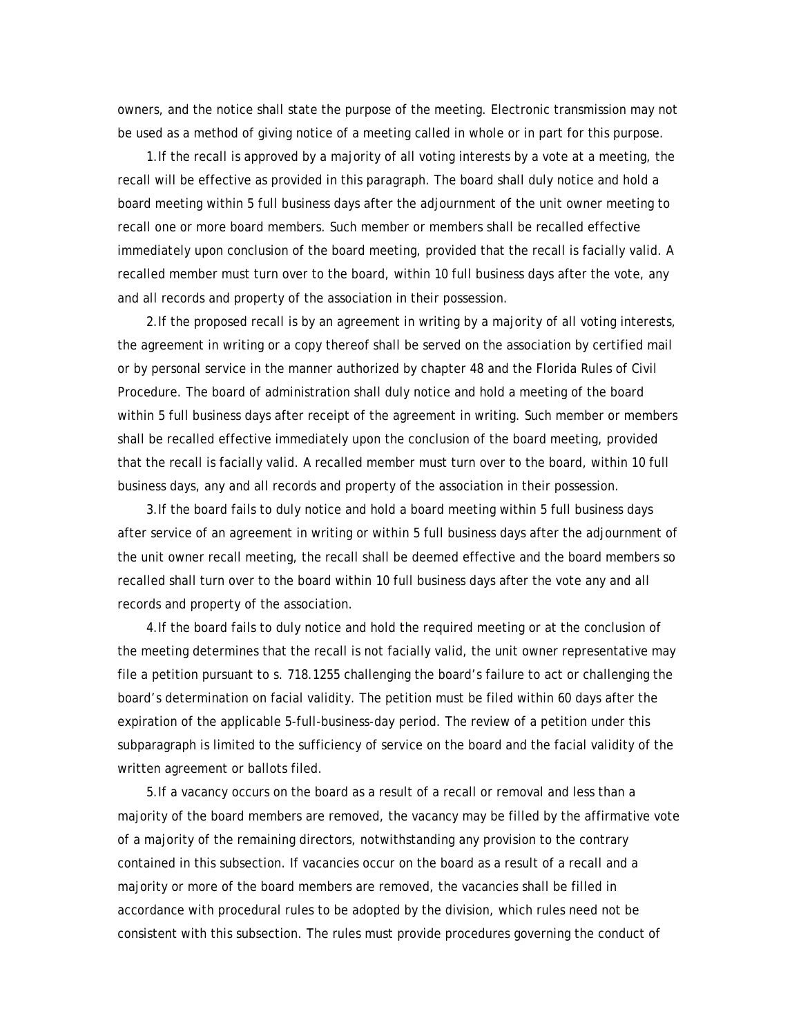owners, and the notice shall state the purpose of the meeting. Electronic transmission may not be used as a method of giving notice of a meeting called in whole or in part for this purpose.

1.If the recall is approved by a majority of all voting interests by a vote at a meeting, the recall will be effective as provided in this paragraph. The board shall duly notice and hold a board meeting within 5 full business days after the adjournment of the unit owner meeting to recall one or more board members. Such member or members shall be recalled effective immediately upon conclusion of the board meeting, provided that the recall is facially valid. A recalled member must turn over to the board, within 10 full business days after the vote, any and all records and property of the association in their possession.

2.If the proposed recall is by an agreement in writing by a majority of all voting interests, the agreement in writing or a copy thereof shall be served on the association by certified mail or by personal service in the manner authorized by chapter 48 and the Florida Rules of Civil Procedure. The board of administration shall duly notice and hold a meeting of the board within 5 full business days after receipt of the agreement in writing. Such member or members shall be recalled effective immediately upon the conclusion of the board meeting, provided that the recall is facially valid. A recalled member must turn over to the board, within 10 full business days, any and all records and property of the association in their possession.

3.If the board fails to duly notice and hold a board meeting within 5 full business days after service of an agreement in writing or within 5 full business days after the adjournment of the unit owner recall meeting, the recall shall be deemed effective and the board members so recalled shall turn over to the board within 10 full business days after the vote any and all records and property of the association.

4.If the board fails to duly notice and hold the required meeting or at the conclusion of the meeting determines that the recall is not facially valid, the unit owner representative may file a petition pursuant to s. 718.1255 challenging the board's failure to act or challenging the board's determination on facial validity. The petition must be filed within 60 days after the expiration of the applicable 5-full-business-day period. The review of a petition under this subparagraph is limited to the sufficiency of service on the board and the facial validity of the written agreement or ballots filed.

5.If a vacancy occurs on the board as a result of a recall or removal and less than a majority of the board members are removed, the vacancy may be filled by the affirmative vote of a majority of the remaining directors, notwithstanding any provision to the contrary contained in this subsection. If vacancies occur on the board as a result of a recall and a majority or more of the board members are removed, the vacancies shall be filled in accordance with procedural rules to be adopted by the division, which rules need not be consistent with this subsection. The rules must provide procedures governing the conduct of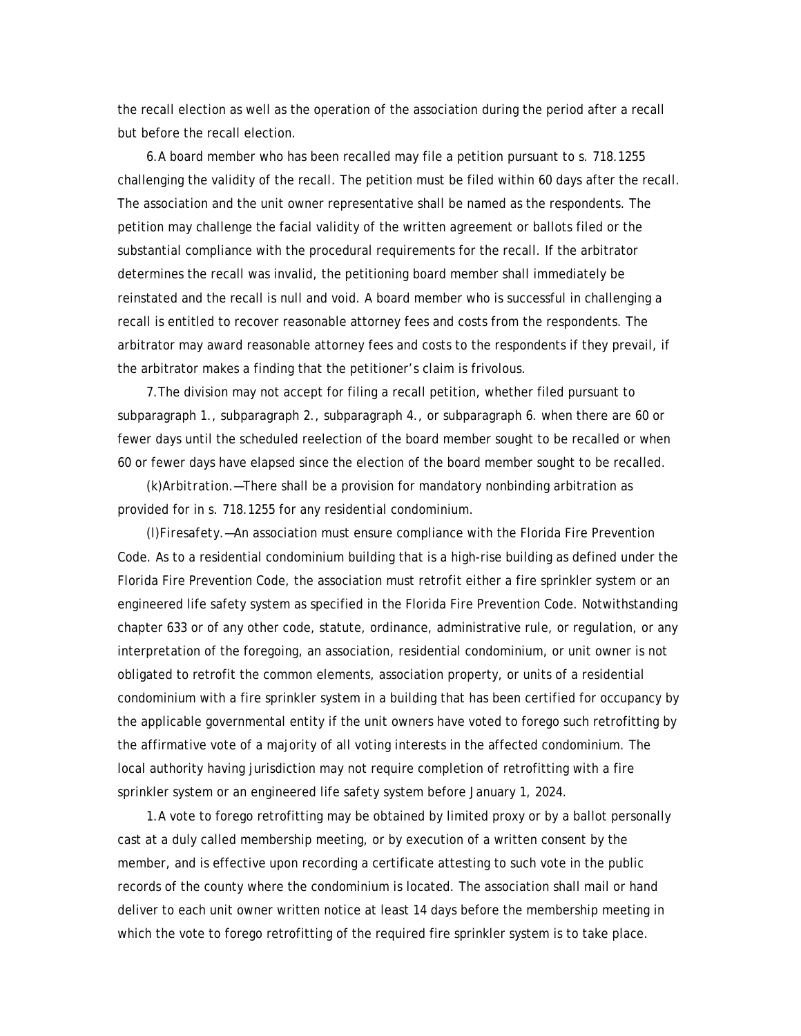the recall election as well as the operation of the association during the period after a recall but before the recall election.

6.A board member who has been recalled may file a petition pursuant to s. 718.1255 challenging the validity of the recall. The petition must be filed within 60 days after the recall. The association and the unit owner representative shall be named as the respondents. The petition may challenge the facial validity of the written agreement or ballots filed or the substantial compliance with the procedural requirements for the recall. If the arbitrator determines the recall was invalid, the petitioning board member shall immediately be reinstated and the recall is null and void. A board member who is successful in challenging a recall is entitled to recover reasonable attorney fees and costs from the respondents. The arbitrator may award reasonable attorney fees and costs to the respondents if they prevail, if the arbitrator makes a finding that the petitioner's claim is frivolous.

7.The division may not accept for filing a recall petition, whether filed pursuant to subparagraph 1., subparagraph 2., subparagraph 4., or subparagraph 6. when there are 60 or fewer days until the scheduled reelection of the board member sought to be recalled or when 60 or fewer days have elapsed since the election of the board member sought to be recalled.

(k)*Arbitration.*—There shall be a provision for mandatory nonbinding arbitration as provided for in s. 718.1255 for any residential condominium.

(l)*Firesafety.*—An association must ensure compliance with the Florida Fire Prevention Code. As to a residential condominium building that is a high-rise building as defined under the Florida Fire Prevention Code, the association must retrofit either a fire sprinkler system or an engineered life safety system as specified in the Florida Fire Prevention Code. Notwithstanding chapter 633 or of any other code, statute, ordinance, administrative rule, or regulation, or any interpretation of the foregoing, an association, residential condominium, or unit owner is not obligated to retrofit the common elements, association property, or units of a residential condominium with a fire sprinkler system in a building that has been certified for occupancy by the applicable governmental entity if the unit owners have voted to forego such retrofitting by the affirmative vote of a majority of all voting interests in the affected condominium. The local authority having jurisdiction may not require completion of retrofitting with a fire sprinkler system or an engineered life safety system before January 1, 2024.

1.A vote to forego retrofitting may be obtained by limited proxy or by a ballot personally cast at a duly called membership meeting, or by execution of a written consent by the member, and is effective upon recording a certificate attesting to such vote in the public records of the county where the condominium is located. The association shall mail or hand deliver to each unit owner written notice at least 14 days before the membership meeting in which the vote to forego retrofitting of the required fire sprinkler system is to take place.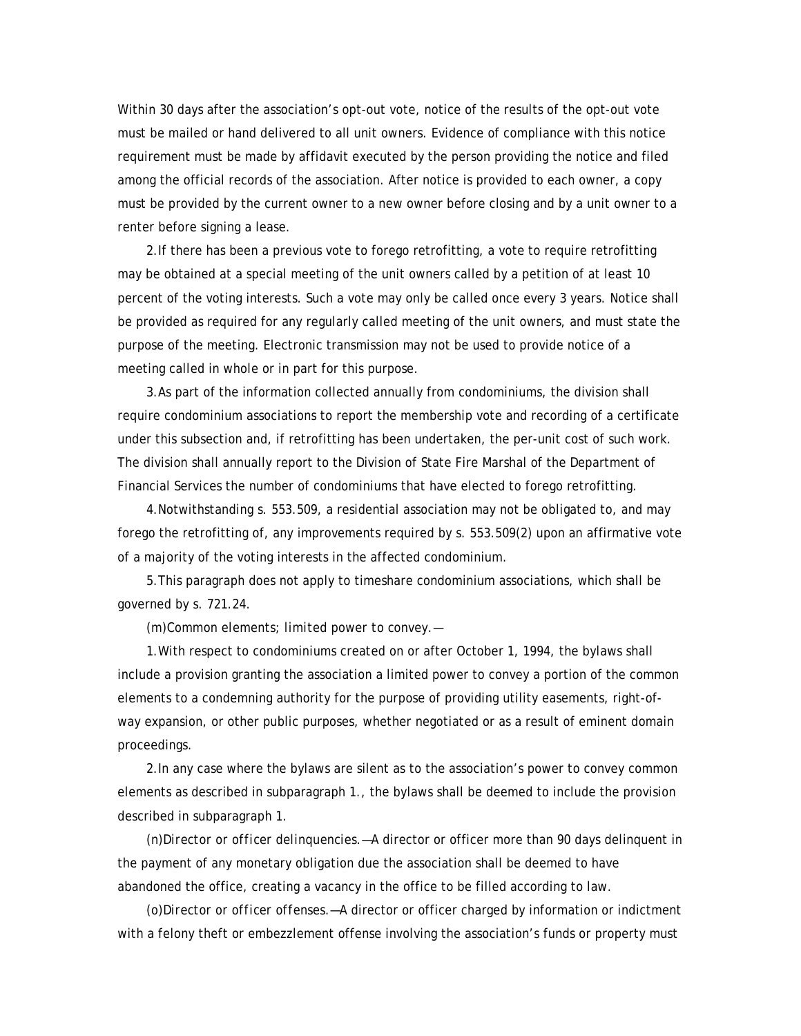Within 30 days after the association's opt-out vote, notice of the results of the opt-out vote must be mailed or hand delivered to all unit owners. Evidence of compliance with this notice requirement must be made by affidavit executed by the person providing the notice and filed among the official records of the association. After notice is provided to each owner, a copy must be provided by the current owner to a new owner before closing and by a unit owner to a renter before signing a lease.

2.If there has been a previous vote to forego retrofitting, a vote to require retrofitting may be obtained at a special meeting of the unit owners called by a petition of at least 10 percent of the voting interests. Such a vote may only be called once every 3 years. Notice shall be provided as required for any regularly called meeting of the unit owners, and must state the purpose of the meeting. Electronic transmission may not be used to provide notice of a meeting called in whole or in part for this purpose.

3.As part of the information collected annually from condominiums, the division shall require condominium associations to report the membership vote and recording of a certificate under this subsection and, if retrofitting has been undertaken, the per-unit cost of such work. The division shall annually report to the Division of State Fire Marshal of the Department of Financial Services the number of condominiums that have elected to forego retrofitting.

4.Notwithstanding s. 553.509, a residential association may not be obligated to, and may forego the retrofitting of, any improvements required by s. 553.509(2) upon an affirmative vote of a majority of the voting interests in the affected condominium.

5.This paragraph does not apply to timeshare condominium associations, which shall be governed by s. 721.24.

(m)*Common elements; limited power to convey.*—

1.With respect to condominiums created on or after October 1, 1994, the bylaws shall include a provision granting the association a limited power to convey a portion of the common elements to a condemning authority for the purpose of providing utility easements, right-ofway expansion, or other public purposes, whether negotiated or as a result of eminent domain proceedings.

2.In any case where the bylaws are silent as to the association's power to convey common elements as described in subparagraph 1., the bylaws shall be deemed to include the provision described in subparagraph 1.

(n)*Director or officer delinquencies.*—A director or officer more than 90 days delinquent in the payment of any monetary obligation due the association shall be deemed to have abandoned the office, creating a vacancy in the office to be filled according to law.

(o)*Director or officer offenses.*—A director or officer charged by information or indictment with a felony theft or embezzlement offense involving the association's funds or property must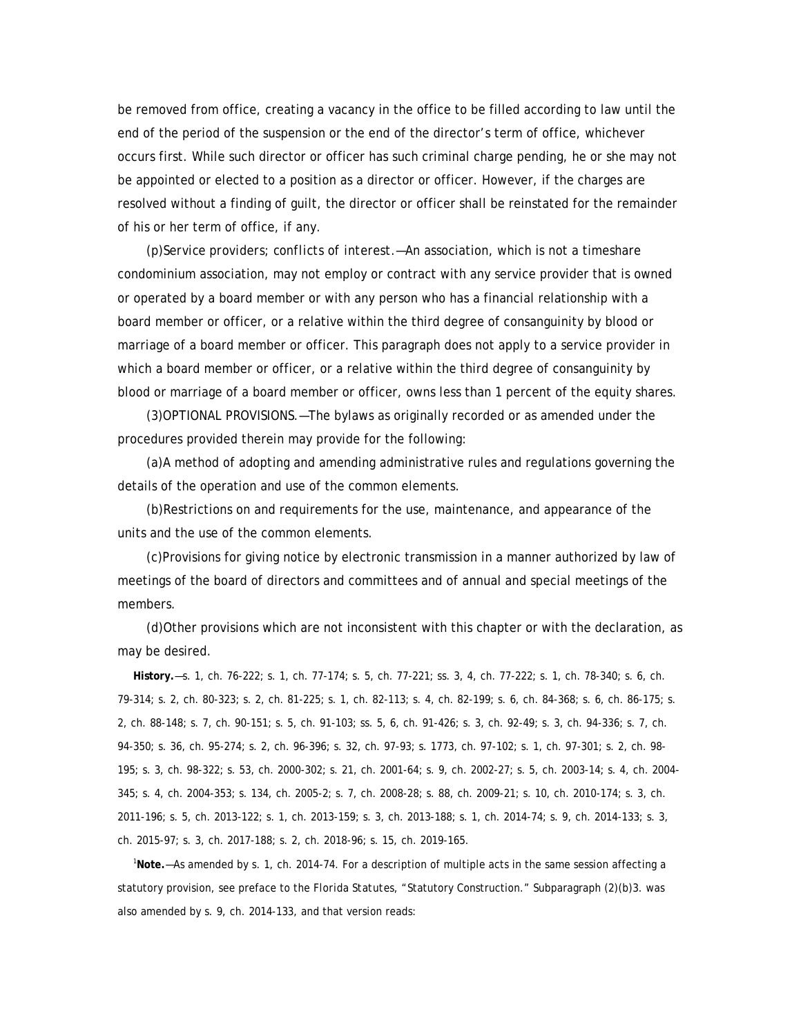be removed from office, creating a vacancy in the office to be filled according to law until the end of the period of the suspension or the end of the director's term of office, whichever occurs first. While such director or officer has such criminal charge pending, he or she may not be appointed or elected to a position as a director or officer. However, if the charges are resolved without a finding of guilt, the director or officer shall be reinstated for the remainder of his or her term of office, if any.

(p)*Service providers; conflicts of interest.*—An association, which is not a timeshare condominium association, may not employ or contract with any service provider that is owned or operated by a board member or with any person who has a financial relationship with a board member or officer, or a relative within the third degree of consanguinity by blood or marriage of a board member or officer. This paragraph does not apply to a service provider in which a board member or officer, or a relative within the third degree of consanguinity by blood or marriage of a board member or officer, owns less than 1 percent of the equity shares.

(3)OPTIONAL PROVISIONS.—The bylaws as originally recorded or as amended under the procedures provided therein may provide for the following:

(a)A method of adopting and amending administrative rules and regulations governing the details of the operation and use of the common elements.

(b)Restrictions on and requirements for the use, maintenance, and appearance of the units and the use of the common elements.

(c)Provisions for giving notice by electronic transmission in a manner authorized by law of meetings of the board of directors and committees and of annual and special meetings of the members.

(d)Other provisions which are not inconsistent with this chapter or with the declaration, as may be desired.

**History.**—s. 1, ch. 76-222; s. 1, ch. 77-174; s. 5, ch. 77-221; ss. 3, 4, ch. 77-222; s. 1, ch. 78-340; s. 6, ch. 79-314; s. 2, ch. 80-323; s. 2, ch. 81-225; s. 1, ch. 82-113; s. 4, ch. 82-199; s. 6, ch. 84-368; s. 6, ch. 86-175; s. 2, ch. 88-148; s. 7, ch. 90-151; s. 5, ch. 91-103; ss. 5, 6, ch. 91-426; s. 3, ch. 92-49; s. 3, ch. 94-336; s. 7, ch. 94-350; s. 36, ch. 95-274; s. 2, ch. 96-396; s. 32, ch. 97-93; s. 1773, ch. 97-102; s. 1, ch. 97-301; s. 2, ch. 98- 195; s. 3, ch. 98-322; s. 53, ch. 2000-302; s. 21, ch. 2001-64; s. 9, ch. 2002-27; s. 5, ch. 2003-14; s. 4, ch. 2004- 345; s. 4, ch. 2004-353; s. 134, ch. 2005-2; s. 7, ch. 2008-28; s. 88, ch. 2009-21; s. 10, ch. 2010-174; s. 3, ch. 2011-196; s. 5, ch. 2013-122; s. 1, ch. 2013-159; s. 3, ch. 2013-188; s. 1, ch. 2014-74; s. 9, ch. 2014-133; s. 3, ch. 2015-97; s. 3, ch. 2017-188; s. 2, ch. 2018-96; s. 15, ch. 2019-165.

1 **Note.**—As amended by s. 1, ch. 2014-74. For a description of multiple acts in the same session affecting a statutory provision, *see* preface to the *Florida Statutes*, "Statutory Construction." Subparagraph (2)(b)3. was also amended by s. 9, ch. 2014-133, and that version reads: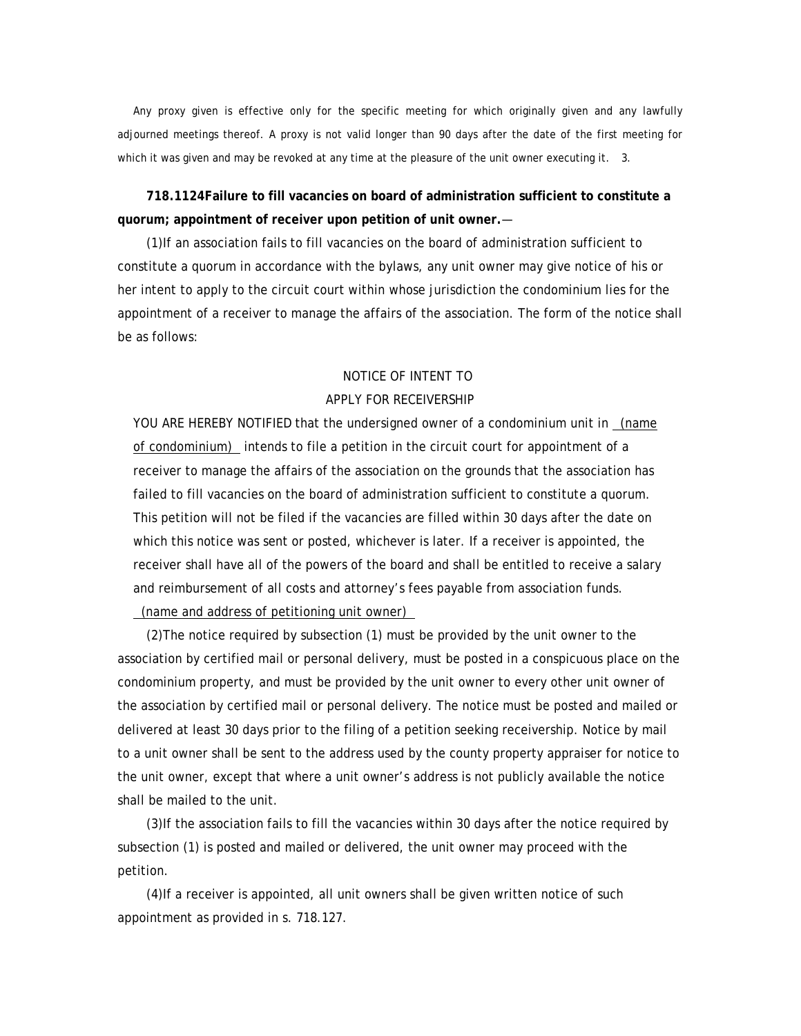Any proxy given is effective only for the specific meeting for which originally given and any lawfully adjourned meetings thereof. A proxy is not valid longer than 90 days after the date of the first meeting for which it was given and may be revoked at any time at the pleasure of the unit owner executing it. 3.

**718.1124Failure to fill vacancies on board of administration sufficient to constitute a quorum; appointment of receiver upon petition of unit owner.**—

(1)If an association fails to fill vacancies on the board of administration sufficient to constitute a quorum in accordance with the bylaws, any unit owner may give notice of his or her intent to apply to the circuit court within whose jurisdiction the condominium lies for the appointment of a receiver to manage the affairs of the association. The form of the notice shall be as follows:

# NOTICE OF INTENT TO APPLY FOR RECEIVERSHIP

YOU ARE HEREBY NOTIFIED that the undersigned owner of a condominium unit in (name of condominium) intends to file a petition in the circuit court for appointment of a receiver to manage the affairs of the association on the grounds that the association has failed to fill vacancies on the board of administration sufficient to constitute a quorum. This petition will not be filed if the vacancies are filled within 30 days after the date on which this notice was sent or posted, whichever is later. If a receiver is appointed, the receiver shall have all of the powers of the board and shall be entitled to receive a salary and reimbursement of all costs and attorney's fees payable from association funds.

(name and address of petitioning unit owner)

(2)The notice required by subsection (1) must be provided by the unit owner to the association by certified mail or personal delivery, must be posted in a conspicuous place on the condominium property, and must be provided by the unit owner to every other unit owner of the association by certified mail or personal delivery. The notice must be posted and mailed or delivered at least 30 days prior to the filing of a petition seeking receivership. Notice by mail to a unit owner shall be sent to the address used by the county property appraiser for notice to the unit owner, except that where a unit owner's address is not publicly available the notice shall be mailed to the unit.

(3)If the association fails to fill the vacancies within 30 days after the notice required by subsection (1) is posted and mailed or delivered, the unit owner may proceed with the petition.

(4)If a receiver is appointed, all unit owners shall be given written notice of such appointment as provided in s. 718.127.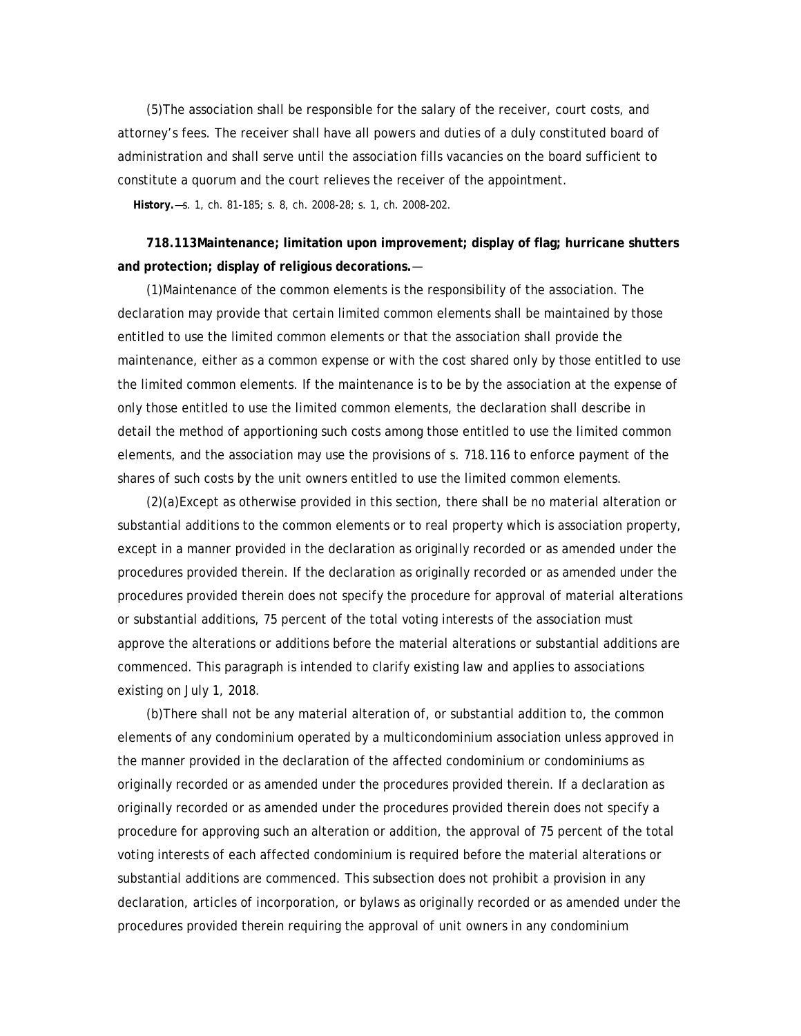(5)The association shall be responsible for the salary of the receiver, court costs, and attorney's fees. The receiver shall have all powers and duties of a duly constituted board of administration and shall serve until the association fills vacancies on the board sufficient to constitute a quorum and the court relieves the receiver of the appointment.

**History.**—s. 1, ch. 81-185; s. 8, ch. 2008-28; s. 1, ch. 2008-202.

**718.113Maintenance; limitation upon improvement; display of flag; hurricane shutters and protection; display of religious decorations.**—

(1)Maintenance of the common elements is the responsibility of the association. The declaration may provide that certain limited common elements shall be maintained by those entitled to use the limited common elements or that the association shall provide the maintenance, either as a common expense or with the cost shared only by those entitled to use the limited common elements. If the maintenance is to be by the association at the expense of only those entitled to use the limited common elements, the declaration shall describe in detail the method of apportioning such costs among those entitled to use the limited common elements, and the association may use the provisions of s. 718.116 to enforce payment of the shares of such costs by the unit owners entitled to use the limited common elements.

(2)(a)Except as otherwise provided in this section, there shall be no material alteration or substantial additions to the common elements or to real property which is association property, except in a manner provided in the declaration as originally recorded or as amended under the procedures provided therein. If the declaration as originally recorded or as amended under the procedures provided therein does not specify the procedure for approval of material alterations or substantial additions, 75 percent of the total voting interests of the association must approve the alterations or additions before the material alterations or substantial additions are commenced. This paragraph is intended to clarify existing law and applies to associations existing on July 1, 2018.

(b)There shall not be any material alteration of, or substantial addition to, the common elements of any condominium operated by a multicondominium association unless approved in the manner provided in the declaration of the affected condominium or condominiums as originally recorded or as amended under the procedures provided therein. If a declaration as originally recorded or as amended under the procedures provided therein does not specify a procedure for approving such an alteration or addition, the approval of 75 percent of the total voting interests of each affected condominium is required before the material alterations or substantial additions are commenced. This subsection does not prohibit a provision in any declaration, articles of incorporation, or bylaws as originally recorded or as amended under the procedures provided therein requiring the approval of unit owners in any condominium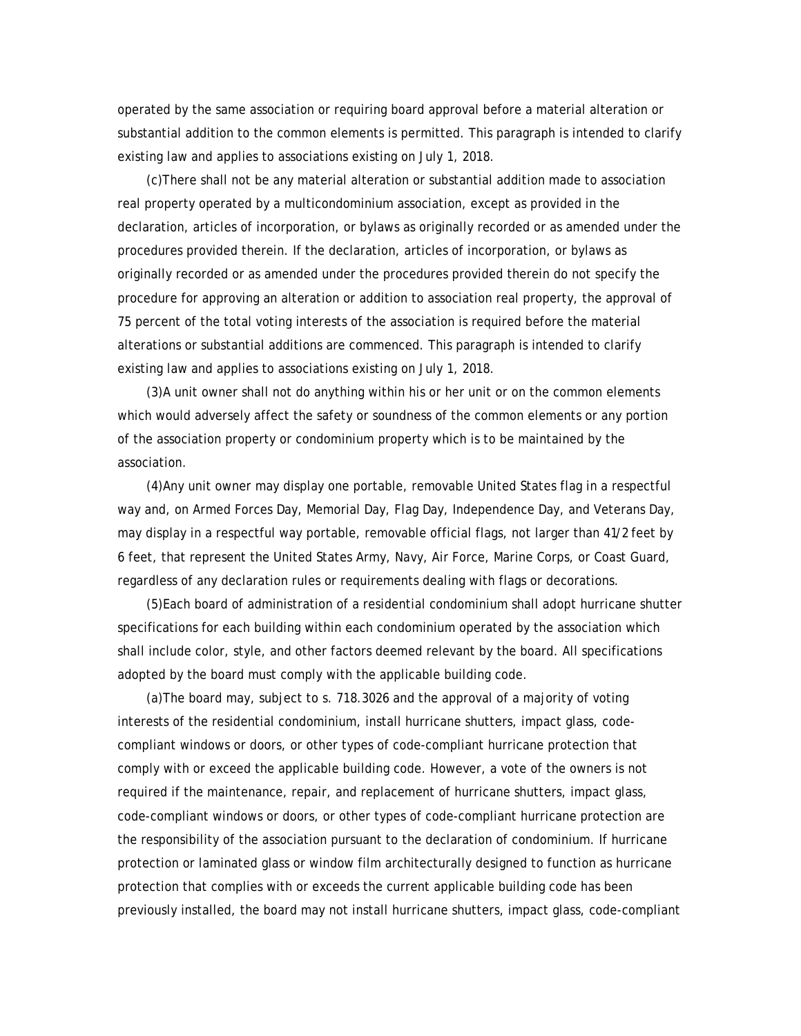operated by the same association or requiring board approval before a material alteration or substantial addition to the common elements is permitted. This paragraph is intended to clarify existing law and applies to associations existing on July 1, 2018.

(c)There shall not be any material alteration or substantial addition made to association real property operated by a multicondominium association, except as provided in the declaration, articles of incorporation, or bylaws as originally recorded or as amended under the procedures provided therein. If the declaration, articles of incorporation, or bylaws as originally recorded or as amended under the procedures provided therein do not specify the procedure for approving an alteration or addition to association real property, the approval of 75 percent of the total voting interests of the association is required before the material alterations or substantial additions are commenced. This paragraph is intended to clarify existing law and applies to associations existing on July 1, 2018.

(3)A unit owner shall not do anything within his or her unit or on the common elements which would adversely affect the safety or soundness of the common elements or any portion of the association property or condominium property which is to be maintained by the association.

(4)Any unit owner may display one portable, removable United States flag in a respectful way and, on Armed Forces Day, Memorial Day, Flag Day, Independence Day, and Veterans Day, may display in a respectful way portable, removable official flags, not larger than 41/2 feet by 6 feet, that represent the United States Army, Navy, Air Force, Marine Corps, or Coast Guard, regardless of any declaration rules or requirements dealing with flags or decorations.

(5)Each board of administration of a residential condominium shall adopt hurricane shutter specifications for each building within each condominium operated by the association which shall include color, style, and other factors deemed relevant by the board. All specifications adopted by the board must comply with the applicable building code.

(a)The board may, subject to s. 718.3026 and the approval of a majority of voting interests of the residential condominium, install hurricane shutters, impact glass, codecompliant windows or doors, or other types of code-compliant hurricane protection that comply with or exceed the applicable building code. However, a vote of the owners is not required if the maintenance, repair, and replacement of hurricane shutters, impact glass, code-compliant windows or doors, or other types of code-compliant hurricane protection are the responsibility of the association pursuant to the declaration of condominium. If hurricane protection or laminated glass or window film architecturally designed to function as hurricane protection that complies with or exceeds the current applicable building code has been previously installed, the board may not install hurricane shutters, impact glass, code-compliant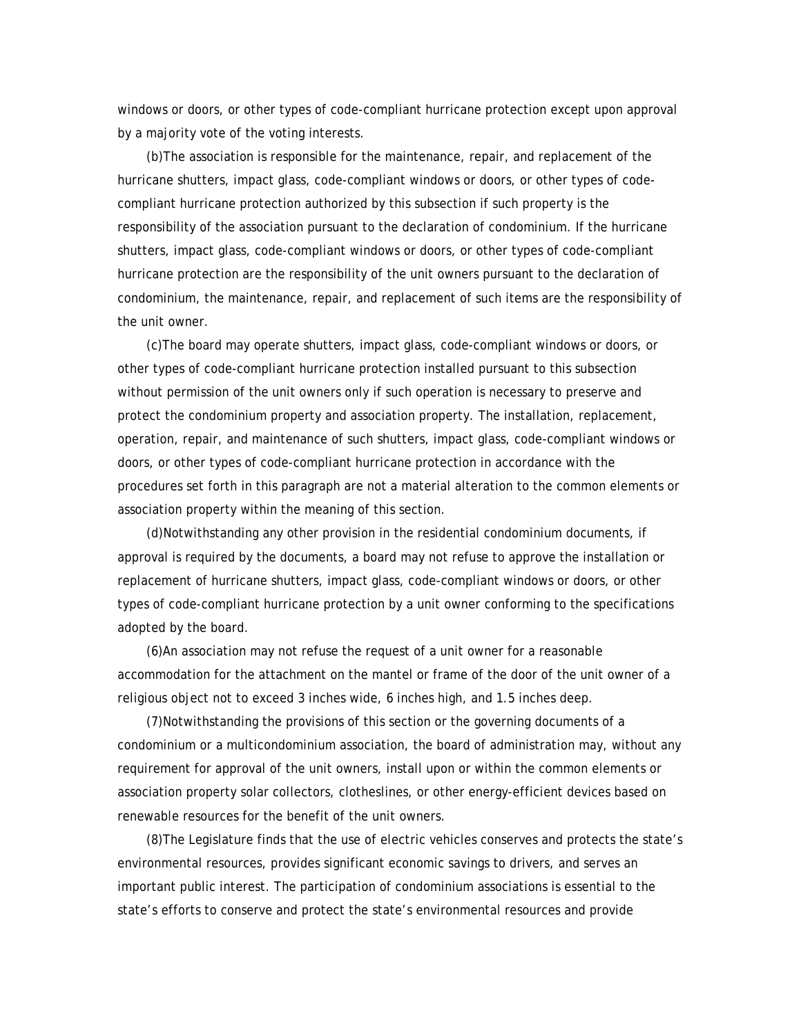windows or doors, or other types of code-compliant hurricane protection except upon approval by a majority vote of the voting interests.

(b)The association is responsible for the maintenance, repair, and replacement of the hurricane shutters, impact glass, code-compliant windows or doors, or other types of codecompliant hurricane protection authorized by this subsection if such property is the responsibility of the association pursuant to the declaration of condominium. If the hurricane shutters, impact glass, code-compliant windows or doors, or other types of code-compliant hurricane protection are the responsibility of the unit owners pursuant to the declaration of condominium, the maintenance, repair, and replacement of such items are the responsibility of the unit owner.

(c)The board may operate shutters, impact glass, code-compliant windows or doors, or other types of code-compliant hurricane protection installed pursuant to this subsection without permission of the unit owners only if such operation is necessary to preserve and protect the condominium property and association property. The installation, replacement, operation, repair, and maintenance of such shutters, impact glass, code-compliant windows or doors, or other types of code-compliant hurricane protection in accordance with the procedures set forth in this paragraph are not a material alteration to the common elements or association property within the meaning of this section.

(d)Notwithstanding any other provision in the residential condominium documents, if approval is required by the documents, a board may not refuse to approve the installation or replacement of hurricane shutters, impact glass, code-compliant windows or doors, or other types of code-compliant hurricane protection by a unit owner conforming to the specifications adopted by the board.

(6)An association may not refuse the request of a unit owner for a reasonable accommodation for the attachment on the mantel or frame of the door of the unit owner of a religious object not to exceed 3 inches wide, 6 inches high, and 1.5 inches deep.

(7)Notwithstanding the provisions of this section or the governing documents of a condominium or a multicondominium association, the board of administration may, without any requirement for approval of the unit owners, install upon or within the common elements or association property solar collectors, clotheslines, or other energy-efficient devices based on renewable resources for the benefit of the unit owners.

(8)The Legislature finds that the use of electric vehicles conserves and protects the state's environmental resources, provides significant economic savings to drivers, and serves an important public interest. The participation of condominium associations is essential to the state's efforts to conserve and protect the state's environmental resources and provide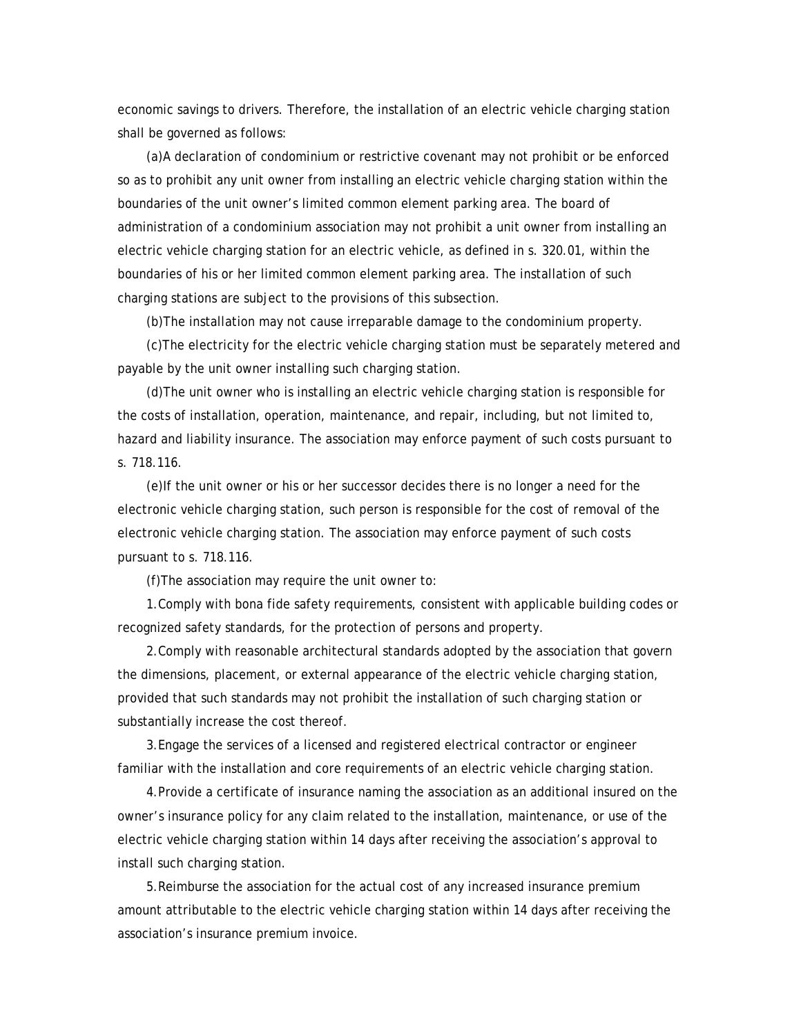economic savings to drivers. Therefore, the installation of an electric vehicle charging station shall be governed as follows:

(a)A declaration of condominium or restrictive covenant may not prohibit or be enforced so as to prohibit any unit owner from installing an electric vehicle charging station within the boundaries of the unit owner's limited common element parking area. The board of administration of a condominium association may not prohibit a unit owner from installing an electric vehicle charging station for an electric vehicle, as defined in s. 320.01, within the boundaries of his or her limited common element parking area. The installation of such charging stations are subject to the provisions of this subsection.

(b)The installation may not cause irreparable damage to the condominium property.

(c)The electricity for the electric vehicle charging station must be separately metered and payable by the unit owner installing such charging station.

(d)The unit owner who is installing an electric vehicle charging station is responsible for the costs of installation, operation, maintenance, and repair, including, but not limited to, hazard and liability insurance. The association may enforce payment of such costs pursuant to s. 718.116.

(e)If the unit owner or his or her successor decides there is no longer a need for the electronic vehicle charging station, such person is responsible for the cost of removal of the electronic vehicle charging station. The association may enforce payment of such costs pursuant to s. 718.116.

(f)The association may require the unit owner to:

1.Comply with bona fide safety requirements, consistent with applicable building codes or recognized safety standards, for the protection of persons and property.

2.Comply with reasonable architectural standards adopted by the association that govern the dimensions, placement, or external appearance of the electric vehicle charging station, provided that such standards may not prohibit the installation of such charging station or substantially increase the cost thereof.

3.Engage the services of a licensed and registered electrical contractor or engineer familiar with the installation and core requirements of an electric vehicle charging station.

4.Provide a certificate of insurance naming the association as an additional insured on the owner's insurance policy for any claim related to the installation, maintenance, or use of the electric vehicle charging station within 14 days after receiving the association's approval to install such charging station.

5.Reimburse the association for the actual cost of any increased insurance premium amount attributable to the electric vehicle charging station within 14 days after receiving the association's insurance premium invoice.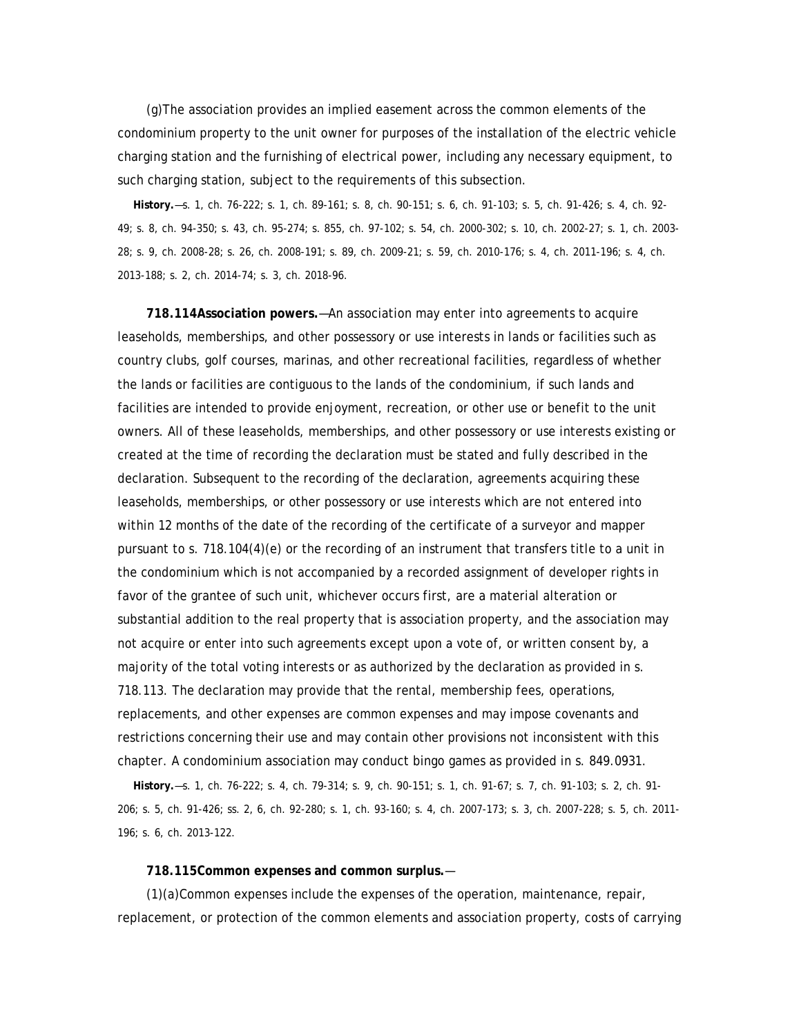(g)The association provides an implied easement across the common elements of the condominium property to the unit owner for purposes of the installation of the electric vehicle charging station and the furnishing of electrical power, including any necessary equipment, to such charging station, subject to the requirements of this subsection.

**History.**—s. 1, ch. 76-222; s. 1, ch. 89-161; s. 8, ch. 90-151; s. 6, ch. 91-103; s. 5, ch. 91-426; s. 4, ch. 92- 49; s. 8, ch. 94-350; s. 43, ch. 95-274; s. 855, ch. 97-102; s. 54, ch. 2000-302; s. 10, ch. 2002-27; s. 1, ch. 2003- 28; s. 9, ch. 2008-28; s. 26, ch. 2008-191; s. 89, ch. 2009-21; s. 59, ch. 2010-176; s. 4, ch. 2011-196; s. 4, ch. 2013-188; s. 2, ch. 2014-74; s. 3, ch. 2018-96.

**718.114Association powers.**—An association may enter into agreements to acquire leaseholds, memberships, and other possessory or use interests in lands or facilities such as country clubs, golf courses, marinas, and other recreational facilities, regardless of whether the lands or facilities are contiguous to the lands of the condominium, if such lands and facilities are intended to provide enjoyment, recreation, or other use or benefit to the unit owners. All of these leaseholds, memberships, and other possessory or use interests existing or created at the time of recording the declaration must be stated and fully described in the declaration. Subsequent to the recording of the declaration, agreements acquiring these leaseholds, memberships, or other possessory or use interests which are not entered into within 12 months of the date of the recording of the certificate of a surveyor and mapper pursuant to s. 718.104(4)(e) or the recording of an instrument that transfers title to a unit in the condominium which is not accompanied by a recorded assignment of developer rights in favor of the grantee of such unit, whichever occurs first, are a material alteration or substantial addition to the real property that is association property, and the association may not acquire or enter into such agreements except upon a vote of, or written consent by, a majority of the total voting interests or as authorized by the declaration as provided in s. 718.113. The declaration may provide that the rental, membership fees, operations, replacements, and other expenses are common expenses and may impose covenants and restrictions concerning their use and may contain other provisions not inconsistent with this chapter. A condominium association may conduct bingo games as provided in s. 849.0931.

**History.**—s. 1, ch. 76-222; s. 4, ch. 79-314; s. 9, ch. 90-151; s. 1, ch. 91-67; s. 7, ch. 91-103; s. 2, ch. 91- 206; s. 5, ch. 91-426; ss. 2, 6, ch. 92-280; s. 1, ch. 93-160; s. 4, ch. 2007-173; s. 3, ch. 2007-228; s. 5, ch. 2011- 196; s. 6, ch. 2013-122.

#### **718.115Common expenses and common surplus.**—

(1)(a)Common expenses include the expenses of the operation, maintenance, repair, replacement, or protection of the common elements and association property, costs of carrying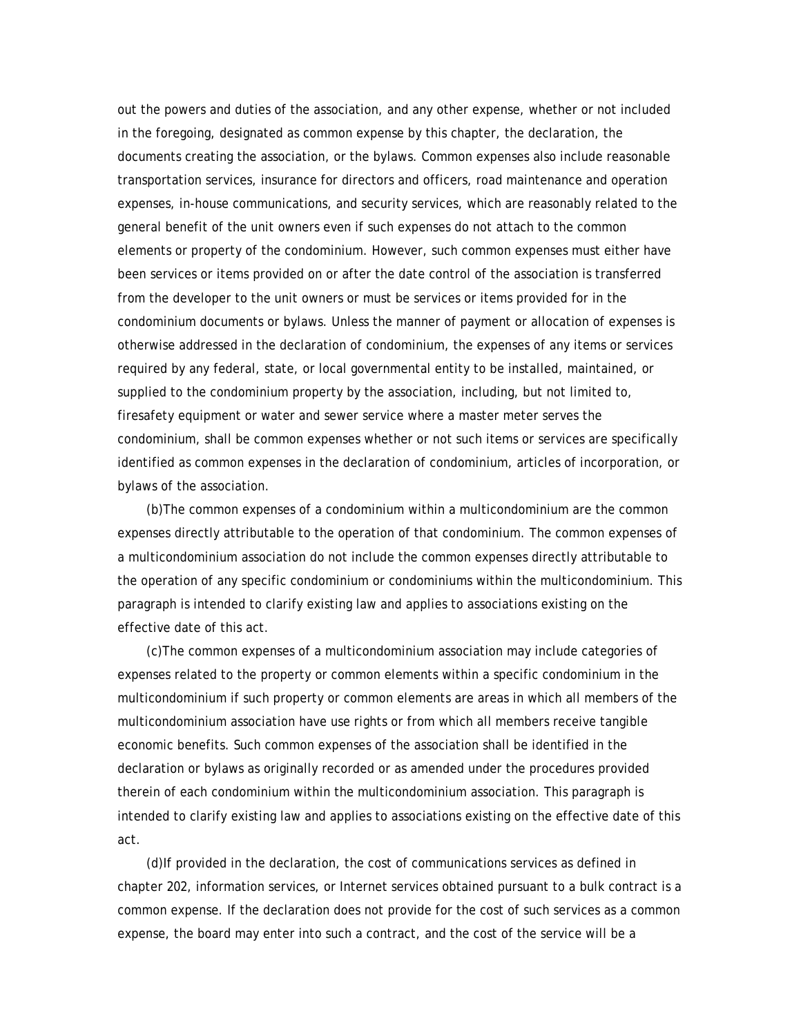out the powers and duties of the association, and any other expense, whether or not included in the foregoing, designated as common expense by this chapter, the declaration, the documents creating the association, or the bylaws. Common expenses also include reasonable transportation services, insurance for directors and officers, road maintenance and operation expenses, in-house communications, and security services, which are reasonably related to the general benefit of the unit owners even if such expenses do not attach to the common elements or property of the condominium. However, such common expenses must either have been services or items provided on or after the date control of the association is transferred from the developer to the unit owners or must be services or items provided for in the condominium documents or bylaws. Unless the manner of payment or allocation of expenses is otherwise addressed in the declaration of condominium, the expenses of any items or services required by any federal, state, or local governmental entity to be installed, maintained, or supplied to the condominium property by the association, including, but not limited to, firesafety equipment or water and sewer service where a master meter serves the condominium, shall be common expenses whether or not such items or services are specifically identified as common expenses in the declaration of condominium, articles of incorporation, or bylaws of the association.

(b)The common expenses of a condominium within a multicondominium are the common expenses directly attributable to the operation of that condominium. The common expenses of a multicondominium association do not include the common expenses directly attributable to the operation of any specific condominium or condominiums within the multicondominium. This paragraph is intended to clarify existing law and applies to associations existing on the effective date of this act.

(c)The common expenses of a multicondominium association may include categories of expenses related to the property or common elements within a specific condominium in the multicondominium if such property or common elements are areas in which all members of the multicondominium association have use rights or from which all members receive tangible economic benefits. Such common expenses of the association shall be identified in the declaration or bylaws as originally recorded or as amended under the procedures provided therein of each condominium within the multicondominium association. This paragraph is intended to clarify existing law and applies to associations existing on the effective date of this act.

(d)If provided in the declaration, the cost of communications services as defined in chapter 202, information services, or Internet services obtained pursuant to a bulk contract is a common expense. If the declaration does not provide for the cost of such services as a common expense, the board may enter into such a contract, and the cost of the service will be a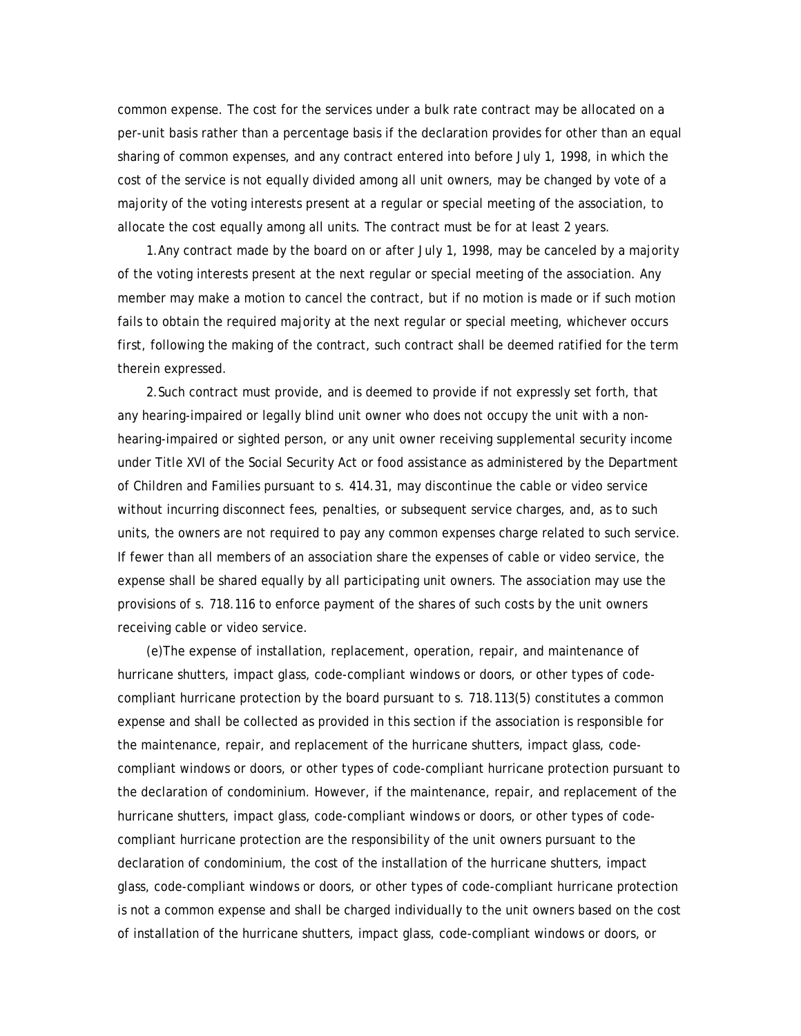common expense. The cost for the services under a bulk rate contract may be allocated on a per-unit basis rather than a percentage basis if the declaration provides for other than an equal sharing of common expenses, and any contract entered into before July 1, 1998, in which the cost of the service is not equally divided among all unit owners, may be changed by vote of a majority of the voting interests present at a regular or special meeting of the association, to allocate the cost equally among all units. The contract must be for at least 2 years.

1.Any contract made by the board on or after July 1, 1998, may be canceled by a majority of the voting interests present at the next regular or special meeting of the association. Any member may make a motion to cancel the contract, but if no motion is made or if such motion fails to obtain the required majority at the next regular or special meeting, whichever occurs first, following the making of the contract, such contract shall be deemed ratified for the term therein expressed.

2.Such contract must provide, and is deemed to provide if not expressly set forth, that any hearing-impaired or legally blind unit owner who does not occupy the unit with a nonhearing-impaired or sighted person, or any unit owner receiving supplemental security income under Title XVI of the Social Security Act or food assistance as administered by the Department of Children and Families pursuant to s. 414.31, may discontinue the cable or video service without incurring disconnect fees, penalties, or subsequent service charges, and, as to such units, the owners are not required to pay any common expenses charge related to such service. If fewer than all members of an association share the expenses of cable or video service, the expense shall be shared equally by all participating unit owners. The association may use the provisions of s. 718.116 to enforce payment of the shares of such costs by the unit owners receiving cable or video service.

(e)The expense of installation, replacement, operation, repair, and maintenance of hurricane shutters, impact glass, code-compliant windows or doors, or other types of codecompliant hurricane protection by the board pursuant to s. 718.113(5) constitutes a common expense and shall be collected as provided in this section if the association is responsible for the maintenance, repair, and replacement of the hurricane shutters, impact glass, codecompliant windows or doors, or other types of code-compliant hurricane protection pursuant to the declaration of condominium. However, if the maintenance, repair, and replacement of the hurricane shutters, impact glass, code-compliant windows or doors, or other types of codecompliant hurricane protection are the responsibility of the unit owners pursuant to the declaration of condominium, the cost of the installation of the hurricane shutters, impact glass, code-compliant windows or doors, or other types of code-compliant hurricane protection is not a common expense and shall be charged individually to the unit owners based on the cost of installation of the hurricane shutters, impact glass, code-compliant windows or doors, or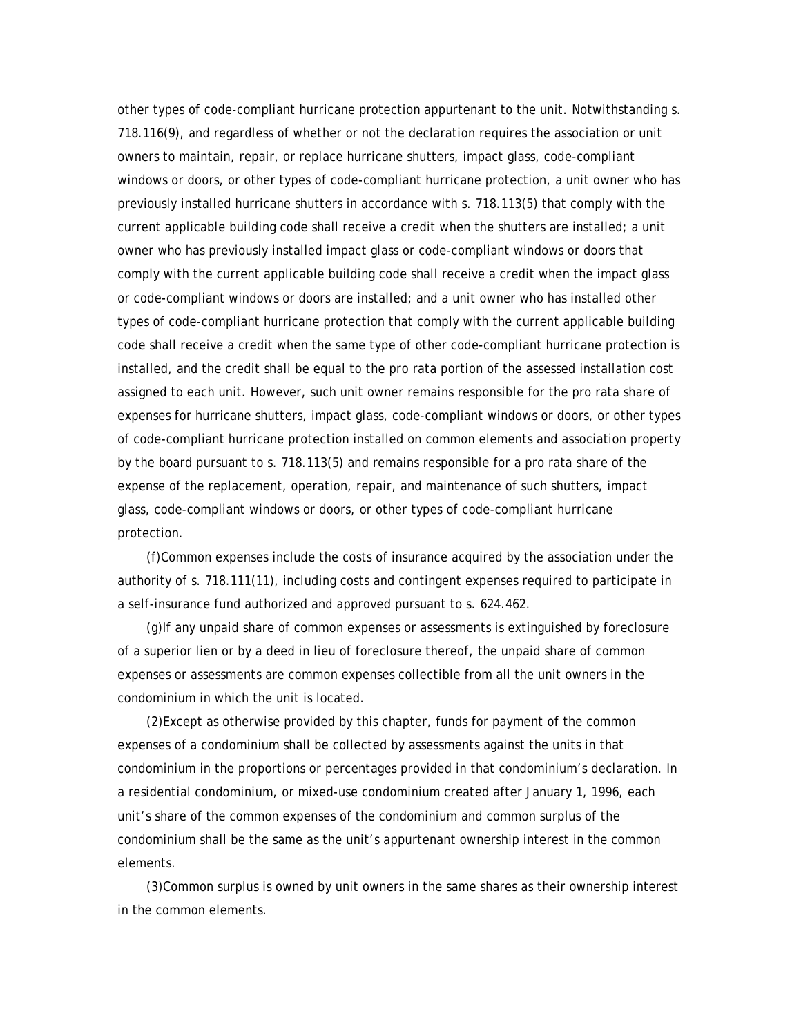other types of code-compliant hurricane protection appurtenant to the unit. Notwithstanding s. 718.116(9), and regardless of whether or not the declaration requires the association or unit owners to maintain, repair, or replace hurricane shutters, impact glass, code-compliant windows or doors, or other types of code-compliant hurricane protection, a unit owner who has previously installed hurricane shutters in accordance with s. 718.113(5) that comply with the current applicable building code shall receive a credit when the shutters are installed; a unit owner who has previously installed impact glass or code-compliant windows or doors that comply with the current applicable building code shall receive a credit when the impact glass or code-compliant windows or doors are installed; and a unit owner who has installed other types of code-compliant hurricane protection that comply with the current applicable building code shall receive a credit when the same type of other code-compliant hurricane protection is installed, and the credit shall be equal to the pro rata portion of the assessed installation cost assigned to each unit. However, such unit owner remains responsible for the pro rata share of expenses for hurricane shutters, impact glass, code-compliant windows or doors, or other types of code-compliant hurricane protection installed on common elements and association property by the board pursuant to s. 718.113(5) and remains responsible for a pro rata share of the expense of the replacement, operation, repair, and maintenance of such shutters, impact glass, code-compliant windows or doors, or other types of code-compliant hurricane protection.

(f)Common expenses include the costs of insurance acquired by the association under the authority of s. 718.111(11), including costs and contingent expenses required to participate in a self-insurance fund authorized and approved pursuant to s. 624.462.

(g)If any unpaid share of common expenses or assessments is extinguished by foreclosure of a superior lien or by a deed in lieu of foreclosure thereof, the unpaid share of common expenses or assessments are common expenses collectible from all the unit owners in the condominium in which the unit is located.

(2)Except as otherwise provided by this chapter, funds for payment of the common expenses of a condominium shall be collected by assessments against the units in that condominium in the proportions or percentages provided in that condominium's declaration. In a residential condominium, or mixed-use condominium created after January 1, 1996, each unit's share of the common expenses of the condominium and common surplus of the condominium shall be the same as the unit's appurtenant ownership interest in the common elements.

(3)Common surplus is owned by unit owners in the same shares as their ownership interest in the common elements.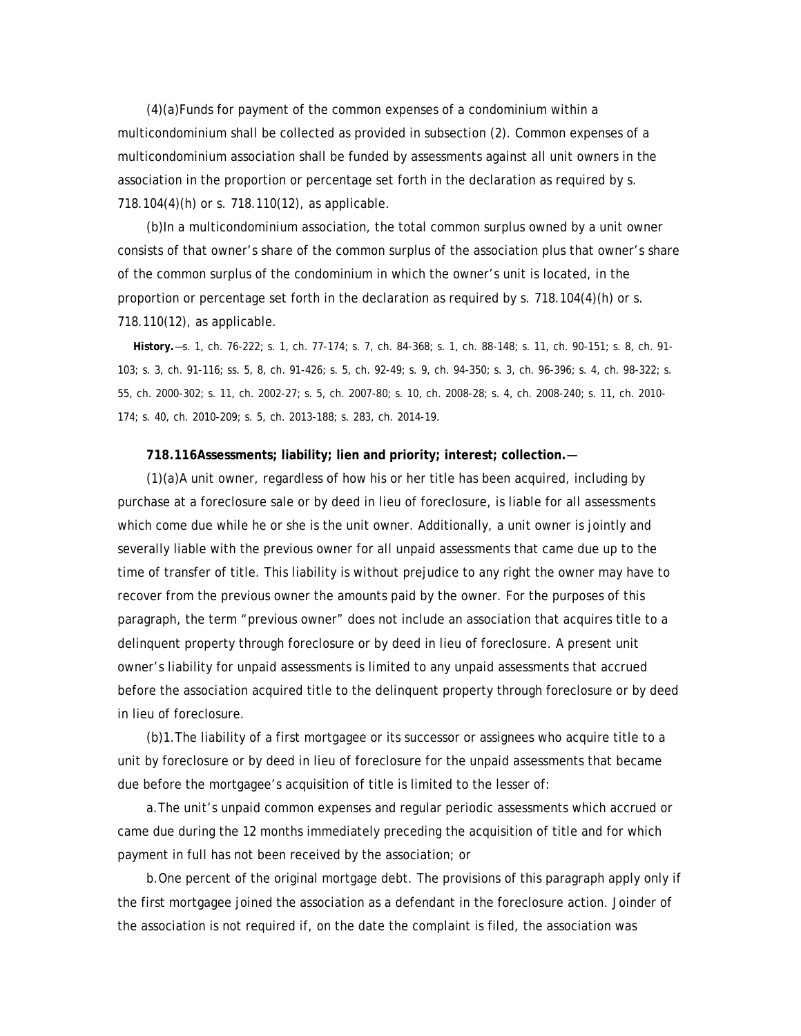(4)(a)Funds for payment of the common expenses of a condominium within a multicondominium shall be collected as provided in subsection (2). Common expenses of a multicondominium association shall be funded by assessments against all unit owners in the association in the proportion or percentage set forth in the declaration as required by s. 718.104(4)(h) or s. 718.110(12), as applicable.

(b)In a multicondominium association, the total common surplus owned by a unit owner consists of that owner's share of the common surplus of the association plus that owner's share of the common surplus of the condominium in which the owner's unit is located, in the proportion or percentage set forth in the declaration as required by s. 718.104(4)(h) or s. 718.110(12), as applicable.

**History.**—s. 1, ch. 76-222; s. 1, ch. 77-174; s. 7, ch. 84-368; s. 1, ch. 88-148; s. 11, ch. 90-151; s. 8, ch. 91- 103; s. 3, ch. 91-116; ss. 5, 8, ch. 91-426; s. 5, ch. 92-49; s. 9, ch. 94-350; s. 3, ch. 96-396; s. 4, ch. 98-322; s. 55, ch. 2000-302; s. 11, ch. 2002-27; s. 5, ch. 2007-80; s. 10, ch. 2008-28; s. 4, ch. 2008-240; s. 11, ch. 2010- 174; s. 40, ch. 2010-209; s. 5, ch. 2013-188; s. 283, ch. 2014-19.

### **718.116Assessments; liability; lien and priority; interest; collection.**—

(1)(a)A unit owner, regardless of how his or her title has been acquired, including by purchase at a foreclosure sale or by deed in lieu of foreclosure, is liable for all assessments which come due while he or she is the unit owner. Additionally, a unit owner is jointly and severally liable with the previous owner for all unpaid assessments that came due up to the time of transfer of title. This liability is without prejudice to any right the owner may have to recover from the previous owner the amounts paid by the owner. For the purposes of this paragraph, the term "previous owner" does not include an association that acquires title to a delinquent property through foreclosure or by deed in lieu of foreclosure. A present unit owner's liability for unpaid assessments is limited to any unpaid assessments that accrued before the association acquired title to the delinquent property through foreclosure or by deed in lieu of foreclosure.

(b)1.The liability of a first mortgagee or its successor or assignees who acquire title to a unit by foreclosure or by deed in lieu of foreclosure for the unpaid assessments that became due before the mortgagee's acquisition of title is limited to the lesser of:

a.The unit's unpaid common expenses and regular periodic assessments which accrued or came due during the 12 months immediately preceding the acquisition of title and for which payment in full has not been received by the association; or

b.One percent of the original mortgage debt. The provisions of this paragraph apply only if the first mortgagee joined the association as a defendant in the foreclosure action. Joinder of the association is not required if, on the date the complaint is filed, the association was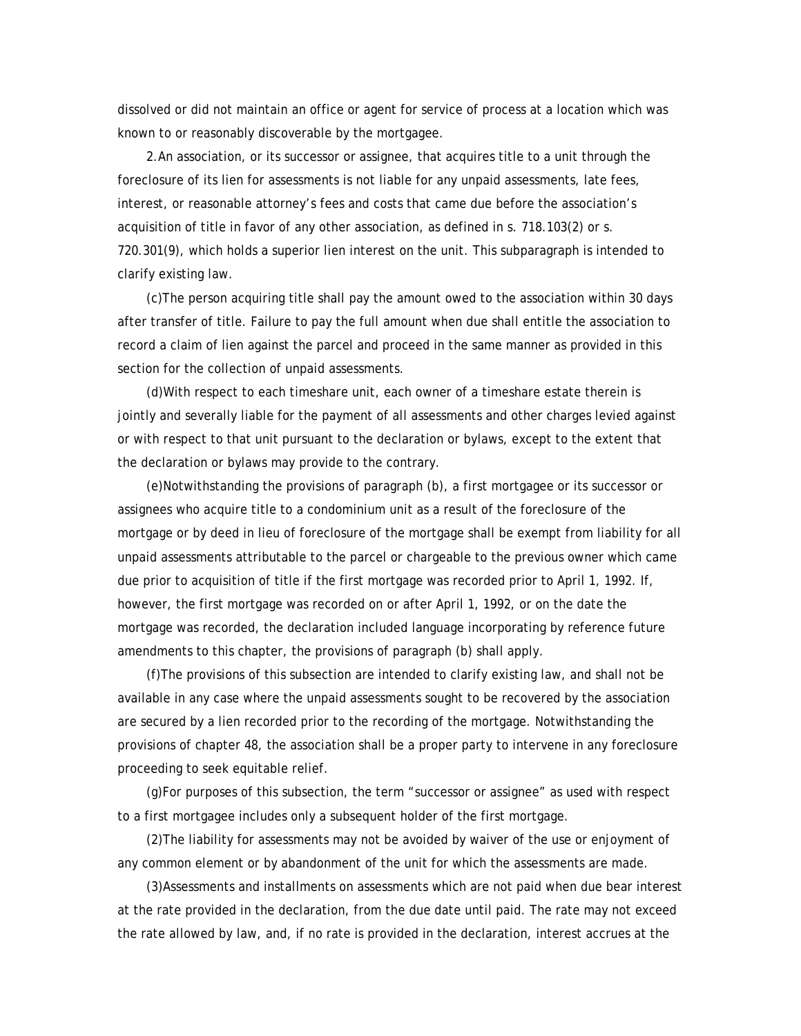dissolved or did not maintain an office or agent for service of process at a location which was known to or reasonably discoverable by the mortgagee.

2.An association, or its successor or assignee, that acquires title to a unit through the foreclosure of its lien for assessments is not liable for any unpaid assessments, late fees, interest, or reasonable attorney's fees and costs that came due before the association's acquisition of title in favor of any other association, as defined in s. 718.103(2) or s. 720.301(9), which holds a superior lien interest on the unit. This subparagraph is intended to clarify existing law.

(c)The person acquiring title shall pay the amount owed to the association within 30 days after transfer of title. Failure to pay the full amount when due shall entitle the association to record a claim of lien against the parcel and proceed in the same manner as provided in this section for the collection of unpaid assessments.

(d)With respect to each timeshare unit, each owner of a timeshare estate therein is jointly and severally liable for the payment of all assessments and other charges levied against or with respect to that unit pursuant to the declaration or bylaws, except to the extent that the declaration or bylaws may provide to the contrary.

(e)Notwithstanding the provisions of paragraph (b), a first mortgagee or its successor or assignees who acquire title to a condominium unit as a result of the foreclosure of the mortgage or by deed in lieu of foreclosure of the mortgage shall be exempt from liability for all unpaid assessments attributable to the parcel or chargeable to the previous owner which came due prior to acquisition of title if the first mortgage was recorded prior to April 1, 1992. If, however, the first mortgage was recorded on or after April 1, 1992, or on the date the mortgage was recorded, the declaration included language incorporating by reference future amendments to this chapter, the provisions of paragraph (b) shall apply.

(f)The provisions of this subsection are intended to clarify existing law, and shall not be available in any case where the unpaid assessments sought to be recovered by the association are secured by a lien recorded prior to the recording of the mortgage. Notwithstanding the provisions of chapter 48, the association shall be a proper party to intervene in any foreclosure proceeding to seek equitable relief.

(g)For purposes of this subsection, the term "successor or assignee" as used with respect to a first mortgagee includes only a subsequent holder of the first mortgage.

(2)The liability for assessments may not be avoided by waiver of the use or enjoyment of any common element or by abandonment of the unit for which the assessments are made.

(3)Assessments and installments on assessments which are not paid when due bear interest at the rate provided in the declaration, from the due date until paid. The rate may not exceed the rate allowed by law, and, if no rate is provided in the declaration, interest accrues at the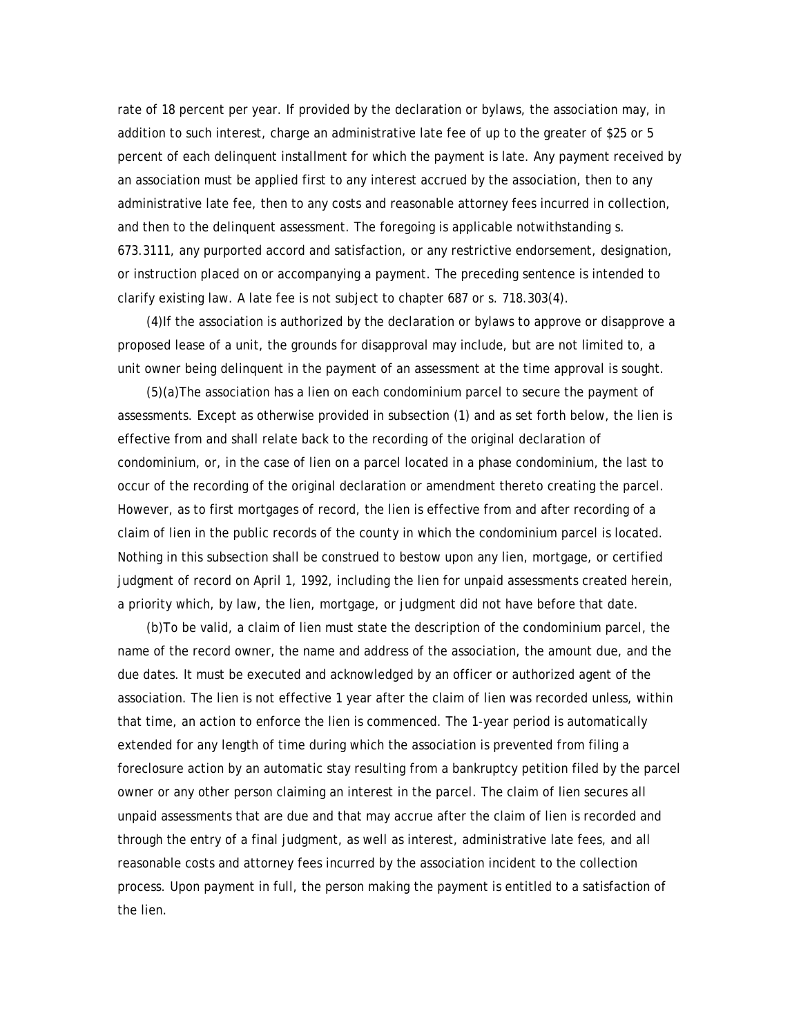rate of 18 percent per year. If provided by the declaration or bylaws, the association may, in addition to such interest, charge an administrative late fee of up to the greater of \$25 or 5 percent of each delinquent installment for which the payment is late. Any payment received by an association must be applied first to any interest accrued by the association, then to any administrative late fee, then to any costs and reasonable attorney fees incurred in collection, and then to the delinquent assessment. The foregoing is applicable notwithstanding s. 673.3111, any purported accord and satisfaction, or any restrictive endorsement, designation, or instruction placed on or accompanying a payment. The preceding sentence is intended to clarify existing law. A late fee is not subject to chapter 687 or s. 718.303(4).

(4)If the association is authorized by the declaration or bylaws to approve or disapprove a proposed lease of a unit, the grounds for disapproval may include, but are not limited to, a unit owner being delinquent in the payment of an assessment at the time approval is sought.

(5)(a)The association has a lien on each condominium parcel to secure the payment of assessments. Except as otherwise provided in subsection (1) and as set forth below, the lien is effective from and shall relate back to the recording of the original declaration of condominium, or, in the case of lien on a parcel located in a phase condominium, the last to occur of the recording of the original declaration or amendment thereto creating the parcel. However, as to first mortgages of record, the lien is effective from and after recording of a claim of lien in the public records of the county in which the condominium parcel is located. Nothing in this subsection shall be construed to bestow upon any lien, mortgage, or certified judgment of record on April 1, 1992, including the lien for unpaid assessments created herein, a priority which, by law, the lien, mortgage, or judgment did not have before that date.

(b)To be valid, a claim of lien must state the description of the condominium parcel, the name of the record owner, the name and address of the association, the amount due, and the due dates. It must be executed and acknowledged by an officer or authorized agent of the association. The lien is not effective 1 year after the claim of lien was recorded unless, within that time, an action to enforce the lien is commenced. The 1-year period is automatically extended for any length of time during which the association is prevented from filing a foreclosure action by an automatic stay resulting from a bankruptcy petition filed by the parcel owner or any other person claiming an interest in the parcel. The claim of lien secures all unpaid assessments that are due and that may accrue after the claim of lien is recorded and through the entry of a final judgment, as well as interest, administrative late fees, and all reasonable costs and attorney fees incurred by the association incident to the collection process. Upon payment in full, the person making the payment is entitled to a satisfaction of the lien.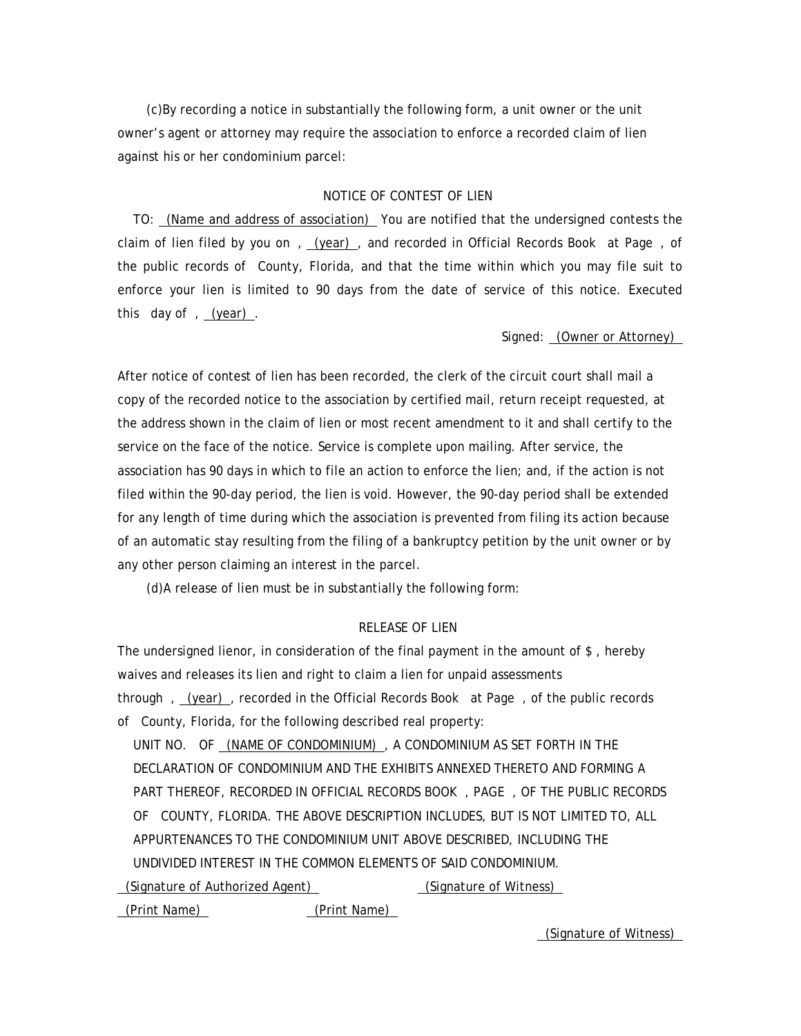(c)By recording a notice in substantially the following form, a unit owner or the unit owner's agent or attorney may require the association to enforce a recorded claim of lien against his or her condominium parcel:

## NOTICE OF CONTEST OF LIEN

TO: (Name and address of association) You are notified that the undersigned contests the claim of lien filed by you on , (year) , and recorded in Official Records Book at Page , of the public records of County, Florida, and that the time within which you may file suit to enforce your lien is limited to 90 days from the date of service of this notice. Executed this day of , (year) .

### Signed: (Owner or Attorney)

After notice of contest of lien has been recorded, the clerk of the circuit court shall mail a copy of the recorded notice to the association by certified mail, return receipt requested, at the address shown in the claim of lien or most recent amendment to it and shall certify to the service on the face of the notice. Service is complete upon mailing. After service, the association has 90 days in which to file an action to enforce the lien; and, if the action is not filed within the 90-day period, the lien is void. However, the 90-day period shall be extended for any length of time during which the association is prevented from filing its action because of an automatic stay resulting from the filing of a bankruptcy petition by the unit owner or by any other person claiming an interest in the parcel.

(d)A release of lien must be in substantially the following form:

### RELEASE OF LIEN

The undersigned lienor, in consideration of the final payment in the amount of \$ , hereby waives and releases its lien and right to claim a lien for unpaid assessments through , (year) , recorded in the Official Records Book at Page , of the public records of County, Florida, for the following described real property:

UNIT NO. OF (NAME OF CONDOMINIUM) , A CONDOMINIUM AS SET FORTH IN THE DECLARATION OF CONDOMINIUM AND THE EXHIBITS ANNEXED THERETO AND FORMING A PART THEREOF, RECORDED IN OFFICIAL RECORDS BOOK , PAGE , OF THE PUBLIC RECORDS OF COUNTY, FLORIDA. THE ABOVE DESCRIPTION INCLUDES, BUT IS NOT LIMITED TO, ALL APPURTENANCES TO THE CONDOMINIUM UNIT ABOVE DESCRIBED, INCLUDING THE UNDIVIDED INTEREST IN THE COMMON ELEMENTS OF SAID CONDOMINIUM. (Signature of Authorized Agent) (Signature of Witness)

(Print Name) (Print Name)

(Signature of Witness)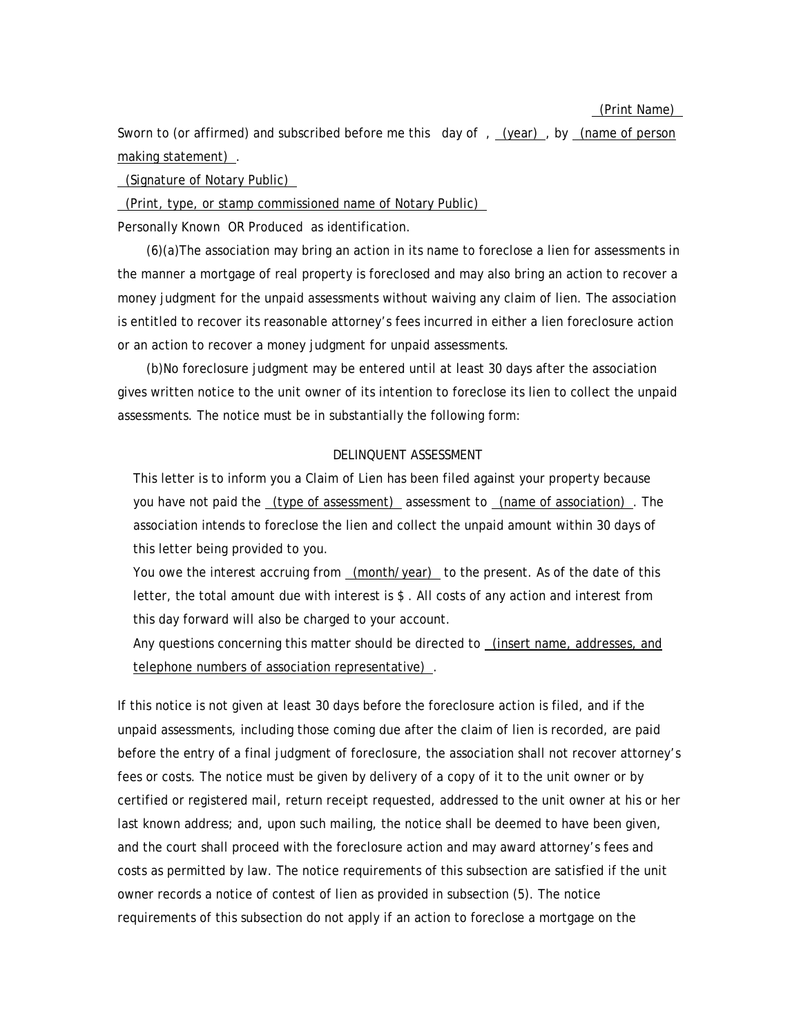Sworn to (or affirmed) and subscribed before me this day of , (year) , by (name of person making statement) .

(Signature of Notary Public)

 (Print, type, or stamp commissioned name of Notary Public) Personally Known OR Produced as identification.

(6)(a)The association may bring an action in its name to foreclose a lien for assessments in the manner a mortgage of real property is foreclosed and may also bring an action to recover a money judgment for the unpaid assessments without waiving any claim of lien. The association is entitled to recover its reasonable attorney's fees incurred in either a lien foreclosure action or an action to recover a money judgment for unpaid assessments.

(b)No foreclosure judgment may be entered until at least 30 days after the association gives written notice to the unit owner of its intention to foreclose its lien to collect the unpaid assessments. The notice must be in substantially the following form:

## DELINQUENT ASSESSMENT

This letter is to inform you a Claim of Lien has been filed against your property because you have not paid the (type of assessment) assessment to (name of association) . The association intends to foreclose the lien and collect the unpaid amount within 30 days of this letter being provided to you.

You owe the interest accruing from (month/year) to the present. As of the date of this letter, the total amount due with interest is \$ . All costs of any action and interest from this day forward will also be charged to your account.

Any questions concerning this matter should be directed to (insert name, addresses, and telephone numbers of association representative) .

If this notice is not given at least 30 days before the foreclosure action is filed, and if the unpaid assessments, including those coming due after the claim of lien is recorded, are paid before the entry of a final judgment of foreclosure, the association shall not recover attorney's fees or costs. The notice must be given by delivery of a copy of it to the unit owner or by certified or registered mail, return receipt requested, addressed to the unit owner at his or her last known address; and, upon such mailing, the notice shall be deemed to have been given, and the court shall proceed with the foreclosure action and may award attorney's fees and costs as permitted by law. The notice requirements of this subsection are satisfied if the unit owner records a notice of contest of lien as provided in subsection (5). The notice requirements of this subsection do not apply if an action to foreclose a mortgage on the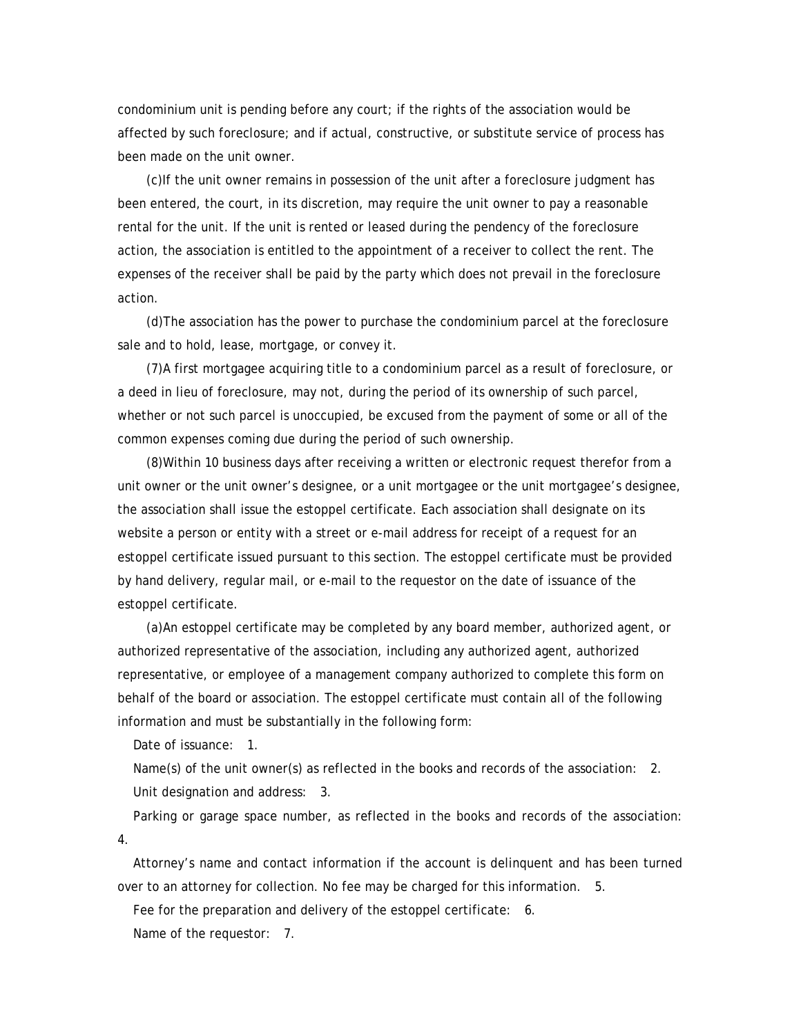condominium unit is pending before any court; if the rights of the association would be affected by such foreclosure; and if actual, constructive, or substitute service of process has been made on the unit owner.

(c)If the unit owner remains in possession of the unit after a foreclosure judgment has been entered, the court, in its discretion, may require the unit owner to pay a reasonable rental for the unit. If the unit is rented or leased during the pendency of the foreclosure action, the association is entitled to the appointment of a receiver to collect the rent. The expenses of the receiver shall be paid by the party which does not prevail in the foreclosure action.

(d)The association has the power to purchase the condominium parcel at the foreclosure sale and to hold, lease, mortgage, or convey it.

(7)A first mortgagee acquiring title to a condominium parcel as a result of foreclosure, or a deed in lieu of foreclosure, may not, during the period of its ownership of such parcel, whether or not such parcel is unoccupied, be excused from the payment of some or all of the common expenses coming due during the period of such ownership.

(8)Within 10 business days after receiving a written or electronic request therefor from a unit owner or the unit owner's designee, or a unit mortgagee or the unit mortgagee's designee, the association shall issue the estoppel certificate. Each association shall designate on its website a person or entity with a street or e-mail address for receipt of a request for an estoppel certificate issued pursuant to this section. The estoppel certificate must be provided by hand delivery, regular mail, or e-mail to the requestor on the date of issuance of the estoppel certificate.

(a)An estoppel certificate may be completed by any board member, authorized agent, or authorized representative of the association, including any authorized agent, authorized representative, or employee of a management company authorized to complete this form on behalf of the board or association. The estoppel certificate must contain all of the following information and must be substantially in the following form:

Date of issuance: 1

Name(s) of the unit owner(s) as reflected in the books and records of the association: 2. Unit designation and address: 3.

Parking or garage space number, as reflected in the books and records of the association: 4.

Attorney's name and contact information if the account is delinquent and has been turned over to an attorney for collection. No fee may be charged for this information. 5.

Fee for the preparation and delivery of the estoppel certificate: 6.

Name of the requestor: 7.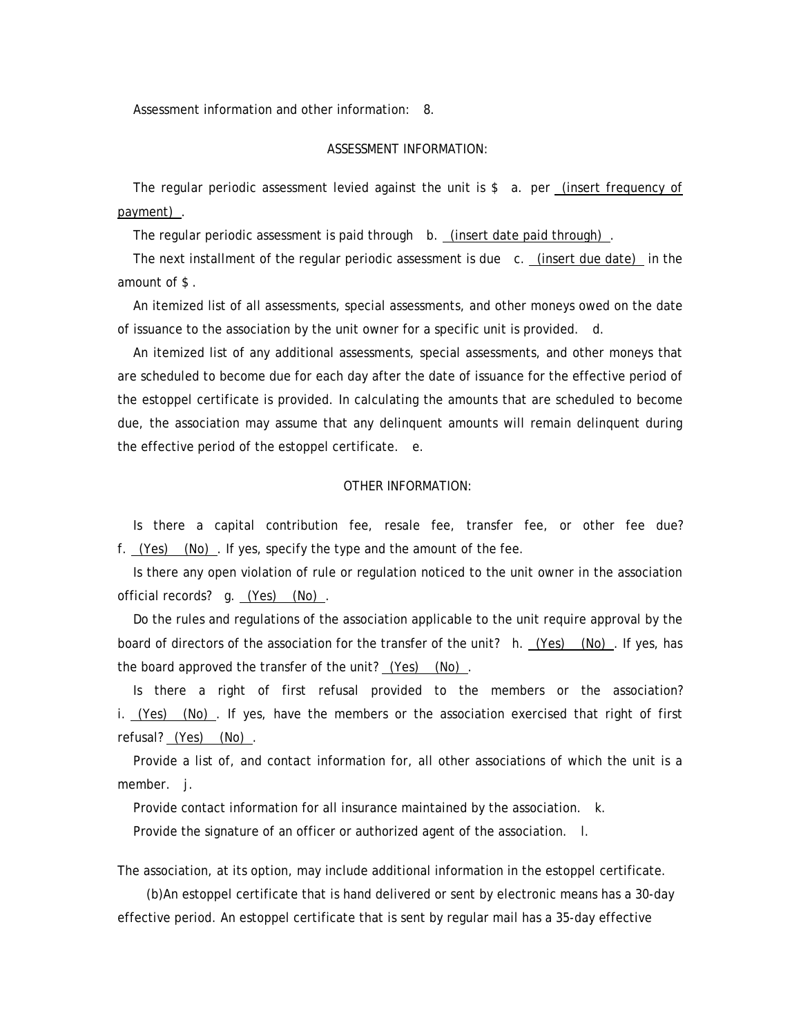Assessment information and other information: 8.

#### ASSESSMENT INFORMATION:

The regular periodic assessment levied against the unit is  $\$  a. per (insert frequency of payment) .

The regular periodic assessment is paid through b. (insert date paid through).

The next installment of the regular periodic assessment is due c. (insert due date) in the amount of \$ .

An itemized list of all assessments, special assessments, and other moneys owed on the date of issuance to the association by the unit owner for a specific unit is provided. d.

An itemized list of any additional assessments, special assessments, and other moneys that are scheduled to become due for each day after the date of issuance for the effective period of the estoppel certificate is provided. In calculating the amounts that are scheduled to become due, the association may assume that any delinquent amounts will remain delinquent during the effective period of the estoppel certificate. e.

### OTHER INFORMATION:

Is there a capital contribution fee, resale fee, transfer fee, or other fee due? f. (Yes) (No) . If yes, specify the type and the amount of the fee.

Is there any open violation of rule or regulation noticed to the unit owner in the association official records? g. (Yes) (No).

Do the rules and regulations of the association applicable to the unit require approval by the board of directors of the association for the transfer of the unit? h. (Yes) (No) . If yes, has the board approved the transfer of the unit? (Yes) (No) .

Is there a right of first refusal provided to the members or the association? i. (Yes) (No) . If yes, have the members or the association exercised that right of first refusal? (Yes) (No) .

Provide a list of, and contact information for, all other associations of which the unit is a member. j.

Provide contact information for all insurance maintained by the association. k.

Provide the signature of an officer or authorized agent of the association. l.

The association, at its option, may include additional information in the estoppel certificate.

(b)An estoppel certificate that is hand delivered or sent by electronic means has a 30-day effective period. An estoppel certificate that is sent by regular mail has a 35-day effective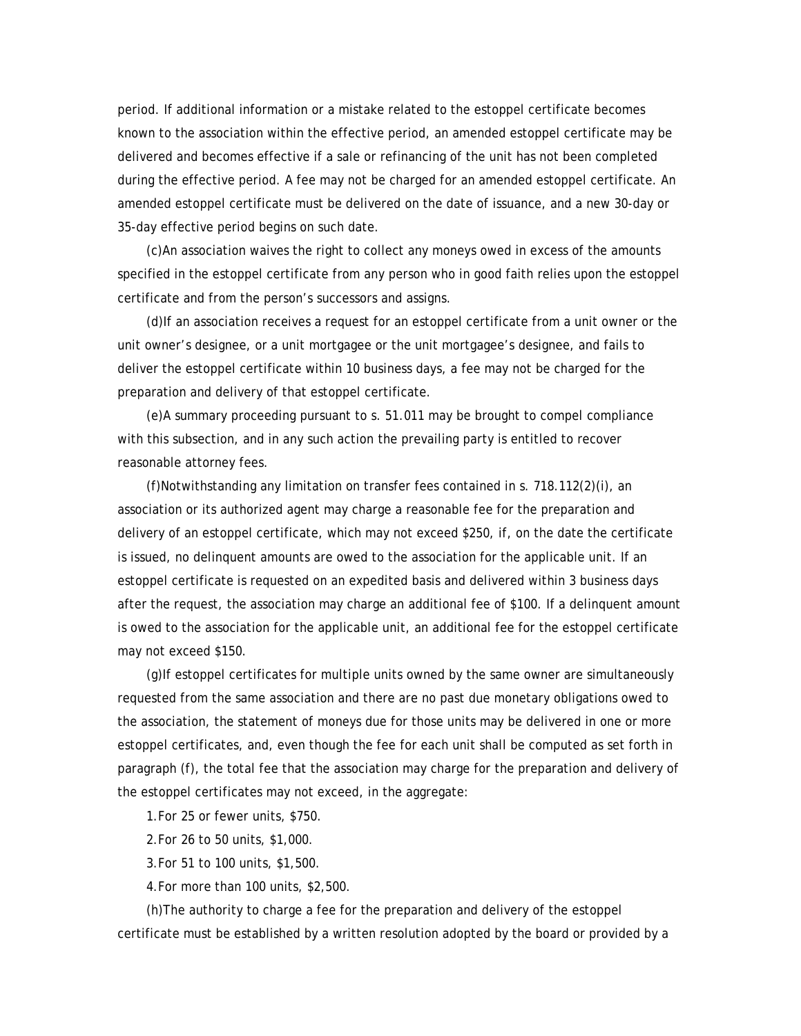period. If additional information or a mistake related to the estoppel certificate becomes known to the association within the effective period, an amended estoppel certificate may be delivered and becomes effective if a sale or refinancing of the unit has not been completed during the effective period. A fee may not be charged for an amended estoppel certificate. An amended estoppel certificate must be delivered on the date of issuance, and a new 30-day or 35-day effective period begins on such date.

(c)An association waives the right to collect any moneys owed in excess of the amounts specified in the estoppel certificate from any person who in good faith relies upon the estoppel certificate and from the person's successors and assigns.

(d)If an association receives a request for an estoppel certificate from a unit owner or the unit owner's designee, or a unit mortgagee or the unit mortgagee's designee, and fails to deliver the estoppel certificate within 10 business days, a fee may not be charged for the preparation and delivery of that estoppel certificate.

(e)A summary proceeding pursuant to s. 51.011 may be brought to compel compliance with this subsection, and in any such action the prevailing party is entitled to recover reasonable attorney fees.

(f)Notwithstanding any limitation on transfer fees contained in s. 718.112(2)(i), an association or its authorized agent may charge a reasonable fee for the preparation and delivery of an estoppel certificate, which may not exceed \$250, if, on the date the certificate is issued, no delinquent amounts are owed to the association for the applicable unit. If an estoppel certificate is requested on an expedited basis and delivered within 3 business days after the request, the association may charge an additional fee of \$100. If a delinquent amount is owed to the association for the applicable unit, an additional fee for the estoppel certificate may not exceed \$150.

(g)If estoppel certificates for multiple units owned by the same owner are simultaneously requested from the same association and there are no past due monetary obligations owed to the association, the statement of moneys due for those units may be delivered in one or more estoppel certificates, and, even though the fee for each unit shall be computed as set forth in paragraph (f), the total fee that the association may charge for the preparation and delivery of the estoppel certificates may not exceed, in the aggregate:

1.For 25 or fewer units, \$750.

2.For 26 to 50 units, \$1,000.

3.For 51 to 100 units, \$1,500.

4.For more than 100 units, \$2,500.

(h)The authority to charge a fee for the preparation and delivery of the estoppel certificate must be established by a written resolution adopted by the board or provided by a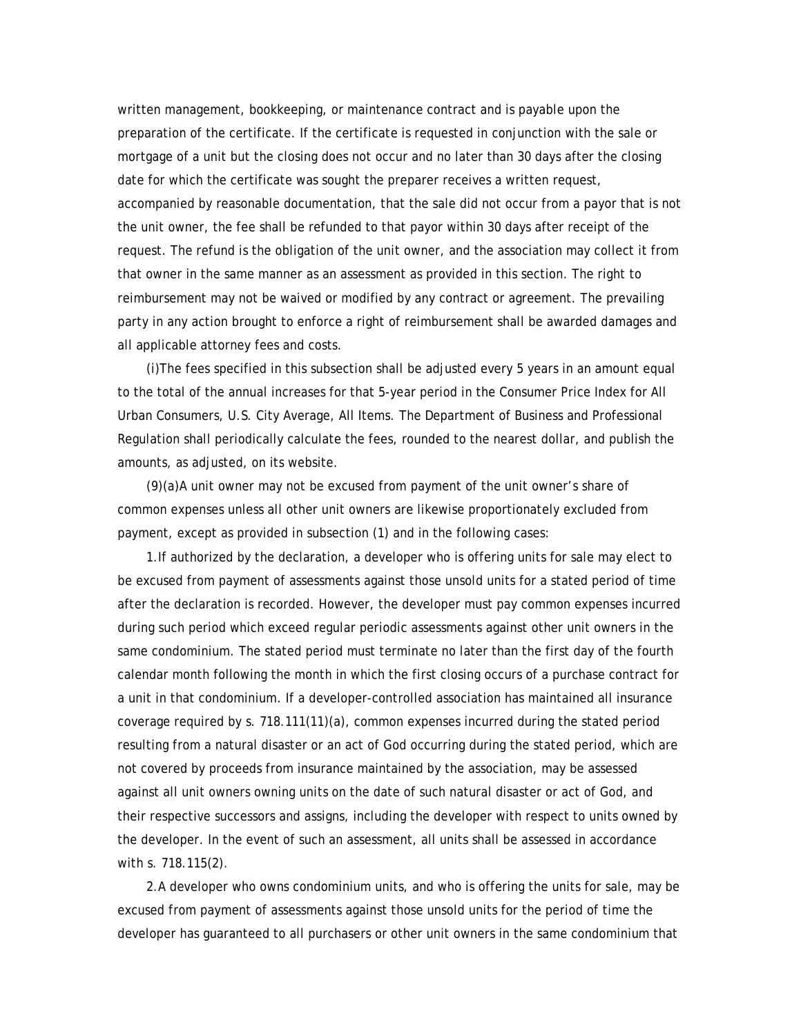written management, bookkeeping, or maintenance contract and is payable upon the preparation of the certificate. If the certificate is requested in conjunction with the sale or mortgage of a unit but the closing does not occur and no later than 30 days after the closing date for which the certificate was sought the preparer receives a written request, accompanied by reasonable documentation, that the sale did not occur from a payor that is not the unit owner, the fee shall be refunded to that payor within 30 days after receipt of the request. The refund is the obligation of the unit owner, and the association may collect it from that owner in the same manner as an assessment as provided in this section. The right to reimbursement may not be waived or modified by any contract or agreement. The prevailing party in any action brought to enforce a right of reimbursement shall be awarded damages and all applicable attorney fees and costs.

(i)The fees specified in this subsection shall be adjusted every 5 years in an amount equal to the total of the annual increases for that 5-year period in the Consumer Price Index for All Urban Consumers, U.S. City Average, All Items. The Department of Business and Professional Regulation shall periodically calculate the fees, rounded to the nearest dollar, and publish the amounts, as adjusted, on its website.

(9)(a)A unit owner may not be excused from payment of the unit owner's share of common expenses unless all other unit owners are likewise proportionately excluded from payment, except as provided in subsection (1) and in the following cases:

1.If authorized by the declaration, a developer who is offering units for sale may elect to be excused from payment of assessments against those unsold units for a stated period of time after the declaration is recorded. However, the developer must pay common expenses incurred during such period which exceed regular periodic assessments against other unit owners in the same condominium. The stated period must terminate no later than the first day of the fourth calendar month following the month in which the first closing occurs of a purchase contract for a unit in that condominium. If a developer-controlled association has maintained all insurance coverage required by s. 718.111(11)(a), common expenses incurred during the stated period resulting from a natural disaster or an act of God occurring during the stated period, which are not covered by proceeds from insurance maintained by the association, may be assessed against all unit owners owning units on the date of such natural disaster or act of God, and their respective successors and assigns, including the developer with respect to units owned by the developer. In the event of such an assessment, all units shall be assessed in accordance with s. 718.115(2).

2.A developer who owns condominium units, and who is offering the units for sale, may be excused from payment of assessments against those unsold units for the period of time the developer has guaranteed to all purchasers or other unit owners in the same condominium that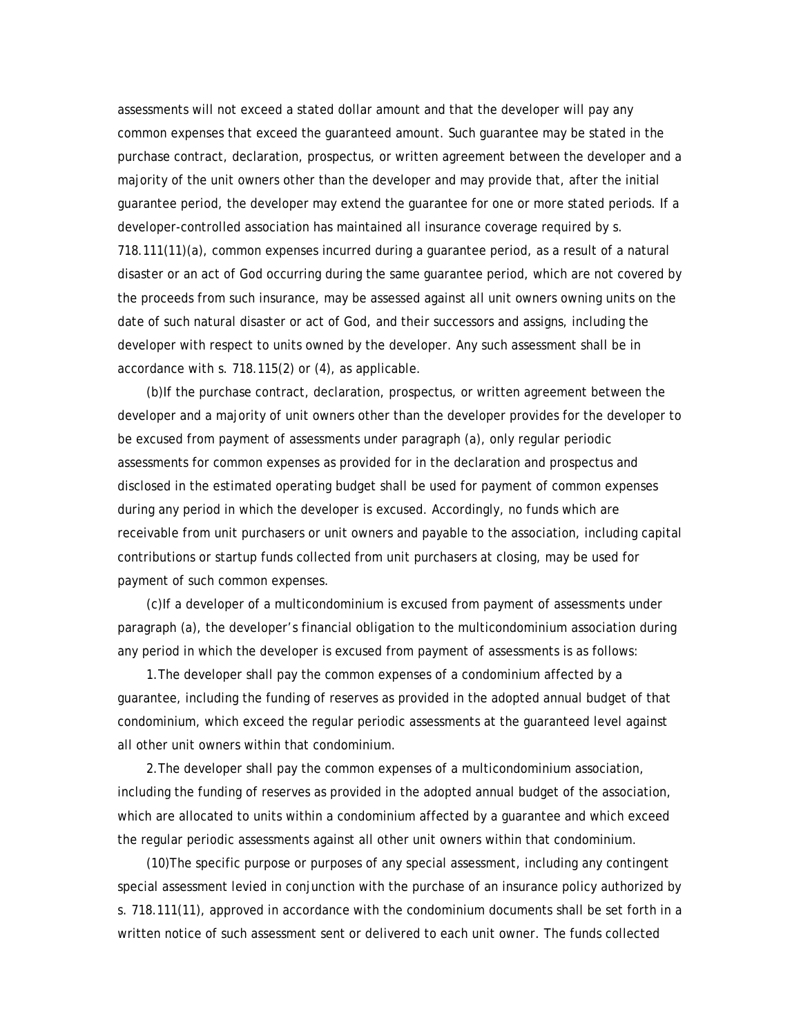assessments will not exceed a stated dollar amount and that the developer will pay any common expenses that exceed the guaranteed amount. Such guarantee may be stated in the purchase contract, declaration, prospectus, or written agreement between the developer and a majority of the unit owners other than the developer and may provide that, after the initial guarantee period, the developer may extend the guarantee for one or more stated periods. If a developer-controlled association has maintained all insurance coverage required by s. 718.111(11)(a), common expenses incurred during a guarantee period, as a result of a natural disaster or an act of God occurring during the same guarantee period, which are not covered by the proceeds from such insurance, may be assessed against all unit owners owning units on the date of such natural disaster or act of God, and their successors and assigns, including the developer with respect to units owned by the developer. Any such assessment shall be in accordance with s. 718.115(2) or (4), as applicable.

(b)If the purchase contract, declaration, prospectus, or written agreement between the developer and a majority of unit owners other than the developer provides for the developer to be excused from payment of assessments under paragraph (a), only regular periodic assessments for common expenses as provided for in the declaration and prospectus and disclosed in the estimated operating budget shall be used for payment of common expenses during any period in which the developer is excused. Accordingly, no funds which are receivable from unit purchasers or unit owners and payable to the association, including capital contributions or startup funds collected from unit purchasers at closing, may be used for payment of such common expenses.

(c)If a developer of a multicondominium is excused from payment of assessments under paragraph (a), the developer's financial obligation to the multicondominium association during any period in which the developer is excused from payment of assessments is as follows:

1.The developer shall pay the common expenses of a condominium affected by a guarantee, including the funding of reserves as provided in the adopted annual budget of that condominium, which exceed the regular periodic assessments at the guaranteed level against all other unit owners within that condominium.

2.The developer shall pay the common expenses of a multicondominium association, including the funding of reserves as provided in the adopted annual budget of the association, which are allocated to units within a condominium affected by a guarantee and which exceed the regular periodic assessments against all other unit owners within that condominium.

(10)The specific purpose or purposes of any special assessment, including any contingent special assessment levied in conjunction with the purchase of an insurance policy authorized by s. 718.111(11), approved in accordance with the condominium documents shall be set forth in a written notice of such assessment sent or delivered to each unit owner. The funds collected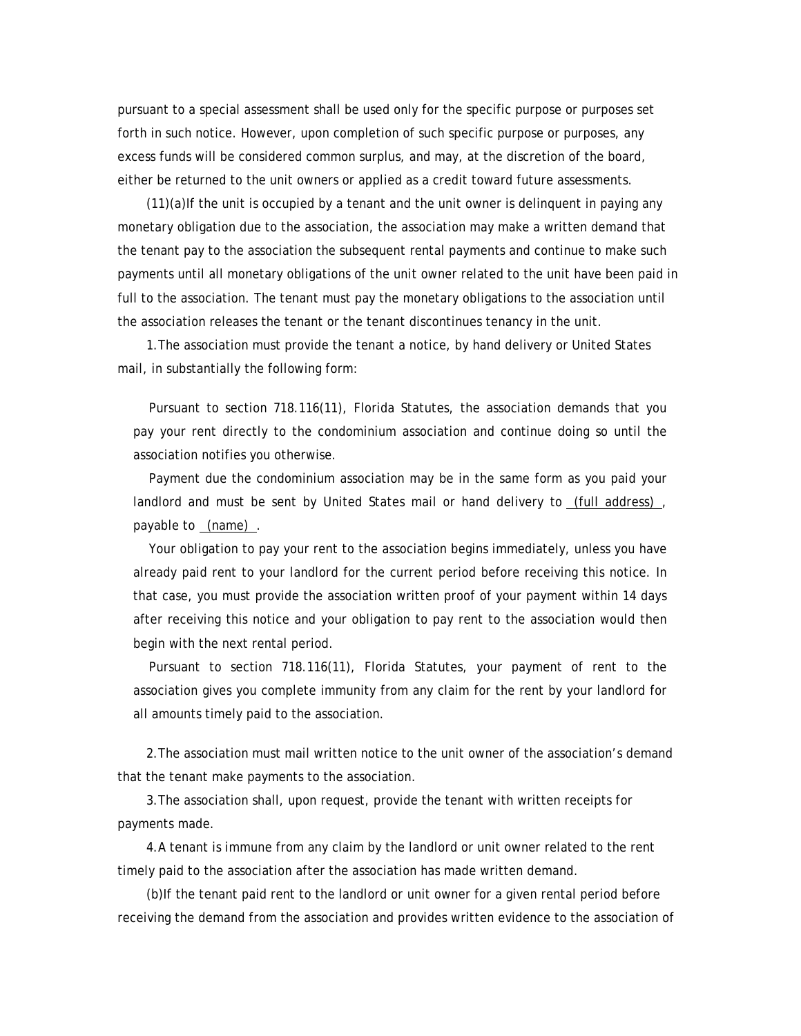pursuant to a special assessment shall be used only for the specific purpose or purposes set forth in such notice. However, upon completion of such specific purpose or purposes, any excess funds will be considered common surplus, and may, at the discretion of the board, either be returned to the unit owners or applied as a credit toward future assessments.

(11)(a)If the unit is occupied by a tenant and the unit owner is delinquent in paying any monetary obligation due to the association, the association may make a written demand that the tenant pay to the association the subsequent rental payments and continue to make such payments until all monetary obligations of the unit owner related to the unit have been paid in full to the association. The tenant must pay the monetary obligations to the association until the association releases the tenant or the tenant discontinues tenancy in the unit.

1.The association must provide the tenant a notice, by hand delivery or United States mail, in substantially the following form:

Pursuant to section 718.116(11), Florida Statutes, the association demands that you pay your rent directly to the condominium association and continue doing so until the association notifies you otherwise.

Payment due the condominium association may be in the same form as you paid your landlord and must be sent by United States mail or hand delivery to (full address) , payable to (name) .

Your obligation to pay your rent to the association begins immediately, unless you have already paid rent to your landlord for the current period before receiving this notice. In that case, you must provide the association written proof of your payment within 14 days after receiving this notice and your obligation to pay rent to the association would then begin with the next rental period.

Pursuant to section 718.116(11), Florida Statutes, your payment of rent to the association gives you complete immunity from any claim for the rent by your landlord for all amounts timely paid to the association.

2.The association must mail written notice to the unit owner of the association's demand that the tenant make payments to the association.

3.The association shall, upon request, provide the tenant with written receipts for payments made.

4.A tenant is immune from any claim by the landlord or unit owner related to the rent timely paid to the association after the association has made written demand.

(b)If the tenant paid rent to the landlord or unit owner for a given rental period before receiving the demand from the association and provides written evidence to the association of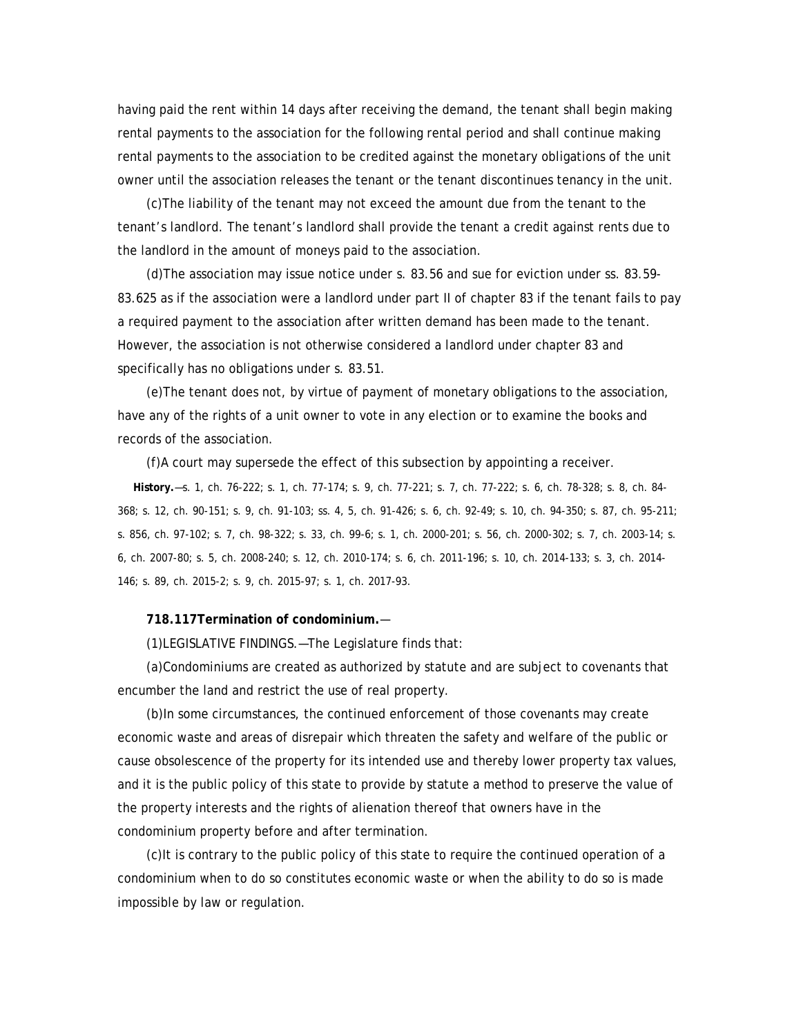having paid the rent within 14 days after receiving the demand, the tenant shall begin making rental payments to the association for the following rental period and shall continue making rental payments to the association to be credited against the monetary obligations of the unit owner until the association releases the tenant or the tenant discontinues tenancy in the unit.

(c)The liability of the tenant may not exceed the amount due from the tenant to the tenant's landlord. The tenant's landlord shall provide the tenant a credit against rents due to the landlord in the amount of moneys paid to the association.

(d)The association may issue notice under s. 83.56 and sue for eviction under ss. 83.59- 83.625 as if the association were a landlord under part II of chapter 83 if the tenant fails to pay a required payment to the association after written demand has been made to the tenant. However, the association is not otherwise considered a landlord under chapter 83 and specifically has no obligations under s. 83.51.

(e)The tenant does not, by virtue of payment of monetary obligations to the association, have any of the rights of a unit owner to vote in any election or to examine the books and records of the association.

(f)A court may supersede the effect of this subsection by appointing a receiver.

**History.**—s. 1, ch. 76-222; s. 1, ch. 77-174; s. 9, ch. 77-221; s. 7, ch. 77-222; s. 6, ch. 78-328; s. 8, ch. 84- 368; s. 12, ch. 90-151; s. 9, ch. 91-103; ss. 4, 5, ch. 91-426; s. 6, ch. 92-49; s. 10, ch. 94-350; s. 87, ch. 95-211; s. 856, ch. 97-102; s. 7, ch. 98-322; s. 33, ch. 99-6; s. 1, ch. 2000-201; s. 56, ch. 2000-302; s. 7, ch. 2003-14; s. 6, ch. 2007-80; s. 5, ch. 2008-240; s. 12, ch. 2010-174; s. 6, ch. 2011-196; s. 10, ch. 2014-133; s. 3, ch. 2014- 146; s. 89, ch. 2015-2; s. 9, ch. 2015-97; s. 1, ch. 2017-93.

# **718.117Termination of condominium.**—

(1)LEGISLATIVE FINDINGS.—The Legislature finds that:

(a)Condominiums are created as authorized by statute and are subject to covenants that encumber the land and restrict the use of real property.

(b)In some circumstances, the continued enforcement of those covenants may create economic waste and areas of disrepair which threaten the safety and welfare of the public or cause obsolescence of the property for its intended use and thereby lower property tax values, and it is the public policy of this state to provide by statute a method to preserve the value of the property interests and the rights of alienation thereof that owners have in the condominium property before and after termination.

(c)It is contrary to the public policy of this state to require the continued operation of a condominium when to do so constitutes economic waste or when the ability to do so is made impossible by law or regulation.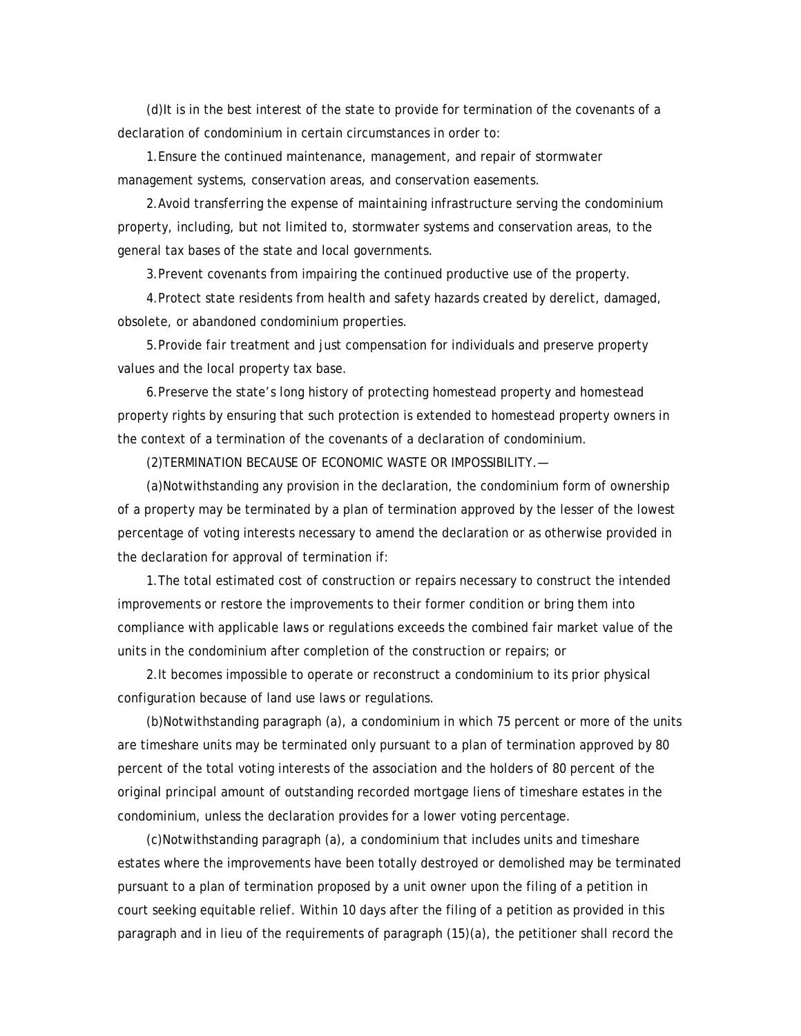(d)It is in the best interest of the state to provide for termination of the covenants of a declaration of condominium in certain circumstances in order to:

1.Ensure the continued maintenance, management, and repair of stormwater management systems, conservation areas, and conservation easements.

2.Avoid transferring the expense of maintaining infrastructure serving the condominium property, including, but not limited to, stormwater systems and conservation areas, to the general tax bases of the state and local governments.

3.Prevent covenants from impairing the continued productive use of the property.

4.Protect state residents from health and safety hazards created by derelict, damaged, obsolete, or abandoned condominium properties.

5.Provide fair treatment and just compensation for individuals and preserve property values and the local property tax base.

6.Preserve the state's long history of protecting homestead property and homestead property rights by ensuring that such protection is extended to homestead property owners in the context of a termination of the covenants of a declaration of condominium.

(2)TERMINATION BECAUSE OF ECONOMIC WASTE OR IMPOSSIBILITY.—

(a)Notwithstanding any provision in the declaration, the condominium form of ownership of a property may be terminated by a plan of termination approved by the lesser of the lowest percentage of voting interests necessary to amend the declaration or as otherwise provided in the declaration for approval of termination if:

1.The total estimated cost of construction or repairs necessary to construct the intended improvements or restore the improvements to their former condition or bring them into compliance with applicable laws or regulations exceeds the combined fair market value of the units in the condominium after completion of the construction or repairs; or

2.It becomes impossible to operate or reconstruct a condominium to its prior physical configuration because of land use laws or regulations.

(b)Notwithstanding paragraph (a), a condominium in which 75 percent or more of the units are timeshare units may be terminated only pursuant to a plan of termination approved by 80 percent of the total voting interests of the association and the holders of 80 percent of the original principal amount of outstanding recorded mortgage liens of timeshare estates in the condominium, unless the declaration provides for a lower voting percentage.

(c)Notwithstanding paragraph (a), a condominium that includes units and timeshare estates where the improvements have been totally destroyed or demolished may be terminated pursuant to a plan of termination proposed by a unit owner upon the filing of a petition in court seeking equitable relief. Within 10 days after the filing of a petition as provided in this paragraph and in lieu of the requirements of paragraph (15)(a), the petitioner shall record the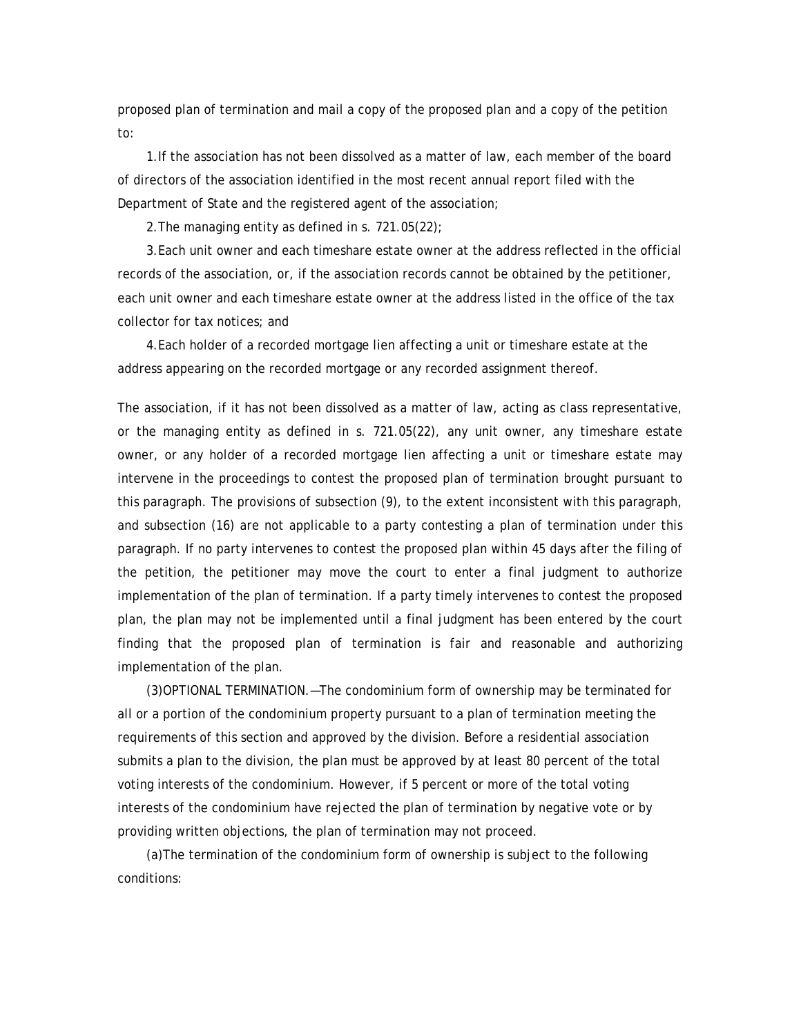proposed plan of termination and mail a copy of the proposed plan and a copy of the petition to:

1.If the association has not been dissolved as a matter of law, each member of the board of directors of the association identified in the most recent annual report filed with the Department of State and the registered agent of the association;

2.The managing entity as defined in s. 721.05(22);

3.Each unit owner and each timeshare estate owner at the address reflected in the official records of the association, or, if the association records cannot be obtained by the petitioner, each unit owner and each timeshare estate owner at the address listed in the office of the tax collector for tax notices; and

4.Each holder of a recorded mortgage lien affecting a unit or timeshare estate at the address appearing on the recorded mortgage or any recorded assignment thereof.

The association, if it has not been dissolved as a matter of law, acting as class representative, or the managing entity as defined in s. 721.05(22), any unit owner, any timeshare estate owner, or any holder of a recorded mortgage lien affecting a unit or timeshare estate may intervene in the proceedings to contest the proposed plan of termination brought pursuant to this paragraph. The provisions of subsection (9), to the extent inconsistent with this paragraph, and subsection (16) are not applicable to a party contesting a plan of termination under this paragraph. If no party intervenes to contest the proposed plan within 45 days after the filing of the petition, the petitioner may move the court to enter a final judgment to authorize implementation of the plan of termination. If a party timely intervenes to contest the proposed plan, the plan may not be implemented until a final judgment has been entered by the court finding that the proposed plan of termination is fair and reasonable and authorizing implementation of the plan.

(3)OPTIONAL TERMINATION.—The condominium form of ownership may be terminated for all or a portion of the condominium property pursuant to a plan of termination meeting the requirements of this section and approved by the division. Before a residential association submits a plan to the division, the plan must be approved by at least 80 percent of the total voting interests of the condominium. However, if 5 percent or more of the total voting interests of the condominium have rejected the plan of termination by negative vote or by providing written objections, the plan of termination may not proceed.

(a)The termination of the condominium form of ownership is subject to the following conditions: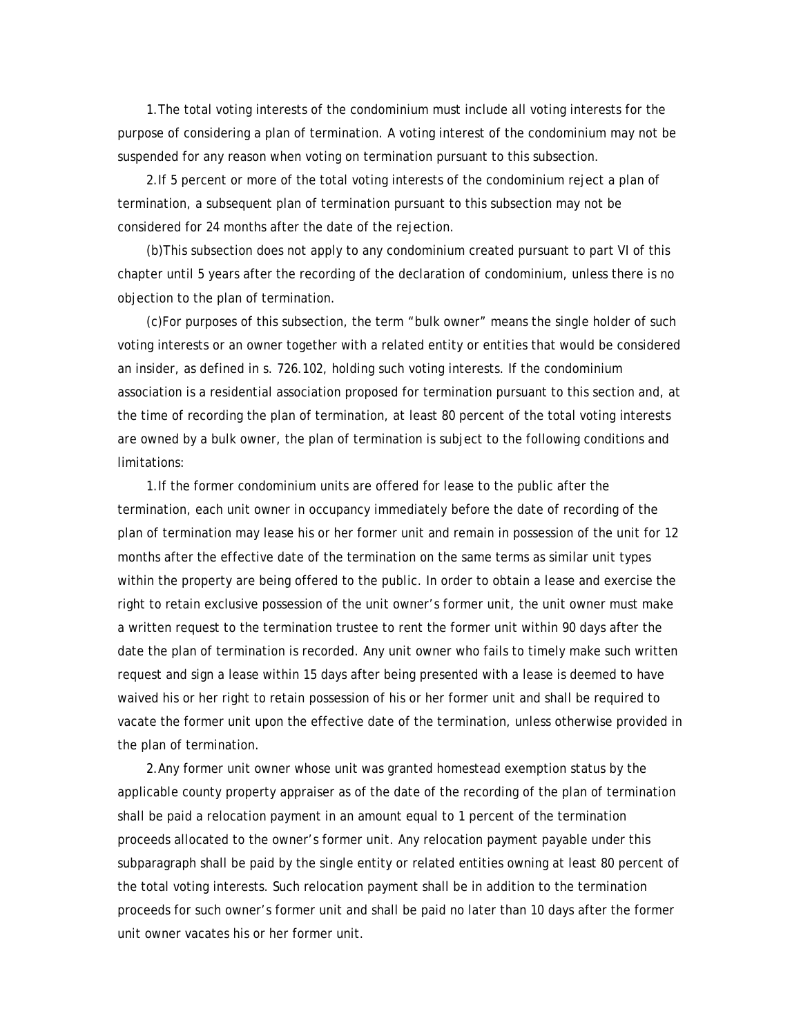1.The total voting interests of the condominium must include all voting interests for the purpose of considering a plan of termination. A voting interest of the condominium may not be suspended for any reason when voting on termination pursuant to this subsection.

2.If 5 percent or more of the total voting interests of the condominium reject a plan of termination, a subsequent plan of termination pursuant to this subsection may not be considered for 24 months after the date of the rejection.

(b)This subsection does not apply to any condominium created pursuant to part VI of this chapter until 5 years after the recording of the declaration of condominium, unless there is no objection to the plan of termination.

(c)For purposes of this subsection, the term "bulk owner" means the single holder of such voting interests or an owner together with a related entity or entities that would be considered an insider, as defined in s. 726.102, holding such voting interests. If the condominium association is a residential association proposed for termination pursuant to this section and, at the time of recording the plan of termination, at least 80 percent of the total voting interests are owned by a bulk owner, the plan of termination is subject to the following conditions and limitations:

1.If the former condominium units are offered for lease to the public after the termination, each unit owner in occupancy immediately before the date of recording of the plan of termination may lease his or her former unit and remain in possession of the unit for 12 months after the effective date of the termination on the same terms as similar unit types within the property are being offered to the public. In order to obtain a lease and exercise the right to retain exclusive possession of the unit owner's former unit, the unit owner must make a written request to the termination trustee to rent the former unit within 90 days after the date the plan of termination is recorded. Any unit owner who fails to timely make such written request and sign a lease within 15 days after being presented with a lease is deemed to have waived his or her right to retain possession of his or her former unit and shall be required to vacate the former unit upon the effective date of the termination, unless otherwise provided in the plan of termination.

2.Any former unit owner whose unit was granted homestead exemption status by the applicable county property appraiser as of the date of the recording of the plan of termination shall be paid a relocation payment in an amount equal to 1 percent of the termination proceeds allocated to the owner's former unit. Any relocation payment payable under this subparagraph shall be paid by the single entity or related entities owning at least 80 percent of the total voting interests. Such relocation payment shall be in addition to the termination proceeds for such owner's former unit and shall be paid no later than 10 days after the former unit owner vacates his or her former unit.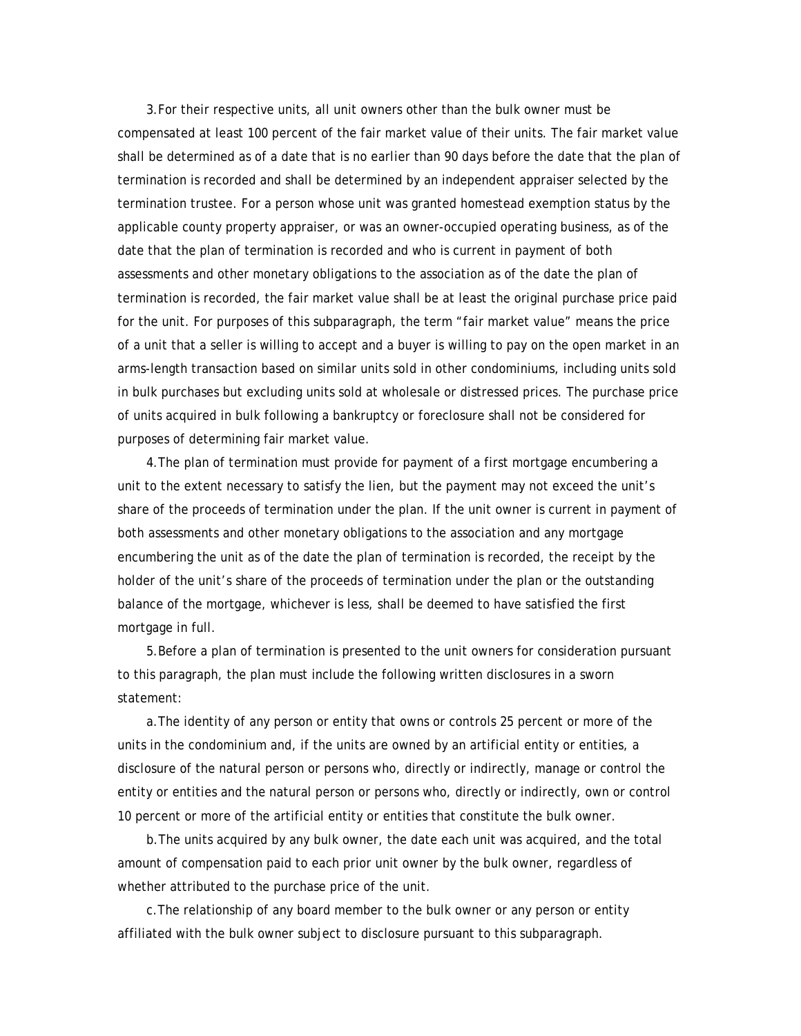3.For their respective units, all unit owners other than the bulk owner must be compensated at least 100 percent of the fair market value of their units. The fair market value shall be determined as of a date that is no earlier than 90 days before the date that the plan of termination is recorded and shall be determined by an independent appraiser selected by the termination trustee. For a person whose unit was granted homestead exemption status by the applicable county property appraiser, or was an owner-occupied operating business, as of the date that the plan of termination is recorded and who is current in payment of both assessments and other monetary obligations to the association as of the date the plan of termination is recorded, the fair market value shall be at least the original purchase price paid for the unit. For purposes of this subparagraph, the term "fair market value" means the price of a unit that a seller is willing to accept and a buyer is willing to pay on the open market in an arms-length transaction based on similar units sold in other condominiums, including units sold in bulk purchases but excluding units sold at wholesale or distressed prices. The purchase price of units acquired in bulk following a bankruptcy or foreclosure shall not be considered for purposes of determining fair market value.

4.The plan of termination must provide for payment of a first mortgage encumbering a unit to the extent necessary to satisfy the lien, but the payment may not exceed the unit's share of the proceeds of termination under the plan. If the unit owner is current in payment of both assessments and other monetary obligations to the association and any mortgage encumbering the unit as of the date the plan of termination is recorded, the receipt by the holder of the unit's share of the proceeds of termination under the plan or the outstanding balance of the mortgage, whichever is less, shall be deemed to have satisfied the first mortgage in full.

5.Before a plan of termination is presented to the unit owners for consideration pursuant to this paragraph, the plan must include the following written disclosures in a sworn statement:

a.The identity of any person or entity that owns or controls 25 percent or more of the units in the condominium and, if the units are owned by an artificial entity or entities, a disclosure of the natural person or persons who, directly or indirectly, manage or control the entity or entities and the natural person or persons who, directly or indirectly, own or control 10 percent or more of the artificial entity or entities that constitute the bulk owner.

b.The units acquired by any bulk owner, the date each unit was acquired, and the total amount of compensation paid to each prior unit owner by the bulk owner, regardless of whether attributed to the purchase price of the unit.

c.The relationship of any board member to the bulk owner or any person or entity affiliated with the bulk owner subject to disclosure pursuant to this subparagraph.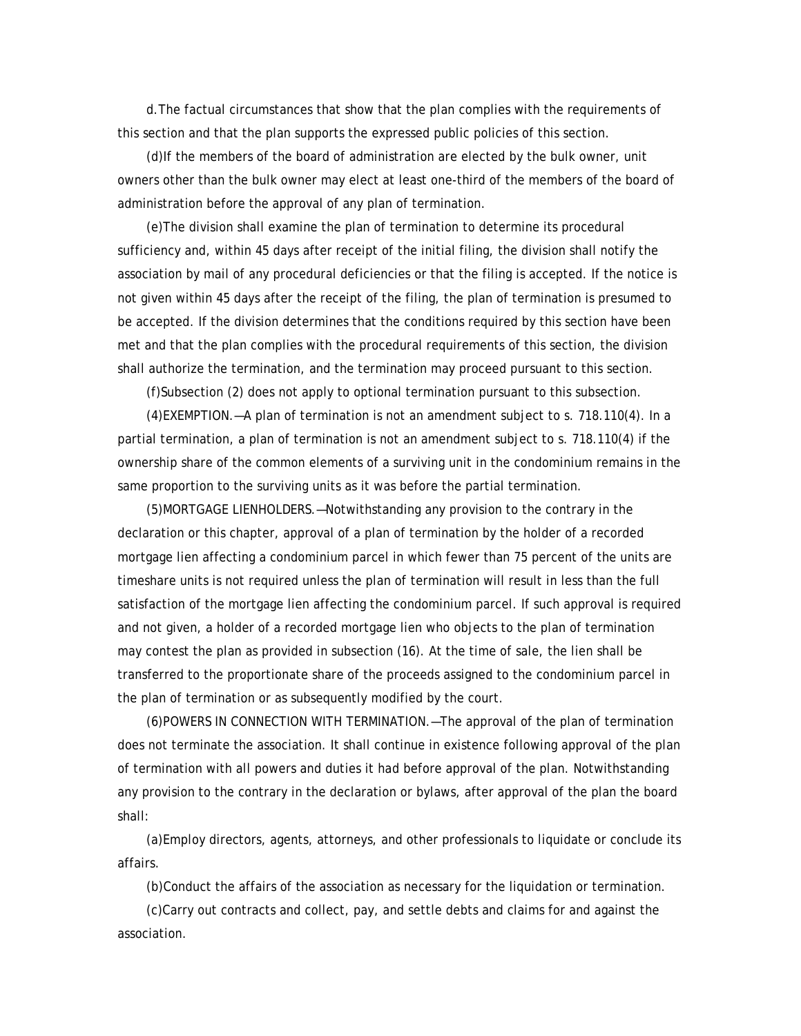d.The factual circumstances that show that the plan complies with the requirements of this section and that the plan supports the expressed public policies of this section.

(d)If the members of the board of administration are elected by the bulk owner, unit owners other than the bulk owner may elect at least one-third of the members of the board of administration before the approval of any plan of termination.

(e)The division shall examine the plan of termination to determine its procedural sufficiency and, within 45 days after receipt of the initial filing, the division shall notify the association by mail of any procedural deficiencies or that the filing is accepted. If the notice is not given within 45 days after the receipt of the filing, the plan of termination is presumed to be accepted. If the division determines that the conditions required by this section have been met and that the plan complies with the procedural requirements of this section, the division shall authorize the termination, and the termination may proceed pursuant to this section.

(f)Subsection (2) does not apply to optional termination pursuant to this subsection.

(4)EXEMPTION.—A plan of termination is not an amendment subject to s. 718.110(4). In a partial termination, a plan of termination is not an amendment subject to s. 718.110(4) if the ownership share of the common elements of a surviving unit in the condominium remains in the same proportion to the surviving units as it was before the partial termination.

(5)MORTGAGE LIENHOLDERS.—Notwithstanding any provision to the contrary in the declaration or this chapter, approval of a plan of termination by the holder of a recorded mortgage lien affecting a condominium parcel in which fewer than 75 percent of the units are timeshare units is not required unless the plan of termination will result in less than the full satisfaction of the mortgage lien affecting the condominium parcel. If such approval is required and not given, a holder of a recorded mortgage lien who objects to the plan of termination may contest the plan as provided in subsection (16). At the time of sale, the lien shall be transferred to the proportionate share of the proceeds assigned to the condominium parcel in the plan of termination or as subsequently modified by the court.

(6)POWERS IN CONNECTION WITH TERMINATION.—The approval of the plan of termination does not terminate the association. It shall continue in existence following approval of the plan of termination with all powers and duties it had before approval of the plan. Notwithstanding any provision to the contrary in the declaration or bylaws, after approval of the plan the board shall:

(a)Employ directors, agents, attorneys, and other professionals to liquidate or conclude its affairs.

(b)Conduct the affairs of the association as necessary for the liquidation or termination.

(c)Carry out contracts and collect, pay, and settle debts and claims for and against the association.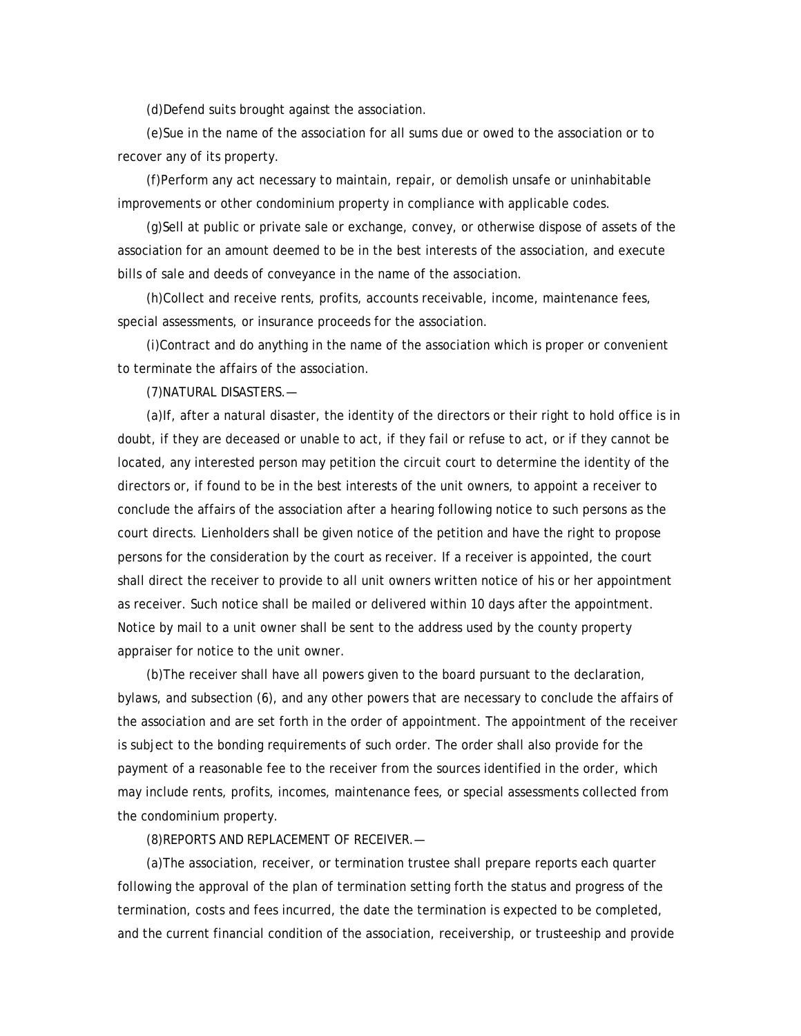(d)Defend suits brought against the association.

(e)Sue in the name of the association for all sums due or owed to the association or to recover any of its property.

(f)Perform any act necessary to maintain, repair, or demolish unsafe or uninhabitable improvements or other condominium property in compliance with applicable codes.

(g)Sell at public or private sale or exchange, convey, or otherwise dispose of assets of the association for an amount deemed to be in the best interests of the association, and execute bills of sale and deeds of conveyance in the name of the association.

(h)Collect and receive rents, profits, accounts receivable, income, maintenance fees, special assessments, or insurance proceeds for the association.

(i)Contract and do anything in the name of the association which is proper or convenient to terminate the affairs of the association.

(7)NATURAL DISASTERS.—

(a)If, after a natural disaster, the identity of the directors or their right to hold office is in doubt, if they are deceased or unable to act, if they fail or refuse to act, or if they cannot be located, any interested person may petition the circuit court to determine the identity of the directors or, if found to be in the best interests of the unit owners, to appoint a receiver to conclude the affairs of the association after a hearing following notice to such persons as the court directs. Lienholders shall be given notice of the petition and have the right to propose persons for the consideration by the court as receiver. If a receiver is appointed, the court shall direct the receiver to provide to all unit owners written notice of his or her appointment as receiver. Such notice shall be mailed or delivered within 10 days after the appointment. Notice by mail to a unit owner shall be sent to the address used by the county property appraiser for notice to the unit owner.

(b)The receiver shall have all powers given to the board pursuant to the declaration, bylaws, and subsection (6), and any other powers that are necessary to conclude the affairs of the association and are set forth in the order of appointment. The appointment of the receiver is subject to the bonding requirements of such order. The order shall also provide for the payment of a reasonable fee to the receiver from the sources identified in the order, which may include rents, profits, incomes, maintenance fees, or special assessments collected from the condominium property.

(8)REPORTS AND REPLACEMENT OF RECEIVER.—

(a)The association, receiver, or termination trustee shall prepare reports each quarter following the approval of the plan of termination setting forth the status and progress of the termination, costs and fees incurred, the date the termination is expected to be completed, and the current financial condition of the association, receivership, or trusteeship and provide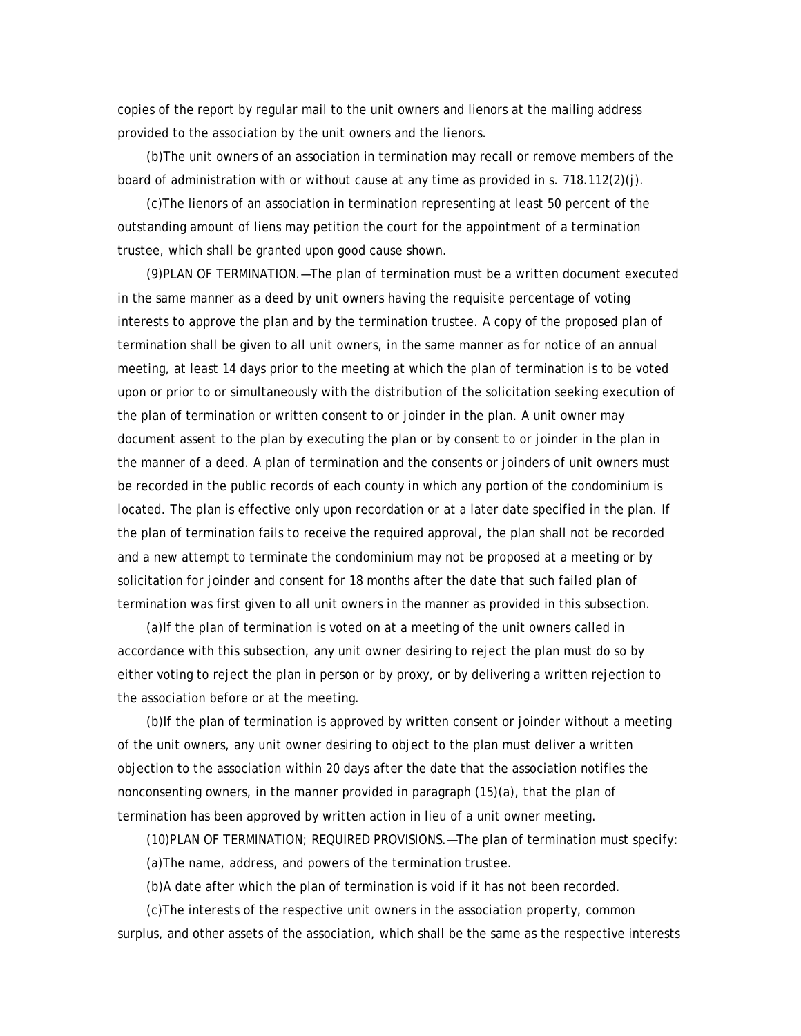copies of the report by regular mail to the unit owners and lienors at the mailing address provided to the association by the unit owners and the lienors.

(b)The unit owners of an association in termination may recall or remove members of the board of administration with or without cause at any time as provided in s. 718.112(2)(j).

(c)The lienors of an association in termination representing at least 50 percent of the outstanding amount of liens may petition the court for the appointment of a termination trustee, which shall be granted upon good cause shown.

(9)PLAN OF TERMINATION.—The plan of termination must be a written document executed in the same manner as a deed by unit owners having the requisite percentage of voting interests to approve the plan and by the termination trustee. A copy of the proposed plan of termination shall be given to all unit owners, in the same manner as for notice of an annual meeting, at least 14 days prior to the meeting at which the plan of termination is to be voted upon or prior to or simultaneously with the distribution of the solicitation seeking execution of the plan of termination or written consent to or joinder in the plan. A unit owner may document assent to the plan by executing the plan or by consent to or joinder in the plan in the manner of a deed. A plan of termination and the consents or joinders of unit owners must be recorded in the public records of each county in which any portion of the condominium is located. The plan is effective only upon recordation or at a later date specified in the plan. If the plan of termination fails to receive the required approval, the plan shall not be recorded and a new attempt to terminate the condominium may not be proposed at a meeting or by solicitation for joinder and consent for 18 months after the date that such failed plan of termination was first given to all unit owners in the manner as provided in this subsection.

(a)If the plan of termination is voted on at a meeting of the unit owners called in accordance with this subsection, any unit owner desiring to reject the plan must do so by either voting to reject the plan in person or by proxy, or by delivering a written rejection to the association before or at the meeting.

(b)If the plan of termination is approved by written consent or joinder without a meeting of the unit owners, any unit owner desiring to object to the plan must deliver a written objection to the association within 20 days after the date that the association notifies the nonconsenting owners, in the manner provided in paragraph (15)(a), that the plan of termination has been approved by written action in lieu of a unit owner meeting.

(10)PLAN OF TERMINATION; REQUIRED PROVISIONS.—The plan of termination must specify:

(a)The name, address, and powers of the termination trustee.

(b)A date after which the plan of termination is void if it has not been recorded.

(c)The interests of the respective unit owners in the association property, common surplus, and other assets of the association, which shall be the same as the respective interests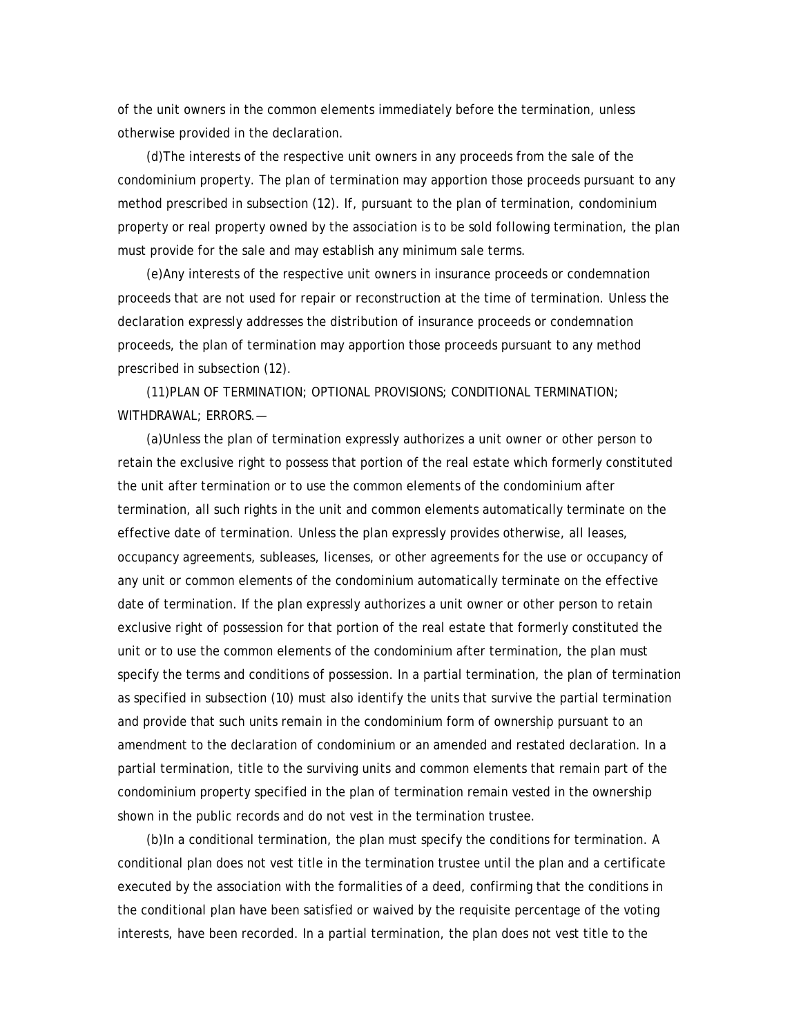of the unit owners in the common elements immediately before the termination, unless otherwise provided in the declaration.

(d)The interests of the respective unit owners in any proceeds from the sale of the condominium property. The plan of termination may apportion those proceeds pursuant to any method prescribed in subsection (12). If, pursuant to the plan of termination, condominium property or real property owned by the association is to be sold following termination, the plan must provide for the sale and may establish any minimum sale terms.

(e)Any interests of the respective unit owners in insurance proceeds or condemnation proceeds that are not used for repair or reconstruction at the time of termination. Unless the declaration expressly addresses the distribution of insurance proceeds or condemnation proceeds, the plan of termination may apportion those proceeds pursuant to any method prescribed in subsection (12).

(11)PLAN OF TERMINATION; OPTIONAL PROVISIONS; CONDITIONAL TERMINATION; WITHDRAWAL; ERRORS.—

(a)Unless the plan of termination expressly authorizes a unit owner or other person to retain the exclusive right to possess that portion of the real estate which formerly constituted the unit after termination or to use the common elements of the condominium after termination, all such rights in the unit and common elements automatically terminate on the effective date of termination. Unless the plan expressly provides otherwise, all leases, occupancy agreements, subleases, licenses, or other agreements for the use or occupancy of any unit or common elements of the condominium automatically terminate on the effective date of termination. If the plan expressly authorizes a unit owner or other person to retain exclusive right of possession for that portion of the real estate that formerly constituted the unit or to use the common elements of the condominium after termination, the plan must specify the terms and conditions of possession. In a partial termination, the plan of termination as specified in subsection (10) must also identify the units that survive the partial termination and provide that such units remain in the condominium form of ownership pursuant to an amendment to the declaration of condominium or an amended and restated declaration. In a partial termination, title to the surviving units and common elements that remain part of the condominium property specified in the plan of termination remain vested in the ownership shown in the public records and do not vest in the termination trustee.

(b)In a conditional termination, the plan must specify the conditions for termination. A conditional plan does not vest title in the termination trustee until the plan and a certificate executed by the association with the formalities of a deed, confirming that the conditions in the conditional plan have been satisfied or waived by the requisite percentage of the voting interests, have been recorded. In a partial termination, the plan does not vest title to the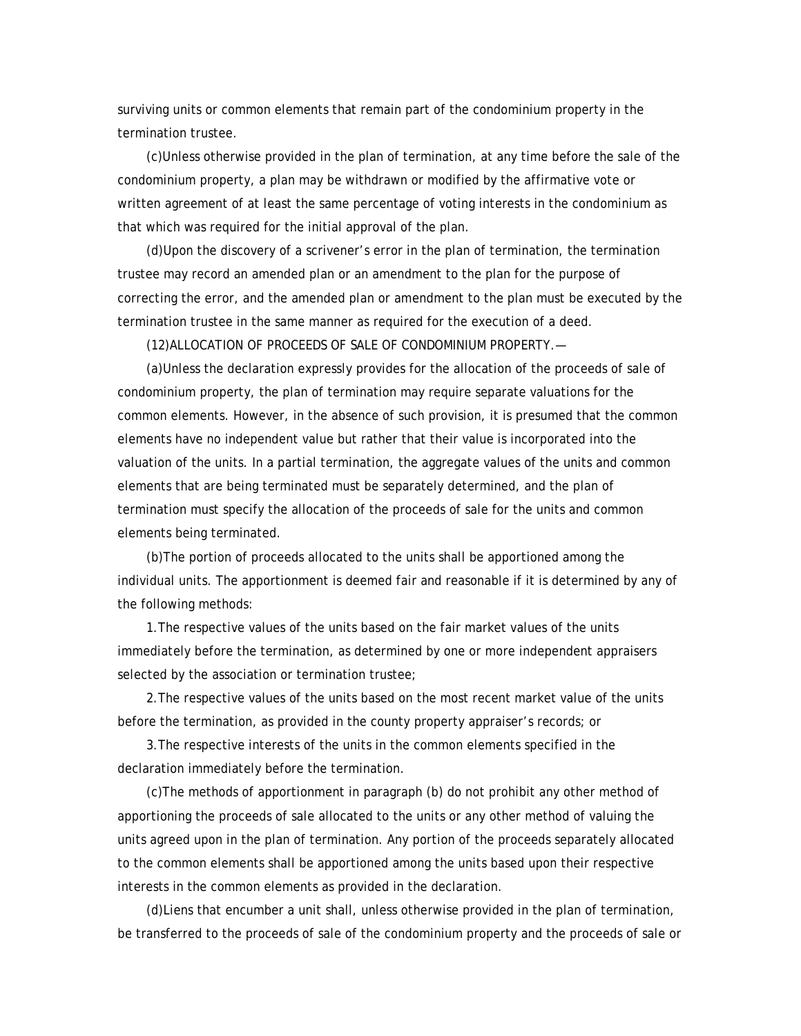surviving units or common elements that remain part of the condominium property in the termination trustee.

(c)Unless otherwise provided in the plan of termination, at any time before the sale of the condominium property, a plan may be withdrawn or modified by the affirmative vote or written agreement of at least the same percentage of voting interests in the condominium as that which was required for the initial approval of the plan.

(d)Upon the discovery of a scrivener's error in the plan of termination, the termination trustee may record an amended plan or an amendment to the plan for the purpose of correcting the error, and the amended plan or amendment to the plan must be executed by the termination trustee in the same manner as required for the execution of a deed.

(12)ALLOCATION OF PROCEEDS OF SALE OF CONDOMINIUM PROPERTY.—

(a)Unless the declaration expressly provides for the allocation of the proceeds of sale of condominium property, the plan of termination may require separate valuations for the common elements. However, in the absence of such provision, it is presumed that the common elements have no independent value but rather that their value is incorporated into the valuation of the units. In a partial termination, the aggregate values of the units and common elements that are being terminated must be separately determined, and the plan of termination must specify the allocation of the proceeds of sale for the units and common elements being terminated.

(b)The portion of proceeds allocated to the units shall be apportioned among the individual units. The apportionment is deemed fair and reasonable if it is determined by any of the following methods:

1.The respective values of the units based on the fair market values of the units immediately before the termination, as determined by one or more independent appraisers selected by the association or termination trustee;

2.The respective values of the units based on the most recent market value of the units before the termination, as provided in the county property appraiser's records; or

3.The respective interests of the units in the common elements specified in the declaration immediately before the termination.

(c)The methods of apportionment in paragraph (b) do not prohibit any other method of apportioning the proceeds of sale allocated to the units or any other method of valuing the units agreed upon in the plan of termination. Any portion of the proceeds separately allocated to the common elements shall be apportioned among the units based upon their respective interests in the common elements as provided in the declaration.

(d)Liens that encumber a unit shall, unless otherwise provided in the plan of termination, be transferred to the proceeds of sale of the condominium property and the proceeds of sale or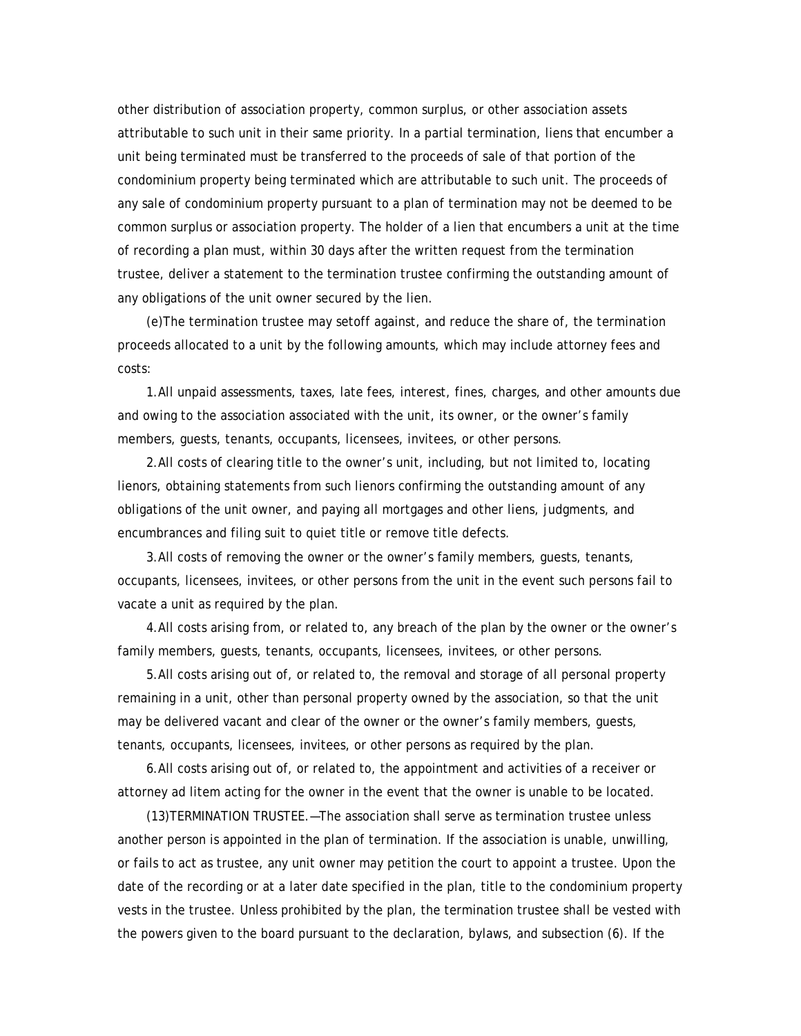other distribution of association property, common surplus, or other association assets attributable to such unit in their same priority. In a partial termination, liens that encumber a unit being terminated must be transferred to the proceeds of sale of that portion of the condominium property being terminated which are attributable to such unit. The proceeds of any sale of condominium property pursuant to a plan of termination may not be deemed to be common surplus or association property. The holder of a lien that encumbers a unit at the time of recording a plan must, within 30 days after the written request from the termination trustee, deliver a statement to the termination trustee confirming the outstanding amount of any obligations of the unit owner secured by the lien.

(e)The termination trustee may setoff against, and reduce the share of, the termination proceeds allocated to a unit by the following amounts, which may include attorney fees and costs:

1.All unpaid assessments, taxes, late fees, interest, fines, charges, and other amounts due and owing to the association associated with the unit, its owner, or the owner's family members, guests, tenants, occupants, licensees, invitees, or other persons.

2.All costs of clearing title to the owner's unit, including, but not limited to, locating lienors, obtaining statements from such lienors confirming the outstanding amount of any obligations of the unit owner, and paying all mortgages and other liens, judgments, and encumbrances and filing suit to quiet title or remove title defects.

3.All costs of removing the owner or the owner's family members, guests, tenants, occupants, licensees, invitees, or other persons from the unit in the event such persons fail to vacate a unit as required by the plan.

4.All costs arising from, or related to, any breach of the plan by the owner or the owner's family members, guests, tenants, occupants, licensees, invitees, or other persons.

5.All costs arising out of, or related to, the removal and storage of all personal property remaining in a unit, other than personal property owned by the association, so that the unit may be delivered vacant and clear of the owner or the owner's family members, guests, tenants, occupants, licensees, invitees, or other persons as required by the plan.

6.All costs arising out of, or related to, the appointment and activities of a receiver or attorney ad litem acting for the owner in the event that the owner is unable to be located.

(13)TERMINATION TRUSTEE.—The association shall serve as termination trustee unless another person is appointed in the plan of termination. If the association is unable, unwilling, or fails to act as trustee, any unit owner may petition the court to appoint a trustee. Upon the date of the recording or at a later date specified in the plan, title to the condominium property vests in the trustee. Unless prohibited by the plan, the termination trustee shall be vested with the powers given to the board pursuant to the declaration, bylaws, and subsection (6). If the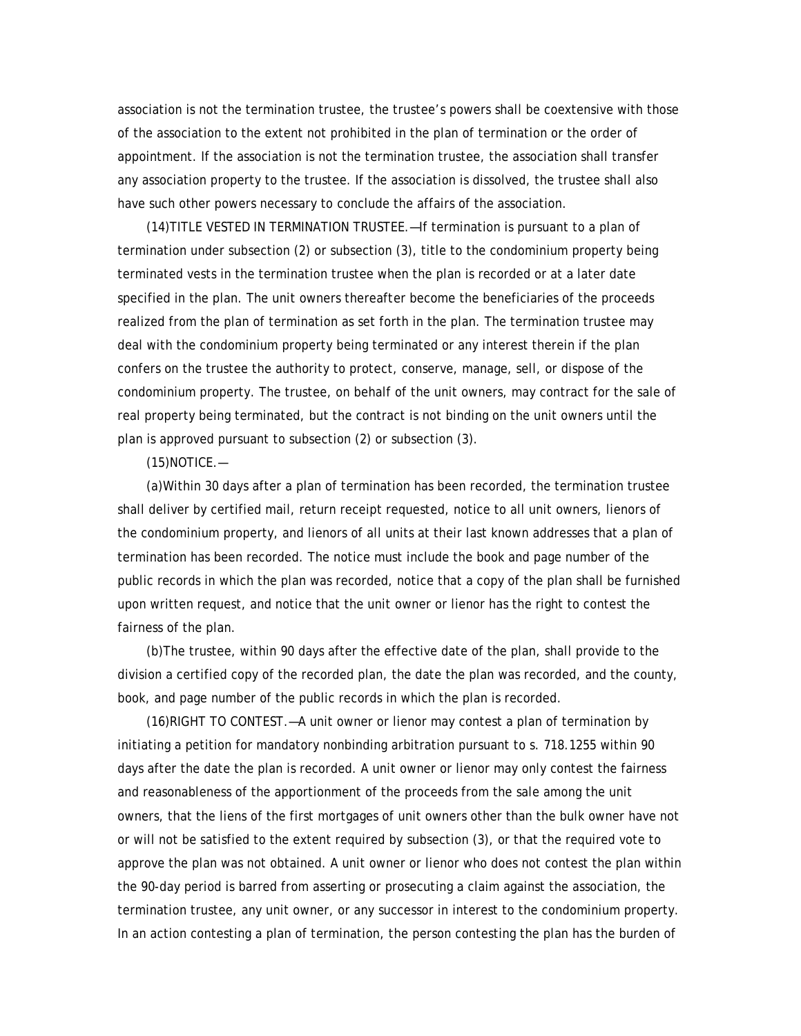association is not the termination trustee, the trustee's powers shall be coextensive with those of the association to the extent not prohibited in the plan of termination or the order of appointment. If the association is not the termination trustee, the association shall transfer any association property to the trustee. If the association is dissolved, the trustee shall also have such other powers necessary to conclude the affairs of the association.

(14)TITLE VESTED IN TERMINATION TRUSTEE.—If termination is pursuant to a plan of termination under subsection (2) or subsection (3), title to the condominium property being terminated vests in the termination trustee when the plan is recorded or at a later date specified in the plan. The unit owners thereafter become the beneficiaries of the proceeds realized from the plan of termination as set forth in the plan. The termination trustee may deal with the condominium property being terminated or any interest therein if the plan confers on the trustee the authority to protect, conserve, manage, sell, or dispose of the condominium property. The trustee, on behalf of the unit owners, may contract for the sale of real property being terminated, but the contract is not binding on the unit owners until the plan is approved pursuant to subsection (2) or subsection (3).

### $(15)$ NOTICE. $-$

(a)Within 30 days after a plan of termination has been recorded, the termination trustee shall deliver by certified mail, return receipt requested, notice to all unit owners, lienors of the condominium property, and lienors of all units at their last known addresses that a plan of termination has been recorded. The notice must include the book and page number of the public records in which the plan was recorded, notice that a copy of the plan shall be furnished upon written request, and notice that the unit owner or lienor has the right to contest the fairness of the plan.

(b)The trustee, within 90 days after the effective date of the plan, shall provide to the division a certified copy of the recorded plan, the date the plan was recorded, and the county, book, and page number of the public records in which the plan is recorded.

(16)RIGHT TO CONTEST.—A unit owner or lienor may contest a plan of termination by initiating a petition for mandatory nonbinding arbitration pursuant to s. 718.1255 within 90 days after the date the plan is recorded. A unit owner or lienor may only contest the fairness and reasonableness of the apportionment of the proceeds from the sale among the unit owners, that the liens of the first mortgages of unit owners other than the bulk owner have not or will not be satisfied to the extent required by subsection (3), or that the required vote to approve the plan was not obtained. A unit owner or lienor who does not contest the plan within the 90-day period is barred from asserting or prosecuting a claim against the association, the termination trustee, any unit owner, or any successor in interest to the condominium property. In an action contesting a plan of termination, the person contesting the plan has the burden of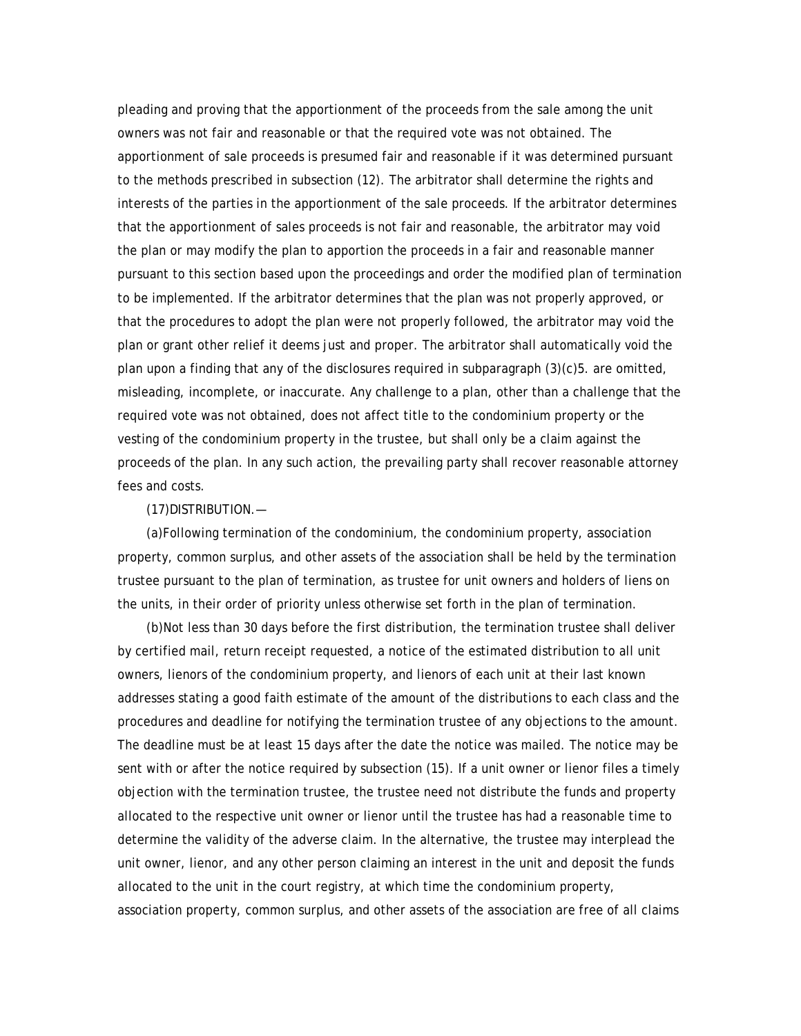pleading and proving that the apportionment of the proceeds from the sale among the unit owners was not fair and reasonable or that the required vote was not obtained. The apportionment of sale proceeds is presumed fair and reasonable if it was determined pursuant to the methods prescribed in subsection (12). The arbitrator shall determine the rights and interests of the parties in the apportionment of the sale proceeds. If the arbitrator determines that the apportionment of sales proceeds is not fair and reasonable, the arbitrator may void the plan or may modify the plan to apportion the proceeds in a fair and reasonable manner pursuant to this section based upon the proceedings and order the modified plan of termination to be implemented. If the arbitrator determines that the plan was not properly approved, or that the procedures to adopt the plan were not properly followed, the arbitrator may void the plan or grant other relief it deems just and proper. The arbitrator shall automatically void the plan upon a finding that any of the disclosures required in subparagraph (3)(c)5. are omitted, misleading, incomplete, or inaccurate. Any challenge to a plan, other than a challenge that the required vote was not obtained, does not affect title to the condominium property or the vesting of the condominium property in the trustee, but shall only be a claim against the proceeds of the plan. In any such action, the prevailing party shall recover reasonable attorney fees and costs.

#### (17)DISTRIBUTION.—

(a)Following termination of the condominium, the condominium property, association property, common surplus, and other assets of the association shall be held by the termination trustee pursuant to the plan of termination, as trustee for unit owners and holders of liens on the units, in their order of priority unless otherwise set forth in the plan of termination.

(b)Not less than 30 days before the first distribution, the termination trustee shall deliver by certified mail, return receipt requested, a notice of the estimated distribution to all unit owners, lienors of the condominium property, and lienors of each unit at their last known addresses stating a good faith estimate of the amount of the distributions to each class and the procedures and deadline for notifying the termination trustee of any objections to the amount. The deadline must be at least 15 days after the date the notice was mailed. The notice may be sent with or after the notice required by subsection (15). If a unit owner or lienor files a timely objection with the termination trustee, the trustee need not distribute the funds and property allocated to the respective unit owner or lienor until the trustee has had a reasonable time to determine the validity of the adverse claim. In the alternative, the trustee may interplead the unit owner, lienor, and any other person claiming an interest in the unit and deposit the funds allocated to the unit in the court registry, at which time the condominium property, association property, common surplus, and other assets of the association are free of all claims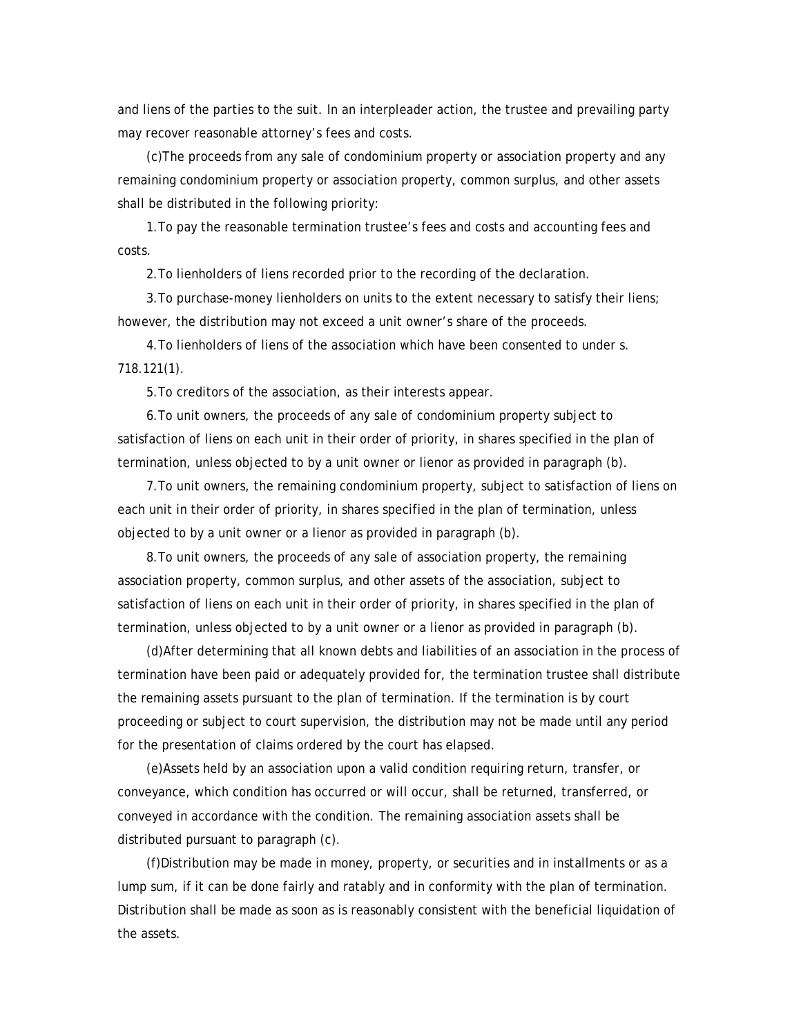and liens of the parties to the suit. In an interpleader action, the trustee and prevailing party may recover reasonable attorney's fees and costs.

(c)The proceeds from any sale of condominium property or association property and any remaining condominium property or association property, common surplus, and other assets shall be distributed in the following priority:

1.To pay the reasonable termination trustee's fees and costs and accounting fees and costs.

2.To lienholders of liens recorded prior to the recording of the declaration.

3.To purchase-money lienholders on units to the extent necessary to satisfy their liens; however, the distribution may not exceed a unit owner's share of the proceeds.

4.To lienholders of liens of the association which have been consented to under s. 718.121(1).

5.To creditors of the association, as their interests appear.

6.To unit owners, the proceeds of any sale of condominium property subject to satisfaction of liens on each unit in their order of priority, in shares specified in the plan of termination, unless objected to by a unit owner or lienor as provided in paragraph (b).

7.To unit owners, the remaining condominium property, subject to satisfaction of liens on each unit in their order of priority, in shares specified in the plan of termination, unless objected to by a unit owner or a lienor as provided in paragraph (b).

8.To unit owners, the proceeds of any sale of association property, the remaining association property, common surplus, and other assets of the association, subject to satisfaction of liens on each unit in their order of priority, in shares specified in the plan of termination, unless objected to by a unit owner or a lienor as provided in paragraph (b).

(d)After determining that all known debts and liabilities of an association in the process of termination have been paid or adequately provided for, the termination trustee shall distribute the remaining assets pursuant to the plan of termination. If the termination is by court proceeding or subject to court supervision, the distribution may not be made until any period for the presentation of claims ordered by the court has elapsed.

(e)Assets held by an association upon a valid condition requiring return, transfer, or conveyance, which condition has occurred or will occur, shall be returned, transferred, or conveyed in accordance with the condition. The remaining association assets shall be distributed pursuant to paragraph (c).

(f)Distribution may be made in money, property, or securities and in installments or as a lump sum, if it can be done fairly and ratably and in conformity with the plan of termination. Distribution shall be made as soon as is reasonably consistent with the beneficial liquidation of the assets.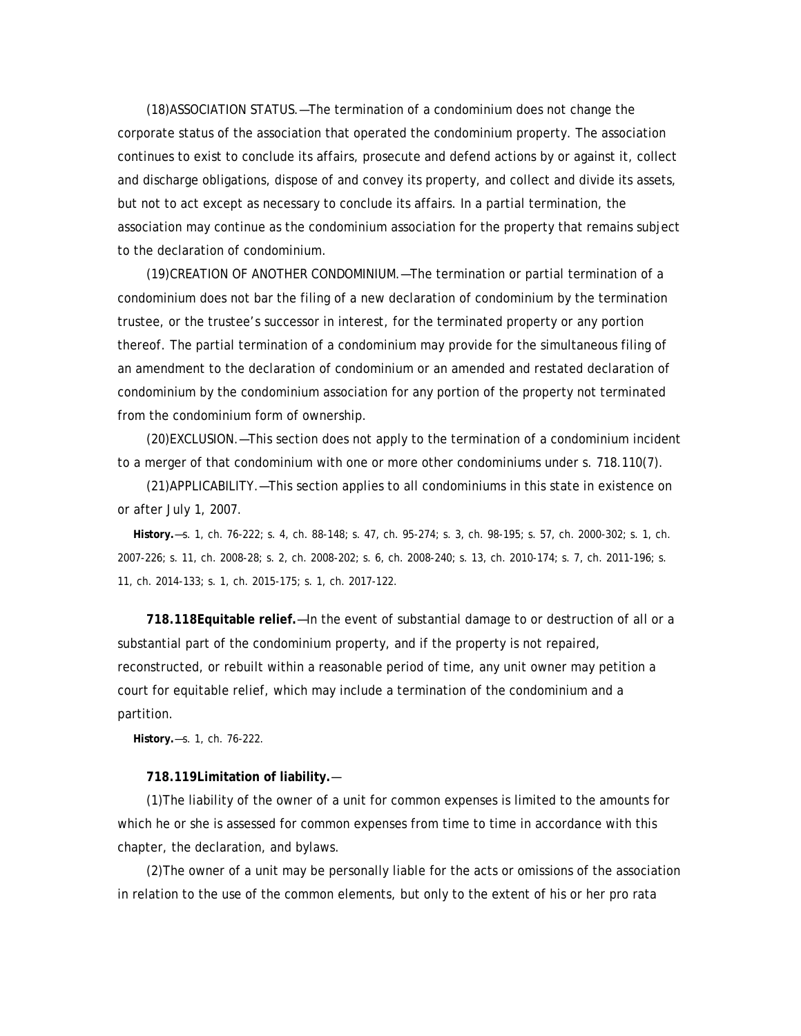(18)ASSOCIATION STATUS.—The termination of a condominium does not change the corporate status of the association that operated the condominium property. The association continues to exist to conclude its affairs, prosecute and defend actions by or against it, collect and discharge obligations, dispose of and convey its property, and collect and divide its assets, but not to act except as necessary to conclude its affairs. In a partial termination, the association may continue as the condominium association for the property that remains subject to the declaration of condominium.

(19)CREATION OF ANOTHER CONDOMINIUM.—The termination or partial termination of a condominium does not bar the filing of a new declaration of condominium by the termination trustee, or the trustee's successor in interest, for the terminated property or any portion thereof. The partial termination of a condominium may provide for the simultaneous filing of an amendment to the declaration of condominium or an amended and restated declaration of condominium by the condominium association for any portion of the property not terminated from the condominium form of ownership.

(20)EXCLUSION.—This section does not apply to the termination of a condominium incident to a merger of that condominium with one or more other condominiums under s. 718.110(7).

(21)APPLICABILITY.—This section applies to all condominiums in this state in existence on or after July 1, 2007.

**History.**—s. 1, ch. 76-222; s. 4, ch. 88-148; s. 47, ch. 95-274; s. 3, ch. 98-195; s. 57, ch. 2000-302; s. 1, ch. 2007-226; s. 11, ch. 2008-28; s. 2, ch. 2008-202; s. 6, ch. 2008-240; s. 13, ch. 2010-174; s. 7, ch. 2011-196; s. 11, ch. 2014-133; s. 1, ch. 2015-175; s. 1, ch. 2017-122.

**718.118Equitable relief.**—In the event of substantial damage to or destruction of all or a substantial part of the condominium property, and if the property is not repaired, reconstructed, or rebuilt within a reasonable period of time, any unit owner may petition a court for equitable relief, which may include a termination of the condominium and a partition.

**History.**—s. 1, ch. 76-222.

## **718.119Limitation of liability.**—

(1)The liability of the owner of a unit for common expenses is limited to the amounts for which he or she is assessed for common expenses from time to time in accordance with this chapter, the declaration, and bylaws.

(2)The owner of a unit may be personally liable for the acts or omissions of the association in relation to the use of the common elements, but only to the extent of his or her pro rata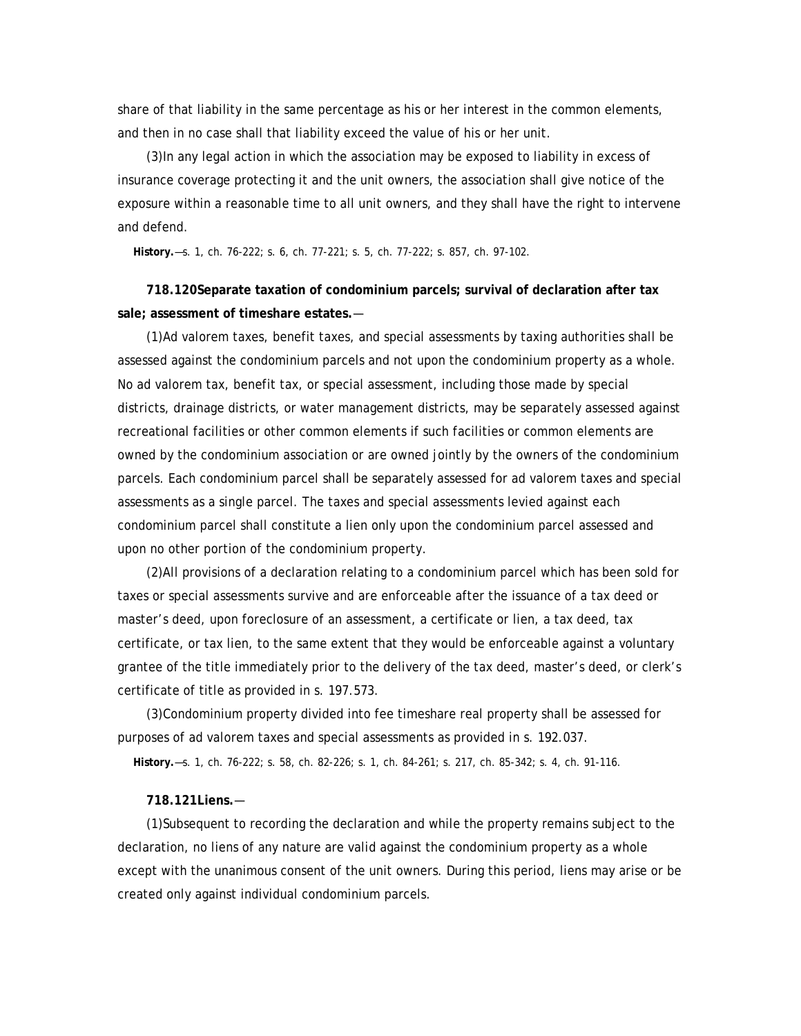share of that liability in the same percentage as his or her interest in the common elements, and then in no case shall that liability exceed the value of his or her unit.

(3)In any legal action in which the association may be exposed to liability in excess of insurance coverage protecting it and the unit owners, the association shall give notice of the exposure within a reasonable time to all unit owners, and they shall have the right to intervene and defend.

**History.**—s. 1, ch. 76-222; s. 6, ch. 77-221; s. 5, ch. 77-222; s. 857, ch. 97-102.

**718.120Separate taxation of condominium parcels; survival of declaration after tax sale; assessment of timeshare estates.**—

(1)Ad valorem taxes, benefit taxes, and special assessments by taxing authorities shall be assessed against the condominium parcels and not upon the condominium property as a whole. No ad valorem tax, benefit tax, or special assessment, including those made by special districts, drainage districts, or water management districts, may be separately assessed against recreational facilities or other common elements if such facilities or common elements are owned by the condominium association or are owned jointly by the owners of the condominium parcels. Each condominium parcel shall be separately assessed for ad valorem taxes and special assessments as a single parcel. The taxes and special assessments levied against each condominium parcel shall constitute a lien only upon the condominium parcel assessed and upon no other portion of the condominium property.

(2)All provisions of a declaration relating to a condominium parcel which has been sold for taxes or special assessments survive and are enforceable after the issuance of a tax deed or master's deed, upon foreclosure of an assessment, a certificate or lien, a tax deed, tax certificate, or tax lien, to the same extent that they would be enforceable against a voluntary grantee of the title immediately prior to the delivery of the tax deed, master's deed, or clerk's certificate of title as provided in s. 197.573.

(3)Condominium property divided into fee timeshare real property shall be assessed for purposes of ad valorem taxes and special assessments as provided in s. 192.037.

**History.**—s. 1, ch. 76-222; s. 58, ch. 82-226; s. 1, ch. 84-261; s. 217, ch. 85-342; s. 4, ch. 91-116.

### **718.121Liens.**—

(1)Subsequent to recording the declaration and while the property remains subject to the declaration, no liens of any nature are valid against the condominium property as a whole except with the unanimous consent of the unit owners. During this period, liens may arise or be created only against individual condominium parcels.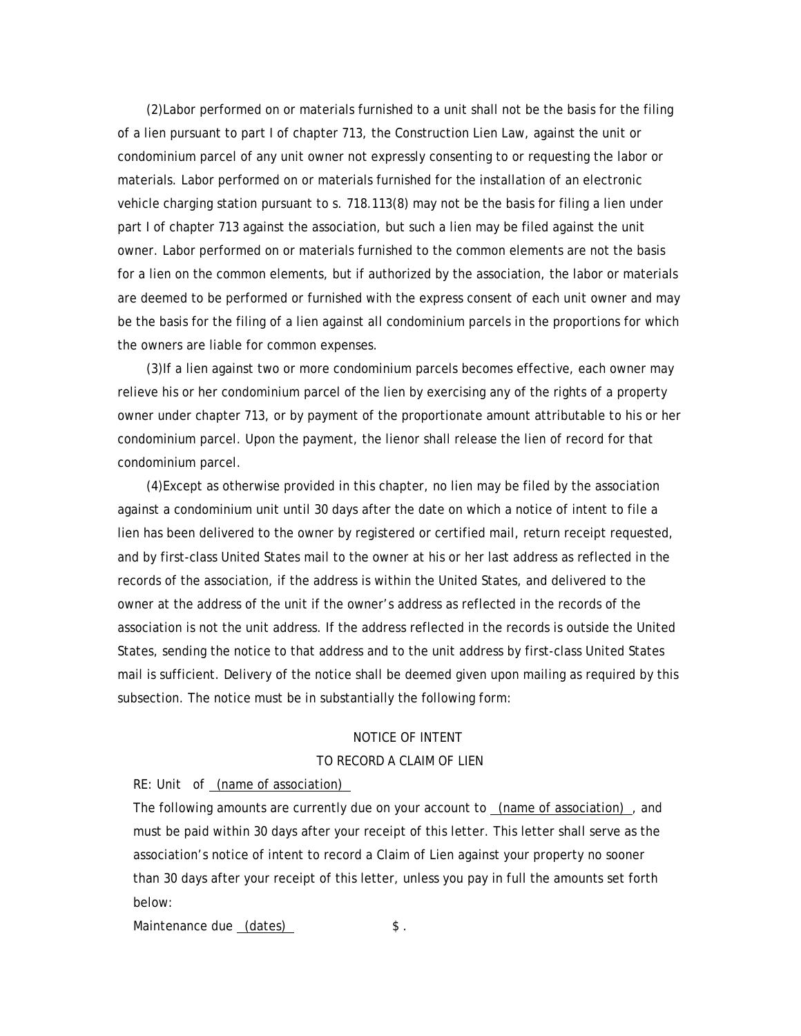(2)Labor performed on or materials furnished to a unit shall not be the basis for the filing of a lien pursuant to part I of chapter 713, the Construction Lien Law, against the unit or condominium parcel of any unit owner not expressly consenting to or requesting the labor or materials. Labor performed on or materials furnished for the installation of an electronic vehicle charging station pursuant to s. 718.113(8) may not be the basis for filing a lien under part I of chapter 713 against the association, but such a lien may be filed against the unit owner. Labor performed on or materials furnished to the common elements are not the basis for a lien on the common elements, but if authorized by the association, the labor or materials are deemed to be performed or furnished with the express consent of each unit owner and may be the basis for the filing of a lien against all condominium parcels in the proportions for which the owners are liable for common expenses.

(3)If a lien against two or more condominium parcels becomes effective, each owner may relieve his or her condominium parcel of the lien by exercising any of the rights of a property owner under chapter 713, or by payment of the proportionate amount attributable to his or her condominium parcel. Upon the payment, the lienor shall release the lien of record for that condominium parcel.

(4)Except as otherwise provided in this chapter, no lien may be filed by the association against a condominium unit until 30 days after the date on which a notice of intent to file a lien has been delivered to the owner by registered or certified mail, return receipt requested, and by first-class United States mail to the owner at his or her last address as reflected in the records of the association, if the address is within the United States, and delivered to the owner at the address of the unit if the owner's address as reflected in the records of the association is not the unit address. If the address reflected in the records is outside the United States, sending the notice to that address and to the unit address by first-class United States mail is sufficient. Delivery of the notice shall be deemed given upon mailing as required by this subsection. The notice must be in substantially the following form:

#### NOTICE OF INTENT

### TO RECORD A CLAIM OF LIEN

RE: Unit of (name of association)

The following amounts are currently due on your account to (name of association) , and must be paid within 30 days after your receipt of this letter. This letter shall serve as the association's notice of intent to record a Claim of Lien against your property no sooner than 30 days after your receipt of this letter, unless you pay in full the amounts set forth below:

Maintenance due (dates) \$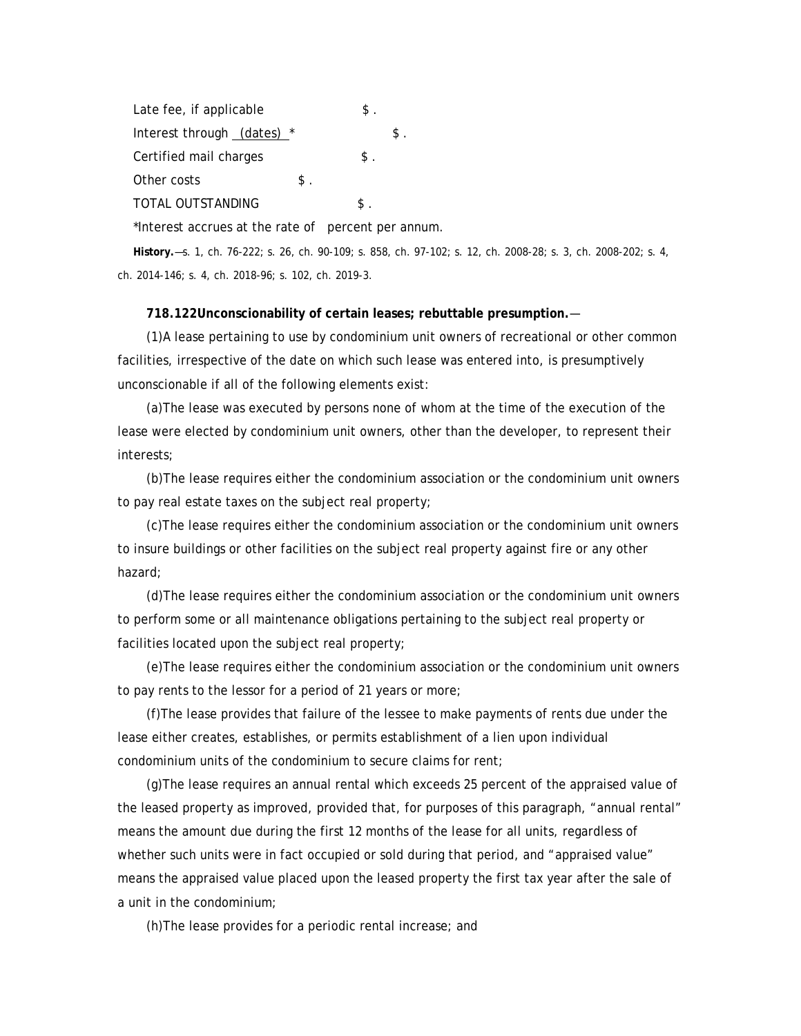Late fee, if applicable  $\sim$  \$. Interest through  $(datas)$   $*$   $$ .$  $C$ ertified mail charges  $\sim$  \$. Other costs \$ TOTAL OUTSTANDING \$ \*Interest accrues at the rate of percent per annum.

**History.**—s. 1, ch. 76-222; s. 26, ch. 90-109; s. 858, ch. 97-102; s. 12, ch. 2008-28; s. 3, ch. 2008-202; s. 4, ch. 2014-146; s. 4, ch. 2018-96; s. 102, ch. 2019-3.

#### **718.122Unconscionability of certain leases; rebuttable presumption.**—

(1)A lease pertaining to use by condominium unit owners of recreational or other common facilities, irrespective of the date on which such lease was entered into, is presumptively unconscionable if all of the following elements exist:

(a)The lease was executed by persons none of whom at the time of the execution of the lease were elected by condominium unit owners, other than the developer, to represent their interests;

(b)The lease requires either the condominium association or the condominium unit owners to pay real estate taxes on the subject real property;

(c)The lease requires either the condominium association or the condominium unit owners to insure buildings or other facilities on the subject real property against fire or any other hazard;

(d)The lease requires either the condominium association or the condominium unit owners to perform some or all maintenance obligations pertaining to the subject real property or facilities located upon the subject real property;

(e)The lease requires either the condominium association or the condominium unit owners to pay rents to the lessor for a period of 21 years or more;

(f)The lease provides that failure of the lessee to make payments of rents due under the lease either creates, establishes, or permits establishment of a lien upon individual condominium units of the condominium to secure claims for rent;

(g)The lease requires an annual rental which exceeds 25 percent of the appraised value of the leased property as improved, provided that, for purposes of this paragraph, "annual rental" means the amount due during the first 12 months of the lease for all units, regardless of whether such units were in fact occupied or sold during that period, and "appraised value" means the appraised value placed upon the leased property the first tax year after the sale of a unit in the condominium;

(h)The lease provides for a periodic rental increase; and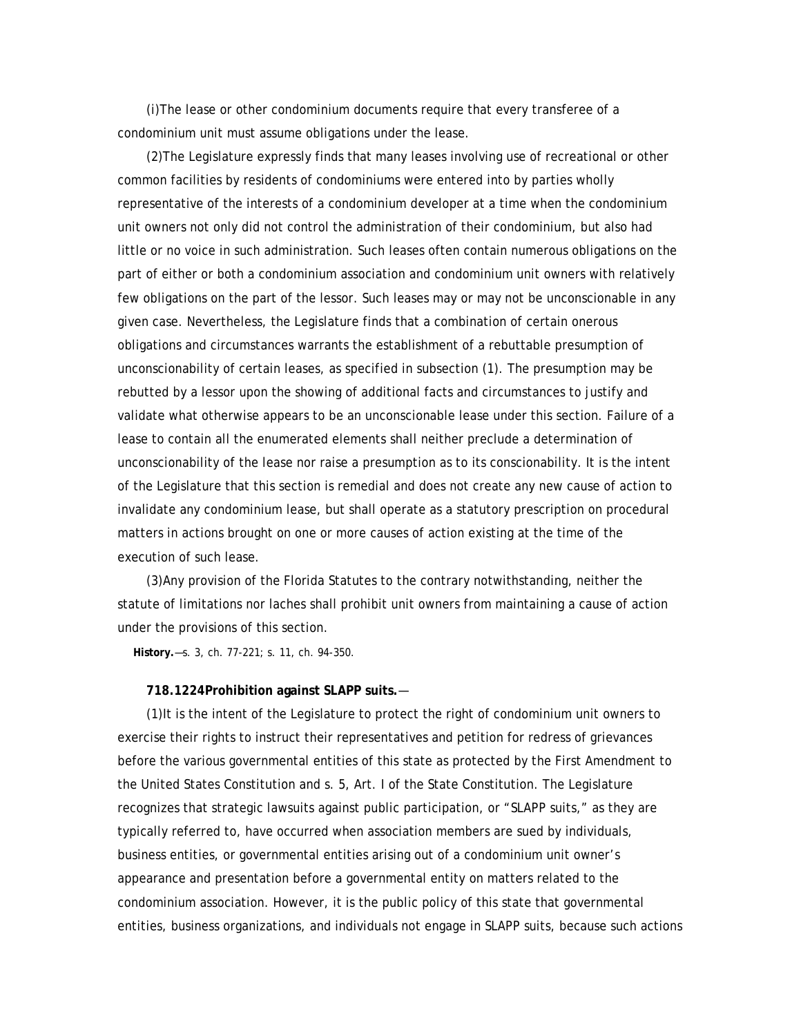(i)The lease or other condominium documents require that every transferee of a condominium unit must assume obligations under the lease.

(2)The Legislature expressly finds that many leases involving use of recreational or other common facilities by residents of condominiums were entered into by parties wholly representative of the interests of a condominium developer at a time when the condominium unit owners not only did not control the administration of their condominium, but also had little or no voice in such administration. Such leases often contain numerous obligations on the part of either or both a condominium association and condominium unit owners with relatively few obligations on the part of the lessor. Such leases may or may not be unconscionable in any given case. Nevertheless, the Legislature finds that a combination of certain onerous obligations and circumstances warrants the establishment of a rebuttable presumption of unconscionability of certain leases, as specified in subsection (1). The presumption may be rebutted by a lessor upon the showing of additional facts and circumstances to justify and validate what otherwise appears to be an unconscionable lease under this section. Failure of a lease to contain all the enumerated elements shall neither preclude a determination of unconscionability of the lease nor raise a presumption as to its conscionability. It is the intent of the Legislature that this section is remedial and does not create any new cause of action to invalidate any condominium lease, but shall operate as a statutory prescription on procedural matters in actions brought on one or more causes of action existing at the time of the execution of such lease.

(3)Any provision of the Florida Statutes to the contrary notwithstanding, neither the statute of limitations nor laches shall prohibit unit owners from maintaining a cause of action under the provisions of this section.

**History.**—s. 3, ch. 77-221; s. 11, ch. 94-350.

#### **718.1224Prohibition against SLAPP suits.**—

(1)It is the intent of the Legislature to protect the right of condominium unit owners to exercise their rights to instruct their representatives and petition for redress of grievances before the various governmental entities of this state as protected by the First Amendment to the United States Constitution and s. 5, Art. I of the State Constitution. The Legislature recognizes that strategic lawsuits against public participation, or "SLAPP suits," as they are typically referred to, have occurred when association members are sued by individuals, business entities, or governmental entities arising out of a condominium unit owner's appearance and presentation before a governmental entity on matters related to the condominium association. However, it is the public policy of this state that governmental entities, business organizations, and individuals not engage in SLAPP suits, because such actions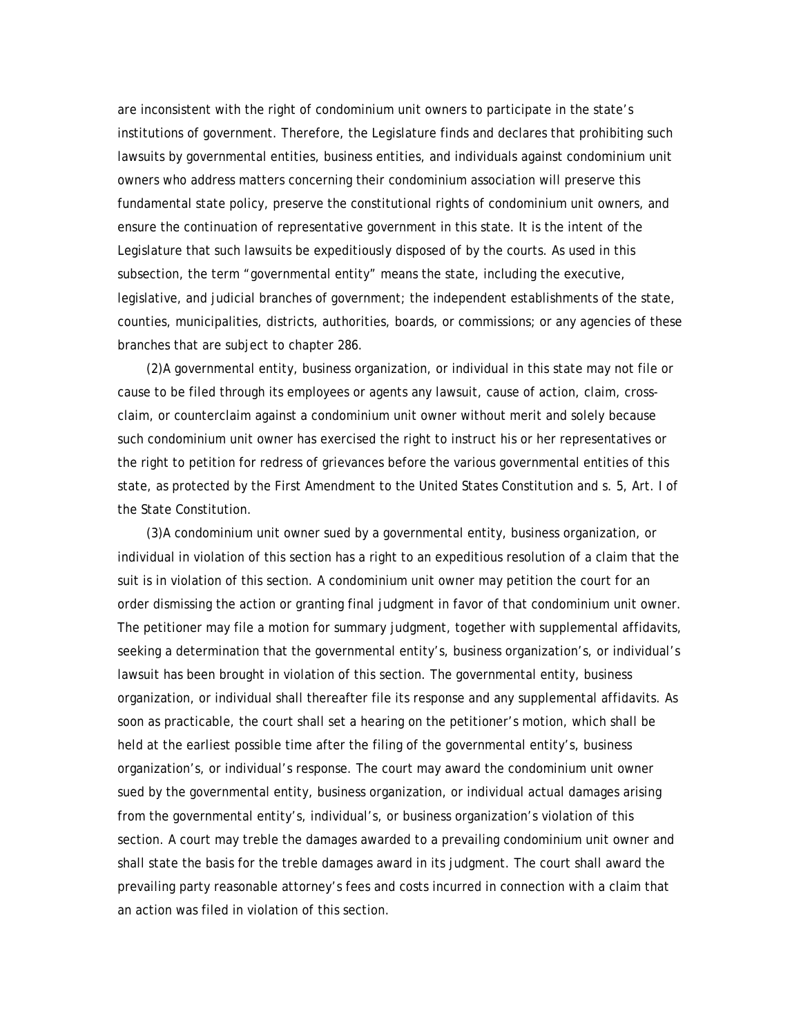are inconsistent with the right of condominium unit owners to participate in the state's institutions of government. Therefore, the Legislature finds and declares that prohibiting such lawsuits by governmental entities, business entities, and individuals against condominium unit owners who address matters concerning their condominium association will preserve this fundamental state policy, preserve the constitutional rights of condominium unit owners, and ensure the continuation of representative government in this state. It is the intent of the Legislature that such lawsuits be expeditiously disposed of by the courts. As used in this subsection, the term "governmental entity" means the state, including the executive, legislative, and judicial branches of government; the independent establishments of the state, counties, municipalities, districts, authorities, boards, or commissions; or any agencies of these branches that are subject to chapter 286.

(2)A governmental entity, business organization, or individual in this state may not file or cause to be filed through its employees or agents any lawsuit, cause of action, claim, crossclaim, or counterclaim against a condominium unit owner without merit and solely because such condominium unit owner has exercised the right to instruct his or her representatives or the right to petition for redress of grievances before the various governmental entities of this state, as protected by the First Amendment to the United States Constitution and s. 5, Art. I of the State Constitution.

(3)A condominium unit owner sued by a governmental entity, business organization, or individual in violation of this section has a right to an expeditious resolution of a claim that the suit is in violation of this section. A condominium unit owner may petition the court for an order dismissing the action or granting final judgment in favor of that condominium unit owner. The petitioner may file a motion for summary judgment, together with supplemental affidavits, seeking a determination that the governmental entity's, business organization's, or individual's lawsuit has been brought in violation of this section. The governmental entity, business organization, or individual shall thereafter file its response and any supplemental affidavits. As soon as practicable, the court shall set a hearing on the petitioner's motion, which shall be held at the earliest possible time after the filing of the governmental entity's, business organization's, or individual's response. The court may award the condominium unit owner sued by the governmental entity, business organization, or individual actual damages arising from the governmental entity's, individual's, or business organization's violation of this section. A court may treble the damages awarded to a prevailing condominium unit owner and shall state the basis for the treble damages award in its judgment. The court shall award the prevailing party reasonable attorney's fees and costs incurred in connection with a claim that an action was filed in violation of this section.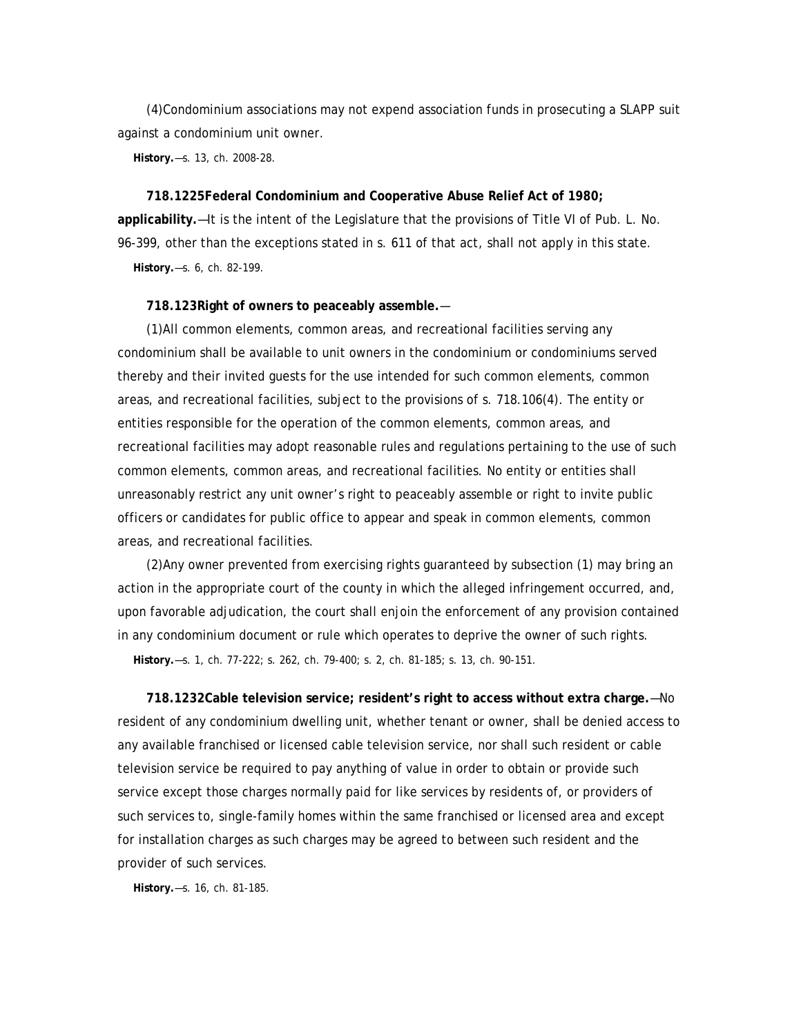(4)Condominium associations may not expend association funds in prosecuting a SLAPP suit against a condominium unit owner.

**History.**—s. 13, ch. 2008-28.

**718.1225Federal Condominium and Cooperative Abuse Relief Act of 1980; applicability.**—It is the intent of the Legislature that the provisions of Title VI of Pub. L. No. 96-399, other than the exceptions stated in s. 611 of that act, shall not apply in this state. **History.**—s. 6, ch. 82-199.

### **718.123Right of owners to peaceably assemble.**—

(1)All common elements, common areas, and recreational facilities serving any condominium shall be available to unit owners in the condominium or condominiums served thereby and their invited guests for the use intended for such common elements, common areas, and recreational facilities, subject to the provisions of s. 718.106(4). The entity or entities responsible for the operation of the common elements, common areas, and recreational facilities may adopt reasonable rules and regulations pertaining to the use of such common elements, common areas, and recreational facilities. No entity or entities shall unreasonably restrict any unit owner's right to peaceably assemble or right to invite public officers or candidates for public office to appear and speak in common elements, common areas, and recreational facilities.

(2)Any owner prevented from exercising rights guaranteed by subsection (1) may bring an action in the appropriate court of the county in which the alleged infringement occurred, and, upon favorable adjudication, the court shall enjoin the enforcement of any provision contained in any condominium document or rule which operates to deprive the owner of such rights.

**History.**—s. 1, ch. 77-222; s. 262, ch. 79-400; s. 2, ch. 81-185; s. 13, ch. 90-151.

**718.1232Cable television service; resident's right to access without extra charge.**—No resident of any condominium dwelling unit, whether tenant or owner, shall be denied access to any available franchised or licensed cable television service, nor shall such resident or cable television service be required to pay anything of value in order to obtain or provide such service except those charges normally paid for like services by residents of, or providers of such services to, single-family homes within the same franchised or licensed area and except for installation charges as such charges may be agreed to between such resident and the provider of such services.

**History.**—s. 16, ch. 81-185.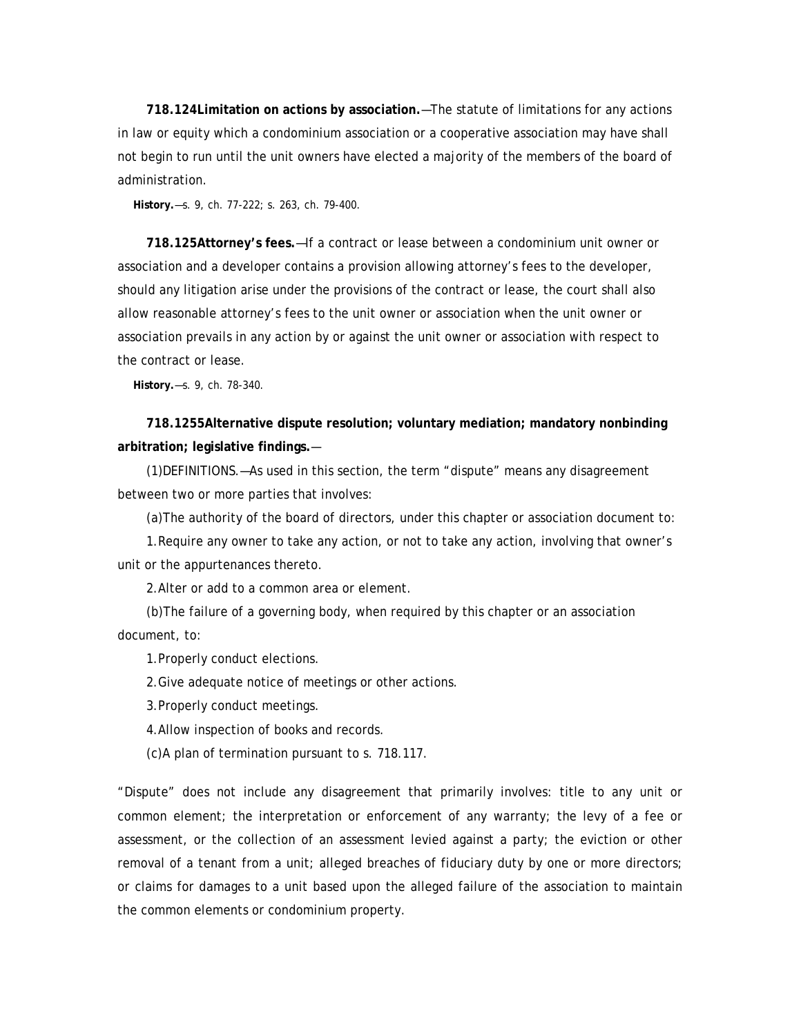**718.124Limitation on actions by association.**—The statute of limitations for any actions in law or equity which a condominium association or a cooperative association may have shall not begin to run until the unit owners have elected a majority of the members of the board of administration.

**History.**—s. 9, ch. 77-222; s. 263, ch. 79-400.

**718.125Attorney's fees.**—If a contract or lease between a condominium unit owner or association and a developer contains a provision allowing attorney's fees to the developer, should any litigation arise under the provisions of the contract or lease, the court shall also allow reasonable attorney's fees to the unit owner or association when the unit owner or association prevails in any action by or against the unit owner or association with respect to the contract or lease.

**History.**—s. 9, ch. 78-340.

**718.1255Alternative dispute resolution; voluntary mediation; mandatory nonbinding arbitration; legislative findings.**—

(1)DEFINITIONS.—As used in this section, the term "dispute" means any disagreement between two or more parties that involves:

(a)The authority of the board of directors, under this chapter or association document to:

1.Require any owner to take any action, or not to take any action, involving that owner's unit or the appurtenances thereto.

2.Alter or add to a common area or element.

(b)The failure of a governing body, when required by this chapter or an association document, to:

1.Properly conduct elections.

2.Give adequate notice of meetings or other actions.

3.Properly conduct meetings.

4.Allow inspection of books and records.

(c)A plan of termination pursuant to s. 718.117.

"Dispute" does not include any disagreement that primarily involves: title to any unit or common element; the interpretation or enforcement of any warranty; the levy of a fee or assessment, or the collection of an assessment levied against a party; the eviction or other removal of a tenant from a unit; alleged breaches of fiduciary duty by one or more directors; or claims for damages to a unit based upon the alleged failure of the association to maintain the common elements or condominium property.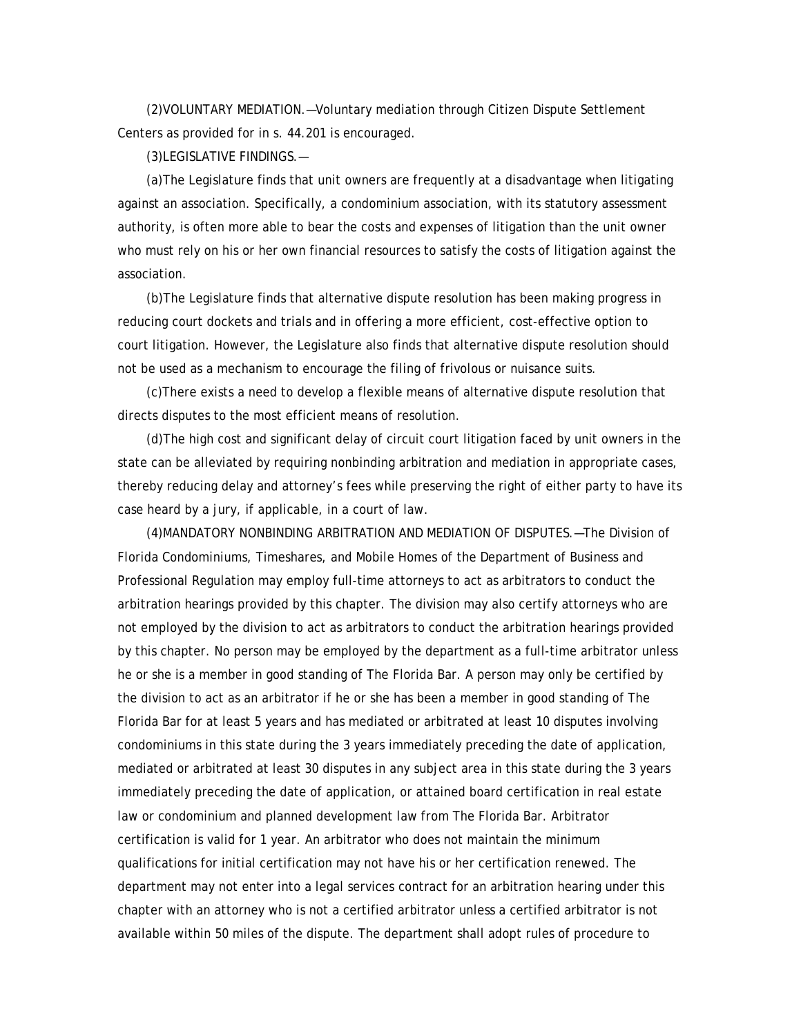(2)VOLUNTARY MEDIATION.—Voluntary mediation through Citizen Dispute Settlement Centers as provided for in s. 44.201 is encouraged.

(3)LEGISLATIVE FINDINGS.—

(a)The Legislature finds that unit owners are frequently at a disadvantage when litigating against an association. Specifically, a condominium association, with its statutory assessment authority, is often more able to bear the costs and expenses of litigation than the unit owner who must rely on his or her own financial resources to satisfy the costs of litigation against the association.

(b)The Legislature finds that alternative dispute resolution has been making progress in reducing court dockets and trials and in offering a more efficient, cost-effective option to court litigation. However, the Legislature also finds that alternative dispute resolution should not be used as a mechanism to encourage the filing of frivolous or nuisance suits.

(c)There exists a need to develop a flexible means of alternative dispute resolution that directs disputes to the most efficient means of resolution.

(d)The high cost and significant delay of circuit court litigation faced by unit owners in the state can be alleviated by requiring nonbinding arbitration and mediation in appropriate cases, thereby reducing delay and attorney's fees while preserving the right of either party to have its case heard by a jury, if applicable, in a court of law.

(4)MANDATORY NONBINDING ARBITRATION AND MEDIATION OF DISPUTES.—The Division of Florida Condominiums, Timeshares, and Mobile Homes of the Department of Business and Professional Regulation may employ full-time attorneys to act as arbitrators to conduct the arbitration hearings provided by this chapter. The division may also certify attorneys who are not employed by the division to act as arbitrators to conduct the arbitration hearings provided by this chapter. No person may be employed by the department as a full-time arbitrator unless he or she is a member in good standing of The Florida Bar. A person may only be certified by the division to act as an arbitrator if he or she has been a member in good standing of The Florida Bar for at least 5 years and has mediated or arbitrated at least 10 disputes involving condominiums in this state during the 3 years immediately preceding the date of application, mediated or arbitrated at least 30 disputes in any subject area in this state during the 3 years immediately preceding the date of application, or attained board certification in real estate law or condominium and planned development law from The Florida Bar. Arbitrator certification is valid for 1 year. An arbitrator who does not maintain the minimum qualifications for initial certification may not have his or her certification renewed. The department may not enter into a legal services contract for an arbitration hearing under this chapter with an attorney who is not a certified arbitrator unless a certified arbitrator is not available within 50 miles of the dispute. The department shall adopt rules of procedure to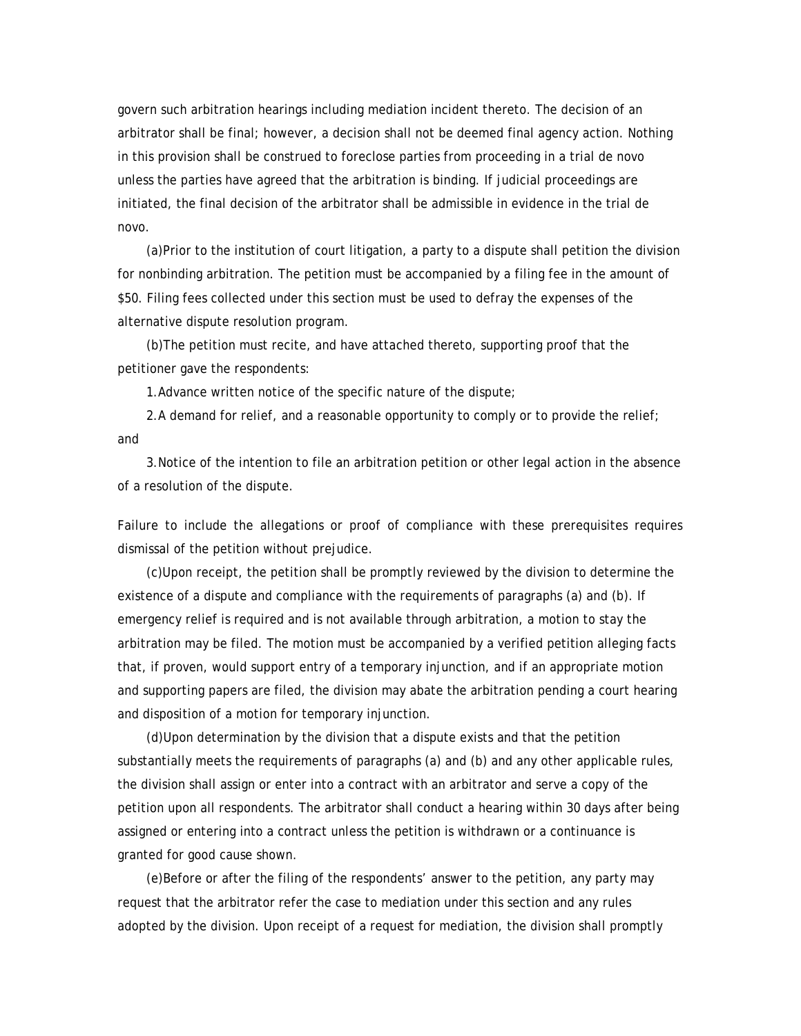govern such arbitration hearings including mediation incident thereto. The decision of an arbitrator shall be final; however, a decision shall not be deemed final agency action. Nothing in this provision shall be construed to foreclose parties from proceeding in a trial de novo unless the parties have agreed that the arbitration is binding. If judicial proceedings are initiated, the final decision of the arbitrator shall be admissible in evidence in the trial de novo.

(a)Prior to the institution of court litigation, a party to a dispute shall petition the division for nonbinding arbitration. The petition must be accompanied by a filing fee in the amount of \$50. Filing fees collected under this section must be used to defray the expenses of the alternative dispute resolution program.

(b)The petition must recite, and have attached thereto, supporting proof that the petitioner gave the respondents:

1.Advance written notice of the specific nature of the dispute;

2.A demand for relief, and a reasonable opportunity to comply or to provide the relief; and

3.Notice of the intention to file an arbitration petition or other legal action in the absence of a resolution of the dispute.

Failure to include the allegations or proof of compliance with these prerequisites requires dismissal of the petition without prejudice.

(c)Upon receipt, the petition shall be promptly reviewed by the division to determine the existence of a dispute and compliance with the requirements of paragraphs (a) and (b). If emergency relief is required and is not available through arbitration, a motion to stay the arbitration may be filed. The motion must be accompanied by a verified petition alleging facts that, if proven, would support entry of a temporary injunction, and if an appropriate motion and supporting papers are filed, the division may abate the arbitration pending a court hearing and disposition of a motion for temporary injunction.

(d)Upon determination by the division that a dispute exists and that the petition substantially meets the requirements of paragraphs (a) and (b) and any other applicable rules, the division shall assign or enter into a contract with an arbitrator and serve a copy of the petition upon all respondents. The arbitrator shall conduct a hearing within 30 days after being assigned or entering into a contract unless the petition is withdrawn or a continuance is granted for good cause shown.

(e)Before or after the filing of the respondents' answer to the petition, any party may request that the arbitrator refer the case to mediation under this section and any rules adopted by the division. Upon receipt of a request for mediation, the division shall promptly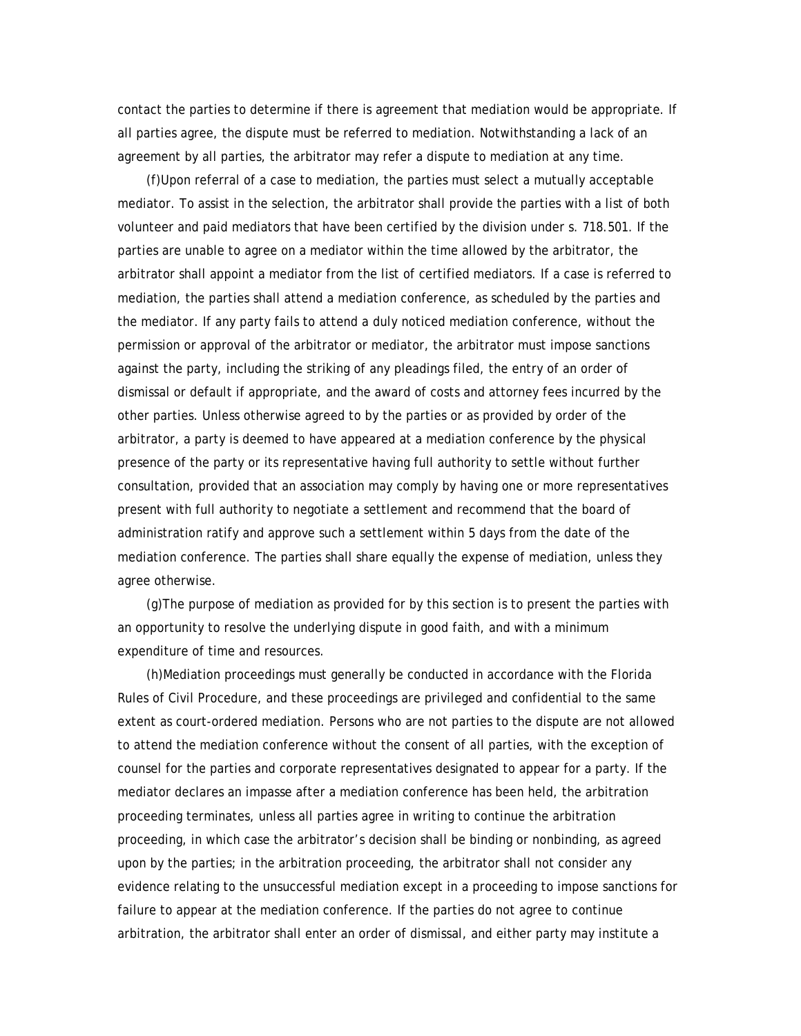contact the parties to determine if there is agreement that mediation would be appropriate. If all parties agree, the dispute must be referred to mediation. Notwithstanding a lack of an agreement by all parties, the arbitrator may refer a dispute to mediation at any time.

(f)Upon referral of a case to mediation, the parties must select a mutually acceptable mediator. To assist in the selection, the arbitrator shall provide the parties with a list of both volunteer and paid mediators that have been certified by the division under s. 718.501. If the parties are unable to agree on a mediator within the time allowed by the arbitrator, the arbitrator shall appoint a mediator from the list of certified mediators. If a case is referred to mediation, the parties shall attend a mediation conference, as scheduled by the parties and the mediator. If any party fails to attend a duly noticed mediation conference, without the permission or approval of the arbitrator or mediator, the arbitrator must impose sanctions against the party, including the striking of any pleadings filed, the entry of an order of dismissal or default if appropriate, and the award of costs and attorney fees incurred by the other parties. Unless otherwise agreed to by the parties or as provided by order of the arbitrator, a party is deemed to have appeared at a mediation conference by the physical presence of the party or its representative having full authority to settle without further consultation, provided that an association may comply by having one or more representatives present with full authority to negotiate a settlement and recommend that the board of administration ratify and approve such a settlement within 5 days from the date of the mediation conference. The parties shall share equally the expense of mediation, unless they agree otherwise.

(g)The purpose of mediation as provided for by this section is to present the parties with an opportunity to resolve the underlying dispute in good faith, and with a minimum expenditure of time and resources.

(h)Mediation proceedings must generally be conducted in accordance with the Florida Rules of Civil Procedure, and these proceedings are privileged and confidential to the same extent as court-ordered mediation. Persons who are not parties to the dispute are not allowed to attend the mediation conference without the consent of all parties, with the exception of counsel for the parties and corporate representatives designated to appear for a party. If the mediator declares an impasse after a mediation conference has been held, the arbitration proceeding terminates, unless all parties agree in writing to continue the arbitration proceeding, in which case the arbitrator's decision shall be binding or nonbinding, as agreed upon by the parties; in the arbitration proceeding, the arbitrator shall not consider any evidence relating to the unsuccessful mediation except in a proceeding to impose sanctions for failure to appear at the mediation conference. If the parties do not agree to continue arbitration, the arbitrator shall enter an order of dismissal, and either party may institute a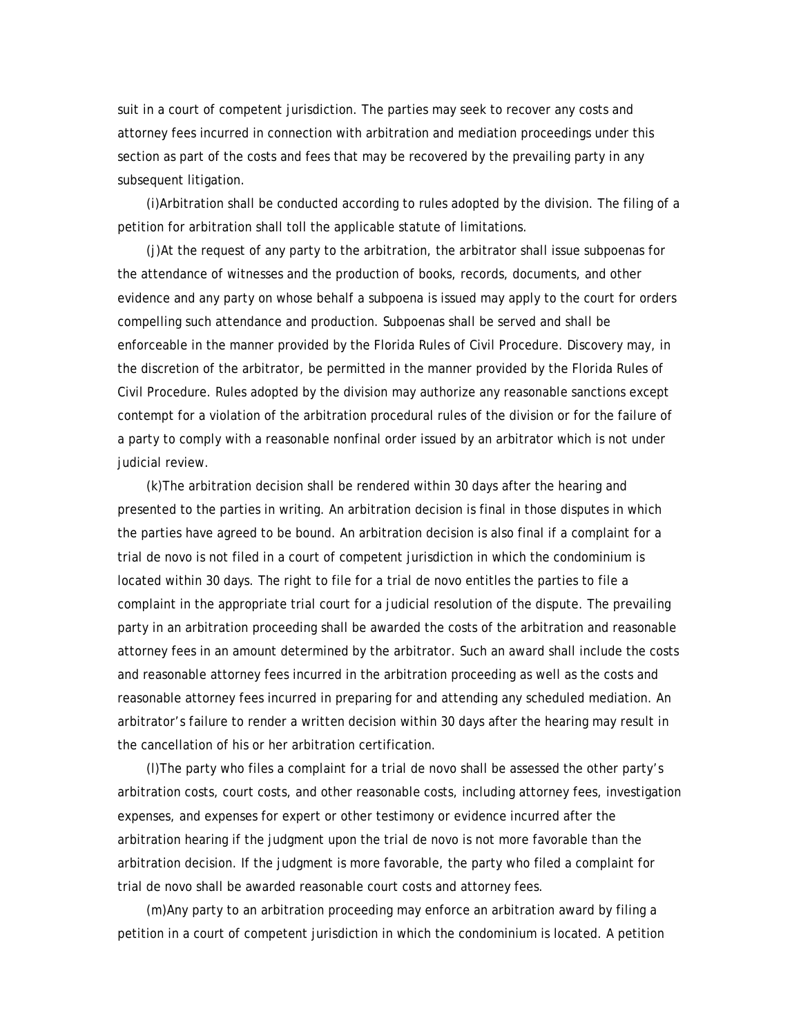suit in a court of competent jurisdiction. The parties may seek to recover any costs and attorney fees incurred in connection with arbitration and mediation proceedings under this section as part of the costs and fees that may be recovered by the prevailing party in any subsequent litigation.

(i)Arbitration shall be conducted according to rules adopted by the division. The filing of a petition for arbitration shall toll the applicable statute of limitations.

(j)At the request of any party to the arbitration, the arbitrator shall issue subpoenas for the attendance of witnesses and the production of books, records, documents, and other evidence and any party on whose behalf a subpoena is issued may apply to the court for orders compelling such attendance and production. Subpoenas shall be served and shall be enforceable in the manner provided by the Florida Rules of Civil Procedure. Discovery may, in the discretion of the arbitrator, be permitted in the manner provided by the Florida Rules of Civil Procedure. Rules adopted by the division may authorize any reasonable sanctions except contempt for a violation of the arbitration procedural rules of the division or for the failure of a party to comply with a reasonable nonfinal order issued by an arbitrator which is not under judicial review.

(k)The arbitration decision shall be rendered within 30 days after the hearing and presented to the parties in writing. An arbitration decision is final in those disputes in which the parties have agreed to be bound. An arbitration decision is also final if a complaint for a trial de novo is not filed in a court of competent jurisdiction in which the condominium is located within 30 days. The right to file for a trial de novo entitles the parties to file a complaint in the appropriate trial court for a judicial resolution of the dispute. The prevailing party in an arbitration proceeding shall be awarded the costs of the arbitration and reasonable attorney fees in an amount determined by the arbitrator. Such an award shall include the costs and reasonable attorney fees incurred in the arbitration proceeding as well as the costs and reasonable attorney fees incurred in preparing for and attending any scheduled mediation. An arbitrator's failure to render a written decision within 30 days after the hearing may result in the cancellation of his or her arbitration certification.

(l)The party who files a complaint for a trial de novo shall be assessed the other party's arbitration costs, court costs, and other reasonable costs, including attorney fees, investigation expenses, and expenses for expert or other testimony or evidence incurred after the arbitration hearing if the judgment upon the trial de novo is not more favorable than the arbitration decision. If the judgment is more favorable, the party who filed a complaint for trial de novo shall be awarded reasonable court costs and attorney fees.

(m)Any party to an arbitration proceeding may enforce an arbitration award by filing a petition in a court of competent jurisdiction in which the condominium is located. A petition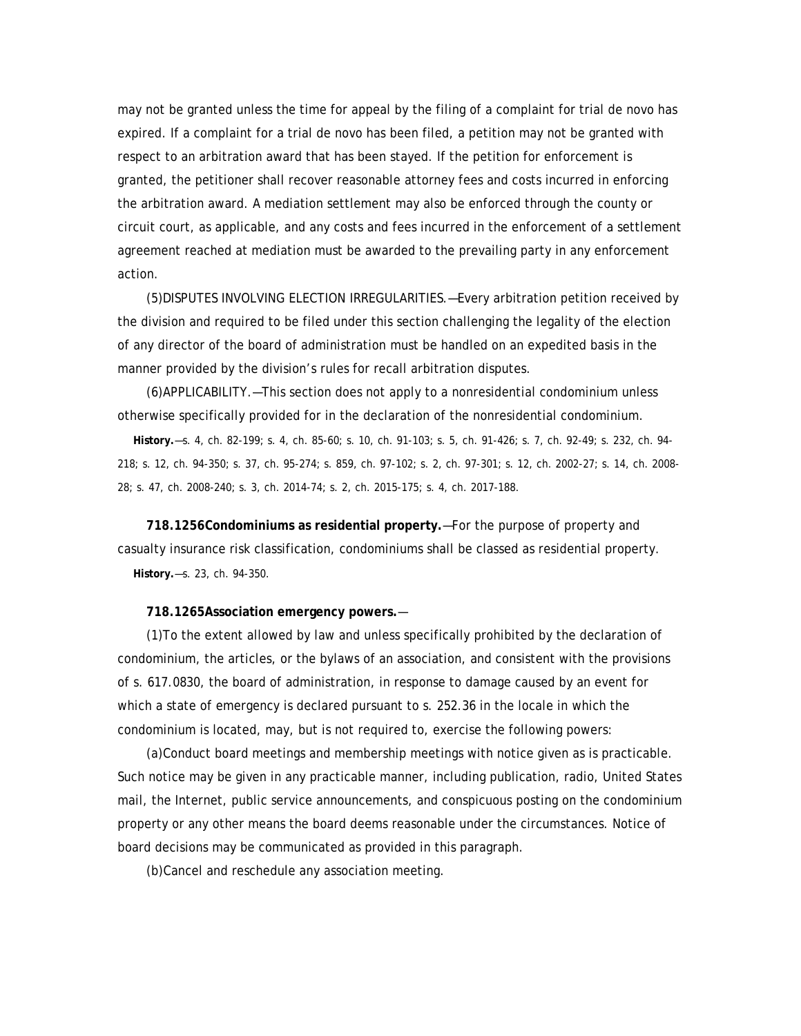may not be granted unless the time for appeal by the filing of a complaint for trial de novo has expired. If a complaint for a trial de novo has been filed, a petition may not be granted with respect to an arbitration award that has been stayed. If the petition for enforcement is granted, the petitioner shall recover reasonable attorney fees and costs incurred in enforcing the arbitration award. A mediation settlement may also be enforced through the county or circuit court, as applicable, and any costs and fees incurred in the enforcement of a settlement agreement reached at mediation must be awarded to the prevailing party in any enforcement action.

(5)DISPUTES INVOLVING ELECTION IRREGULARITIES.—Every arbitration petition received by the division and required to be filed under this section challenging the legality of the election of any director of the board of administration must be handled on an expedited basis in the manner provided by the division's rules for recall arbitration disputes.

(6)APPLICABILITY.—This section does not apply to a nonresidential condominium unless otherwise specifically provided for in the declaration of the nonresidential condominium.

**History.**—s. 4, ch. 82-199; s. 4, ch. 85-60; s. 10, ch. 91-103; s. 5, ch. 91-426; s. 7, ch. 92-49; s. 232, ch. 94- 218; s. 12, ch. 94-350; s. 37, ch. 95-274; s. 859, ch. 97-102; s. 2, ch. 97-301; s. 12, ch. 2002-27; s. 14, ch. 2008- 28; s. 47, ch. 2008-240; s. 3, ch. 2014-74; s. 2, ch. 2015-175; s. 4, ch. 2017-188.

**718.1256Condominiums as residential property.**—For the purpose of property and casualty insurance risk classification, condominiums shall be classed as residential property. **History.**—s. 23, ch. 94-350.

### **718.1265Association emergency powers.**—

(1)To the extent allowed by law and unless specifically prohibited by the declaration of condominium, the articles, or the bylaws of an association, and consistent with the provisions of s. 617.0830, the board of administration, in response to damage caused by an event for which a state of emergency is declared pursuant to s. 252.36 in the locale in which the condominium is located, may, but is not required to, exercise the following powers:

(a)Conduct board meetings and membership meetings with notice given as is practicable. Such notice may be given in any practicable manner, including publication, radio, United States mail, the Internet, public service announcements, and conspicuous posting on the condominium property or any other means the board deems reasonable under the circumstances. Notice of board decisions may be communicated as provided in this paragraph.

(b)Cancel and reschedule any association meeting.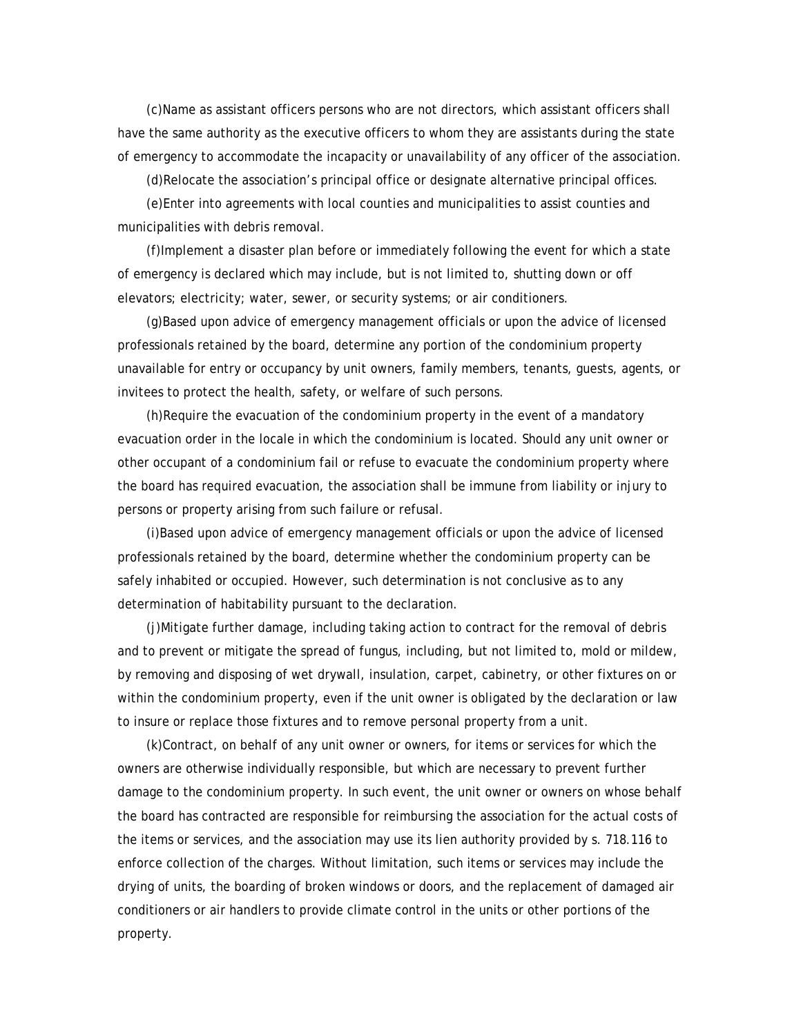(c)Name as assistant officers persons who are not directors, which assistant officers shall have the same authority as the executive officers to whom they are assistants during the state of emergency to accommodate the incapacity or unavailability of any officer of the association.

(d)Relocate the association's principal office or designate alternative principal offices.

(e)Enter into agreements with local counties and municipalities to assist counties and municipalities with debris removal.

(f)Implement a disaster plan before or immediately following the event for which a state of emergency is declared which may include, but is not limited to, shutting down or off elevators; electricity; water, sewer, or security systems; or air conditioners.

(g)Based upon advice of emergency management officials or upon the advice of licensed professionals retained by the board, determine any portion of the condominium property unavailable for entry or occupancy by unit owners, family members, tenants, guests, agents, or invitees to protect the health, safety, or welfare of such persons.

(h)Require the evacuation of the condominium property in the event of a mandatory evacuation order in the locale in which the condominium is located. Should any unit owner or other occupant of a condominium fail or refuse to evacuate the condominium property where the board has required evacuation, the association shall be immune from liability or injury to persons or property arising from such failure or refusal.

(i)Based upon advice of emergency management officials or upon the advice of licensed professionals retained by the board, determine whether the condominium property can be safely inhabited or occupied. However, such determination is not conclusive as to any determination of habitability pursuant to the declaration.

(j)Mitigate further damage, including taking action to contract for the removal of debris and to prevent or mitigate the spread of fungus, including, but not limited to, mold or mildew, by removing and disposing of wet drywall, insulation, carpet, cabinetry, or other fixtures on or within the condominium property, even if the unit owner is obligated by the declaration or law to insure or replace those fixtures and to remove personal property from a unit.

(k)Contract, on behalf of any unit owner or owners, for items or services for which the owners are otherwise individually responsible, but which are necessary to prevent further damage to the condominium property. In such event, the unit owner or owners on whose behalf the board has contracted are responsible for reimbursing the association for the actual costs of the items or services, and the association may use its lien authority provided by s. 718.116 to enforce collection of the charges. Without limitation, such items or services may include the drying of units, the boarding of broken windows or doors, and the replacement of damaged air conditioners or air handlers to provide climate control in the units or other portions of the property.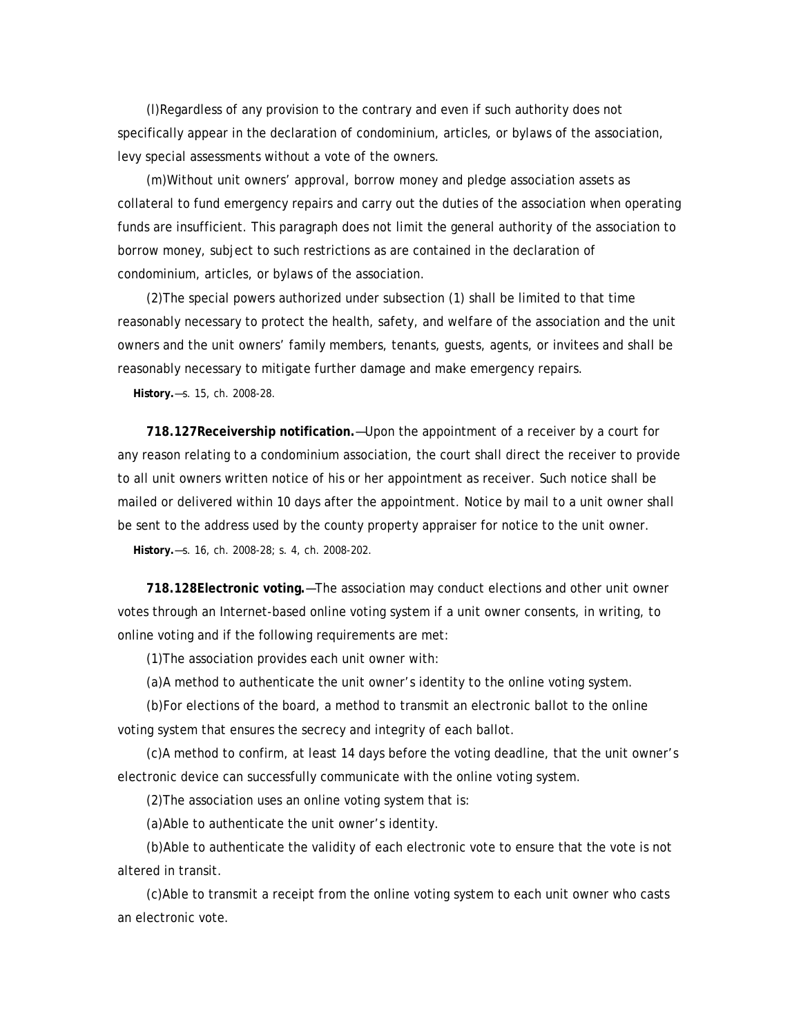(l)Regardless of any provision to the contrary and even if such authority does not specifically appear in the declaration of condominium, articles, or bylaws of the association, levy special assessments without a vote of the owners.

(m)Without unit owners' approval, borrow money and pledge association assets as collateral to fund emergency repairs and carry out the duties of the association when operating funds are insufficient. This paragraph does not limit the general authority of the association to borrow money, subject to such restrictions as are contained in the declaration of condominium, articles, or bylaws of the association.

(2)The special powers authorized under subsection (1) shall be limited to that time reasonably necessary to protect the health, safety, and welfare of the association and the unit owners and the unit owners' family members, tenants, guests, agents, or invitees and shall be reasonably necessary to mitigate further damage and make emergency repairs.

**History.**—s. 15, ch. 2008-28.

**718.127Receivership notification.**—Upon the appointment of a receiver by a court for any reason relating to a condominium association, the court shall direct the receiver to provide to all unit owners written notice of his or her appointment as receiver. Such notice shall be mailed or delivered within 10 days after the appointment. Notice by mail to a unit owner shall be sent to the address used by the county property appraiser for notice to the unit owner.

**History.**—s. 16, ch. 2008-28; s. 4, ch. 2008-202.

**718.128Electronic voting.**—The association may conduct elections and other unit owner votes through an Internet-based online voting system if a unit owner consents, in writing, to online voting and if the following requirements are met:

(1)The association provides each unit owner with:

(a)A method to authenticate the unit owner's identity to the online voting system.

(b)For elections of the board, a method to transmit an electronic ballot to the online voting system that ensures the secrecy and integrity of each ballot.

(c)A method to confirm, at least 14 days before the voting deadline, that the unit owner's electronic device can successfully communicate with the online voting system.

(2)The association uses an online voting system that is:

(a)Able to authenticate the unit owner's identity.

(b)Able to authenticate the validity of each electronic vote to ensure that the vote is not altered in transit.

(c)Able to transmit a receipt from the online voting system to each unit owner who casts an electronic vote.